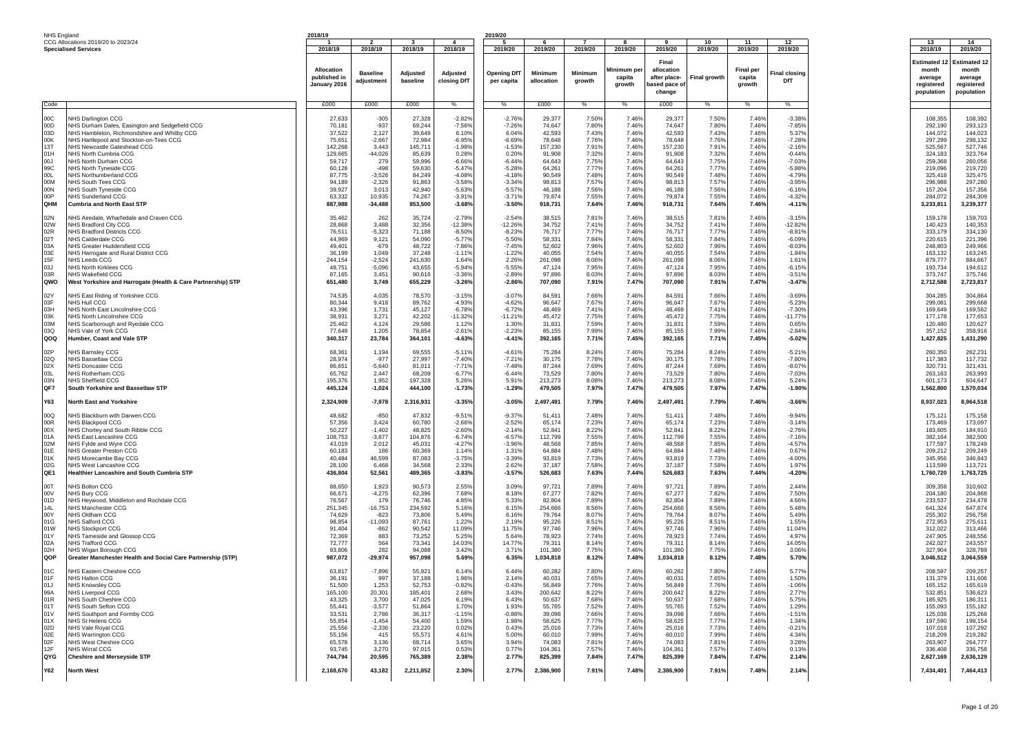| NHS England                  |  |
|------------------------------|--|
| CCG Allocations 2019/20 to 2 |  |

|                                                                                  | NHS England                                                                                                                                                                                                                                                                                                                                                | 2018/19                                                                                                                          |                                                                                                                             |                                                                                                                                  |                                                                                                                         | 2019/20                                                                                                                 |                                                                                                                                   |                                                                                                                   |                                                                                                                   |                                                                                                                                   |                                                                                                                   |                                                                                                                   |                                                                                                                            |                                                                                                                                               |                                                                                                                                               |
|----------------------------------------------------------------------------------|------------------------------------------------------------------------------------------------------------------------------------------------------------------------------------------------------------------------------------------------------------------------------------------------------------------------------------------------------------|----------------------------------------------------------------------------------------------------------------------------------|-----------------------------------------------------------------------------------------------------------------------------|----------------------------------------------------------------------------------------------------------------------------------|-------------------------------------------------------------------------------------------------------------------------|-------------------------------------------------------------------------------------------------------------------------|-----------------------------------------------------------------------------------------------------------------------------------|-------------------------------------------------------------------------------------------------------------------|-------------------------------------------------------------------------------------------------------------------|-----------------------------------------------------------------------------------------------------------------------------------|-------------------------------------------------------------------------------------------------------------------|-------------------------------------------------------------------------------------------------------------------|----------------------------------------------------------------------------------------------------------------------------|-----------------------------------------------------------------------------------------------------------------------------------------------|-----------------------------------------------------------------------------------------------------------------------------------------------|
|                                                                                  | CCG Allocations 2019/20 to 2023/24                                                                                                                                                                                                                                                                                                                         | 2018/19                                                                                                                          | $\overline{2}$<br>2018/19                                                                                                   | $\mathbf{3}$<br>2018/19                                                                                                          | $\mathbf{A}$<br>2018/19                                                                                                 | - 5<br>2019/20                                                                                                          | - 6<br>2019/20                                                                                                                    | $\overline{7}$<br>2019/20                                                                                         | -8<br>2019/20                                                                                                     | <b>q</b><br>2019/20                                                                                                               | 10<br>2019/20                                                                                                     | 11<br>2019/20                                                                                                     | 12<br>2019/20                                                                                                              | 13<br>2018/19                                                                                                                                 | 14<br>2019/20                                                                                                                                 |
|                                                                                  | <b>Specialised Services</b>                                                                                                                                                                                                                                                                                                                                | <b>Allocation</b><br>published in<br>January 2016                                                                                | <b>Baseline</b><br>adjustment                                                                                               | Adjusted<br>baseline                                                                                                             | Adjusted<br>closing DfT                                                                                                 | <b>Opening DfT</b><br>per capita                                                                                        | Minimum<br>allocation                                                                                                             | Minimum<br>growth                                                                                                 | Minimum pe<br>capita<br>growth                                                                                    | Final<br>allocation<br>after place-<br>pased pace o<br>change                                                                     | <b>Final growth</b>                                                                                               | <b>Final per</b><br>capita<br>growth                                                                              | Final closing<br>DfT                                                                                                       | <b>Estimated 1</b><br>month<br>average<br>registered<br>population                                                                            | Estimated 12<br>month<br>average<br>registered<br>population                                                                                  |
| Code:                                                                            |                                                                                                                                                                                                                                                                                                                                                            | £000                                                                                                                             | £000                                                                                                                        | £000                                                                                                                             | %                                                                                                                       | %                                                                                                                       | £000                                                                                                                              | %                                                                                                                 | %                                                                                                                 | £000                                                                                                                              | %                                                                                                                 | %                                                                                                                 | %                                                                                                                          |                                                                                                                                               |                                                                                                                                               |
| 00C                                                                              | <b>IHS Darlington CCG</b>                                                                                                                                                                                                                                                                                                                                  | 27,633                                                                                                                           | $-305$                                                                                                                      | 27,328                                                                                                                           | $-2.82%$                                                                                                                | $-2.769$                                                                                                                | 29,377                                                                                                                            | 7.50%                                                                                                             | 7.46%                                                                                                             | 29,377                                                                                                                            | 7.50%                                                                                                             | 7.46%                                                                                                             | $-3.38%$                                                                                                                   | 108,355                                                                                                                                       | 108,392                                                                                                                                       |
| 00D                                                                              | NHS Durham Dales, Easington and Sedgefield CCG                                                                                                                                                                                                                                                                                                             | 70,181                                                                                                                           | $-937$                                                                                                                      | 69,244                                                                                                                           | $-7.56%$                                                                                                                | $-7.26%$                                                                                                                | 74,647                                                                                                                            | 7.80%                                                                                                             | 7.46%                                                                                                             | 74,647                                                                                                                            | 7.80%                                                                                                             | 7.46%                                                                                                             | $-7.85%$                                                                                                                   | 292,190                                                                                                                                       | 293,123                                                                                                                                       |
| 03D                                                                              | NHS Hambleton, Richmondshire and Whitby CCG                                                                                                                                                                                                                                                                                                                | 37,522                                                                                                                           | 2,127                                                                                                                       | 39,649                                                                                                                           | 6.10%                                                                                                                   | 6.04%                                                                                                                   | 42,593                                                                                                                            | 7.43%                                                                                                             | 7.46%                                                                                                             | 42,593                                                                                                                            | 7.43%                                                                                                             | 7.46%                                                                                                             | 5.37%                                                                                                                      | 144,072                                                                                                                                       | 144,023                                                                                                                                       |
| 00K                                                                              | NHS Hartlepool and Stockton-on-Tees CCG                                                                                                                                                                                                                                                                                                                    | 75,651                                                                                                                           | $-2,667$                                                                                                                    | 72,984                                                                                                                           | $-6.95%$                                                                                                                | $-6.69%$                                                                                                                | 78,648                                                                                                                            | 7.76%                                                                                                             | 7.46%                                                                                                             | 78,648                                                                                                                            | 7.76%                                                                                                             | 7.46%                                                                                                             | -7.28%                                                                                                                     | 297,299                                                                                                                                       | 298,132                                                                                                                                       |
| 13T                                                                              | NHS Newcastle Gateshead CCG                                                                                                                                                                                                                                                                                                                                | 142,268                                                                                                                          | 3,443                                                                                                                       | 145,711                                                                                                                          | $-1.98%$                                                                                                                | $-1.539$                                                                                                                | 157,230                                                                                                                           | 7.91%                                                                                                             | 7.46%                                                                                                             | 157,230                                                                                                                           | 7.91%                                                                                                             | 7.46%                                                                                                             | $-2.16%$                                                                                                                   | 525,567                                                                                                                                       | 527,746                                                                                                                                       |
| 01H                                                                              | NHS North Cumbria CCG                                                                                                                                                                                                                                                                                                                                      | 129,665                                                                                                                          | $-44,026$                                                                                                                   | 85,639                                                                                                                           | 0.28%                                                                                                                   | 0.20%                                                                                                                   | 91,908                                                                                                                            | 7.329                                                                                                             | 7.46%                                                                                                             | 91,908                                                                                                                            | 7.32%                                                                                                             | 7.46%                                                                                                             | $-0.44%$                                                                                                                   | 324.183                                                                                                                                       | 323,764                                                                                                                                       |
| LOO                                                                              | NHS North Durham CCG                                                                                                                                                                                                                                                                                                                                       | 59,717                                                                                                                           | 279                                                                                                                         | 59,996                                                                                                                           | $-6.66%$                                                                                                                | $-6.44%$                                                                                                                | 64,643                                                                                                                            | 7.75%                                                                                                             | 7.46%                                                                                                             | 64,643                                                                                                                            | 7.75%                                                                                                             | 7.46%                                                                                                             | $-7.03%$                                                                                                                   | 259,368                                                                                                                                       | 260,056                                                                                                                                       |
| 99C                                                                              | <b>NHS North Tyneside CCG</b>                                                                                                                                                                                                                                                                                                                              | 60,128                                                                                                                           | $-498$                                                                                                                      | 59,630                                                                                                                           | $-5.47%$                                                                                                                | $-5.28%$                                                                                                                | 64,261                                                                                                                            | 7.77%                                                                                                             | 7.46%                                                                                                             | 64,261                                                                                                                            | 7.77%                                                                                                             | 7.46%                                                                                                             | $-5.88%$                                                                                                                   | 219,096                                                                                                                                       | 219,720                                                                                                                                       |
| 00L                                                                              | NHS Northumberland CCG                                                                                                                                                                                                                                                                                                                                     | 87,775                                                                                                                           | $-3,526$                                                                                                                    | 84,249                                                                                                                           | $-4.08%$                                                                                                                | $-4.18%$                                                                                                                | 90,549                                                                                                                            | 7.48%                                                                                                             | 7.46%                                                                                                             | 90,549                                                                                                                            | 7.48%                                                                                                             | 7.46%                                                                                                             | $-4.79%$                                                                                                                   | 325,418                                                                                                                                       | 325,475                                                                                                                                       |
| 00M                                                                              | <b>NHS South Tees CCG</b>                                                                                                                                                                                                                                                                                                                                  | 94,189                                                                                                                           | $-2,326$                                                                                                                    | 91,863                                                                                                                           | $-3.58%$                                                                                                                | $-3.34%$                                                                                                                | 98,813                                                                                                                            | 7.57%                                                                                                             | 7.46%                                                                                                             | 98,813                                                                                                                            | 7.57%                                                                                                             | 7.46%                                                                                                             | $-3.95%$                                                                                                                   | 296,988                                                                                                                                       | 297,280                                                                                                                                       |
| 00N                                                                              | <b>NHS South Tyneside CCG</b>                                                                                                                                                                                                                                                                                                                              | 39,927                                                                                                                           | 3,013                                                                                                                       | 42,940                                                                                                                           | $-5.63%$                                                                                                                | $-5.57%$                                                                                                                | 46,188                                                                                                                            | 7.56%                                                                                                             | 7.46%                                                                                                             | 46,188                                                                                                                            | 7.56%                                                                                                             | 7.46%                                                                                                             | $-6.16%$                                                                                                                   | 157,204                                                                                                                                       | 157,356                                                                                                                                       |
| 00P                                                                              | NHS Sunderland CCG                                                                                                                                                                                                                                                                                                                                         | 63,332                                                                                                                           | 10,935                                                                                                                      | 74,267                                                                                                                           | $-3.91%$                                                                                                                | $-3.719$                                                                                                                | 79,874                                                                                                                            | 7.55%                                                                                                             | 7.46%                                                                                                             | 79,874                                                                                                                            | 7.55%                                                                                                             | 7.46%                                                                                                             | $-4.32%$                                                                                                                   | 284,072                                                                                                                                       | 284,309                                                                                                                                       |
| QHM                                                                              | <b>Cumbria and North East STP</b>                                                                                                                                                                                                                                                                                                                          | 887,988                                                                                                                          | $-34,488$                                                                                                                   | 853,500                                                                                                                          | $-3.68%$                                                                                                                | $-3.50%$                                                                                                                | 918,731                                                                                                                           | 7.64%                                                                                                             | 7.46%                                                                                                             | 918,731                                                                                                                           | 7.64%                                                                                                             | 7.46%                                                                                                             | $-4.11%$                                                                                                                   | 3,233,811                                                                                                                                     | 3,239,377                                                                                                                                     |
| 02N                                                                              | <b>NHS Airedale, Wharfedale and Craven CCG</b>                                                                                                                                                                                                                                                                                                             | 35,462                                                                                                                           | 262                                                                                                                         | 35,724                                                                                                                           | $-2.79%$                                                                                                                | $-2.54%$                                                                                                                | 38,515                                                                                                                            | 7.81%                                                                                                             | 7.46%                                                                                                             | 38,515                                                                                                                            | 7.81%                                                                                                             | 7.46%                                                                                                             | $-3.15%$                                                                                                                   | 159,178                                                                                                                                       | 159,703                                                                                                                                       |
| 02W                                                                              | NHS Bradford City CCG                                                                                                                                                                                                                                                                                                                                      | 28,868                                                                                                                           | 3,488                                                                                                                       | 32,356                                                                                                                           | $-12.389$                                                                                                               | $-12.269$                                                                                                               | 34,752                                                                                                                            | 7.41%                                                                                                             | 7.46%                                                                                                             | 34,752                                                                                                                            | 7.41%                                                                                                             | 7.46%                                                                                                             | $-12.82%$                                                                                                                  | 140,423                                                                                                                                       | 140,353                                                                                                                                       |
| 02R                                                                              | <b>NHS Bradford Districts CCG</b>                                                                                                                                                                                                                                                                                                                          | 76,511                                                                                                                           | $-5,323$                                                                                                                    | 71,188                                                                                                                           | $-8.50%$                                                                                                                | $-8.23%$                                                                                                                | 76,717                                                                                                                            | 7.77%                                                                                                             | 7.46%                                                                                                             | 76,717                                                                                                                            | 7.77%                                                                                                             | 7.46%                                                                                                             | $-8.819$                                                                                                                   | 333,179                                                                                                                                       | 334,130                                                                                                                                       |
| 02T                                                                              | <b>NHS Calderdale CCG</b>                                                                                                                                                                                                                                                                                                                                  | 44,969                                                                                                                           | 9,121                                                                                                                       | 54,090                                                                                                                           | $-5.77%$                                                                                                                | $-5.50%$                                                                                                                | 58,331                                                                                                                            | 7.84%                                                                                                             | 7.46%                                                                                                             | 58,331                                                                                                                            | 7.84%                                                                                                             | 7.46%                                                                                                             | $-6.09%$                                                                                                                   | 220,615                                                                                                                                       | 221,396                                                                                                                                       |
| 03A                                                                              | NHS Greater Huddersfield CCG                                                                                                                                                                                                                                                                                                                               | 49,401                                                                                                                           | $-679$                                                                                                                      | 48,722                                                                                                                           | $-7.86%$                                                                                                                | $-7.45%$                                                                                                                | 52,602                                                                                                                            | 7.96%                                                                                                             | 7.46%                                                                                                             | 52,602                                                                                                                            | 7.96%                                                                                                             | 7.46%                                                                                                             | $-8.03%$                                                                                                                   | 248,803                                                                                                                                       | 249,966                                                                                                                                       |
| 03E                                                                              | NHS Harrogate and Rural District CCG                                                                                                                                                                                                                                                                                                                       | 36,199                                                                                                                           | 1,049                                                                                                                       | 37,248                                                                                                                           | $-1.11%$                                                                                                                | $-1.22%$                                                                                                                | 40,055                                                                                                                            | 7.54%                                                                                                             | 7.46%                                                                                                             | 40,055                                                                                                                            | 7.54%                                                                                                             | 7.46%                                                                                                             | $-1.84%$                                                                                                                   | 163,132                                                                                                                                       | 163,245                                                                                                                                       |
| 15F                                                                              | <b>NHS Leeds CCG</b>                                                                                                                                                                                                                                                                                                                                       | 244,154                                                                                                                          | $-2,524$                                                                                                                    | 241,630                                                                                                                          | 1.64%                                                                                                                   | 2.26%                                                                                                                   | 261,098                                                                                                                           | 8.06%                                                                                                             | 7.46%                                                                                                             | 261,098                                                                                                                           | 8.06%                                                                                                             | 7.46%                                                                                                             | 1.61%                                                                                                                      | 879,777                                                                                                                                       | 884,667                                                                                                                                       |
| 03J                                                                              | <b>NHS North Kirklees CCG</b>                                                                                                                                                                                                                                                                                                                              | 48,751                                                                                                                           | $-5,096$                                                                                                                    | 43,655                                                                                                                           | $-5.94%$                                                                                                                | $-5.55%$                                                                                                                | 47,124                                                                                                                            | 7.95%                                                                                                             | 7.46%                                                                                                             | 47,124                                                                                                                            | 7.95%                                                                                                             | 7.46%                                                                                                             | $-6.15%$                                                                                                                   | 193,734                                                                                                                                       | 194,612                                                                                                                                       |
| 03R                                                                              | <b>NHS Wakefield CCG</b>                                                                                                                                                                                                                                                                                                                                   | 87,165                                                                                                                           | 3,451                                                                                                                       | 90,616                                                                                                                           | $-3.36%$                                                                                                                | $-2.89%$                                                                                                                | 97,896                                                                                                                            | 8.03%                                                                                                             | 7.46%                                                                                                             | 97,896                                                                                                                            | 8.03%                                                                                                             | 7.46%                                                                                                             | $-3.51%$                                                                                                                   | 373,747                                                                                                                                       | 375,746                                                                                                                                       |
| QWO                                                                              | West Yorkshire and Harrogate (Health & Care Partnership) STP                                                                                                                                                                                                                                                                                               | 651,480                                                                                                                          | 3,749                                                                                                                       | 655,229                                                                                                                          | $-3.26%$                                                                                                                | $-2.86%$                                                                                                                | 707,090                                                                                                                           | 7.91%                                                                                                             | 7.47%                                                                                                             | 707,090                                                                                                                           | 7.91%                                                                                                             | 7.47%                                                                                                             | $-3.47%$                                                                                                                   | 2,712,588                                                                                                                                     | 2,723,817                                                                                                                                     |
| 02Y                                                                              | <b>NHS East Riding of Yorkshire CCG</b>                                                                                                                                                                                                                                                                                                                    | 74,535                                                                                                                           | 4,035                                                                                                                       | 78,570                                                                                                                           | $-3.15%$                                                                                                                | $-3.07%$                                                                                                                | 84,591                                                                                                                            | 7.66%                                                                                                             | 7.46%                                                                                                             | 84,591                                                                                                                            | 7.66%                                                                                                             | 7.46%                                                                                                             | $-3.69%$                                                                                                                   | 304,285                                                                                                                                       | 304,864                                                                                                                                       |
| 03F                                                                              | NHS Hull CCG                                                                                                                                                                                                                                                                                                                                               | 80,344                                                                                                                           | 9,418                                                                                                                       | 89,762                                                                                                                           | $-4.939$                                                                                                                | $-4.62%$                                                                                                                | 96,647                                                                                                                            | 7.67%                                                                                                             | 7.46%                                                                                                             | 96,647                                                                                                                            | 7.67%                                                                                                             | 7.46%                                                                                                             | $-5.23%$                                                                                                                   | 299,081                                                                                                                                       | 299,668                                                                                                                                       |
| 03H                                                                              | NHS North East Lincolnshire CCG                                                                                                                                                                                                                                                                                                                            | 43,396                                                                                                                           | 1,731                                                                                                                       | 45,127                                                                                                                           | $-6.78%$                                                                                                                | $-6.729$                                                                                                                | 48,469                                                                                                                            | 7.41%                                                                                                             | 7.46%                                                                                                             | 48,469                                                                                                                            | 7.41%                                                                                                             | 7.46%                                                                                                             | $-7.30%$                                                                                                                   | 169,649                                                                                                                                       | 169,562                                                                                                                                       |
| 03K                                                                              | NHS North Lincolnshire CCG                                                                                                                                                                                                                                                                                                                                 | 38,931                                                                                                                           | 3,271                                                                                                                       | 42,202                                                                                                                           | -11.32%                                                                                                                 | $-11.219$                                                                                                               | 45,472                                                                                                                            | 7.75%                                                                                                             | 7.46%                                                                                                             | 45,472                                                                                                                            | 7.75%                                                                                                             | 7.46%                                                                                                             | $-11.779$                                                                                                                  | 177,178                                                                                                                                       | 177,653                                                                                                                                       |
| 03M                                                                              | NHS Scarborough and Ryedale CCG                                                                                                                                                                                                                                                                                                                            | 25,462                                                                                                                           | 4,124                                                                                                                       | 29,586                                                                                                                           | 1.12%                                                                                                                   | 1.30%                                                                                                                   | 31,831                                                                                                                            | 7.59%                                                                                                             | 7.46%                                                                                                             | 31,831                                                                                                                            | 7.59%                                                                                                             | 7.46%                                                                                                             | 0.65%                                                                                                                      | 120,480                                                                                                                                       | 120,627                                                                                                                                       |
| 03Q                                                                              | NHS Vale of York CCG                                                                                                                                                                                                                                                                                                                                       | 77,649                                                                                                                           | 1,205                                                                                                                       | 78,854                                                                                                                           | $-2.61%$                                                                                                                | $-2.239$                                                                                                                | 85,155                                                                                                                            | 7.99%                                                                                                             | 7.46%                                                                                                             | 85,155                                                                                                                            | 7.99%                                                                                                             | 7.46%                                                                                                             | $-2.84%$                                                                                                                   | 357,152                                                                                                                                       | 358,916                                                                                                                                       |
| QOQ                                                                              | Humber, Coast and Vale STP                                                                                                                                                                                                                                                                                                                                 | 340,317                                                                                                                          | 23,784                                                                                                                      | 364,101                                                                                                                          | $-4.63%$                                                                                                                | $-4.41%$                                                                                                                | 392,165                                                                                                                           | 7.71%                                                                                                             | 7.45%                                                                                                             | 392,165                                                                                                                           | 7.71%                                                                                                             | 7.45%                                                                                                             | $-5.02%$                                                                                                                   | 1,427,825                                                                                                                                     | 1,431,290                                                                                                                                     |
| 02P                                                                              | NHS Barnsley CCG                                                                                                                                                                                                                                                                                                                                           | 68,361                                                                                                                           | 1,194                                                                                                                       | 69,555                                                                                                                           | $-5.11%$                                                                                                                | $-4.61%$                                                                                                                | 75,284                                                                                                                            | 8.24%                                                                                                             | 7.46%                                                                                                             | 75,284                                                                                                                            | 8.24%                                                                                                             | 7.46%                                                                                                             | $-5.219$                                                                                                                   | 260,350                                                                                                                                       | 262,231                                                                                                                                       |
| 02Q                                                                              | <b>NHS Bassetlaw CCG</b>                                                                                                                                                                                                                                                                                                                                   | 28,974                                                                                                                           | $-977$                                                                                                                      | 27,997                                                                                                                           | $-7.40%$                                                                                                                | $-7.21%$                                                                                                                | 30,175                                                                                                                            | 7.78%                                                                                                             | 7.46%                                                                                                             | 30,175                                                                                                                            | 7.78%                                                                                                             | 7.46%                                                                                                             | $-7.80%$                                                                                                                   | 117,383                                                                                                                                       | 117,732                                                                                                                                       |
| 02X                                                                              | <b>NHS Doncaster CCG</b>                                                                                                                                                                                                                                                                                                                                   | 86,651                                                                                                                           | $-5,640$                                                                                                                    | 81,011                                                                                                                           | $-7.71%$                                                                                                                | $-7.48%$                                                                                                                | 87,244                                                                                                                            | 7.69%                                                                                                             | 7.46%                                                                                                             | 87,244                                                                                                                            | 7.69%                                                                                                             | 7.46%                                                                                                             | $-8.07%$                                                                                                                   | 320,731                                                                                                                                       | 321,431                                                                                                                                       |
| 03L                                                                              | NHS Rotherham CCG                                                                                                                                                                                                                                                                                                                                          | 65,762                                                                                                                           | 2,447                                                                                                                       | 68,209                                                                                                                           | $-6.77%$                                                                                                                | $-6.44%$                                                                                                                | 73,529                                                                                                                            | 7.80%                                                                                                             | 7.46%                                                                                                             | 73,529                                                                                                                            | 7.80%                                                                                                             | 7.46%                                                                                                             | $-7.03%$                                                                                                                   | 263,163                                                                                                                                       | 263,993                                                                                                                                       |
| 03N                                                                              | NHS Sheffield CCG                                                                                                                                                                                                                                                                                                                                          | 195,376                                                                                                                          | 1,952                                                                                                                       | 197,328                                                                                                                          | 5.26%                                                                                                                   | 5.91%                                                                                                                   | 213,273                                                                                                                           | 8.08%                                                                                                             | 7.46%                                                                                                             | 213,273                                                                                                                           | 8.08%                                                                                                             | 7.46%                                                                                                             | 5.24%                                                                                                                      | 601,173                                                                                                                                       | 604,647                                                                                                                                       |
| QF7                                                                              | South Yorkshire and Bassetlaw STP                                                                                                                                                                                                                                                                                                                          | 445,124                                                                                                                          | $-1,024$                                                                                                                    | 444,100                                                                                                                          | $-1.73%$                                                                                                                | $-1.29%$                                                                                                                | 479,505                                                                                                                           | 7.97%                                                                                                             | 7.47%                                                                                                             | 479,505                                                                                                                           | 7.97%                                                                                                             | 7.47%                                                                                                             | $-1.90%$                                                                                                                   | 1,562,800                                                                                                                                     | 1,570,034                                                                                                                                     |
| Y63                                                                              | North East and Yorkshire                                                                                                                                                                                                                                                                                                                                   | 2,324,909                                                                                                                        | $-7,978$                                                                                                                    | 2,316,931                                                                                                                        | $-3.35%$                                                                                                                | $-3.05%$                                                                                                                | 2,497,491                                                                                                                         | 7.79%                                                                                                             | 7.46%                                                                                                             | 2,497,491                                                                                                                         | 7.79%                                                                                                             | 7.46%                                                                                                             | $-3.66%$                                                                                                                   | 8,937,023                                                                                                                                     | 8,964,518                                                                                                                                     |
| 00Q                                                                              | NHS Blackburn with Darwen CCG                                                                                                                                                                                                                                                                                                                              | 48,682                                                                                                                           | $-850$                                                                                                                      | 47,832                                                                                                                           | $-9.51%$                                                                                                                | $-9.37%$                                                                                                                | 51,411                                                                                                                            | 7.48%                                                                                                             | 7.46%                                                                                                             | 51,411                                                                                                                            | 7.48%                                                                                                             | 7.46%                                                                                                             | $-9.94%$                                                                                                                   | 175,121                                                                                                                                       | 175,158                                                                                                                                       |
| 00R                                                                              | <b>NHS Blackpool CCG</b>                                                                                                                                                                                                                                                                                                                                   | 57,356                                                                                                                           | 3,424                                                                                                                       | 60,780                                                                                                                           | $-2.66%$                                                                                                                | $-2.52%$                                                                                                                | 65,174                                                                                                                            | 7.23%                                                                                                             | 7.46%                                                                                                             | 65,174                                                                                                                            | 7.23%                                                                                                             | 7.46%                                                                                                             | $-3.149$                                                                                                                   | 173,469                                                                                                                                       | 173,097                                                                                                                                       |
| 00X                                                                              | NHS Chorley and South Ribble CCG                                                                                                                                                                                                                                                                                                                           | 50,227                                                                                                                           | $-1,402$                                                                                                                    | 48,825                                                                                                                           | $-2.60%$                                                                                                                | $-2.14%$                                                                                                                | 52,841                                                                                                                            | 8.22%                                                                                                             | 7.46%                                                                                                             | 52,841                                                                                                                            | 8.22%                                                                                                             | 7.46%                                                                                                             | $-2.76%$                                                                                                                   | 183,605                                                                                                                                       | 184,910                                                                                                                                       |
| 01A                                                                              | NHS East Lancashire CCG                                                                                                                                                                                                                                                                                                                                    | 108,753                                                                                                                          | $-3,877$                                                                                                                    | 104,876                                                                                                                          | $-6.74%$                                                                                                                | $-6.57%$                                                                                                                | 112,799                                                                                                                           | 7.55%                                                                                                             | 7.46%                                                                                                             | 112,799                                                                                                                           | 7.55%                                                                                                             | 7.46%                                                                                                             | $-7.16%$                                                                                                                   | 382,164                                                                                                                                       | 382,500                                                                                                                                       |
| 02M                                                                              | NHS Fylde and Wyre CCG                                                                                                                                                                                                                                                                                                                                     | 43,019                                                                                                                           | 2,012                                                                                                                       | 45,031                                                                                                                           | $-4.27%$                                                                                                                | $-3.96%$                                                                                                                | 48,568                                                                                                                            | 7.85%                                                                                                             | 7.46%                                                                                                             | 48,568                                                                                                                            | 7.85%                                                                                                             | 7.46%                                                                                                             | $-4.57%$                                                                                                                   | 177,597                                                                                                                                       | 178,249                                                                                                                                       |
| 01E                                                                              | <b>NHS Greater Preston CCG</b>                                                                                                                                                                                                                                                                                                                             | 60,183                                                                                                                           | 186                                                                                                                         | 60,369                                                                                                                           | 1.14%                                                                                                                   | 1.31%                                                                                                                   | 64,884                                                                                                                            | 7.48%                                                                                                             | 7.46%                                                                                                             | 64,884                                                                                                                            | 7.48%                                                                                                             | 7.46%                                                                                                             | 0.67%                                                                                                                      | 209,212                                                                                                                                       | 209,249                                                                                                                                       |
| 01K                                                                              | NHS Morecambe Bay CCG                                                                                                                                                                                                                                                                                                                                      | 40,484                                                                                                                           | 46,599                                                                                                                      | 87,083                                                                                                                           | $-3.75%$                                                                                                                | $-3.39%$                                                                                                                | 93,819                                                                                                                            | 7.73%                                                                                                             | 7.46%                                                                                                             | 93,819                                                                                                                            | 7.73%                                                                                                             | 7.46%                                                                                                             | $-4.00%$                                                                                                                   | 345,956                                                                                                                                       | 346,843                                                                                                                                       |
| 02G                                                                              | NHS West Lancashire CCG                                                                                                                                                                                                                                                                                                                                    | 28,100                                                                                                                           | 6.468                                                                                                                       | 34,568                                                                                                                           | 2.33%                                                                                                                   | 2.62%                                                                                                                   | 37,187                                                                                                                            | 7.58%                                                                                                             | 7.46%                                                                                                             | 37,187                                                                                                                            | 7.58%                                                                                                             | 7.46%                                                                                                             | 1.97%                                                                                                                      | 113,599                                                                                                                                       | 113,721                                                                                                                                       |
| QE1                                                                              | Healthier Lancashire and South Cumbria STP                                                                                                                                                                                                                                                                                                                 | 436,804                                                                                                                          | 52,561                                                                                                                      | 489,365                                                                                                                          | $-3.83%$                                                                                                                | $-3.57%$                                                                                                                | 526,683                                                                                                                           | 7.63%                                                                                                             | 7.44%                                                                                                             | 526,683                                                                                                                           | 7.63%                                                                                                             | 7.44%                                                                                                             | $-4.20%$                                                                                                                   | 1,760,720                                                                                                                                     | 1,763,725                                                                                                                                     |
| 00T                                                                              | <b>JHS Bolton CCG</b>                                                                                                                                                                                                                                                                                                                                      | 88,650                                                                                                                           | 1,923                                                                                                                       | 90,573                                                                                                                           | 2.55%                                                                                                                   | 3.09%                                                                                                                   | 97,721                                                                                                                            | 7.89%                                                                                                             | 7.46%                                                                                                             | 97,721                                                                                                                            | 7.89%                                                                                                             | 7.46%                                                                                                             | 2.44%                                                                                                                      | 309,358                                                                                                                                       | 310,602                                                                                                                                       |
| 00V                                                                              | NHS Bury CCG                                                                                                                                                                                                                                                                                                                                               | 66,671                                                                                                                           | $-4,275$                                                                                                                    | 62,396                                                                                                                           | 7.68%                                                                                                                   | 8.18%                                                                                                                   | 67,277                                                                                                                            | 7.82%                                                                                                             | 7.46%                                                                                                             | 67,277                                                                                                                            | 7.82%                                                                                                             | 7.46%                                                                                                             | 7.50%                                                                                                                      | 204,180                                                                                                                                       | 204,868                                                                                                                                       |
| 01D                                                                              | NHS Heywood, Middleton and Rochdale CCG                                                                                                                                                                                                                                                                                                                    | 76,567                                                                                                                           | 179                                                                                                                         | 76,746                                                                                                                           | 4.85%                                                                                                                   | 5.33%                                                                                                                   | 82,804                                                                                                                            | 7.89%                                                                                                             | 7.46%                                                                                                             | 82,804                                                                                                                            | 7.89%                                                                                                             | 7.46%                                                                                                             | 4.66%                                                                                                                      | 233,537                                                                                                                                       | 234,478                                                                                                                                       |
| 14L                                                                              | NHS Manchester CCG                                                                                                                                                                                                                                                                                                                                         | 251,345                                                                                                                          | $-16,753$                                                                                                                   | 234,592                                                                                                                          | 5.16%                                                                                                                   | 6.15%                                                                                                                   | 254,666                                                                                                                           | 8.56%                                                                                                             | 7.46%                                                                                                             | 254,666                                                                                                                           | 8.56%                                                                                                             | 7.46%                                                                                                             | 5.48%                                                                                                                      | 641,324                                                                                                                                       | 647,874                                                                                                                                       |
| 00Y                                                                              | NHS Oldham CCG                                                                                                                                                                                                                                                                                                                                             | 74,629                                                                                                                           | $-823$                                                                                                                      | 73,806                                                                                                                           | 5.49%                                                                                                                   | 6.16%                                                                                                                   | 79,764                                                                                                                            | 8.07%                                                                                                             | 7.46%                                                                                                             | 79,764                                                                                                                            | 8.07%                                                                                                             | 7.46%                                                                                                             | 5.49%                                                                                                                      | 255,302                                                                                                                                       | 256,758                                                                                                                                       |
| 01G                                                                              | NHS Salford CCG                                                                                                                                                                                                                                                                                                                                            | 98,854                                                                                                                           | $-11,093$                                                                                                                   | 87,761                                                                                                                           | 1.22%                                                                                                                   | 2.19%                                                                                                                   | 95,226                                                                                                                            | 8.51%                                                                                                             | 7.46%                                                                                                             | 95,226                                                                                                                            | 8.51%                                                                                                             | 7.46%                                                                                                             | 1.55%                                                                                                                      | 272,953                                                                                                                                       | 275,611                                                                                                                                       |
| 01W                                                                              | <b>NHS Stockport CCG</b>                                                                                                                                                                                                                                                                                                                                   | 91,404                                                                                                                           | $-862$                                                                                                                      | 90,542                                                                                                                           | 11.09%                                                                                                                  | 11.75%                                                                                                                  | 97,746                                                                                                                            | 7.96%                                                                                                             | 7.46%                                                                                                             | 97,746                                                                                                                            | 7.96%                                                                                                             | 7.46%                                                                                                             | 11.04%                                                                                                                     | 312,022                                                                                                                                       | 313,466                                                                                                                                       |
| 01Y                                                                              | NHS Tameside and Glossop CCG                                                                                                                                                                                                                                                                                                                               | 72,369                                                                                                                           | 883                                                                                                                         | 73,252                                                                                                                           | 5.25%                                                                                                                   | 5.64%                                                                                                                   | 78,923                                                                                                                            | 7.74%                                                                                                             | 7.46%                                                                                                             | 78,923                                                                                                                            | 7.74%                                                                                                             | 7.46%                                                                                                             | 4.97%                                                                                                                      | 247,905                                                                                                                                       | 248,556                                                                                                                                       |
| 02A                                                                              | <b>NHS Trafford CCG</b>                                                                                                                                                                                                                                                                                                                                    | 72,777                                                                                                                           | 564                                                                                                                         | 73,341                                                                                                                           | 14.03%                                                                                                                  | 14.77%                                                                                                                  | 79,311                                                                                                                            | 8.14%                                                                                                             | 7.46%                                                                                                             | 79,311                                                                                                                            | 8.14%                                                                                                             | 7.46%                                                                                                             | 14.05%                                                                                                                     | 242,027                                                                                                                                       | 243,557                                                                                                                                       |
| 02H                                                                              | NHS Wigan Borough CCG                                                                                                                                                                                                                                                                                                                                      | 93,806                                                                                                                           | 282                                                                                                                         | 94,088                                                                                                                           | 3.42%                                                                                                                   | 3.71%                                                                                                                   | 101,380                                                                                                                           | 7.75%                                                                                                             | 7.46%                                                                                                             | 101,380                                                                                                                           | 7.75%                                                                                                             | 7.46%                                                                                                             | 3.06%                                                                                                                      | 327,904                                                                                                                                       | 328,789                                                                                                                                       |
| QOP                                                                              | Greater Manchester Health and Social Care Partnership (STP)                                                                                                                                                                                                                                                                                                | 987,072                                                                                                                          | -29,974                                                                                                                     | 957,098                                                                                                                          | 5.69%                                                                                                                   | 6.35%                                                                                                                   | 1,034,818                                                                                                                         | 8.12%                                                                                                             | 7.48%                                                                                                             | 1,034,818                                                                                                                         | 8.12%                                                                                                             | 7.48%                                                                                                             | 5.70%                                                                                                                      | 3,046,512                                                                                                                                     | 3,064,559                                                                                                                                     |
| 01C<br>01F<br>99A<br>01R<br>01T<br>01V<br>01X<br>02D<br>02E<br>02F<br>12F<br>QYG | NHS Eastern Cheshire CCG<br><b>NHS Halton CCG</b><br>NHS Knowsley CCG<br><b>NHS Liverpool CCG</b><br>NHS South Cheshire CCG<br>NHS South Sefton CCG<br>NHS Southport and Formby CCG<br><b>NHS St Helens CCG</b><br>NHS Vale Royal CCG<br><b>NHS Warrington CCG</b><br>NHS West Cheshire CCG<br><b>NHS Wirral CCG</b><br><b>Cheshire and Merseyside STP</b> | 63,817<br>36,191<br>51,500<br>165,100<br>43,325<br>55,441<br>33,531<br>55,854<br>25,556<br>55,156<br>65,578<br>93,745<br>744,794 | $-7,896$<br>997<br>1,253<br>20,301<br>3,700<br>$-3,577$<br>2,786<br>$-1,454$<br>$-2,336$<br>415<br>3,136<br>3,270<br>20,595 | 55,921<br>37,188<br>52,753<br>185,401<br>47,025<br>51,864<br>36,317<br>54,400<br>23,220<br>55,571<br>68.714<br>97,015<br>765,389 | 6.14%<br>1.96%<br>$-0.82%$<br>2.68%<br>6.19%<br>1.70%<br>$-1.15%$<br>1.59%<br>0.02%<br>4.61%<br>3.65%<br>0.53%<br>2.38% | 6.44%<br>2.14%<br>$-0.439$<br>3.43%<br>6.43%<br>1.93%<br>$-0.88%$<br>1.98%<br>0.43%<br>5.00%<br>3.94%<br>0.77%<br>2.77% | 60,282<br>40,031<br>56,849<br>200,642<br>50,637<br>55,765<br>39,098<br>58,625<br>25,016<br>60,010<br>74,083<br>104,361<br>825,399 | 7.80%<br>7.65%<br>7.76%<br>8.22%<br>7.68%<br>7.52%<br>7.66%<br>7.77%<br>7.73%<br>7.99%<br>7.81%<br>7.57%<br>7.84% | 7.46%<br>7.46%<br>7.46%<br>7.46%<br>7.46%<br>7.46%<br>7.46%<br>7.46%<br>7.46%<br>7.46%<br>7.46%<br>7.46%<br>7.47% | 60,282<br>40,031<br>56,849<br>200,642<br>50,637<br>55,765<br>39,098<br>58,625<br>25,016<br>60,010<br>74.083<br>104,361<br>825,399 | 7.80%<br>7.65%<br>7.76%<br>8.22%<br>7.68%<br>7.52%<br>7.66%<br>7.77%<br>7.73%<br>7.99%<br>7.81%<br>7.57%<br>7.84% | 7.46%<br>7.46%<br>7.46%<br>7.46%<br>7.46%<br>7.46%<br>7.46%<br>7.46%<br>7.46%<br>7.46%<br>7.46%<br>7.46%<br>7.47% | 5.77%<br>1.50%<br>$-1.069$<br>2.77%<br>5.75%<br>1.29%<br>$-1.51%$<br>1.34%<br>$-0.21%$<br>4.34%<br>3.28%<br>0.13%<br>2.14% | 208,597<br>131,379<br>165,152<br>532,851<br>185,925<br>155,093<br>125,038<br>197,590<br>107,018<br>218,209<br>263,907<br>336,408<br>2,627,169 | 209,257<br>131,606<br>165,619<br>536,623<br>186,311<br>155,182<br>125,268<br>198,154<br>107,292<br>219,282<br>264,777<br>336,758<br>2,636,129 |
| <b>Y62</b>                                                                       | <b>North West</b>                                                                                                                                                                                                                                                                                                                                          | 2,168,670                                                                                                                        | 43,182                                                                                                                      | 2,211,852                                                                                                                        | 2.30%                                                                                                                   | 2.77%                                                                                                                   | 2,386,900                                                                                                                         | 7.91%                                                                                                             | 7.48%                                                                                                             | 2,386,900                                                                                                                         | 7.91%                                                                                                             | 7.48%                                                                                                             | 2.14%                                                                                                                      | 7,434,401                                                                                                                                     | 7,464,413                                                                                                                                     |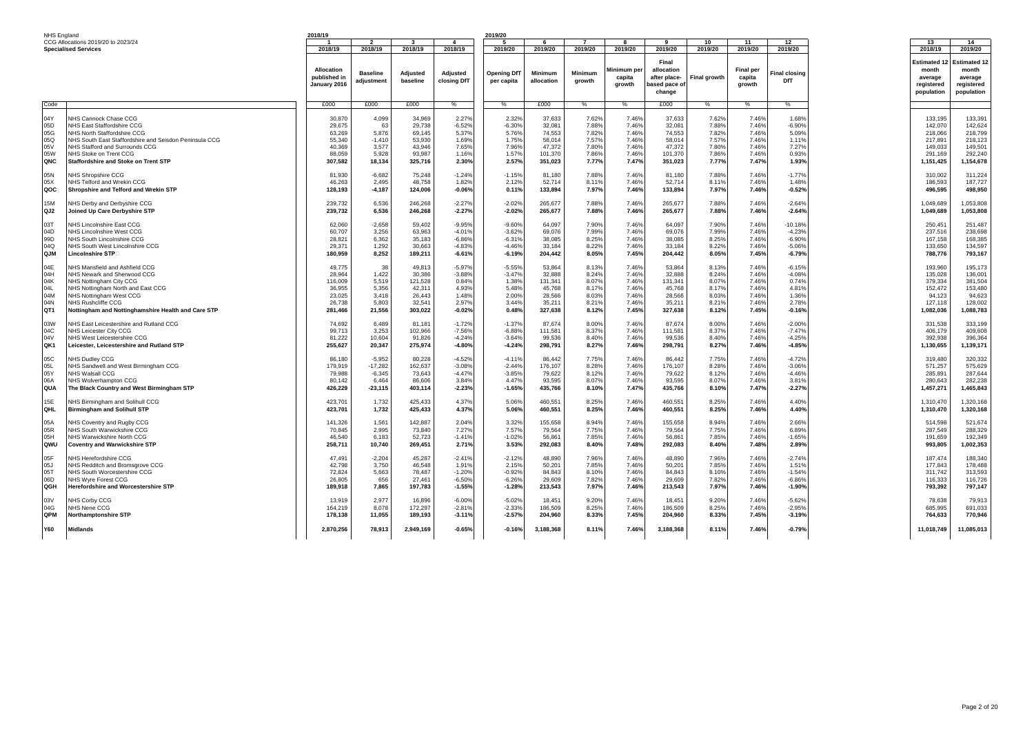| NHS England                |  |
|----------------------------|--|
| CCG Allocations 2019/20 to |  |

| NHS England     |                                                        | 2018/19      |                 |           |              | 2019/20            |            |         |            |              |              |                  |                      |                     |                     |
|-----------------|--------------------------------------------------------|--------------|-----------------|-----------|--------------|--------------------|------------|---------|------------|--------------|--------------|------------------|----------------------|---------------------|---------------------|
|                 | CCG Allocations 2019/20 to 2023/24                     |              | $\overline{2}$  |           | $\mathbf{A}$ |                    |            |         | R          | $\mathbf{q}$ | 10           | 11               | 12                   | 13                  | 14                  |
|                 | <b>Specialised Services</b>                            | 2018/19      | 2018/19         | 2018/19   | 2018/19      | 2019/20            | 2019/20    | 2019/20 | 2019/20    | 2019/20      | 2019/20      | 2019/20          | 2019/20              | 2018/19             | 2019/20             |
|                 |                                                        |              |                 |           |              |                    |            |         |            |              |              |                  |                      |                     |                     |
|                 |                                                        |              |                 |           |              |                    |            |         |            | Final        |              |                  |                      | <b>Estimated 12</b> | <b>Estimated 12</b> |
|                 |                                                        |              |                 |           |              |                    |            |         |            |              |              |                  |                      |                     |                     |
|                 |                                                        | Allocation   | <b>Baseline</b> | Adjusted  | Adjusted     | <b>Opening DfT</b> | Minimum    | Minimum | Minimum pe | allocation   |              | <b>Final per</b> | <b>Final closing</b> | month               | month               |
|                 |                                                        | published in |                 |           |              |                    |            |         | capita     | after place- | Final growth | capita           |                      | average             | average             |
|                 |                                                        | January 2016 | adjustment      | baseline  | closing DfT  | per capita         | allocation | growth  | arowth     | ased pace of |              | arowth           | <b>DfT</b>           | reaistered          | reaistered          |
|                 |                                                        |              |                 |           |              |                    |            |         |            |              |              |                  |                      |                     |                     |
|                 |                                                        |              |                 |           |              |                    |            |         |            | change       |              |                  |                      | population          | population          |
|                 |                                                        |              |                 |           |              |                    |            |         |            |              |              |                  |                      |                     |                     |
| Code            |                                                        | £000         | £000            | £000      | %            | %                  | £000       | %       | %          | £000         | %            | %                | %                    |                     |                     |
|                 |                                                        |              |                 |           |              |                    |            |         |            |              |              |                  |                      |                     |                     |
| 04Y             | <b>NHS Cannock Chase CCG</b>                           | 30,870       | 4,099           | 34,969    | 2.27%        | 2.329              | 37,633     | 7.62%   | 7.46%      | 37,633       | 7.62%        | 7.46%            | 1.68%                | 133,195             | 133,391             |
| 05D             | NHS East Staffordshire CCG                             | 29,675       | 63              | 29.738    | $-6.529$     | $-6.30%$           | 32.081     | 7.88%   | 7.46%      | 32.081       | 7.88%        | 7.46%            | $-6.90%$             | 142.070             | 142.624             |
|                 |                                                        |              |                 |           |              |                    |            |         |            |              |              |                  |                      |                     |                     |
| 05G             | NHS North Staffordshire CCG                            | 63.269       | 5,876           | 69.145    | 5.37%        | 5.76%              | 74.553     | 7.82%   | 7.46%      | 74.553       | 7.82%        | 7.46%            | 5.09%                | 218,066             | 218,799             |
| 05Q             | NHS South East Staffordshire and Seisdon Peninsula CCG | 55,340       | $-1,410$        | 53,930    | 1.69%        | 1.75%              | 58,014     | 7.57%   | 7.46%      | 58,014       | 7.57%        | 7.46%            | 1.11%                | 217,891             | 218,123             |
| 05V             | NHS Stafford and Surrounds CCG                         | 40,369       | 3,577           | 43,946    | 7.65%        | 7.96%              | 47,372     | 7.80%   | 7.46%      | 47,372       | 7.80%        | 7.46%            | 7.27%                | 149,033             | 149,501             |
| 05W             | NHS Stoke on Trent CCG                                 | 88,059       | 5,928           | 93,987    | 1.16%        | 1.57%              | 101,370    | 7.86%   | 7.46%      | 101,370      | 7.86%        | 7.46%            | 0.93%                | 291,169             | 292,240             |
| QNC             | <b>Staffordshire and Stoke on Trent STP</b>            | 307,582      | 18,134          | 325,716   | 2.30%        | 2.57%              | 351,023    | 7.77%   | 7.47%      | 351,023      | 7.77%        | 7.47%            | 1.93%                | 1,151,425           | 1,154,678           |
|                 |                                                        |              |                 |           |              |                    |            |         |            |              |              |                  |                      |                     |                     |
|                 |                                                        |              |                 |           |              |                    |            |         |            |              |              |                  |                      |                     |                     |
| 05N             | NHS Shropshire CCG                                     | 81,930       | $-6.682$        | 75.248    | $-1.24%$     | $-1.15%$           | 81.180     | 7.88%   | 7.46%      | 81.180       | 7.88%        | 7.46%            | $-1.779$             | 310,002             | 311.224             |
| 05X             | NHS Telford and Wrekin CCG                             | 46,263       | 2.495           | 48,758    | 1.82%        | 2.12%              | 52.714     | 8.11%   | 7.46%      | 52,714       | 8.11%        | 7.46%            | 1.48%                | 186,593             | 187,727             |
| QOC             | Shropshire and Telford and Wrekin STP                  | 128,193      | $-4,187$        | 124,006   | $-0.06%$     | 0.11%              | 133,894    | 7.97%   | 7.46%      | 133,894      | 7.97%        | 7.46%            | $-0.52%$             | 496,595             | 498,950             |
|                 |                                                        |              |                 |           |              |                    |            |         |            |              |              |                  |                      |                     |                     |
| 15M             |                                                        |              | 6,536           |           | $-2.27%$     |                    | 265,677    | 7.88%   | 7.46%      |              | 7.88%        |                  |                      |                     |                     |
|                 | NHS Derby and Derbyshire CCG                           | 239,732      |                 | 246,268   |              | $-2.02%$           |            |         |            | 265,677      |              | 7.46%            | $-2.64%$             | 1,049,689           | 1,053,808           |
| QJ2             | Joined Up Care Derbyshire STP                          | 239,732      | 6,536           | 246,268   | $-2.27%$     | $-2.02%$           | 265,677    | 7.88%   | 7.46%      | 265,677      | 7.88%        | 7.46%            | $-2.64%$             | 1,049,689           | 1,053,808           |
|                 |                                                        |              |                 |           |              |                    |            |         |            |              |              |                  |                      |                     |                     |
| 03T             | NHS Lincolnshire East CCG                              | 62,060       | $-2,658$        | 59,402    | $-9.95%$     | $-9.60%$           | 64,097     | 7.90%   | 7.46%      | 64,097       | 7.90%        | 7.46%            | 10.18%               | 250,451             | 251,487             |
| 04D             | NHS Lincolnshire West CCG                              | 60.707       | 3,256           | 63,963    | $-4.01%$     | $-3.629$           | 69,076     | 7.99%   | 7.46%      | 69.076       | 7.99%        | 7.46%            | $-4.239$             | 237,516             | 238,698             |
|                 |                                                        |              |                 |           |              |                    |            |         |            |              |              |                  |                      |                     |                     |
| 99 <sub>D</sub> | NHS South Lincolnshire CCG                             | 28,821       | 6.362           | 35,183    | $-6.86%$     | $-6.319$           | 38,085     | 8.25%   | 7.46%      | 38.085       | 8.25%        | 7.46%            | $-6.90%$             | 167.158             | 168,385             |
| 04Q             | NHS South West Lincolnshire CCG                        | 29,371       | 1,292           | 30,663    | $-4.83%$     | $-4.46%$           | 33,184     | 8.22%   | 7.46%      | 33,184       | 8.22%        | 7.46%            | $-5.06%$             | 133,650             | 134,597             |
| QJM             | Lincolnshire STP⊟                                      | 180,959      | 8,252           | 189,211   | $-6.61%$     | $-6.19%$           | 204,442    | 8.05%   | 7.45%      | 204,442      | 8.05%        | 7.45%            | $-6.79%$             | 788,776             | 793,167             |
|                 |                                                        |              |                 |           |              |                    |            |         |            |              |              |                  |                      |                     |                     |
| 04E             | NHS Mansfield and Ashfield CCG                         | 49.775       | 38              | 49.813    | $-5.97%$     | $-5.55%$           | 53.864     | 8.13%   | 7.46%      | 53.864       | 8.13%        | 7.46%            | $-6.15%$             | 193.960             | 195.173             |
|                 |                                                        |              |                 |           |              |                    |            |         |            |              |              |                  |                      |                     |                     |
| 04H             | NHS Newark and Sherwood CCG                            | 28,964       | 1.422           | 30.386    | $-3.88%$     | $-3.47%$           | 32,888     | 8.24%   | 7.46%      | 32,888       | 8.24%        | 7.46%            | $-4.08%$             | 135.028             | 136.001             |
| 04K             | NHS Nottingham City CCG                                | 116,009      | 5,519           | 121,528   | 0.84%        | 1.389              | 131,341    | 8.07%   | 7.46%      | 131,341      | 8.07%        | 7.46%            | 0.74%                | 379,334             | 381,504             |
| 04L             | NHS Nottingham North and East CCG                      | 36,955       | 5,356           | 42,311    | 4.93%        | 5.48%              | 45,768     | 8.17%   | 7.46%      | 45,768       | 8.17%        | 7.46%            | 4.81%                | 152,472             | 153,480             |
| 04M             | NHS Nottingham West CCG                                | 23,025       | 3,418           | 26,443    | 1.48%        | 2.00%              | 28,566     | 8.03%   | 7.46%      | 28,566       | 8.03%        | 7.46%            | 1.36%                | 94,123              | 94,623              |
| 04N             | NHS Rushcliffe CCG                                     | 26,738       | 5,803           | 32,541    | 2.97%        | 3.44%              | 35,211     | 8.219   | 7.46%      | 35,211       | 8.21%        | 7.46%            | 2.78%                | 127,118             | 128,002             |
|                 |                                                        |              |                 |           |              |                    |            |         |            |              |              |                  |                      |                     |                     |
| QT <sub>1</sub> | Nottingham and Nottinghamshire Health and Care STP     | 281,466      | 21.556          | 303,022   | $-0.02%$     | 0.48%              | 327,638    | 8.12%   | 7.45%      | 327,638      | 8.12%        | 7.45%            | $-0.16%$             | 1,082,036           | 1,088,783           |
|                 |                                                        |              |                 |           |              |                    |            |         |            |              |              |                  |                      |                     |                     |
| 03W             | <b>IHS East Leicestershire and Rutland CCG</b>         | 74,692       | 6.489           | 81,181    | $-1.72%$     | $-1.379$           | 87.674     | 8.00%   | 7.46%      | 87.674       | 8.00%        | 7.46%            | $-2.00%$             | 331.538             | 333,199             |
| 04C             | NHS Leicester City CCG                                 | 99,713       | 3,253           | 102,966   | $-7.56%$     | $-6.88%$           | 111,581    | 8.37%   | 7.46%      | 111,581      | 8.37%        | 7.46%            | $-7.47%$             | 406,179             | 409,608             |
| 04V             | NHS West Leicestershire CCG                            | 81,222       | 10,604          | 91,826    | $-4.24%$     | $-3.64%$           | 99,536     | 8.40%   | 7.46%      | 99,536       | 8.40%        | 7.46%            | $-4.25%$             | 392,938             | 396,364             |
| QK1             |                                                        |              |                 |           |              |                    |            | 8.27%   |            |              |              |                  |                      |                     |                     |
|                 | Leicester, Leicestershire and Rutland STP              | 255,627      | 20,347          | 275,974   | $-4.80%$     | $-4.24%$           | 298,791    |         | 7.46%      | 298,791      | 8.27%        | 7.46%            | $-4.85%$             | 1,130,655           | 1,139,171           |
|                 |                                                        |              |                 |           |              |                    |            |         |            |              |              |                  |                      |                     |                     |
| 05C             | NHS Dudley CCG                                         | 86,180       | $-5,952$        | 80,228    | $-4.52%$     | $-4.11%$           | 86,442     | 7.75%   | 7.46%      | 86,442       | 7.75%        | 7.46%            | $-4.72%$             | 319,480             | 320,332             |
| 05L             | NHS Sandwell and West Birmingham CCG                   | 179,919      | $-17,282$       | 162,637   | $-3.08%$     | $-2.44%$           | 176,107    | 8.28%   | 7.46%      | 176,107      | 8.28%        | 7.46%            | $-3.06%$             | 571,257             | 575,629             |
| 05Y             | <b>NHS Walsall CCG</b>                                 | 79,988       | $-6.345$        | 73,643    | $-4.47%$     | $-3.85%$           | 79.622     | 8.12%   | 7.46%      | 79.622       | 8.12%        | 7.46%            | $-4.46%$             | 285.891             | 287.644             |
| 06A             | NHS Wolverhampton CCG                                  | 80,142       | 6.464           | 86,606    | 3.84%        | 4.47%              | 93,595     | 8.07%   | 7.46%      | 93,595       | 8.07%        | 7.46%            | 3.81%                | 280,643             | 282,238             |
|                 |                                                        |              |                 |           |              |                    |            |         |            |              |              |                  |                      |                     |                     |
| QUA             | The Black Country and West Birmingham STP              | 426,229      | $-23,115$       | 403,114   | $-2.23%$     | $-1.65%$           | 435,766    | 8.10%   | 7.47%      | 435,766      | 8.10%        | 7.47%            | $-2.27%$             | 1,457,271           | 1,465,843           |
|                 |                                                        |              |                 |           |              |                    |            |         |            |              |              |                  |                      |                     |                     |
| 15E             | NHS Birmingham and Solihull CCG                        | 423.701      | 1.732           | 425.433   | 4.37%        | 5.06%              | 460.551    | 8.25%   | 7.46%      | 460.551      | 8.25%        | 7.46%            | 4.40%                | 1.310.470           | 1.320.168           |
| <b>QHL</b>      | <b>Birmingham and Solihull STP</b>                     | 423.701      | 1.732           | 425,433   | 4.37%        | 5.06%              | 460,551    | 8.25%   | 7.46%      | 460.551      | 8.25%        | 7.46%            | 4.40%                | 1,310,470           | 1,320,168           |
|                 |                                                        |              |                 |           |              |                    |            |         |            |              |              |                  |                      |                     |                     |
| 05A             | NHS Coventry and Rugby CCG                             | 141,326      | 1,561           | 142,887   | 2.04%        | 3.32%              | 155,658    | 8.94%   | 7.46%      | 155,658      | 8.94%        | 7.46%            | 2.66%                | 514.598             | 521,674             |
| 05R             | NHS South Warwickshire CCG                             | 70.845       | 2.995           |           | 7.27%        | 7.57%              | 79.564     | 7.75%   | 7.46%      | 79.564       | 7.75%        | 7.46%            | 6.89%                | 287.549             |                     |
|                 |                                                        |              |                 | 73,840    |              |                    |            |         |            |              |              |                  |                      |                     | 288,329             |
| 05H             | NHS Warwickshire North CCG                             | 46,540       | 6,183           | 52,723    | $-1.41%$     | $-1.02%$           | 56,861     | 7.85%   | 7.46%      | 56,861       | 7.85%        | 7.46%            | $-1.65%$             | 191,659             | 192,349             |
| QWU             | <b>Coventry and Warwickshire STP</b>                   | 258,711      | 10,740          | 269,451   | 2.71%        | 3.53%              | 292,083    | 8.40%   | 7.48%      | 292,083      | 8.40%        | 7.48%            | 2.89%                | 993,805             | 1,002,353           |
|                 |                                                        |              |                 |           |              |                    |            |         |            |              |              |                  |                      |                     |                     |
| 05F             | NHS Herefordshire CCG                                  | 47,491       | $-2.204$        | 45,287    | $-2.41%$     | $-2.12%$           | 48,890     | 7.96%   | 7.46%      | 48,890       | 7.96%        | 7.46%            | $-2.749$             | 187.474             | 188,340             |
|                 |                                                        |              |                 |           |              |                    |            | 7.85%   |            |              |              |                  |                      |                     | 178,488             |
| 05J             | NHS Redditch and Bromsgrove CCG                        | 42,798       | 3,750           | 46,548    | 1.91%        | 2.15%              | 50,201     |         | 7.46%      | 50,201       | 7.85%        | 7.46%            | 1.51%                | 177,843             |                     |
| 05T             | NHS South Worcestershire CCG                           | 72,824       | 5,663           | 78,487    | $-1.20%$     | $-0.92%$           | 84,843     | 8.10%   | 7.46%      | 84,843       | 8.10%        | 7.46%            | $-1.54%$             | 311,742             | 313,593             |
| 06D             | NHS Wyre Forest CCG                                    | 26,805       | 656             | 27,461    | $-6.50%$     | $-6.26%$           | 29,609     | 7.82%   | 7.46%      | 29.609       | 7.82%        | 7.46%            | $-6.86%$             | 116,333             | 116,726             |
| QGH             | Herefordshire and Worcestershire STP                   | 189,918      | 7,865           | 197,783   | $-1.55%$     | $-1.28%$           | 213,543    | 7.97%   | 7.46%      | 213,543      | 7.97%        | 7.46%            | $-1.90%$             | 793,392             | 797,147             |
|                 |                                                        |              |                 |           |              |                    |            |         |            |              |              |                  |                      |                     |                     |
| 03V             | NHS Corby CCG                                          | 13,919       | 2,977           | 16,896    | $-6.00%$     | $-5.02%$           | 18,451     | 9.20%   | 7.46%      | 18,451       | 9.20%        | 7.46%            | $-5.62%$             | 78,638              | 79,913              |
| 04G             | NHS Nene CCG                                           | 164,219      | 8,078           | 172,297   | $-2.81%$     | $-2.339$           | 186,509    | 8.25%   | 7.46%      | 186,509      | 8.25%        | 7.46%            | $-2.95%$             | 685,995             | 691,033             |
|                 |                                                        |              |                 |           |              |                    |            |         |            |              |              |                  |                      |                     |                     |
| QPM             | <b>Northamptonshire STP</b>                            | 178,138      | 11.055          | 189,193   | $-3.11%$     | $-2.57%$           | 204,960    | 8.33%   | 7.45%      | 204,960      | 8.33%        | 7.45%            | $-3.19%$             | 764.633             | 770.946             |
|                 |                                                        |              |                 |           |              |                    |            |         |            |              |              |                  |                      |                     |                     |
| <b>Y60</b>      | <b>Midlands</b>                                        | 2,870,256    | 78,913          | 2,949,169 | $-0.65%$     | $-0.16%$           | 3,188,368  | 8.11%   | 7.46%      | 3,188,368    | 8.11%        | 7.46%            | $-0.79%$             | 11,018,749          | 11,085,013          |
|                 |                                                        |              |                 |           |              |                    |            |         |            |              |              |                  |                      |                     |                     |
|                 |                                                        |              |                 |           |              |                    |            |         |            |              |              |                  |                      |                     |                     |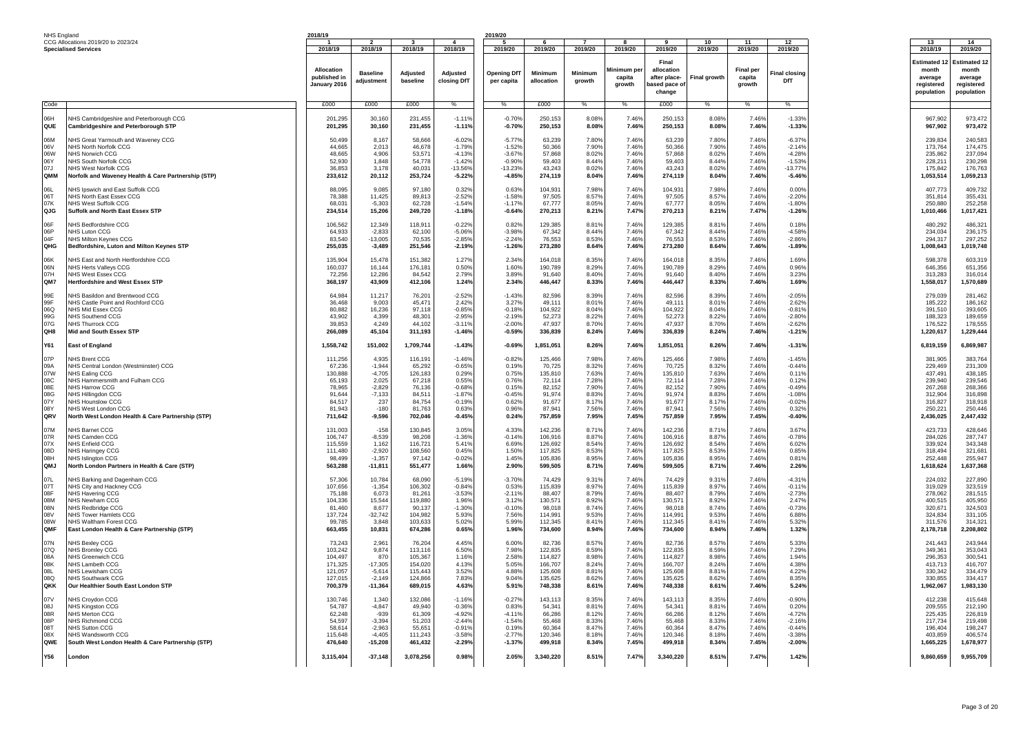| NHS England                |  |
|----------------------------|--|
| CCG Allocations 2019/20 to |  |

| NHS England     |                                                                   | 2018/19                                           |                               |                      |                         | 2019/20                          |                       |                          |                                 |                                                               |               |                                      |                                         |                                                                        |                                                                     |
|-----------------|-------------------------------------------------------------------|---------------------------------------------------|-------------------------------|----------------------|-------------------------|----------------------------------|-----------------------|--------------------------|---------------------------------|---------------------------------------------------------------|---------------|--------------------------------------|-----------------------------------------|------------------------------------------------------------------------|---------------------------------------------------------------------|
|                 | CCG Allocations 2019/20 to 2023/24<br><b>Specialised Services</b> | 2018/19                                           | 2018/19                       | 2018/19              | 2018/19                 | 2019/20                          | 2019/20               | 2019/20                  | 2019/20                         | 2019/20                                                       | 10<br>2019/20 | 11<br>2019/20                        | 12<br>2019/20                           | 13<br>2018/19                                                          | 14<br>2019/20                                                       |
|                 |                                                                   | <b>Allocation</b><br>published in<br>January 2016 | <b>Baseline</b><br>adjustment | Adjusted<br>baseline | Adjusted<br>closing DfT | <b>Opening DfT</b><br>per capita | Minimum<br>allocation | <b>Minimum</b><br>growth | Minimum per<br>capita<br>arowth | Final<br>allocation<br>after place-<br>based pace o<br>change | Final growth  | <b>Final per</b><br>capita<br>arowth | inal closing <sup>-</sup><br><b>DfT</b> | Estimated <sup>.</sup><br>month<br>average<br>reaistered<br>population | <b>Estimated 12</b><br>month<br>average<br>reaistered<br>population |
| Code            |                                                                   | £000                                              | £000                          | f000                 | $\frac{1}{2}$           | $\frac{0}{6}$                    | £000                  | $\frac{0}{6}$            | $\frac{1}{2}$                   | f(0)                                                          | $\frac{1}{2}$ | $\frac{1}{2}$                        | $\frac{1}{2}$                           |                                                                        |                                                                     |
| <b>Hao</b>      | NHS Cambridgeshire and Peterborough CCG                           | 201.295                                           | 30.160                        | 231.455              | $-1.119$                | $-0.70%$                         | 250.153               | 8.08%                    | 7.46%                           | 250.153                                                       | 8.08%         | 7.46%                                | $-1.33%$                                | 967.902                                                                | 973.472                                                             |
| QUE             | Cambridgeshire and Peterborough STP                               | 201,295                                           | 30,160                        | 231,455              | $-1.11%$                | $-0.70%$                         | 250,153               | 8.08%                    | 7.46%                           | 250,153                                                       | 8.08%         | 7.46%                                | $-1.33%$                                | 967,902                                                                | 973,472                                                             |
| 06M             | NHS Great Yarmouth and Waveney CCG                                | 50.499                                            | 8.167                         | 58.666               | $-6.02%$                | $-5.779$                         | 63.239                | 7.80%                    | 7.46%                           | 63.239                                                        | 7.80%         | 7.46%                                | $-6.37%$                                | 239.834                                                                | 240.583                                                             |
| 06V             | NHS North Norfolk CCG                                             | 44.665                                            | 2,013                         | 46,678               | $-1.79%$                | $-1.52%$                         | 50,366                | 7.90%                    | 7.46%                           | 50.366                                                        | 7.90%         | 7.46 <sup>°</sup>                    | $-2.14%$                                | 173.764                                                                | 174,475                                                             |
| 06W             | NHS Norwich CCG                                                   | 48,665                                            | 4,906                         | 53,571               | $-4.13%$                | $-3.679$                         | 57,868                | 8.02%                    | 7.46%                           | 57,868                                                        | 8.02%         | 7.46%                                | $-4.28%$                                | 235,862                                                                | 237,094                                                             |
| 06Y             | NHS South Norfolk CCO                                             | 52.930                                            | 1.848                         | 54.778               | $-1.42%$                | $-0.90%$                         | 59.403                | 8.44%                    | 7.46%                           | 59.403                                                        | 8.44%         | 7.46%                                | $-1.53%$                                | 228.211                                                                | 230.298                                                             |
| 07J             | NHS West Norfolk CCG                                              | 36,853                                            | 3,178                         | 40,031               | -13.56%                 | $-13.23%$                        | 43,243                | 8.02%                    | 7.46%                           | 43,243                                                        | 8.02%         | 7.46 <sup>°</sup>                    | $-13.77%$                               | 175,842                                                                | 176,763                                                             |
| <b>OMM</b>      | Norfolk and Waveney Health & Care Partnership (STP)               | 233.612                                           | 20,112                        | 253,724              | $-5.22%$                | $-4.85%$                         | 274,119               | 8.04%                    | 7.46%                           | 274,119                                                       | 8.04%         | 7.46%                                | $-5.46%$                                | 1,053,514                                                              | 1,059,213                                                           |
| 06L             | NHS Ipswich and East Suffolk CCG                                  | 88,095                                            | 9,085                         | 97,180               | 0.32%                   | 0.63%                            | 104,931               | 7.98%                    | 7.46%                           | 104,931                                                       | 7.98%         | 7.46%                                | 0.00%                                   | 407,773                                                                | 409,732                                                             |
| 06T             | NHS North East Essex CCG                                          | 78,388                                            | 11,425                        | 89,813               | $-2.52%$                | $-1.58%$                         | 97,505                | 8.57%                    | 7.46%                           | 97,505                                                        | 8.57%         | 7.46%                                | $-2.20%$                                | 351.814                                                                | 355,431                                                             |
| 07K             | NHS West Suffolk CCG                                              | 68,031                                            | $-5,303$                      | 62.728               | $-1.54%$                | $-1.17%$                         | 67,777                | 8.05%                    | 7.46%                           | 67.777                                                        | 8.05%         | 7.46%                                | $-1.80%$                                | 250.880                                                                | 252,258                                                             |
| QJG             | Suffolk and North East Essex STP                                  | 234,514                                           | 15,206                        | 249,720              | $-1.18%$                | $-0.64%$                         | 270,213               | 8.21%                    | 7.47%                           | 270,213                                                       | 8.21%         | 7.47%                                | $-1.26%$                                | 1,010,466                                                              | 1,017,421                                                           |
| 06F             | NHS Bedfordshire CCG                                              | 106.562                                           | 12,349                        | 118.911              | $-0.22%$                | 0.82%                            | 129.385               | 8.81%                    | 7.46%                           | 129.385                                                       | 8.81%         | 7.46%                                | 0.18%                                   | 480.292                                                                | 486.321                                                             |
| 06P             | <b>VHS Luton CCG</b>                                              | 64.933                                            | $-2,833$                      | 62.100               | $-5.069$                | $-3.98%$                         | 67,342                | 8.44%                    | 7.46%                           | 67,342                                                        | 8.44%         | 7.46%                                | $-4.58%$                                | 234.034                                                                | 236.175                                                             |
| 04F             | NHS Milton Keynes CCG                                             | 83.540                                            | $-13.005$                     | 70.535               | $-2.85%$                | $-2.24%$                         | 76.553                | 8.53%                    | 7.46%                           | 76.553                                                        | 8.53%         | 7.46%                                | $-2.86%$                                | 294.317                                                                | 297.252                                                             |
| QHG             | Bedfordshire, Luton and Milton Keynes STP                         | 255,035                                           | $-3,489$                      | 251,546              | $-2.19%$                | $-1.26%$                         | 273,280               | 8.64%                    | 7.46%                           | 273,280                                                       | 8.64%         | 7.46%                                | $-1.89%$                                | 1,008,643                                                              | 1,019,748                                                           |
| 06K             | NHS Fast and North Hertfordshire CCG                              | 135.904                                           | 15,478                        | 151.382              | 1.27%                   | 2.34%                            | 164.018               | 8.35%                    | 7.46%                           | 164.018                                                       | 8.35%         | 7.46%                                | 1.69%                                   | 598.378                                                                | 603.319                                                             |
| 06N             | NHS Herts Vallevs CCG                                             | 160,037                                           | 16,144                        | 176,181              | 0.50%                   | 1.60%                            | 190,789               | 8.29%                    | 7.46%                           | 190,789                                                       | 8.29%         | 7.46%                                | 0.96%                                   | 646,356                                                                | 651,356                                                             |
| 07H             | <b>VHS West Essex CCG</b>                                         | 72,256                                            | 12,286                        | 84,542               | 2.79%                   | 3.89%                            | 91,640                | 8.40%                    | 7.46%                           | 91,640                                                        | 8.40%         | 7.46%                                | 3.23%                                   | 313,283                                                                | 316,014                                                             |
| QM7             | <b>Hertfordshire and West Essex STP</b>                           | 368,197                                           | 43,909                        | 412,106              | 1.24%                   | 2.34%                            | 446,447               | 8.33%                    | 7.46%                           | 446,447                                                       | 8.33%         | 7.46%                                | 1.69%                                   | 1,558,017                                                              | 1.570.689                                                           |
| 99E             | NHS Basildon and Brentwood CCG                                    | 64,984                                            | 11,217                        | 76,201               | $-2.52%$                | $-1.43%$                         | 82,596                | 8.39%                    | 7.46%                           | 82,596                                                        | 8.39%         | 7.46%                                | $-2.05%$                                | 279,039                                                                | 281,462                                                             |
| 99F             | NHS Castle Point and Rochford CCG                                 | 36.468                                            | 9,003                         | 45.471               | 2.42%                   | 3.27%                            | 49.111                | 8.01%                    | 7.46%                           | 49.111                                                        | 8.01%         | 7.46%                                | 2.62%                                   | 185.222                                                                | 186.162                                                             |
| 06Q             | NHS Mid Essex CCG                                                 | 80,882                                            | 16,236                        | 97,118               | $-0.85%$                | $-0.18%$                         | 104,922               | 8.04%                    | 7.46%                           | 104,922                                                       | 8.04%         | 7.46%                                | $-0.81%$                                | 391.510                                                                | 393.605                                                             |
| 99G             | NHS Southend CCG                                                  | 43,902                                            | 4,399                         | 48,301               | $-2.95%$                | $-2.19%$                         | 52.273                | 8.22%                    | 7.46%                           | 52,273                                                        | 8.22%         | 7.46%                                | $-2.80%$                                | 188,323                                                                | 189,659                                                             |
| 07G             | <b>NHS Thurrock CCG</b>                                           | 39,853                                            | 4,249                         | 44,102               | $-3.11%$                | $-2.00%$                         | 47,937                | 8.70%                    | 7.46%                           | 47,937                                                        | 8.70%         | 7.46%                                | $-2.62%$                                | 176,522                                                                | 178,555                                                             |
| QH8             | Mid and South Essex STP                                           | 266.089                                           | 45,104                        | 311,193              | $-1.46%$                | $-0.59%$                         | 336,839               | 8.24%                    | 7.46%                           | 336,839                                                       | 8.24%         | 7.46%                                | $-1.21%$                                | 1,220,617                                                              | 1,229,444                                                           |
| Y61             | <b>East of England</b>                                            | 1,558,742                                         | 151,002                       | 1,709,744            | $-1.43%$                | $-0.69%$                         | 1,851,051             | 8.26%                    | 7.46%                           | 1,851,051                                                     | 8.26%         | 7.46%                                | $-1.31%$                                | 6,819,159                                                              | 6,869,987                                                           |
| 07P             | NHS Brent CCG                                                     | 111.256                                           | 4.935                         | 116,191              | $-1.46%$                | $-0.82%$                         | 125,466               | 7.98%                    | 7.46%                           | 125,466                                                       | 7.98%         | 7.46%                                | $-1.45%$                                | 381.905                                                                | 383,764                                                             |
| 09A             | NHS Central London (Westminster) CCG                              | 67,236                                            | $-1,944$                      | 65,292               | $-0.65%$                | 0.19%                            | 70,725                | 8.32%                    | 7.46%                           | 70,725                                                        | 8.32%         | 7.46%                                | $-0.44%$                                | 229,469                                                                | 231,309                                                             |
| 07W             | NHS Ealing CCG                                                    | 130,888                                           | $-4,705$                      | 126,183              | 0.29%                   | 0.75%                            | 135,810               | 7.63%                    | 7.46%                           | 135,810                                                       | 7.63%         | 7.46%                                | 0.11%                                   | 437,491                                                                | 438.185                                                             |
| 08C             | NHS Hammersmith and Fulham CCG                                    | 65.193                                            | 2.025                         | 67,218               | 0.55%                   | 0.76%                            | 72,114                | 7.28%                    | 7.46%                           | 72.114                                                        | 7.28%         | 7.46%                                | 0.12%                                   | 239.940                                                                | 239.546                                                             |
| 08E             | NHS Harrow CCG                                                    | 78,965                                            | $-2,829$                      | 76,136               | $-0.68%$                | 0.15%                            | 82,152                | 7.90%                    | 7.46%                           | 82,152                                                        | 7.90%         | 7.46%                                | $-0.49%$                                | 267,268                                                                | 268,366                                                             |
| 08G             | NHS Hillingdon CCG                                                | 91,644                                            | $-7,133$                      | 84,511               | $-1.87%$                | $-0.45%$                         | 91,974                | 8.83%                    | 7.46%                           | 91,974                                                        | 8.83%         | 7.46%                                | $-1.08%$                                | 312,904                                                                | 316.898                                                             |
| 07Y             | <b>NHS Hounslow CCG</b>                                           | 84.517                                            | 237                           | 84.754               | $-0.19%$                | 0.62%                            | 91.677                | 8.17%                    | 7.46%                           | 91.677                                                        | 8.17%         | 7.46%                                | $-0.02%$                                | 316.827                                                                | 318.918                                                             |
| 08Y             | <b>VHS West London CCG</b>                                        | 81,943                                            | $-180$                        | 81,763               | 0.63%                   | 0.96%                            | 87.941                | 7.56%                    | 7.46%                           | 87,941                                                        | 7.56%         | 7.46%                                | 0.32%                                   | 250.221                                                                | 250,446                                                             |
| QRV             | North West London Health & Care Partnership (STP)                 | 711.642                                           | $-9,596$                      | 702,046              | $-0.45%$                | 0.24%                            | 757,859               | 7.95%                    | 7.45%                           | 757,859                                                       | 7.95%         | 7.45%                                | $-0.40%$                                | 2.436.025                                                              | 2,447,432                                                           |
| 07M             | NHS Barnet CCG                                                    | 131,003                                           | $-158$                        | 130,845              | 3.05%                   | 4.33%                            | 142,236               | 8.71%                    | 7.46%                           | 142,236                                                       | 8.71%         | 7.46%                                | 3.67%                                   | 423,733                                                                | 428,646                                                             |
| 07R             | NHS Camden CCG                                                    | 106,747                                           | $-8,539$                      | 98,208               | $-1.36%$                | $-0.14%$                         | 106,916               | 8.87%                    | 7.46%                           | 106,916                                                       | 8.87%         | 7.46%                                | $-0.78%$                                | 284.026                                                                | 287,747                                                             |
| 07X             | NHS Enfield CCG                                                   | 115,559                                           | 1,162                         | 116,721              | 5.41%                   | 6.69%                            | 126.692               | 8.54%                    | 7.46%                           | 126.692                                                       | 8.54%         | 7.46%                                | 6.02%                                   | 339.924                                                                | 343,348                                                             |
| 08D             | <b>VHS Haringey CCG</b>                                           | 111.480                                           | $-2,920$                      | 108,560              | 0.45%                   | 1.50%                            | 117,825               | 8.53%                    | 7.46%                           | 117.825                                                       | 8.53%         | 7.46%                                | 0.85%                                   | 318.494                                                                | 321.68                                                              |
| 08H             | NHS Islinaton CCG                                                 | 98.499                                            | $-1.357$                      | 97.142               | $-0.02%$                | 1.45%                            | 105.836               | 8.95%                    | 7.46%                           | 105.836                                                       | 8.95%         | 7.46%                                | 0.81%                                   | 252,448                                                                | 255.947                                                             |
| QMJ             | North London Partners in Health & Care (STP)                      | 563,288                                           | $-11,811$                     | 551,477              | 1.66%                   | 2.90%                            | 599,505               | 8.71%                    | 7.46%                           | 599,505                                                       | 8.71%         | 7.46%                                | 2.26%                                   | 1,618,624                                                              | 1,637,368                                                           |
| 07L             | NHS Barking and Dagenham CCG                                      | 57,306                                            | 10,784                        | 68,090               | $-5.199$                | $-3.709$                         | 74.429                | 9.319                    | 7.46%                           | 74.429                                                        | 9.31%         | 7.46%                                | $-4.31%$                                | 224.032                                                                | 227,890                                                             |
| 07T             | NHS City and Hackney CCG                                          | 107,656                                           | $-1,354$                      | 106,302              | $-0.84%$                | 0.53%                            | 115,839               | 8.97%                    | 7.46%                           | 115,839                                                       | 8.97%         | 7.46%                                | $-0.11%$                                | 319,029                                                                | 323,519                                                             |
| 08F             | <b>VHS Havering CCG</b>                                           | 75,188                                            | 6,073                         | 81,261               | $-3.53%$                | $-2.119$                         | 88,407                | 8.79%                    | 7.46%                           | 88,407                                                        | 8.79%         | 7.46%                                | $-2.73%$                                | 278,062                                                                | 281,515                                                             |
| 08M             | <b>NHS Newham CCG</b>                                             | 104.336                                           | 15,544                        | 119,880              | 1.96%                   | 3.12%                            | 130,571               | 8.92%                    | 7.46%                           | 130,571                                                       | 8.92%         | 7.46%                                | 2.47%                                   | 400.515                                                                | 405,950                                                             |
| 08N             | NHS Redbridge CCG                                                 | 81,460                                            | 8,677                         | 90,137               | $-1.30%$                | $-0.10%$                         | 98,018                | 8.74%                    | 7.46%                           | 98,018                                                        | 8.74%         | 7.46%                                | $-0.73%$                                | 320,671                                                                | 324,503                                                             |
| 08V             | <b>IHS Tower Hamlets CCG</b>                                      | 137,724                                           | $-32,742$                     | 104,982              | 5.93%                   | 7.56%                            | 114,991               | 9.53%                    | 7.46%                           | 114,991                                                       | 9.53%         | 7.46%                                | 6.88%                                   | 324,834                                                                | 331,105                                                             |
| 08W             | NHS Waltham Forest CCG                                            | 99.785                                            | 3.848                         | 103.633              | 5.02%                   | 5.99%                            | 112,345               | 8.41%                    | 7.46%                           | 112.345                                                       | 8.41%         | 7.46%                                | 5.32%                                   | 311.576                                                                | 314.321                                                             |
| OMF             | East London Health & Care Partnership (STP)                       | 663,455                                           | 10,831                        | 674,286              | 0.65%                   | 1.96%                            | 734,600               | 8.94%                    | 7.46%                           | 734,600                                                       | 8.94%         | 7.46%                                | 1.32%                                   | 2,178,718                                                              | 2,208,802                                                           |
| 07N             | NHS Bexley CCG                                                    | 73.243                                            | 2.96                          | 76.204               | 4.45%                   | 6.00%                            | 82,736                | 8.57%                    | 7.46%                           | 82.736                                                        | 8.57%         | 7.46%                                | 5.33%                                   | 241.443                                                                | 243.944                                                             |
| 07Q             | NHS Bromley CCG                                                   | 103,242                                           | 9,874                         | 113,116              | 6.50%                   | 7.98%                            | 122,835               | 8.59%                    | 7.46%                           | 122.835                                                       | 8.59%         | 7.46%                                | 7.29%                                   | 349.361                                                                | 353,043                                                             |
| 08A             | NHS Greenwich CCO                                                 | 104.497                                           | 870                           | 105.367              | 1.16%                   | 2.58%                            | 114.827               | 8.98%                    | 7.46%                           | 114.827                                                       | 8.98%         | 7.46%                                | 1.94%                                   | 296.353                                                                | 300.541                                                             |
| 08K             | NHS Lambeth CCG                                                   | 171,325                                           | $-17,305$                     | 154,020              | 4.13%                   | 5.05%                            | 166,707               | 8.24%                    | 7.46%                           | 166,707                                                       | 8.24%         | 7.46%                                | 4.38%                                   | 413,713                                                                | 416,707                                                             |
| 08L             | NHS Lewisham CCG                                                  | 121,057                                           | $-5,614$                      | 115.443              | 3.52%                   | 4.88%                            | 125,608               | 8.81%                    | 7.46%                           | 125.608                                                       | 8.81%         | 7.46%                                | 4.22%                                   | 330.342                                                                | 334,479                                                             |
| 080             | NHS Southwark CCG                                                 | 127.015                                           | $-2.149$                      | 124.866              | 7.83%                   | 9.04%                            | 135.625               | 8.62%                    | 7.46%                           | 135.625                                                       | 8.62%         | 7.46%                                | 8.35%                                   | 330.855                                                                | 334.417                                                             |
| QKK             | Our Healthier South East London STP                               | 700,379                                           | $-11,364$                     | 689,015              | 4.63%                   | 5.91%                            | 748,338               | 8.61%                    | 7.46%                           | 748,338                                                       | 8.61%         | 7.46%                                | 5.24%                                   | 1,962,067                                                              | 1,983,130                                                           |
| 07V             | NHS Croydon CCG                                                   | 130.746                                           | 1.340                         | 132.086              | $-1.169$                | $-0.279$                         | 143.113               | 8.35%                    | 7.46%                           | 143.113                                                       | 8.35%         | 7.46%                                | $-0.90%$                                | 412.238                                                                | 415.648                                                             |
| 08J             | NHS Kingston CCG                                                  | 54,787                                            | $-4,847$                      | 49,940               | $-0.36%$                | 0.83%                            | 54,341                | 8.81%                    | 7.46%                           | 54,341                                                        | 8.81%         | 7.46%                                | 0.20%                                   | 209,555                                                                | 212,190                                                             |
| 08R             | NHS Merton CCG                                                    | 62.248                                            | $-939$                        | 61,309               | $-4.92%$                | $-4.11$ °                        | 66,286                | 8.12%                    | 7.46%                           | 66,286                                                        | 8.12%         | 7.46%                                | $-4.72%$                                | 225.435                                                                | 226,819                                                             |
| 0 <sub>RP</sub> | NHS Richmond CCG                                                  | 54.597                                            | $-3,394$                      | 51,203               | $-2.44%$                | $-1.54%$                         | 55 468                | 8.33%                    | 7 46%                           | 55.468                                                        | 8.33%         | 7 46%                                | $-2.16%$                                | 217.734                                                                | 219,498                                                             |
| 08T             | <b>NHS Sutton CCG</b>                                             | 58,614                                            | $-2,963$                      | 55,651               | $-0.91%$                | 0.19%                            | 60,364                | 8.47%                    | 7.46%                           | 60,364                                                        | 8.47%         | 7.46%                                | $-0.44%$                                | 196,404                                                                | 198,247                                                             |
| 08X             | NHS Wandsworth CCG                                                | 115,648                                           | $-4.405$                      | 111.243              | $-3.58%$                | $-2.77%$                         | 120.346               | 8.18%                    | 7.46%                           | 120.346                                                       | 8.18%         | 7.46%                                | $-3.38%$                                | 403.859                                                                | 406.574                                                             |
| QWE             | South West London Health & Care Partnership (STP)                 | 476,640                                           | $-15,208$                     | 461,432              | $-2.29%$                | $-1.37%$                         | 499,918               | 8.34%                    | 7.45%                           | 499,918                                                       | 8.34%         | 7.45%                                | $-2.00%$                                | 1,665,225                                                              | 1,678,977                                                           |
| Y56             | London                                                            | 3,115,404                                         | $-37,148$                     | 3,078,256            | 0.98%                   | 2.05%                            | 3,340,220             | 8.51%                    | 7.47%                           | 3,340,220                                                     | 8.51%         | 7.47%                                | 1.42%                                   | 9,860,659                                                              | 9,955,709                                                           |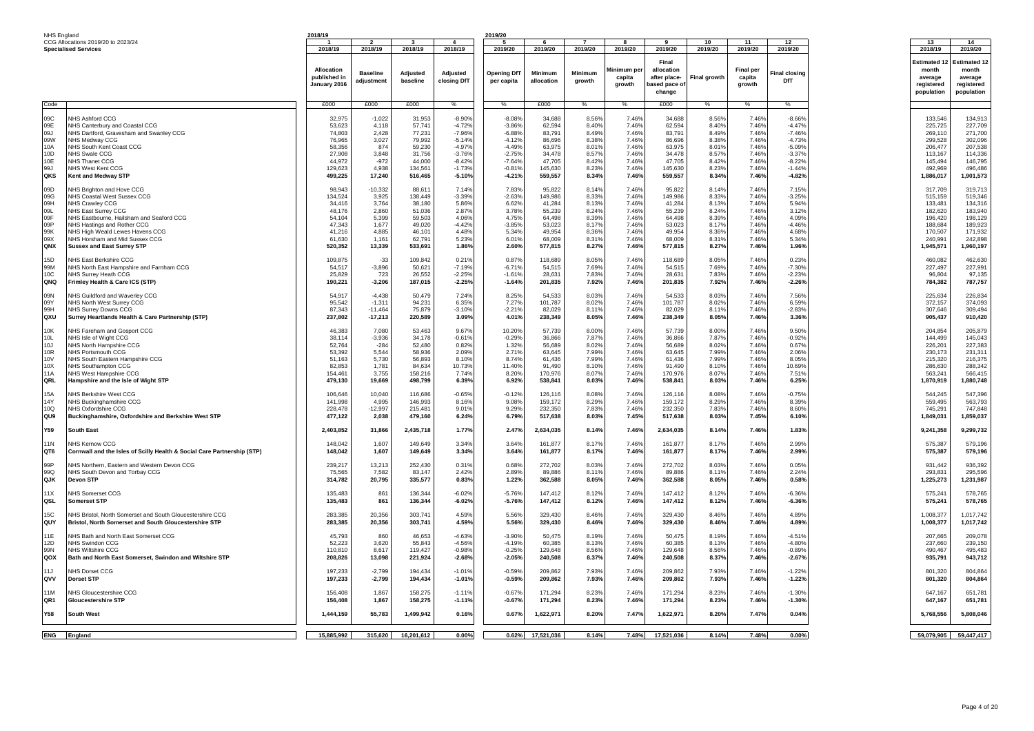| NHS England                  |  |
|------------------------------|--|
| CCG Allocations 2019/20 to 2 |  |

| CCG Allocations 2019/20 to 2023/24<br>$\overline{4}$<br>10<br>11<br>12<br>13<br>2018/19<br>2018/19<br>2018/19<br>2019/20<br>2019/20<br>2019/20<br>2018/19<br>2019/20<br>2019/20<br>2019/20<br>2019/20<br>2019/20<br>2018/19<br><b>Specialised Services</b><br>Final<br>Allocation<br>linimum per<br>allocation<br><b>Final per</b><br>month<br><b>Baseline</b><br>Adjusted<br>Adjusted<br><b>Opening DfT</b><br>Minimum<br>Minimum<br><b>Final closino</b><br>Final growth<br>published in<br>capita<br>after place-<br>capita<br>average<br>baseline<br><b>DfT</b><br>adjustment<br>closing DfT<br>allocation<br>arowth<br>per capita<br>January 2016<br>growth<br>growth<br>ased pace o<br>change<br>£000<br>£000<br>£000<br>£000<br>£000<br>%<br>%<br>%<br>$\frac{9}{6}$<br>$\frac{0}{6}$<br>%<br>Code<br><b>VHS Ashford CCG</b><br>$-1,022$<br>$-8.90%$<br>34,688<br>7.46%<br>34,688<br>7.46%<br>$-8.66%$<br>09C<br>32.975<br>31.953<br>$-8.089$<br>8.56<br>8.56%<br>4.118<br>$-4.72%$<br>62.594<br>8.40%<br>7.46%<br>7.46%<br>09F<br>NHS Canterbury and Coastal CCG<br>53.623<br>57.741<br>$-3.86%$<br>62.594<br>8.40%<br>$-4.47%$<br>225.725<br>09J<br>74,803<br>2,428<br>77,231<br>$-7.96%$<br>$-6.889$<br>83,791<br>8.49%<br>7.46%<br>83,79<br>8.49%<br>7.46%<br>$-7.46%$<br>NHS Dartford, Gravesham and Swanley CCG<br>269.110<br>7.46%<br>09W<br>76.965<br>3,027<br>$-5.14%$<br>$-4.12%$<br>86,696<br>8.38%<br>86.696<br>8.38%<br>7.46%<br>$-4.73%$<br>NHS Medway CCG<br>79.992<br>299.528<br>10A<br>NHS South Kent Coast CCG<br>58.356<br>874<br>59,230<br>$-4.97%$<br>$-4.49%$<br>63,975<br>8.01%<br>7.46%<br>63,975<br>8.01%<br>7.46%<br>$-5.09%$<br>206,477<br>3.848<br>7.46%<br>7.46%<br>10D<br>27.908<br>31.756<br>$-3.76%$<br>$-2.75%$<br>34.478<br>8.57%<br>34.478<br>$-3.379$<br>NHS Swale CCG<br>8.57%<br>10E<br>NHS Thanet CCG<br>44,972<br>$-972$<br>44,000<br>$-8.42%$<br>$-7.64%$<br>47,705<br>8.42%<br>7.46%<br>47,705<br>8.42%<br>7.46%<br>$-8.22%$<br>99J<br>129,623<br>4,938<br>134,561<br>$-1.73%$<br>$-0.81%$<br>145,630<br>8.23%<br>7.46%<br>145,630<br>8.23%<br>7.46%<br>$-1.44%$<br>NHS West Kent CCG<br>17,240<br>OKS<br>Kent and Medway STP<br>499,225<br>516,465<br>$-5.10%$<br>$-4.21%$<br>559,557<br>8.34%<br>7.46%<br>559,557<br>8.34%<br>7.46%<br>$-4.82%$<br>98,943<br>$-10,332$<br>88,611<br>7.14%<br>7.83%<br>95,822<br>8.14%<br>7.46%<br>95,822<br>8.14%<br>7.46%<br>7.15%<br>317,709<br>09D<br><b>VHS Brighton and Hove CCG</b><br>$-3.39%$<br>7.46%<br>7.46%<br>09G<br>134.524<br>3.925<br>138.449<br>$-2.63%$<br>149.986<br>8.33%<br>149,986<br>8.33%<br>$-3.25%$<br>NHS Coastal West Sussex CCG<br>09H<br>NHS Crawley CCG<br>34,416<br>3,764<br>38,180<br>5.86%<br>6.62%<br>41,284<br>8.13%<br>7.46%<br>41,284<br>8.13%<br>7.46%<br>5.94%<br>09L<br>2.860<br>2.87%<br>7.46%<br>7.46%<br>48.176<br>3.78%<br>55,239<br>8.24%<br>55,239<br>8.24%<br>3.12%<br>NHS East Surrey CCG<br>51.036<br>0.9F<br>NHS Eastbourne, Hailsham and Seaford CCG<br>54,104<br>5,399<br>59,503<br>4.06%<br>4.75%<br>64,498<br>8.399<br>7.46%<br>64,498<br>8.39%<br>7.46%<br>4.09%<br>196,420<br>09P<br>47,343<br>1,677<br>49,020<br>$-4.42%$<br>$-3.85%$<br>53,023<br>8.179<br>7.46%<br>53,023<br>8.17%<br>7.46%<br>$-4.46%$<br>188,684<br>NHS Hastings and Rother CCG<br>99K<br>NHS High Weald Lewes Havens CCG<br>41,216<br>4,885<br>46,101<br>4.48%<br>5.34%<br>49,954<br>8.36%<br>7.46%<br>49,954<br>8.36%<br>7.46%<br>4.68%<br>170,507<br>ngx<br>61,630<br>1,161<br>62,791<br>5.23%<br>6.01%<br>68,009<br>8.31%<br>7.46%<br>68,009<br>8.31%<br>7.46%<br>5.34%<br>240,991<br><b>VHS Horsham and Mid Sussex CCG</b><br>QNX<br><b>Sussex and East Surrey STP</b><br>520,352<br>13,339<br>533,691<br>1.86%<br>2.60%<br>577,815<br>8.27%<br>7.46%<br>577,815<br>8.27%<br>7.46%<br>1.96%<br>15D<br>NHS East Berkshire CCG<br>109,875<br>$-33$<br>109,842<br>0.21%<br>0.87%<br>118,689<br>8.05%<br>7.46%<br>118,689<br>8.05%<br>7.46%<br>0.23%<br>99M<br>$-3,896$<br>54.515<br>7.69%<br>7.46%<br>7.46%<br>NHS North East Hampshire and Farnham CCG<br>54.517<br>50.621<br>$-7.19%$<br>$-6.719$<br>54.515<br>7.69%<br>$-7.309$<br>227.497<br>10C<br>NHS Surrey Heath CCG<br>25,829<br>723<br>26,552<br>$-2.25%$<br>$-1.61%$<br>28,631<br>7.83%<br>7.46%<br>28,631<br>7.83%<br>7.46%<br>$-2.239$<br>96,804<br><b>ONO</b><br>$-3,206$<br>187,015<br>$-2.25%$<br>$-1.64%$<br>201,835<br>7.92%<br>7.46%<br>201,835<br>7.92%<br>7.46%<br>Frimley Health & Care ICS (STP)<br>190,221<br>$-2.26%$<br>784.382<br>09N<br><b>VHS Guildford and Waverley CCG</b><br>54,917<br>$-4,438$<br>50,479<br>7.24%<br>8.25%<br>54,533<br>8.03%<br>7.46%<br>54,533<br>8.03%<br>7.46%<br>7.56%<br>6.35%<br>7.27%<br>8.02%<br>7.46%<br>7.46%<br>6.59%<br>09Y<br>NHS North West Surrey CCG<br>95,542<br>$-1,311$<br>94,231<br>101,787<br>101,787<br>8.02%<br>99H<br>87.343<br>$-11.464$<br>$-3.10%$<br>$-2.21%$<br>7.46%<br>7.46%<br>$-2.83%$<br>NHS Surrey Downs CCG<br>75.879<br>82.029<br>8.11%<br>82.029<br>8.11%<br>QXU<br>Surrey Heartlands Health & Care Partnership (STP)<br>237,802<br>$-17,213$<br>220,589<br>3.09%<br>238,349<br>8.05%<br>7.46%<br>238,349<br>8.05%<br>7.46%<br>3.36%<br>4.01%<br>9.67%<br>57,739<br>10K<br><b>VHS Fareham and Gosport CCG</b><br>46,383<br>7,080<br>53,463<br>10.20%<br>57,739<br>8.00%<br>7.46%<br>8.00%<br>7.46%<br>9.50%<br>204.854<br>10L<br>NHS Isle of Wight CCG<br>38,114<br>$-3,936$<br>34,178<br>$-0.61%$<br>$-0.29%$<br>36,866<br>7.87%<br>7.46%<br>36,866<br>7.87%<br>7.46%<br>$-0.92%$<br>10J<br>NHS North Hampshire CCG<br>52,764<br>$-284$<br>52,480<br>0.82%<br>1.32%<br>56,689<br>8.02%<br>7.46%<br>56,689<br>8.02%<br>7.46%<br>0.67%<br>10R<br>NHS Portsmouth CCG<br>53,392<br>5,544<br>58,936<br>2.09%<br>2.71%<br>63,645<br>7.99%<br>7.46%<br>63,645<br>7.99%<br>7.46%<br>2.06%<br>5,730<br>8.10%<br>8.74%<br>7.99%<br>7.46%<br>7.46%<br>10 <sub>V</sub><br>NHS South Eastern Hampshire CCG<br>51.163<br>56,893<br>61,436<br>61,436<br>7.99%<br>8.05%<br>82,853<br>1,781<br>10.73%<br>11.40%<br>91,490<br>8.10%<br>7.46%<br>91,490<br>8.10%<br>7.46%<br>10.69%<br>10X<br>NHS Southampton CCG<br>84.634<br>7.46%<br><b>11A</b><br>NHS West Hampshire CCG<br>154,461<br>3,755<br>158,216<br>7.74%<br>8.20%<br>170,976<br>8.07%<br>170,976<br>8.07%<br>7.46%<br>7.51%<br>563,241<br>QRL<br>19,669<br>498,799<br>6.39%<br>6.92%<br>538.841<br>8.03%<br>7.46%<br>538,841<br>8.03%<br>7.46%<br>6.25%<br>1,870,919<br>Hampshire and the Isle of Wight STP<br>479,130<br>15A<br><b>VHS Berkshire West CCG</b><br>106,646<br>10,040<br>116,686<br>$-0.65%$<br>$-0.12%$<br>126,116<br>8.08%<br>7.46%<br>126,116<br>8.08%<br>7.46%<br>$-0.75%$<br>14Y<br>NHS Buckinghamshire CCG<br>141,998<br>4,995<br>146,993<br>8.16%<br>9.08%<br>159,172<br>8.29%<br>7.46%<br>159,172<br>8.29%<br>7.46%<br>8.39%<br>10Q<br><b>VHS Oxfordshire CCG</b><br>228,478<br>$-12,997$<br>215,481<br>9.01%<br>9.29%<br>232,350<br>7.83%<br>7.46%<br>232,350<br>7.83%<br>7.46%<br>8.60%<br>745,291<br>QU9<br>Buckinghamshire, Oxfordshire and Berkshire West STP<br>477,122<br>2,038<br>479,160<br>6.24%<br>6.79%<br>517,638<br>8.03%<br>7.45%<br>517,638<br>8.03%<br>7.45%<br>6.10%<br>1,849,031<br>Y59<br>2,403,852<br>31,866<br>2,435,718<br>1.77%<br>2.47%<br>2,634,035<br>8.14%<br>7.46%<br>2,634,035<br>8.14%<br>7.46%<br>1.83%<br><b>South East</b><br>1,607<br>3.34%<br>161,877<br>7.46%<br>161,877<br><b>11N</b><br><b>VHS Kernow CCG</b><br>148,042<br>149,649<br>3.64%<br>8.17%<br>8.17%<br>7.46%<br>2.99%<br>1,607<br>3.34%<br>161,877<br>7.46%<br>8.17%<br>OT6<br>Cornwall and the Isles of Scilly Health & Social Care Partnership (STP)<br>148,042<br>149,649<br>3.64%<br>8.17%<br>161,877<br>7.46%<br>2.99%<br>575,387<br>99P<br><b>VHS Northern, Eastern and Western Devon CCG</b><br>239,217<br>13,213<br>252,430<br>0.31%<br>0.68%<br>272,702<br>8.03%<br>7.46%<br>272,702<br>8.03%<br>7.46%<br>0.05%<br>931,442<br>7,582<br>2.42%<br>7.46%<br>7.46%<br>990<br>NHS South Devon and Torbay CCG<br>75.565<br>83.147<br>2.89%<br>89,886<br>8.11%<br>89,886<br>8.11%<br>2.24%<br>314,782<br>20,795<br>335,577<br>0.83%<br>1.22%<br>362,588<br>8.05%<br>7.46%<br>362,588<br>8.05%<br>7.46%<br>0.58%<br>QJK<br><b>Devon STP</b><br>861<br>$-6.02%$<br>147,412<br>7.46%<br>147,412<br>7.46%<br>$-6.36%$<br>11X<br><b>VHS Somerset CCG</b><br>135.483<br>136,344<br>$-5.76%$<br>8.12%<br>8.12%<br>575,241<br>QSL<br>135,483<br>861<br>136,344<br>$-6.02%$<br>$-5.76%$<br>147,412<br>8.12%<br>7.46%<br>147,412<br>8.12%<br>7.46%<br>$-6.36%$<br>575,241<br>Somerset STP<br>4.59%<br>15C.<br>VHS Bristol, North Somerset and South Gloucestershire CCG<br>283.385<br>20,356<br>303.741<br>5.56%<br>329,430<br>8.46%<br>7.46%<br>329,430<br>8.46%<br>7.46%<br>4.89%<br>QUY<br>20,356<br>4.59%<br>329,430<br>8.46%<br>7.46%<br>329,430<br>7.46%<br>4.89%<br>Bristol, North Somerset and South Gloucestershire STP<br>283,385<br>303,741<br>5.56%<br>8.46%<br>VHS Bath and North East Somerset CCG<br>45,793<br>860<br>46,653<br>$-4.63%$<br>$-3.90%$<br>50,475<br>8.19%<br>7.46%<br>50,475<br>8.19%<br>7.46%<br>$-4.51%$<br>11E<br>3,620<br>$-4.56%$<br>7.46%<br>12D<br>NHS Swindon CCG<br>52.223<br>55.843<br>$-4.19%$<br>60.385<br>8.13%<br>60.385<br>8.13%<br>7.46%<br>$-4.80%$<br>237.660<br>8,617<br>$-0.98%$<br>$-0.25%$<br>8.56%<br>7.46%<br>129,648<br>7.46%<br>99N<br><b>NHS Wiltshire CCG</b><br>110,810<br>119,427<br>129,648<br>8.56%<br>$-0.899$<br>490.467<br>QOX<br>Bath and North East Somerset, Swindon and Wiltshire STP<br>208,826<br>13,098<br>221,924<br>$-2.68%$<br>$-2.05%$<br>240,508<br>8.37%<br>7.46%<br>240,508<br>8.37%<br>7.46%<br>$-2.67%$<br>$-2,799$<br>$-1.01%$<br>209,862<br>7.93%<br>209,862<br>7.93%<br>7.46%<br>$-1.22%$<br>11.1<br>NHS Dorset CCG<br>197.233<br>194.434<br>$-0.59%$<br>7.46%<br>$-2,799$<br>$-1.01%$<br>209,862<br>7.93%<br>7.46%<br>209,862<br>7.93%<br>7.46%<br>$-1.22%$<br>ovv<br>Dorset STP<br>197,233<br>194,434<br>$-0.59%$<br>NHS Gloucestershire CCG<br>156,408<br>1,867<br>158,275<br>$-1.11%$<br>$-0.67%$<br>171,294<br>8.23%<br>7.46%<br>171,294<br>8.23%<br>7.46%<br>$-1.30%$<br>647,167<br>11M<br>QR1<br><b>Gloucestershire STP</b><br>156,408<br>1,867<br>158,275<br>$-1.11%$<br>$-0.67%$<br>171,294<br>8.23%<br>7.46%<br>171,294<br>8.23%<br>7.46%<br>$-1.30%$<br>Y58<br>South West<br>1,444,159<br>55,783<br>1,499,942<br>0.16%<br>0.67%<br>1,622,971<br>8.20%<br>7.47%<br>1,622,971<br>8.20%<br>7.47%<br>0.04% | NHS England | 2018/19 |  | 2019/20 |  |  |  |  |                       |                      |
|---------------------------------------------------------------------------------------------------------------------------------------------------------------------------------------------------------------------------------------------------------------------------------------------------------------------------------------------------------------------------------------------------------------------------------------------------------------------------------------------------------------------------------------------------------------------------------------------------------------------------------------------------------------------------------------------------------------------------------------------------------------------------------------------------------------------------------------------------------------------------------------------------------------------------------------------------------------------------------------------------------------------------------------------------------------------------------------------------------------------------------------------------------------------------------------------------------------------------------------------------------------------------------------------------------------------------------------------------------------------------------------------------------------------------------------------------------------------------------------------------------------------------------------------------------------------------------------------------------------------------------------------------------------------------------------------------------------------------------------------------------------------------------------------------------------------------------------------------------------------------------------------------------------------------------------------------------------------------------------------------------------------------------------------------------------------------------------------------------------------------------------------------------------------------------------------------------------------------------------------------------------------------------------------------------------------------------------------------------------------------------------------------------------------------------------------------------------------------------------------------------------------------------------------------------------------------------------------------------------------------------------------------------------------------------------------------------------------------------------------------------------------------------------------------------------------------------------------------------------------------------------------------------------------------------------------------------------------------------------------------------------------------------------------------------------------------------------------------------------------------------------------------------------------------------------------------------------------------------------------------------------------------------------------------------------------------------------------------------------------------------------------------------------------------------------------------------------------------------------------------------------------------------------------------------------------------------------------------------------------------------------------------------------------------------------------------------------------------------------------------------------------------------------------------------------------------------------------------------------------------------------------------------------------------------------------------------------------------------------------------------------------------------------------------------------------------------------------------------------------------------------------------------------------------------------------------------------------------------------------------------------------------------------------------------------------------------------------------------------------------------------------------------------------------------------------------------------------------------------------------------------------------------------------------------------------------------------------------------------------------------------------------------------------------------------------------------------------------------------------------------------------------------------------------------------------------------------------------------------------------------------------------------------------------------------------------------------------------------------------------------------------------------------------------------------------------------------------------------------------------------------------------------------------------------------------------------------------------------------------------------------------------------------------------------------------------------------------------------------------------------------------------------------------------------------------------------------------------------------------------------------------------------------------------------------------------------------------------------------------------------------------------------------------------------------------------------------------------------------------------------------------------------------------------------------------------------------------------------------------------------------------------------------------------------------------------------------------------------------------------------------------------------------------------------------------------------------------------------------------------------------------------------------------------------------------------------------------------------------------------------------------------------------------------------------------------------------------------------------------------------------------------------------------------------------------------------------------------------------------------------------------------------------------------------------------------------------------------------------------------------------------------------------------------------------------------------------------------------------------------------------------------------------------------------------------------------------------------------------------------------------------------------------------------------------------------------------------------------------------------------------------------------------------------------------------------------------------------------------------------------------------------------------------------------------------------------------------------------------------------------------------------------------------------------------------------------------------------------------------------------------------------------------------------------------------------------------------------------------------------------------------------------------------------------------------------------------------------------------------------------------------------------------------------------------------------------------------------------------------------------------------------------------------------------------------------------------------------------------------------------------------------------------------------------------------------------------------------------------------------------------------------------------------------------------------------------------------------------------------------------------------------------------------------------------------------------------------------------------------------------------------------------------------------------------------------------------------------------------------------------------------------------------------------------------------------------------------------------------------------------------------------------------------------------------------------------------------------------------------------------------------------------------------------------------------------------------------------------------------------------------------------------------------------------------------------------------------------------------------------------------------------------------------------------------------------------------------------------------------------------------------------------------------------------------------------------------------------------------------------------------------------------------------------------------------------------------------------------------------------------------------------------------------------------------------------------------------------------------------------------------------------------------------------------------------------------------------------------------------------------------------------------------------------------------------------------------------------------------------------------------------------------------------------------------------------------------------------------------------------------------------------------------------------------------------------------------------------------------------------------------------------------------------------------------------------------------------------------------------------------------------------------------------------------------------------------------------------------------------------------------------------------------------------------------------------------------------------------------------------------------------------------------------------------------------------------------------------------------------------------------------------------------------------------------------------------------------------------------------------------------------------|-------------|---------|--|---------|--|--|--|--|-----------------------|----------------------|
|                                                                                                                                                                                                                                                                                                                                                                                                                                                                                                                                                                                                                                                                                                                                                                                                                                                                                                                                                                                                                                                                                                                                                                                                                                                                                                                                                                                                                                                                                                                                                                                                                                                                                                                                                                                                                                                                                                                                                                                                                                                                                                                                                                                                                                                                                                                                                                                                                                                                                                                                                                                                                                                                                                                                                                                                                                                                                                                                                                                                                                                                                                                                                                                                                                                                                                                                                                                                                                                                                                                                                                                                                                                                                                                                                                                                                                                                                                                                                                                                                                                                                                                                                                                                                                                                                                                                                                                                                                                                                                                                                                                                                                                                                                                                                                                                                                                                                                                                                                                                                                                                                                                                                                                                                                                                                                                                                                                                                                                                                                                                                                                                                                                                                                                                                                                                                                                                                                                                                                                                                                                                                                                                                                                                                                                                                                                                                                                                                                                                                                                                                                                                                                                                                                                                                                                                                                                                                                                                                                                                                                                                                                                                                                                                                                                                                                                                                                                                                                                                                                                                                                                                                                                                                                                                                                                                                                                                                                                                                                                                                                                                                                                                                                                                                                                                                                                                                                                                                                                                                                                                                                                                                                                                                                                                                                                                                                                                                                                                                                                                                                                                                                                                                                                                                                                                                                                                                                                                                                                                                                                                                                                                                                                                                                                                                                                                                                                                                                                                                                                                                                                                                                                                                                                                                                                                                                                                                                                                                                                                                                                           |             |         |  |         |  |  |  |  |                       | 14                   |
|                                                                                                                                                                                                                                                                                                                                                                                                                                                                                                                                                                                                                                                                                                                                                                                                                                                                                                                                                                                                                                                                                                                                                                                                                                                                                                                                                                                                                                                                                                                                                                                                                                                                                                                                                                                                                                                                                                                                                                                                                                                                                                                                                                                                                                                                                                                                                                                                                                                                                                                                                                                                                                                                                                                                                                                                                                                                                                                                                                                                                                                                                                                                                                                                                                                                                                                                                                                                                                                                                                                                                                                                                                                                                                                                                                                                                                                                                                                                                                                                                                                                                                                                                                                                                                                                                                                                                                                                                                                                                                                                                                                                                                                                                                                                                                                                                                                                                                                                                                                                                                                                                                                                                                                                                                                                                                                                                                                                                                                                                                                                                                                                                                                                                                                                                                                                                                                                                                                                                                                                                                                                                                                                                                                                                                                                                                                                                                                                                                                                                                                                                                                                                                                                                                                                                                                                                                                                                                                                                                                                                                                                                                                                                                                                                                                                                                                                                                                                                                                                                                                                                                                                                                                                                                                                                                                                                                                                                                                                                                                                                                                                                                                                                                                                                                                                                                                                                                                                                                                                                                                                                                                                                                                                                                                                                                                                                                                                                                                                                                                                                                                                                                                                                                                                                                                                                                                                                                                                                                                                                                                                                                                                                                                                                                                                                                                                                                                                                                                                                                                                                                                                                                                                                                                                                                                                                                                                                                                                                                                                                                                           |             |         |  |         |  |  |  |  |                       | 2019/20              |
|                                                                                                                                                                                                                                                                                                                                                                                                                                                                                                                                                                                                                                                                                                                                                                                                                                                                                                                                                                                                                                                                                                                                                                                                                                                                                                                                                                                                                                                                                                                                                                                                                                                                                                                                                                                                                                                                                                                                                                                                                                                                                                                                                                                                                                                                                                                                                                                                                                                                                                                                                                                                                                                                                                                                                                                                                                                                                                                                                                                                                                                                                                                                                                                                                                                                                                                                                                                                                                                                                                                                                                                                                                                                                                                                                                                                                                                                                                                                                                                                                                                                                                                                                                                                                                                                                                                                                                                                                                                                                                                                                                                                                                                                                                                                                                                                                                                                                                                                                                                                                                                                                                                                                                                                                                                                                                                                                                                                                                                                                                                                                                                                                                                                                                                                                                                                                                                                                                                                                                                                                                                                                                                                                                                                                                                                                                                                                                                                                                                                                                                                                                                                                                                                                                                                                                                                                                                                                                                                                                                                                                                                                                                                                                                                                                                                                                                                                                                                                                                                                                                                                                                                                                                                                                                                                                                                                                                                                                                                                                                                                                                                                                                                                                                                                                                                                                                                                                                                                                                                                                                                                                                                                                                                                                                                                                                                                                                                                                                                                                                                                                                                                                                                                                                                                                                                                                                                                                                                                                                                                                                                                                                                                                                                                                                                                                                                                                                                                                                                                                                                                                                                                                                                                                                                                                                                                                                                                                                                                                                                                                                           |             |         |  |         |  |  |  |  | <b>Estimated 12</b>   | Estimated            |
|                                                                                                                                                                                                                                                                                                                                                                                                                                                                                                                                                                                                                                                                                                                                                                                                                                                                                                                                                                                                                                                                                                                                                                                                                                                                                                                                                                                                                                                                                                                                                                                                                                                                                                                                                                                                                                                                                                                                                                                                                                                                                                                                                                                                                                                                                                                                                                                                                                                                                                                                                                                                                                                                                                                                                                                                                                                                                                                                                                                                                                                                                                                                                                                                                                                                                                                                                                                                                                                                                                                                                                                                                                                                                                                                                                                                                                                                                                                                                                                                                                                                                                                                                                                                                                                                                                                                                                                                                                                                                                                                                                                                                                                                                                                                                                                                                                                                                                                                                                                                                                                                                                                                                                                                                                                                                                                                                                                                                                                                                                                                                                                                                                                                                                                                                                                                                                                                                                                                                                                                                                                                                                                                                                                                                                                                                                                                                                                                                                                                                                                                                                                                                                                                                                                                                                                                                                                                                                                                                                                                                                                                                                                                                                                                                                                                                                                                                                                                                                                                                                                                                                                                                                                                                                                                                                                                                                                                                                                                                                                                                                                                                                                                                                                                                                                                                                                                                                                                                                                                                                                                                                                                                                                                                                                                                                                                                                                                                                                                                                                                                                                                                                                                                                                                                                                                                                                                                                                                                                                                                                                                                                                                                                                                                                                                                                                                                                                                                                                                                                                                                                                                                                                                                                                                                                                                                                                                                                                                                                                                                                                           |             |         |  |         |  |  |  |  |                       | month                |
|                                                                                                                                                                                                                                                                                                                                                                                                                                                                                                                                                                                                                                                                                                                                                                                                                                                                                                                                                                                                                                                                                                                                                                                                                                                                                                                                                                                                                                                                                                                                                                                                                                                                                                                                                                                                                                                                                                                                                                                                                                                                                                                                                                                                                                                                                                                                                                                                                                                                                                                                                                                                                                                                                                                                                                                                                                                                                                                                                                                                                                                                                                                                                                                                                                                                                                                                                                                                                                                                                                                                                                                                                                                                                                                                                                                                                                                                                                                                                                                                                                                                                                                                                                                                                                                                                                                                                                                                                                                                                                                                                                                                                                                                                                                                                                                                                                                                                                                                                                                                                                                                                                                                                                                                                                                                                                                                                                                                                                                                                                                                                                                                                                                                                                                                                                                                                                                                                                                                                                                                                                                                                                                                                                                                                                                                                                                                                                                                                                                                                                                                                                                                                                                                                                                                                                                                                                                                                                                                                                                                                                                                                                                                                                                                                                                                                                                                                                                                                                                                                                                                                                                                                                                                                                                                                                                                                                                                                                                                                                                                                                                                                                                                                                                                                                                                                                                                                                                                                                                                                                                                                                                                                                                                                                                                                                                                                                                                                                                                                                                                                                                                                                                                                                                                                                                                                                                                                                                                                                                                                                                                                                                                                                                                                                                                                                                                                                                                                                                                                                                                                                                                                                                                                                                                                                                                                                                                                                                                                                                                                                                           |             |         |  |         |  |  |  |  |                       | average              |
|                                                                                                                                                                                                                                                                                                                                                                                                                                                                                                                                                                                                                                                                                                                                                                                                                                                                                                                                                                                                                                                                                                                                                                                                                                                                                                                                                                                                                                                                                                                                                                                                                                                                                                                                                                                                                                                                                                                                                                                                                                                                                                                                                                                                                                                                                                                                                                                                                                                                                                                                                                                                                                                                                                                                                                                                                                                                                                                                                                                                                                                                                                                                                                                                                                                                                                                                                                                                                                                                                                                                                                                                                                                                                                                                                                                                                                                                                                                                                                                                                                                                                                                                                                                                                                                                                                                                                                                                                                                                                                                                                                                                                                                                                                                                                                                                                                                                                                                                                                                                                                                                                                                                                                                                                                                                                                                                                                                                                                                                                                                                                                                                                                                                                                                                                                                                                                                                                                                                                                                                                                                                                                                                                                                                                                                                                                                                                                                                                                                                                                                                                                                                                                                                                                                                                                                                                                                                                                                                                                                                                                                                                                                                                                                                                                                                                                                                                                                                                                                                                                                                                                                                                                                                                                                                                                                                                                                                                                                                                                                                                                                                                                                                                                                                                                                                                                                                                                                                                                                                                                                                                                                                                                                                                                                                                                                                                                                                                                                                                                                                                                                                                                                                                                                                                                                                                                                                                                                                                                                                                                                                                                                                                                                                                                                                                                                                                                                                                                                                                                                                                                                                                                                                                                                                                                                                                                                                                                                                                                                                                                                           |             |         |  |         |  |  |  |  | reaistered            | registered           |
|                                                                                                                                                                                                                                                                                                                                                                                                                                                                                                                                                                                                                                                                                                                                                                                                                                                                                                                                                                                                                                                                                                                                                                                                                                                                                                                                                                                                                                                                                                                                                                                                                                                                                                                                                                                                                                                                                                                                                                                                                                                                                                                                                                                                                                                                                                                                                                                                                                                                                                                                                                                                                                                                                                                                                                                                                                                                                                                                                                                                                                                                                                                                                                                                                                                                                                                                                                                                                                                                                                                                                                                                                                                                                                                                                                                                                                                                                                                                                                                                                                                                                                                                                                                                                                                                                                                                                                                                                                                                                                                                                                                                                                                                                                                                                                                                                                                                                                                                                                                                                                                                                                                                                                                                                                                                                                                                                                                                                                                                                                                                                                                                                                                                                                                                                                                                                                                                                                                                                                                                                                                                                                                                                                                                                                                                                                                                                                                                                                                                                                                                                                                                                                                                                                                                                                                                                                                                                                                                                                                                                                                                                                                                                                                                                                                                                                                                                                                                                                                                                                                                                                                                                                                                                                                                                                                                                                                                                                                                                                                                                                                                                                                                                                                                                                                                                                                                                                                                                                                                                                                                                                                                                                                                                                                                                                                                                                                                                                                                                                                                                                                                                                                                                                                                                                                                                                                                                                                                                                                                                                                                                                                                                                                                                                                                                                                                                                                                                                                                                                                                                                                                                                                                                                                                                                                                                                                                                                                                                                                                                                                           |             |         |  |         |  |  |  |  | population            | population           |
|                                                                                                                                                                                                                                                                                                                                                                                                                                                                                                                                                                                                                                                                                                                                                                                                                                                                                                                                                                                                                                                                                                                                                                                                                                                                                                                                                                                                                                                                                                                                                                                                                                                                                                                                                                                                                                                                                                                                                                                                                                                                                                                                                                                                                                                                                                                                                                                                                                                                                                                                                                                                                                                                                                                                                                                                                                                                                                                                                                                                                                                                                                                                                                                                                                                                                                                                                                                                                                                                                                                                                                                                                                                                                                                                                                                                                                                                                                                                                                                                                                                                                                                                                                                                                                                                                                                                                                                                                                                                                                                                                                                                                                                                                                                                                                                                                                                                                                                                                                                                                                                                                                                                                                                                                                                                                                                                                                                                                                                                                                                                                                                                                                                                                                                                                                                                                                                                                                                                                                                                                                                                                                                                                                                                                                                                                                                                                                                                                                                                                                                                                                                                                                                                                                                                                                                                                                                                                                                                                                                                                                                                                                                                                                                                                                                                                                                                                                                                                                                                                                                                                                                                                                                                                                                                                                                                                                                                                                                                                                                                                                                                                                                                                                                                                                                                                                                                                                                                                                                                                                                                                                                                                                                                                                                                                                                                                                                                                                                                                                                                                                                                                                                                                                                                                                                                                                                                                                                                                                                                                                                                                                                                                                                                                                                                                                                                                                                                                                                                                                                                                                                                                                                                                                                                                                                                                                                                                                                                                                                                                                                           |             |         |  |         |  |  |  |  |                       |                      |
|                                                                                                                                                                                                                                                                                                                                                                                                                                                                                                                                                                                                                                                                                                                                                                                                                                                                                                                                                                                                                                                                                                                                                                                                                                                                                                                                                                                                                                                                                                                                                                                                                                                                                                                                                                                                                                                                                                                                                                                                                                                                                                                                                                                                                                                                                                                                                                                                                                                                                                                                                                                                                                                                                                                                                                                                                                                                                                                                                                                                                                                                                                                                                                                                                                                                                                                                                                                                                                                                                                                                                                                                                                                                                                                                                                                                                                                                                                                                                                                                                                                                                                                                                                                                                                                                                                                                                                                                                                                                                                                                                                                                                                                                                                                                                                                                                                                                                                                                                                                                                                                                                                                                                                                                                                                                                                                                                                                                                                                                                                                                                                                                                                                                                                                                                                                                                                                                                                                                                                                                                                                                                                                                                                                                                                                                                                                                                                                                                                                                                                                                                                                                                                                                                                                                                                                                                                                                                                                                                                                                                                                                                                                                                                                                                                                                                                                                                                                                                                                                                                                                                                                                                                                                                                                                                                                                                                                                                                                                                                                                                                                                                                                                                                                                                                                                                                                                                                                                                                                                                                                                                                                                                                                                                                                                                                                                                                                                                                                                                                                                                                                                                                                                                                                                                                                                                                                                                                                                                                                                                                                                                                                                                                                                                                                                                                                                                                                                                                                                                                                                                                                                                                                                                                                                                                                                                                                                                                                                                                                                                                                           |             |         |  |         |  |  |  |  |                       |                      |
|                                                                                                                                                                                                                                                                                                                                                                                                                                                                                                                                                                                                                                                                                                                                                                                                                                                                                                                                                                                                                                                                                                                                                                                                                                                                                                                                                                                                                                                                                                                                                                                                                                                                                                                                                                                                                                                                                                                                                                                                                                                                                                                                                                                                                                                                                                                                                                                                                                                                                                                                                                                                                                                                                                                                                                                                                                                                                                                                                                                                                                                                                                                                                                                                                                                                                                                                                                                                                                                                                                                                                                                                                                                                                                                                                                                                                                                                                                                                                                                                                                                                                                                                                                                                                                                                                                                                                                                                                                                                                                                                                                                                                                                                                                                                                                                                                                                                                                                                                                                                                                                                                                                                                                                                                                                                                                                                                                                                                                                                                                                                                                                                                                                                                                                                                                                                                                                                                                                                                                                                                                                                                                                                                                                                                                                                                                                                                                                                                                                                                                                                                                                                                                                                                                                                                                                                                                                                                                                                                                                                                                                                                                                                                                                                                                                                                                                                                                                                                                                                                                                                                                                                                                                                                                                                                                                                                                                                                                                                                                                                                                                                                                                                                                                                                                                                                                                                                                                                                                                                                                                                                                                                                                                                                                                                                                                                                                                                                                                                                                                                                                                                                                                                                                                                                                                                                                                                                                                                                                                                                                                                                                                                                                                                                                                                                                                                                                                                                                                                                                                                                                                                                                                                                                                                                                                                                                                                                                                                                                                                                                                           |             |         |  |         |  |  |  |  | 133,546               | 134,913              |
|                                                                                                                                                                                                                                                                                                                                                                                                                                                                                                                                                                                                                                                                                                                                                                                                                                                                                                                                                                                                                                                                                                                                                                                                                                                                                                                                                                                                                                                                                                                                                                                                                                                                                                                                                                                                                                                                                                                                                                                                                                                                                                                                                                                                                                                                                                                                                                                                                                                                                                                                                                                                                                                                                                                                                                                                                                                                                                                                                                                                                                                                                                                                                                                                                                                                                                                                                                                                                                                                                                                                                                                                                                                                                                                                                                                                                                                                                                                                                                                                                                                                                                                                                                                                                                                                                                                                                                                                                                                                                                                                                                                                                                                                                                                                                                                                                                                                                                                                                                                                                                                                                                                                                                                                                                                                                                                                                                                                                                                                                                                                                                                                                                                                                                                                                                                                                                                                                                                                                                                                                                                                                                                                                                                                                                                                                                                                                                                                                                                                                                                                                                                                                                                                                                                                                                                                                                                                                                                                                                                                                                                                                                                                                                                                                                                                                                                                                                                                                                                                                                                                                                                                                                                                                                                                                                                                                                                                                                                                                                                                                                                                                                                                                                                                                                                                                                                                                                                                                                                                                                                                                                                                                                                                                                                                                                                                                                                                                                                                                                                                                                                                                                                                                                                                                                                                                                                                                                                                                                                                                                                                                                                                                                                                                                                                                                                                                                                                                                                                                                                                                                                                                                                                                                                                                                                                                                                                                                                                                                                                                                                           |             |         |  |         |  |  |  |  |                       | 227,709              |
|                                                                                                                                                                                                                                                                                                                                                                                                                                                                                                                                                                                                                                                                                                                                                                                                                                                                                                                                                                                                                                                                                                                                                                                                                                                                                                                                                                                                                                                                                                                                                                                                                                                                                                                                                                                                                                                                                                                                                                                                                                                                                                                                                                                                                                                                                                                                                                                                                                                                                                                                                                                                                                                                                                                                                                                                                                                                                                                                                                                                                                                                                                                                                                                                                                                                                                                                                                                                                                                                                                                                                                                                                                                                                                                                                                                                                                                                                                                                                                                                                                                                                                                                                                                                                                                                                                                                                                                                                                                                                                                                                                                                                                                                                                                                                                                                                                                                                                                                                                                                                                                                                                                                                                                                                                                                                                                                                                                                                                                                                                                                                                                                                                                                                                                                                                                                                                                                                                                                                                                                                                                                                                                                                                                                                                                                                                                                                                                                                                                                                                                                                                                                                                                                                                                                                                                                                                                                                                                                                                                                                                                                                                                                                                                                                                                                                                                                                                                                                                                                                                                                                                                                                                                                                                                                                                                                                                                                                                                                                                                                                                                                                                                                                                                                                                                                                                                                                                                                                                                                                                                                                                                                                                                                                                                                                                                                                                                                                                                                                                                                                                                                                                                                                                                                                                                                                                                                                                                                                                                                                                                                                                                                                                                                                                                                                                                                                                                                                                                                                                                                                                                                                                                                                                                                                                                                                                                                                                                                                                                                                                                           |             |         |  |         |  |  |  |  |                       | 271,700<br>302.096   |
|                                                                                                                                                                                                                                                                                                                                                                                                                                                                                                                                                                                                                                                                                                                                                                                                                                                                                                                                                                                                                                                                                                                                                                                                                                                                                                                                                                                                                                                                                                                                                                                                                                                                                                                                                                                                                                                                                                                                                                                                                                                                                                                                                                                                                                                                                                                                                                                                                                                                                                                                                                                                                                                                                                                                                                                                                                                                                                                                                                                                                                                                                                                                                                                                                                                                                                                                                                                                                                                                                                                                                                                                                                                                                                                                                                                                                                                                                                                                                                                                                                                                                                                                                                                                                                                                                                                                                                                                                                                                                                                                                                                                                                                                                                                                                                                                                                                                                                                                                                                                                                                                                                                                                                                                                                                                                                                                                                                                                                                                                                                                                                                                                                                                                                                                                                                                                                                                                                                                                                                                                                                                                                                                                                                                                                                                                                                                                                                                                                                                                                                                                                                                                                                                                                                                                                                                                                                                                                                                                                                                                                                                                                                                                                                                                                                                                                                                                                                                                                                                                                                                                                                                                                                                                                                                                                                                                                                                                                                                                                                                                                                                                                                                                                                                                                                                                                                                                                                                                                                                                                                                                                                                                                                                                                                                                                                                                                                                                                                                                                                                                                                                                                                                                                                                                                                                                                                                                                                                                                                                                                                                                                                                                                                                                                                                                                                                                                                                                                                                                                                                                                                                                                                                                                                                                                                                                                                                                                                                                                                                                                                           |             |         |  |         |  |  |  |  |                       | 207,538              |
|                                                                                                                                                                                                                                                                                                                                                                                                                                                                                                                                                                                                                                                                                                                                                                                                                                                                                                                                                                                                                                                                                                                                                                                                                                                                                                                                                                                                                                                                                                                                                                                                                                                                                                                                                                                                                                                                                                                                                                                                                                                                                                                                                                                                                                                                                                                                                                                                                                                                                                                                                                                                                                                                                                                                                                                                                                                                                                                                                                                                                                                                                                                                                                                                                                                                                                                                                                                                                                                                                                                                                                                                                                                                                                                                                                                                                                                                                                                                                                                                                                                                                                                                                                                                                                                                                                                                                                                                                                                                                                                                                                                                                                                                                                                                                                                                                                                                                                                                                                                                                                                                                                                                                                                                                                                                                                                                                                                                                                                                                                                                                                                                                                                                                                                                                                                                                                                                                                                                                                                                                                                                                                                                                                                                                                                                                                                                                                                                                                                                                                                                                                                                                                                                                                                                                                                                                                                                                                                                                                                                                                                                                                                                                                                                                                                                                                                                                                                                                                                                                                                                                                                                                                                                                                                                                                                                                                                                                                                                                                                                                                                                                                                                                                                                                                                                                                                                                                                                                                                                                                                                                                                                                                                                                                                                                                                                                                                                                                                                                                                                                                                                                                                                                                                                                                                                                                                                                                                                                                                                                                                                                                                                                                                                                                                                                                                                                                                                                                                                                                                                                                                                                                                                                                                                                                                                                                                                                                                                                                                                                                                           |             |         |  |         |  |  |  |  | 113.167               | 114,336              |
|                                                                                                                                                                                                                                                                                                                                                                                                                                                                                                                                                                                                                                                                                                                                                                                                                                                                                                                                                                                                                                                                                                                                                                                                                                                                                                                                                                                                                                                                                                                                                                                                                                                                                                                                                                                                                                                                                                                                                                                                                                                                                                                                                                                                                                                                                                                                                                                                                                                                                                                                                                                                                                                                                                                                                                                                                                                                                                                                                                                                                                                                                                                                                                                                                                                                                                                                                                                                                                                                                                                                                                                                                                                                                                                                                                                                                                                                                                                                                                                                                                                                                                                                                                                                                                                                                                                                                                                                                                                                                                                                                                                                                                                                                                                                                                                                                                                                                                                                                                                                                                                                                                                                                                                                                                                                                                                                                                                                                                                                                                                                                                                                                                                                                                                                                                                                                                                                                                                                                                                                                                                                                                                                                                                                                                                                                                                                                                                                                                                                                                                                                                                                                                                                                                                                                                                                                                                                                                                                                                                                                                                                                                                                                                                                                                                                                                                                                                                                                                                                                                                                                                                                                                                                                                                                                                                                                                                                                                                                                                                                                                                                                                                                                                                                                                                                                                                                                                                                                                                                                                                                                                                                                                                                                                                                                                                                                                                                                                                                                                                                                                                                                                                                                                                                                                                                                                                                                                                                                                                                                                                                                                                                                                                                                                                                                                                                                                                                                                                                                                                                                                                                                                                                                                                                                                                                                                                                                                                                                                                                                                                           |             |         |  |         |  |  |  |  | 145,494               | 146,795              |
|                                                                                                                                                                                                                                                                                                                                                                                                                                                                                                                                                                                                                                                                                                                                                                                                                                                                                                                                                                                                                                                                                                                                                                                                                                                                                                                                                                                                                                                                                                                                                                                                                                                                                                                                                                                                                                                                                                                                                                                                                                                                                                                                                                                                                                                                                                                                                                                                                                                                                                                                                                                                                                                                                                                                                                                                                                                                                                                                                                                                                                                                                                                                                                                                                                                                                                                                                                                                                                                                                                                                                                                                                                                                                                                                                                                                                                                                                                                                                                                                                                                                                                                                                                                                                                                                                                                                                                                                                                                                                                                                                                                                                                                                                                                                                                                                                                                                                                                                                                                                                                                                                                                                                                                                                                                                                                                                                                                                                                                                                                                                                                                                                                                                                                                                                                                                                                                                                                                                                                                                                                                                                                                                                                                                                                                                                                                                                                                                                                                                                                                                                                                                                                                                                                                                                                                                                                                                                                                                                                                                                                                                                                                                                                                                                                                                                                                                                                                                                                                                                                                                                                                                                                                                                                                                                                                                                                                                                                                                                                                                                                                                                                                                                                                                                                                                                                                                                                                                                                                                                                                                                                                                                                                                                                                                                                                                                                                                                                                                                                                                                                                                                                                                                                                                                                                                                                                                                                                                                                                                                                                                                                                                                                                                                                                                                                                                                                                                                                                                                                                                                                                                                                                                                                                                                                                                                                                                                                                                                                                                                                                           |             |         |  |         |  |  |  |  | 492,969               | 496,486              |
|                                                                                                                                                                                                                                                                                                                                                                                                                                                                                                                                                                                                                                                                                                                                                                                                                                                                                                                                                                                                                                                                                                                                                                                                                                                                                                                                                                                                                                                                                                                                                                                                                                                                                                                                                                                                                                                                                                                                                                                                                                                                                                                                                                                                                                                                                                                                                                                                                                                                                                                                                                                                                                                                                                                                                                                                                                                                                                                                                                                                                                                                                                                                                                                                                                                                                                                                                                                                                                                                                                                                                                                                                                                                                                                                                                                                                                                                                                                                                                                                                                                                                                                                                                                                                                                                                                                                                                                                                                                                                                                                                                                                                                                                                                                                                                                                                                                                                                                                                                                                                                                                                                                                                                                                                                                                                                                                                                                                                                                                                                                                                                                                                                                                                                                                                                                                                                                                                                                                                                                                                                                                                                                                                                                                                                                                                                                                                                                                                                                                                                                                                                                                                                                                                                                                                                                                                                                                                                                                                                                                                                                                                                                                                                                                                                                                                                                                                                                                                                                                                                                                                                                                                                                                                                                                                                                                                                                                                                                                                                                                                                                                                                                                                                                                                                                                                                                                                                                                                                                                                                                                                                                                                                                                                                                                                                                                                                                                                                                                                                                                                                                                                                                                                                                                                                                                                                                                                                                                                                                                                                                                                                                                                                                                                                                                                                                                                                                                                                                                                                                                                                                                                                                                                                                                                                                                                                                                                                                                                                                                                                                           |             |         |  |         |  |  |  |  | 1,886,017             | 1,901,573            |
|                                                                                                                                                                                                                                                                                                                                                                                                                                                                                                                                                                                                                                                                                                                                                                                                                                                                                                                                                                                                                                                                                                                                                                                                                                                                                                                                                                                                                                                                                                                                                                                                                                                                                                                                                                                                                                                                                                                                                                                                                                                                                                                                                                                                                                                                                                                                                                                                                                                                                                                                                                                                                                                                                                                                                                                                                                                                                                                                                                                                                                                                                                                                                                                                                                                                                                                                                                                                                                                                                                                                                                                                                                                                                                                                                                                                                                                                                                                                                                                                                                                                                                                                                                                                                                                                                                                                                                                                                                                                                                                                                                                                                                                                                                                                                                                                                                                                                                                                                                                                                                                                                                                                                                                                                                                                                                                                                                                                                                                                                                                                                                                                                                                                                                                                                                                                                                                                                                                                                                                                                                                                                                                                                                                                                                                                                                                                                                                                                                                                                                                                                                                                                                                                                                                                                                                                                                                                                                                                                                                                                                                                                                                                                                                                                                                                                                                                                                                                                                                                                                                                                                                                                                                                                                                                                                                                                                                                                                                                                                                                                                                                                                                                                                                                                                                                                                                                                                                                                                                                                                                                                                                                                                                                                                                                                                                                                                                                                                                                                                                                                                                                                                                                                                                                                                                                                                                                                                                                                                                                                                                                                                                                                                                                                                                                                                                                                                                                                                                                                                                                                                                                                                                                                                                                                                                                                                                                                                                                                                                                                                                           |             |         |  |         |  |  |  |  |                       | 319,713              |
|                                                                                                                                                                                                                                                                                                                                                                                                                                                                                                                                                                                                                                                                                                                                                                                                                                                                                                                                                                                                                                                                                                                                                                                                                                                                                                                                                                                                                                                                                                                                                                                                                                                                                                                                                                                                                                                                                                                                                                                                                                                                                                                                                                                                                                                                                                                                                                                                                                                                                                                                                                                                                                                                                                                                                                                                                                                                                                                                                                                                                                                                                                                                                                                                                                                                                                                                                                                                                                                                                                                                                                                                                                                                                                                                                                                                                                                                                                                                                                                                                                                                                                                                                                                                                                                                                                                                                                                                                                                                                                                                                                                                                                                                                                                                                                                                                                                                                                                                                                                                                                                                                                                                                                                                                                                                                                                                                                                                                                                                                                                                                                                                                                                                                                                                                                                                                                                                                                                                                                                                                                                                                                                                                                                                                                                                                                                                                                                                                                                                                                                                                                                                                                                                                                                                                                                                                                                                                                                                                                                                                                                                                                                                                                                                                                                                                                                                                                                                                                                                                                                                                                                                                                                                                                                                                                                                                                                                                                                                                                                                                                                                                                                                                                                                                                                                                                                                                                                                                                                                                                                                                                                                                                                                                                                                                                                                                                                                                                                                                                                                                                                                                                                                                                                                                                                                                                                                                                                                                                                                                                                                                                                                                                                                                                                                                                                                                                                                                                                                                                                                                                                                                                                                                                                                                                                                                                                                                                                                                                                                                                                           |             |         |  |         |  |  |  |  | 515.159               | 519,346              |
|                                                                                                                                                                                                                                                                                                                                                                                                                                                                                                                                                                                                                                                                                                                                                                                                                                                                                                                                                                                                                                                                                                                                                                                                                                                                                                                                                                                                                                                                                                                                                                                                                                                                                                                                                                                                                                                                                                                                                                                                                                                                                                                                                                                                                                                                                                                                                                                                                                                                                                                                                                                                                                                                                                                                                                                                                                                                                                                                                                                                                                                                                                                                                                                                                                                                                                                                                                                                                                                                                                                                                                                                                                                                                                                                                                                                                                                                                                                                                                                                                                                                                                                                                                                                                                                                                                                                                                                                                                                                                                                                                                                                                                                                                                                                                                                                                                                                                                                                                                                                                                                                                                                                                                                                                                                                                                                                                                                                                                                                                                                                                                                                                                                                                                                                                                                                                                                                                                                                                                                                                                                                                                                                                                                                                                                                                                                                                                                                                                                                                                                                                                                                                                                                                                                                                                                                                                                                                                                                                                                                                                                                                                                                                                                                                                                                                                                                                                                                                                                                                                                                                                                                                                                                                                                                                                                                                                                                                                                                                                                                                                                                                                                                                                                                                                                                                                                                                                                                                                                                                                                                                                                                                                                                                                                                                                                                                                                                                                                                                                                                                                                                                                                                                                                                                                                                                                                                                                                                                                                                                                                                                                                                                                                                                                                                                                                                                                                                                                                                                                                                                                                                                                                                                                                                                                                                                                                                                                                                                                                                                                                           |             |         |  |         |  |  |  |  | 133,481               | 134,316              |
|                                                                                                                                                                                                                                                                                                                                                                                                                                                                                                                                                                                                                                                                                                                                                                                                                                                                                                                                                                                                                                                                                                                                                                                                                                                                                                                                                                                                                                                                                                                                                                                                                                                                                                                                                                                                                                                                                                                                                                                                                                                                                                                                                                                                                                                                                                                                                                                                                                                                                                                                                                                                                                                                                                                                                                                                                                                                                                                                                                                                                                                                                                                                                                                                                                                                                                                                                                                                                                                                                                                                                                                                                                                                                                                                                                                                                                                                                                                                                                                                                                                                                                                                                                                                                                                                                                                                                                                                                                                                                                                                                                                                                                                                                                                                                                                                                                                                                                                                                                                                                                                                                                                                                                                                                                                                                                                                                                                                                                                                                                                                                                                                                                                                                                                                                                                                                                                                                                                                                                                                                                                                                                                                                                                                                                                                                                                                                                                                                                                                                                                                                                                                                                                                                                                                                                                                                                                                                                                                                                                                                                                                                                                                                                                                                                                                                                                                                                                                                                                                                                                                                                                                                                                                                                                                                                                                                                                                                                                                                                                                                                                                                                                                                                                                                                                                                                                                                                                                                                                                                                                                                                                                                                                                                                                                                                                                                                                                                                                                                                                                                                                                                                                                                                                                                                                                                                                                                                                                                                                                                                                                                                                                                                                                                                                                                                                                                                                                                                                                                                                                                                                                                                                                                                                                                                                                                                                                                                                                                                                                                                                           |             |         |  |         |  |  |  |  | 182.620               | 183.940              |
|                                                                                                                                                                                                                                                                                                                                                                                                                                                                                                                                                                                                                                                                                                                                                                                                                                                                                                                                                                                                                                                                                                                                                                                                                                                                                                                                                                                                                                                                                                                                                                                                                                                                                                                                                                                                                                                                                                                                                                                                                                                                                                                                                                                                                                                                                                                                                                                                                                                                                                                                                                                                                                                                                                                                                                                                                                                                                                                                                                                                                                                                                                                                                                                                                                                                                                                                                                                                                                                                                                                                                                                                                                                                                                                                                                                                                                                                                                                                                                                                                                                                                                                                                                                                                                                                                                                                                                                                                                                                                                                                                                                                                                                                                                                                                                                                                                                                                                                                                                                                                                                                                                                                                                                                                                                                                                                                                                                                                                                                                                                                                                                                                                                                                                                                                                                                                                                                                                                                                                                                                                                                                                                                                                                                                                                                                                                                                                                                                                                                                                                                                                                                                                                                                                                                                                                                                                                                                                                                                                                                                                                                                                                                                                                                                                                                                                                                                                                                                                                                                                                                                                                                                                                                                                                                                                                                                                                                                                                                                                                                                                                                                                                                                                                                                                                                                                                                                                                                                                                                                                                                                                                                                                                                                                                                                                                                                                                                                                                                                                                                                                                                                                                                                                                                                                                                                                                                                                                                                                                                                                                                                                                                                                                                                                                                                                                                                                                                                                                                                                                                                                                                                                                                                                                                                                                                                                                                                                                                                                                                                                                           |             |         |  |         |  |  |  |  |                       | 198,129              |
|                                                                                                                                                                                                                                                                                                                                                                                                                                                                                                                                                                                                                                                                                                                                                                                                                                                                                                                                                                                                                                                                                                                                                                                                                                                                                                                                                                                                                                                                                                                                                                                                                                                                                                                                                                                                                                                                                                                                                                                                                                                                                                                                                                                                                                                                                                                                                                                                                                                                                                                                                                                                                                                                                                                                                                                                                                                                                                                                                                                                                                                                                                                                                                                                                                                                                                                                                                                                                                                                                                                                                                                                                                                                                                                                                                                                                                                                                                                                                                                                                                                                                                                                                                                                                                                                                                                                                                                                                                                                                                                                                                                                                                                                                                                                                                                                                                                                                                                                                                                                                                                                                                                                                                                                                                                                                                                                                                                                                                                                                                                                                                                                                                                                                                                                                                                                                                                                                                                                                                                                                                                                                                                                                                                                                                                                                                                                                                                                                                                                                                                                                                                                                                                                                                                                                                                                                                                                                                                                                                                                                                                                                                                                                                                                                                                                                                                                                                                                                                                                                                                                                                                                                                                                                                                                                                                                                                                                                                                                                                                                                                                                                                                                                                                                                                                                                                                                                                                                                                                                                                                                                                                                                                                                                                                                                                                                                                                                                                                                                                                                                                                                                                                                                                                                                                                                                                                                                                                                                                                                                                                                                                                                                                                                                                                                                                                                                                                                                                                                                                                                                                                                                                                                                                                                                                                                                                                                                                                                                                                                                                                           |             |         |  |         |  |  |  |  |                       | 189,923<br>171,932   |
|                                                                                                                                                                                                                                                                                                                                                                                                                                                                                                                                                                                                                                                                                                                                                                                                                                                                                                                                                                                                                                                                                                                                                                                                                                                                                                                                                                                                                                                                                                                                                                                                                                                                                                                                                                                                                                                                                                                                                                                                                                                                                                                                                                                                                                                                                                                                                                                                                                                                                                                                                                                                                                                                                                                                                                                                                                                                                                                                                                                                                                                                                                                                                                                                                                                                                                                                                                                                                                                                                                                                                                                                                                                                                                                                                                                                                                                                                                                                                                                                                                                                                                                                                                                                                                                                                                                                                                                                                                                                                                                                                                                                                                                                                                                                                                                                                                                                                                                                                                                                                                                                                                                                                                                                                                                                                                                                                                                                                                                                                                                                                                                                                                                                                                                                                                                                                                                                                                                                                                                                                                                                                                                                                                                                                                                                                                                                                                                                                                                                                                                                                                                                                                                                                                                                                                                                                                                                                                                                                                                                                                                                                                                                                                                                                                                                                                                                                                                                                                                                                                                                                                                                                                                                                                                                                                                                                                                                                                                                                                                                                                                                                                                                                                                                                                                                                                                                                                                                                                                                                                                                                                                                                                                                                                                                                                                                                                                                                                                                                                                                                                                                                                                                                                                                                                                                                                                                                                                                                                                                                                                                                                                                                                                                                                                                                                                                                                                                                                                                                                                                                                                                                                                                                                                                                                                                                                                                                                                                                                                                                                                           |             |         |  |         |  |  |  |  |                       | 242,898              |
|                                                                                                                                                                                                                                                                                                                                                                                                                                                                                                                                                                                                                                                                                                                                                                                                                                                                                                                                                                                                                                                                                                                                                                                                                                                                                                                                                                                                                                                                                                                                                                                                                                                                                                                                                                                                                                                                                                                                                                                                                                                                                                                                                                                                                                                                                                                                                                                                                                                                                                                                                                                                                                                                                                                                                                                                                                                                                                                                                                                                                                                                                                                                                                                                                                                                                                                                                                                                                                                                                                                                                                                                                                                                                                                                                                                                                                                                                                                                                                                                                                                                                                                                                                                                                                                                                                                                                                                                                                                                                                                                                                                                                                                                                                                                                                                                                                                                                                                                                                                                                                                                                                                                                                                                                                                                                                                                                                                                                                                                                                                                                                                                                                                                                                                                                                                                                                                                                                                                                                                                                                                                                                                                                                                                                                                                                                                                                                                                                                                                                                                                                                                                                                                                                                                                                                                                                                                                                                                                                                                                                                                                                                                                                                                                                                                                                                                                                                                                                                                                                                                                                                                                                                                                                                                                                                                                                                                                                                                                                                                                                                                                                                                                                                                                                                                                                                                                                                                                                                                                                                                                                                                                                                                                                                                                                                                                                                                                                                                                                                                                                                                                                                                                                                                                                                                                                                                                                                                                                                                                                                                                                                                                                                                                                                                                                                                                                                                                                                                                                                                                                                                                                                                                                                                                                                                                                                                                                                                                                                                                                                                           |             |         |  |         |  |  |  |  | 1,945,571             | 1,960,197            |
|                                                                                                                                                                                                                                                                                                                                                                                                                                                                                                                                                                                                                                                                                                                                                                                                                                                                                                                                                                                                                                                                                                                                                                                                                                                                                                                                                                                                                                                                                                                                                                                                                                                                                                                                                                                                                                                                                                                                                                                                                                                                                                                                                                                                                                                                                                                                                                                                                                                                                                                                                                                                                                                                                                                                                                                                                                                                                                                                                                                                                                                                                                                                                                                                                                                                                                                                                                                                                                                                                                                                                                                                                                                                                                                                                                                                                                                                                                                                                                                                                                                                                                                                                                                                                                                                                                                                                                                                                                                                                                                                                                                                                                                                                                                                                                                                                                                                                                                                                                                                                                                                                                                                                                                                                                                                                                                                                                                                                                                                                                                                                                                                                                                                                                                                                                                                                                                                                                                                                                                                                                                                                                                                                                                                                                                                                                                                                                                                                                                                                                                                                                                                                                                                                                                                                                                                                                                                                                                                                                                                                                                                                                                                                                                                                                                                                                                                                                                                                                                                                                                                                                                                                                                                                                                                                                                                                                                                                                                                                                                                                                                                                                                                                                                                                                                                                                                                                                                                                                                                                                                                                                                                                                                                                                                                                                                                                                                                                                                                                                                                                                                                                                                                                                                                                                                                                                                                                                                                                                                                                                                                                                                                                                                                                                                                                                                                                                                                                                                                                                                                                                                                                                                                                                                                                                                                                                                                                                                                                                                                                                                           |             |         |  |         |  |  |  |  |                       |                      |
|                                                                                                                                                                                                                                                                                                                                                                                                                                                                                                                                                                                                                                                                                                                                                                                                                                                                                                                                                                                                                                                                                                                                                                                                                                                                                                                                                                                                                                                                                                                                                                                                                                                                                                                                                                                                                                                                                                                                                                                                                                                                                                                                                                                                                                                                                                                                                                                                                                                                                                                                                                                                                                                                                                                                                                                                                                                                                                                                                                                                                                                                                                                                                                                                                                                                                                                                                                                                                                                                                                                                                                                                                                                                                                                                                                                                                                                                                                                                                                                                                                                                                                                                                                                                                                                                                                                                                                                                                                                                                                                                                                                                                                                                                                                                                                                                                                                                                                                                                                                                                                                                                                                                                                                                                                                                                                                                                                                                                                                                                                                                                                                                                                                                                                                                                                                                                                                                                                                                                                                                                                                                                                                                                                                                                                                                                                                                                                                                                                                                                                                                                                                                                                                                                                                                                                                                                                                                                                                                                                                                                                                                                                                                                                                                                                                                                                                                                                                                                                                                                                                                                                                                                                                                                                                                                                                                                                                                                                                                                                                                                                                                                                                                                                                                                                                                                                                                                                                                                                                                                                                                                                                                                                                                                                                                                                                                                                                                                                                                                                                                                                                                                                                                                                                                                                                                                                                                                                                                                                                                                                                                                                                                                                                                                                                                                                                                                                                                                                                                                                                                                                                                                                                                                                                                                                                                                                                                                                                                                                                                                                                           |             |         |  |         |  |  |  |  | 460,082               | 462,630              |
|                                                                                                                                                                                                                                                                                                                                                                                                                                                                                                                                                                                                                                                                                                                                                                                                                                                                                                                                                                                                                                                                                                                                                                                                                                                                                                                                                                                                                                                                                                                                                                                                                                                                                                                                                                                                                                                                                                                                                                                                                                                                                                                                                                                                                                                                                                                                                                                                                                                                                                                                                                                                                                                                                                                                                                                                                                                                                                                                                                                                                                                                                                                                                                                                                                                                                                                                                                                                                                                                                                                                                                                                                                                                                                                                                                                                                                                                                                                                                                                                                                                                                                                                                                                                                                                                                                                                                                                                                                                                                                                                                                                                                                                                                                                                                                                                                                                                                                                                                                                                                                                                                                                                                                                                                                                                                                                                                                                                                                                                                                                                                                                                                                                                                                                                                                                                                                                                                                                                                                                                                                                                                                                                                                                                                                                                                                                                                                                                                                                                                                                                                                                                                                                                                                                                                                                                                                                                                                                                                                                                                                                                                                                                                                                                                                                                                                                                                                                                                                                                                                                                                                                                                                                                                                                                                                                                                                                                                                                                                                                                                                                                                                                                                                                                                                                                                                                                                                                                                                                                                                                                                                                                                                                                                                                                                                                                                                                                                                                                                                                                                                                                                                                                                                                                                                                                                                                                                                                                                                                                                                                                                                                                                                                                                                                                                                                                                                                                                                                                                                                                                                                                                                                                                                                                                                                                                                                                                                                                                                                                                                                           |             |         |  |         |  |  |  |  |                       | 227,991              |
|                                                                                                                                                                                                                                                                                                                                                                                                                                                                                                                                                                                                                                                                                                                                                                                                                                                                                                                                                                                                                                                                                                                                                                                                                                                                                                                                                                                                                                                                                                                                                                                                                                                                                                                                                                                                                                                                                                                                                                                                                                                                                                                                                                                                                                                                                                                                                                                                                                                                                                                                                                                                                                                                                                                                                                                                                                                                                                                                                                                                                                                                                                                                                                                                                                                                                                                                                                                                                                                                                                                                                                                                                                                                                                                                                                                                                                                                                                                                                                                                                                                                                                                                                                                                                                                                                                                                                                                                                                                                                                                                                                                                                                                                                                                                                                                                                                                                                                                                                                                                                                                                                                                                                                                                                                                                                                                                                                                                                                                                                                                                                                                                                                                                                                                                                                                                                                                                                                                                                                                                                                                                                                                                                                                                                                                                                                                                                                                                                                                                                                                                                                                                                                                                                                                                                                                                                                                                                                                                                                                                                                                                                                                                                                                                                                                                                                                                                                                                                                                                                                                                                                                                                                                                                                                                                                                                                                                                                                                                                                                                                                                                                                                                                                                                                                                                                                                                                                                                                                                                                                                                                                                                                                                                                                                                                                                                                                                                                                                                                                                                                                                                                                                                                                                                                                                                                                                                                                                                                                                                                                                                                                                                                                                                                                                                                                                                                                                                                                                                                                                                                                                                                                                                                                                                                                                                                                                                                                                                                                                                                                                           |             |         |  |         |  |  |  |  |                       | 97,135               |
|                                                                                                                                                                                                                                                                                                                                                                                                                                                                                                                                                                                                                                                                                                                                                                                                                                                                                                                                                                                                                                                                                                                                                                                                                                                                                                                                                                                                                                                                                                                                                                                                                                                                                                                                                                                                                                                                                                                                                                                                                                                                                                                                                                                                                                                                                                                                                                                                                                                                                                                                                                                                                                                                                                                                                                                                                                                                                                                                                                                                                                                                                                                                                                                                                                                                                                                                                                                                                                                                                                                                                                                                                                                                                                                                                                                                                                                                                                                                                                                                                                                                                                                                                                                                                                                                                                                                                                                                                                                                                                                                                                                                                                                                                                                                                                                                                                                                                                                                                                                                                                                                                                                                                                                                                                                                                                                                                                                                                                                                                                                                                                                                                                                                                                                                                                                                                                                                                                                                                                                                                                                                                                                                                                                                                                                                                                                                                                                                                                                                                                                                                                                                                                                                                                                                                                                                                                                                                                                                                                                                                                                                                                                                                                                                                                                                                                                                                                                                                                                                                                                                                                                                                                                                                                                                                                                                                                                                                                                                                                                                                                                                                                                                                                                                                                                                                                                                                                                                                                                                                                                                                                                                                                                                                                                                                                                                                                                                                                                                                                                                                                                                                                                                                                                                                                                                                                                                                                                                                                                                                                                                                                                                                                                                                                                                                                                                                                                                                                                                                                                                                                                                                                                                                                                                                                                                                                                                                                                                                                                                                                                           |             |         |  |         |  |  |  |  |                       | 787,757              |
|                                                                                                                                                                                                                                                                                                                                                                                                                                                                                                                                                                                                                                                                                                                                                                                                                                                                                                                                                                                                                                                                                                                                                                                                                                                                                                                                                                                                                                                                                                                                                                                                                                                                                                                                                                                                                                                                                                                                                                                                                                                                                                                                                                                                                                                                                                                                                                                                                                                                                                                                                                                                                                                                                                                                                                                                                                                                                                                                                                                                                                                                                                                                                                                                                                                                                                                                                                                                                                                                                                                                                                                                                                                                                                                                                                                                                                                                                                                                                                                                                                                                                                                                                                                                                                                                                                                                                                                                                                                                                                                                                                                                                                                                                                                                                                                                                                                                                                                                                                                                                                                                                                                                                                                                                                                                                                                                                                                                                                                                                                                                                                                                                                                                                                                                                                                                                                                                                                                                                                                                                                                                                                                                                                                                                                                                                                                                                                                                                                                                                                                                                                                                                                                                                                                                                                                                                                                                                                                                                                                                                                                                                                                                                                                                                                                                                                                                                                                                                                                                                                                                                                                                                                                                                                                                                                                                                                                                                                                                                                                                                                                                                                                                                                                                                                                                                                                                                                                                                                                                                                                                                                                                                                                                                                                                                                                                                                                                                                                                                                                                                                                                                                                                                                                                                                                                                                                                                                                                                                                                                                                                                                                                                                                                                                                                                                                                                                                                                                                                                                                                                                                                                                                                                                                                                                                                                                                                                                                                                                                                                                                           |             |         |  |         |  |  |  |  | 225,634               | 226,834              |
|                                                                                                                                                                                                                                                                                                                                                                                                                                                                                                                                                                                                                                                                                                                                                                                                                                                                                                                                                                                                                                                                                                                                                                                                                                                                                                                                                                                                                                                                                                                                                                                                                                                                                                                                                                                                                                                                                                                                                                                                                                                                                                                                                                                                                                                                                                                                                                                                                                                                                                                                                                                                                                                                                                                                                                                                                                                                                                                                                                                                                                                                                                                                                                                                                                                                                                                                                                                                                                                                                                                                                                                                                                                                                                                                                                                                                                                                                                                                                                                                                                                                                                                                                                                                                                                                                                                                                                                                                                                                                                                                                                                                                                                                                                                                                                                                                                                                                                                                                                                                                                                                                                                                                                                                                                                                                                                                                                                                                                                                                                                                                                                                                                                                                                                                                                                                                                                                                                                                                                                                                                                                                                                                                                                                                                                                                                                                                                                                                                                                                                                                                                                                                                                                                                                                                                                                                                                                                                                                                                                                                                                                                                                                                                                                                                                                                                                                                                                                                                                                                                                                                                                                                                                                                                                                                                                                                                                                                                                                                                                                                                                                                                                                                                                                                                                                                                                                                                                                                                                                                                                                                                                                                                                                                                                                                                                                                                                                                                                                                                                                                                                                                                                                                                                                                                                                                                                                                                                                                                                                                                                                                                                                                                                                                                                                                                                                                                                                                                                                                                                                                                                                                                                                                                                                                                                                                                                                                                                                                                                                                                                           |             |         |  |         |  |  |  |  | 372,157               | 374,093              |
|                                                                                                                                                                                                                                                                                                                                                                                                                                                                                                                                                                                                                                                                                                                                                                                                                                                                                                                                                                                                                                                                                                                                                                                                                                                                                                                                                                                                                                                                                                                                                                                                                                                                                                                                                                                                                                                                                                                                                                                                                                                                                                                                                                                                                                                                                                                                                                                                                                                                                                                                                                                                                                                                                                                                                                                                                                                                                                                                                                                                                                                                                                                                                                                                                                                                                                                                                                                                                                                                                                                                                                                                                                                                                                                                                                                                                                                                                                                                                                                                                                                                                                                                                                                                                                                                                                                                                                                                                                                                                                                                                                                                                                                                                                                                                                                                                                                                                                                                                                                                                                                                                                                                                                                                                                                                                                                                                                                                                                                                                                                                                                                                                                                                                                                                                                                                                                                                                                                                                                                                                                                                                                                                                                                                                                                                                                                                                                                                                                                                                                                                                                                                                                                                                                                                                                                                                                                                                                                                                                                                                                                                                                                                                                                                                                                                                                                                                                                                                                                                                                                                                                                                                                                                                                                                                                                                                                                                                                                                                                                                                                                                                                                                                                                                                                                                                                                                                                                                                                                                                                                                                                                                                                                                                                                                                                                                                                                                                                                                                                                                                                                                                                                                                                                                                                                                                                                                                                                                                                                                                                                                                                                                                                                                                                                                                                                                                                                                                                                                                                                                                                                                                                                                                                                                                                                                                                                                                                                                                                                                                                                           |             |         |  |         |  |  |  |  | 307.646               | 309.494              |
|                                                                                                                                                                                                                                                                                                                                                                                                                                                                                                                                                                                                                                                                                                                                                                                                                                                                                                                                                                                                                                                                                                                                                                                                                                                                                                                                                                                                                                                                                                                                                                                                                                                                                                                                                                                                                                                                                                                                                                                                                                                                                                                                                                                                                                                                                                                                                                                                                                                                                                                                                                                                                                                                                                                                                                                                                                                                                                                                                                                                                                                                                                                                                                                                                                                                                                                                                                                                                                                                                                                                                                                                                                                                                                                                                                                                                                                                                                                                                                                                                                                                                                                                                                                                                                                                                                                                                                                                                                                                                                                                                                                                                                                                                                                                                                                                                                                                                                                                                                                                                                                                                                                                                                                                                                                                                                                                                                                                                                                                                                                                                                                                                                                                                                                                                                                                                                                                                                                                                                                                                                                                                                                                                                                                                                                                                                                                                                                                                                                                                                                                                                                                                                                                                                                                                                                                                                                                                                                                                                                                                                                                                                                                                                                                                                                                                                                                                                                                                                                                                                                                                                                                                                                                                                                                                                                                                                                                                                                                                                                                                                                                                                                                                                                                                                                                                                                                                                                                                                                                                                                                                                                                                                                                                                                                                                                                                                                                                                                                                                                                                                                                                                                                                                                                                                                                                                                                                                                                                                                                                                                                                                                                                                                                                                                                                                                                                                                                                                                                                                                                                                                                                                                                                                                                                                                                                                                                                                                                                                                                                                                           |             |         |  |         |  |  |  |  | 905.437               | 910,420              |
|                                                                                                                                                                                                                                                                                                                                                                                                                                                                                                                                                                                                                                                                                                                                                                                                                                                                                                                                                                                                                                                                                                                                                                                                                                                                                                                                                                                                                                                                                                                                                                                                                                                                                                                                                                                                                                                                                                                                                                                                                                                                                                                                                                                                                                                                                                                                                                                                                                                                                                                                                                                                                                                                                                                                                                                                                                                                                                                                                                                                                                                                                                                                                                                                                                                                                                                                                                                                                                                                                                                                                                                                                                                                                                                                                                                                                                                                                                                                                                                                                                                                                                                                                                                                                                                                                                                                                                                                                                                                                                                                                                                                                                                                                                                                                                                                                                                                                                                                                                                                                                                                                                                                                                                                                                                                                                                                                                                                                                                                                                                                                                                                                                                                                                                                                                                                                                                                                                                                                                                                                                                                                                                                                                                                                                                                                                                                                                                                                                                                                                                                                                                                                                                                                                                                                                                                                                                                                                                                                                                                                                                                                                                                                                                                                                                                                                                                                                                                                                                                                                                                                                                                                                                                                                                                                                                                                                                                                                                                                                                                                                                                                                                                                                                                                                                                                                                                                                                                                                                                                                                                                                                                                                                                                                                                                                                                                                                                                                                                                                                                                                                                                                                                                                                                                                                                                                                                                                                                                                                                                                                                                                                                                                                                                                                                                                                                                                                                                                                                                                                                                                                                                                                                                                                                                                                                                                                                                                                                                                                                                                                           |             |         |  |         |  |  |  |  |                       | 205,879              |
|                                                                                                                                                                                                                                                                                                                                                                                                                                                                                                                                                                                                                                                                                                                                                                                                                                                                                                                                                                                                                                                                                                                                                                                                                                                                                                                                                                                                                                                                                                                                                                                                                                                                                                                                                                                                                                                                                                                                                                                                                                                                                                                                                                                                                                                                                                                                                                                                                                                                                                                                                                                                                                                                                                                                                                                                                                                                                                                                                                                                                                                                                                                                                                                                                                                                                                                                                                                                                                                                                                                                                                                                                                                                                                                                                                                                                                                                                                                                                                                                                                                                                                                                                                                                                                                                                                                                                                                                                                                                                                                                                                                                                                                                                                                                                                                                                                                                                                                                                                                                                                                                                                                                                                                                                                                                                                                                                                                                                                                                                                                                                                                                                                                                                                                                                                                                                                                                                                                                                                                                                                                                                                                                                                                                                                                                                                                                                                                                                                                                                                                                                                                                                                                                                                                                                                                                                                                                                                                                                                                                                                                                                                                                                                                                                                                                                                                                                                                                                                                                                                                                                                                                                                                                                                                                                                                                                                                                                                                                                                                                                                                                                                                                                                                                                                                                                                                                                                                                                                                                                                                                                                                                                                                                                                                                                                                                                                                                                                                                                                                                                                                                                                                                                                                                                                                                                                                                                                                                                                                                                                                                                                                                                                                                                                                                                                                                                                                                                                                                                                                                                                                                                                                                                                                                                                                                                                                                                                                                                                                                                                                           |             |         |  |         |  |  |  |  | 144,499               | 145,043              |
|                                                                                                                                                                                                                                                                                                                                                                                                                                                                                                                                                                                                                                                                                                                                                                                                                                                                                                                                                                                                                                                                                                                                                                                                                                                                                                                                                                                                                                                                                                                                                                                                                                                                                                                                                                                                                                                                                                                                                                                                                                                                                                                                                                                                                                                                                                                                                                                                                                                                                                                                                                                                                                                                                                                                                                                                                                                                                                                                                                                                                                                                                                                                                                                                                                                                                                                                                                                                                                                                                                                                                                                                                                                                                                                                                                                                                                                                                                                                                                                                                                                                                                                                                                                                                                                                                                                                                                                                                                                                                                                                                                                                                                                                                                                                                                                                                                                                                                                                                                                                                                                                                                                                                                                                                                                                                                                                                                                                                                                                                                                                                                                                                                                                                                                                                                                                                                                                                                                                                                                                                                                                                                                                                                                                                                                                                                                                                                                                                                                                                                                                                                                                                                                                                                                                                                                                                                                                                                                                                                                                                                                                                                                                                                                                                                                                                                                                                                                                                                                                                                                                                                                                                                                                                                                                                                                                                                                                                                                                                                                                                                                                                                                                                                                                                                                                                                                                                                                                                                                                                                                                                                                                                                                                                                                                                                                                                                                                                                                                                                                                                                                                                                                                                                                                                                                                                                                                                                                                                                                                                                                                                                                                                                                                                                                                                                                                                                                                                                                                                                                                                                                                                                                                                                                                                                                                                                                                                                                                                                                                                                                           |             |         |  |         |  |  |  |  | 226,201               | 227,383              |
|                                                                                                                                                                                                                                                                                                                                                                                                                                                                                                                                                                                                                                                                                                                                                                                                                                                                                                                                                                                                                                                                                                                                                                                                                                                                                                                                                                                                                                                                                                                                                                                                                                                                                                                                                                                                                                                                                                                                                                                                                                                                                                                                                                                                                                                                                                                                                                                                                                                                                                                                                                                                                                                                                                                                                                                                                                                                                                                                                                                                                                                                                                                                                                                                                                                                                                                                                                                                                                                                                                                                                                                                                                                                                                                                                                                                                                                                                                                                                                                                                                                                                                                                                                                                                                                                                                                                                                                                                                                                                                                                                                                                                                                                                                                                                                                                                                                                                                                                                                                                                                                                                                                                                                                                                                                                                                                                                                                                                                                                                                                                                                                                                                                                                                                                                                                                                                                                                                                                                                                                                                                                                                                                                                                                                                                                                                                                                                                                                                                                                                                                                                                                                                                                                                                                                                                                                                                                                                                                                                                                                                                                                                                                                                                                                                                                                                                                                                                                                                                                                                                                                                                                                                                                                                                                                                                                                                                                                                                                                                                                                                                                                                                                                                                                                                                                                                                                                                                                                                                                                                                                                                                                                                                                                                                                                                                                                                                                                                                                                                                                                                                                                                                                                                                                                                                                                                                                                                                                                                                                                                                                                                                                                                                                                                                                                                                                                                                                                                                                                                                                                                                                                                                                                                                                                                                                                                                                                                                                                                                                                                                           |             |         |  |         |  |  |  |  | 230,173               | 231,311              |
|                                                                                                                                                                                                                                                                                                                                                                                                                                                                                                                                                                                                                                                                                                                                                                                                                                                                                                                                                                                                                                                                                                                                                                                                                                                                                                                                                                                                                                                                                                                                                                                                                                                                                                                                                                                                                                                                                                                                                                                                                                                                                                                                                                                                                                                                                                                                                                                                                                                                                                                                                                                                                                                                                                                                                                                                                                                                                                                                                                                                                                                                                                                                                                                                                                                                                                                                                                                                                                                                                                                                                                                                                                                                                                                                                                                                                                                                                                                                                                                                                                                                                                                                                                                                                                                                                                                                                                                                                                                                                                                                                                                                                                                                                                                                                                                                                                                                                                                                                                                                                                                                                                                                                                                                                                                                                                                                                                                                                                                                                                                                                                                                                                                                                                                                                                                                                                                                                                                                                                                                                                                                                                                                                                                                                                                                                                                                                                                                                                                                                                                                                                                                                                                                                                                                                                                                                                                                                                                                                                                                                                                                                                                                                                                                                                                                                                                                                                                                                                                                                                                                                                                                                                                                                                                                                                                                                                                                                                                                                                                                                                                                                                                                                                                                                                                                                                                                                                                                                                                                                                                                                                                                                                                                                                                                                                                                                                                                                                                                                                                                                                                                                                                                                                                                                                                                                                                                                                                                                                                                                                                                                                                                                                                                                                                                                                                                                                                                                                                                                                                                                                                                                                                                                                                                                                                                                                                                                                                                                                                                                                                           |             |         |  |         |  |  |  |  | 215,320               | 216,375              |
|                                                                                                                                                                                                                                                                                                                                                                                                                                                                                                                                                                                                                                                                                                                                                                                                                                                                                                                                                                                                                                                                                                                                                                                                                                                                                                                                                                                                                                                                                                                                                                                                                                                                                                                                                                                                                                                                                                                                                                                                                                                                                                                                                                                                                                                                                                                                                                                                                                                                                                                                                                                                                                                                                                                                                                                                                                                                                                                                                                                                                                                                                                                                                                                                                                                                                                                                                                                                                                                                                                                                                                                                                                                                                                                                                                                                                                                                                                                                                                                                                                                                                                                                                                                                                                                                                                                                                                                                                                                                                                                                                                                                                                                                                                                                                                                                                                                                                                                                                                                                                                                                                                                                                                                                                                                                                                                                                                                                                                                                                                                                                                                                                                                                                                                                                                                                                                                                                                                                                                                                                                                                                                                                                                                                                                                                                                                                                                                                                                                                                                                                                                                                                                                                                                                                                                                                                                                                                                                                                                                                                                                                                                                                                                                                                                                                                                                                                                                                                                                                                                                                                                                                                                                                                                                                                                                                                                                                                                                                                                                                                                                                                                                                                                                                                                                                                                                                                                                                                                                                                                                                                                                                                                                                                                                                                                                                                                                                                                                                                                                                                                                                                                                                                                                                                                                                                                                                                                                                                                                                                                                                                                                                                                                                                                                                                                                                                                                                                                                                                                                                                                                                                                                                                                                                                                                                                                                                                                                                                                                                                                                           |             |         |  |         |  |  |  |  | 286.630               | 288,342              |
|                                                                                                                                                                                                                                                                                                                                                                                                                                                                                                                                                                                                                                                                                                                                                                                                                                                                                                                                                                                                                                                                                                                                                                                                                                                                                                                                                                                                                                                                                                                                                                                                                                                                                                                                                                                                                                                                                                                                                                                                                                                                                                                                                                                                                                                                                                                                                                                                                                                                                                                                                                                                                                                                                                                                                                                                                                                                                                                                                                                                                                                                                                                                                                                                                                                                                                                                                                                                                                                                                                                                                                                                                                                                                                                                                                                                                                                                                                                                                                                                                                                                                                                                                                                                                                                                                                                                                                                                                                                                                                                                                                                                                                                                                                                                                                                                                                                                                                                                                                                                                                                                                                                                                                                                                                                                                                                                                                                                                                                                                                                                                                                                                                                                                                                                                                                                                                                                                                                                                                                                                                                                                                                                                                                                                                                                                                                                                                                                                                                                                                                                                                                                                                                                                                                                                                                                                                                                                                                                                                                                                                                                                                                                                                                                                                                                                                                                                                                                                                                                                                                                                                                                                                                                                                                                                                                                                                                                                                                                                                                                                                                                                                                                                                                                                                                                                                                                                                                                                                                                                                                                                                                                                                                                                                                                                                                                                                                                                                                                                                                                                                                                                                                                                                                                                                                                                                                                                                                                                                                                                                                                                                                                                                                                                                                                                                                                                                                                                                                                                                                                                                                                                                                                                                                                                                                                                                                                                                                                                                                                                                                           |             |         |  |         |  |  |  |  |                       | 566,415<br>1,880,748 |
|                                                                                                                                                                                                                                                                                                                                                                                                                                                                                                                                                                                                                                                                                                                                                                                                                                                                                                                                                                                                                                                                                                                                                                                                                                                                                                                                                                                                                                                                                                                                                                                                                                                                                                                                                                                                                                                                                                                                                                                                                                                                                                                                                                                                                                                                                                                                                                                                                                                                                                                                                                                                                                                                                                                                                                                                                                                                                                                                                                                                                                                                                                                                                                                                                                                                                                                                                                                                                                                                                                                                                                                                                                                                                                                                                                                                                                                                                                                                                                                                                                                                                                                                                                                                                                                                                                                                                                                                                                                                                                                                                                                                                                                                                                                                                                                                                                                                                                                                                                                                                                                                                                                                                                                                                                                                                                                                                                                                                                                                                                                                                                                                                                                                                                                                                                                                                                                                                                                                                                                                                                                                                                                                                                                                                                                                                                                                                                                                                                                                                                                                                                                                                                                                                                                                                                                                                                                                                                                                                                                                                                                                                                                                                                                                                                                                                                                                                                                                                                                                                                                                                                                                                                                                                                                                                                                                                                                                                                                                                                                                                                                                                                                                                                                                                                                                                                                                                                                                                                                                                                                                                                                                                                                                                                                                                                                                                                                                                                                                                                                                                                                                                                                                                                                                                                                                                                                                                                                                                                                                                                                                                                                                                                                                                                                                                                                                                                                                                                                                                                                                                                                                                                                                                                                                                                                                                                                                                                                                                                                                                                                           |             |         |  |         |  |  |  |  |                       |                      |
|                                                                                                                                                                                                                                                                                                                                                                                                                                                                                                                                                                                                                                                                                                                                                                                                                                                                                                                                                                                                                                                                                                                                                                                                                                                                                                                                                                                                                                                                                                                                                                                                                                                                                                                                                                                                                                                                                                                                                                                                                                                                                                                                                                                                                                                                                                                                                                                                                                                                                                                                                                                                                                                                                                                                                                                                                                                                                                                                                                                                                                                                                                                                                                                                                                                                                                                                                                                                                                                                                                                                                                                                                                                                                                                                                                                                                                                                                                                                                                                                                                                                                                                                                                                                                                                                                                                                                                                                                                                                                                                                                                                                                                                                                                                                                                                                                                                                                                                                                                                                                                                                                                                                                                                                                                                                                                                                                                                                                                                                                                                                                                                                                                                                                                                                                                                                                                                                                                                                                                                                                                                                                                                                                                                                                                                                                                                                                                                                                                                                                                                                                                                                                                                                                                                                                                                                                                                                                                                                                                                                                                                                                                                                                                                                                                                                                                                                                                                                                                                                                                                                                                                                                                                                                                                                                                                                                                                                                                                                                                                                                                                                                                                                                                                                                                                                                                                                                                                                                                                                                                                                                                                                                                                                                                                                                                                                                                                                                                                                                                                                                                                                                                                                                                                                                                                                                                                                                                                                                                                                                                                                                                                                                                                                                                                                                                                                                                                                                                                                                                                                                                                                                                                                                                                                                                                                                                                                                                                                                                                                                                                           |             |         |  |         |  |  |  |  | 544,245               | 547,396              |
|                                                                                                                                                                                                                                                                                                                                                                                                                                                                                                                                                                                                                                                                                                                                                                                                                                                                                                                                                                                                                                                                                                                                                                                                                                                                                                                                                                                                                                                                                                                                                                                                                                                                                                                                                                                                                                                                                                                                                                                                                                                                                                                                                                                                                                                                                                                                                                                                                                                                                                                                                                                                                                                                                                                                                                                                                                                                                                                                                                                                                                                                                                                                                                                                                                                                                                                                                                                                                                                                                                                                                                                                                                                                                                                                                                                                                                                                                                                                                                                                                                                                                                                                                                                                                                                                                                                                                                                                                                                                                                                                                                                                                                                                                                                                                                                                                                                                                                                                                                                                                                                                                                                                                                                                                                                                                                                                                                                                                                                                                                                                                                                                                                                                                                                                                                                                                                                                                                                                                                                                                                                                                                                                                                                                                                                                                                                                                                                                                                                                                                                                                                                                                                                                                                                                                                                                                                                                                                                                                                                                                                                                                                                                                                                                                                                                                                                                                                                                                                                                                                                                                                                                                                                                                                                                                                                                                                                                                                                                                                                                                                                                                                                                                                                                                                                                                                                                                                                                                                                                                                                                                                                                                                                                                                                                                                                                                                                                                                                                                                                                                                                                                                                                                                                                                                                                                                                                                                                                                                                                                                                                                                                                                                                                                                                                                                                                                                                                                                                                                                                                                                                                                                                                                                                                                                                                                                                                                                                                                                                                                                                           |             |         |  |         |  |  |  |  | 559,495               | 563,793              |
|                                                                                                                                                                                                                                                                                                                                                                                                                                                                                                                                                                                                                                                                                                                                                                                                                                                                                                                                                                                                                                                                                                                                                                                                                                                                                                                                                                                                                                                                                                                                                                                                                                                                                                                                                                                                                                                                                                                                                                                                                                                                                                                                                                                                                                                                                                                                                                                                                                                                                                                                                                                                                                                                                                                                                                                                                                                                                                                                                                                                                                                                                                                                                                                                                                                                                                                                                                                                                                                                                                                                                                                                                                                                                                                                                                                                                                                                                                                                                                                                                                                                                                                                                                                                                                                                                                                                                                                                                                                                                                                                                                                                                                                                                                                                                                                                                                                                                                                                                                                                                                                                                                                                                                                                                                                                                                                                                                                                                                                                                                                                                                                                                                                                                                                                                                                                                                                                                                                                                                                                                                                                                                                                                                                                                                                                                                                                                                                                                                                                                                                                                                                                                                                                                                                                                                                                                                                                                                                                                                                                                                                                                                                                                                                                                                                                                                                                                                                                                                                                                                                                                                                                                                                                                                                                                                                                                                                                                                                                                                                                                                                                                                                                                                                                                                                                                                                                                                                                                                                                                                                                                                                                                                                                                                                                                                                                                                                                                                                                                                                                                                                                                                                                                                                                                                                                                                                                                                                                                                                                                                                                                                                                                                                                                                                                                                                                                                                                                                                                                                                                                                                                                                                                                                                                                                                                                                                                                                                                                                                                                                                           |             |         |  |         |  |  |  |  |                       | 747,848              |
|                                                                                                                                                                                                                                                                                                                                                                                                                                                                                                                                                                                                                                                                                                                                                                                                                                                                                                                                                                                                                                                                                                                                                                                                                                                                                                                                                                                                                                                                                                                                                                                                                                                                                                                                                                                                                                                                                                                                                                                                                                                                                                                                                                                                                                                                                                                                                                                                                                                                                                                                                                                                                                                                                                                                                                                                                                                                                                                                                                                                                                                                                                                                                                                                                                                                                                                                                                                                                                                                                                                                                                                                                                                                                                                                                                                                                                                                                                                                                                                                                                                                                                                                                                                                                                                                                                                                                                                                                                                                                                                                                                                                                                                                                                                                                                                                                                                                                                                                                                                                                                                                                                                                                                                                                                                                                                                                                                                                                                                                                                                                                                                                                                                                                                                                                                                                                                                                                                                                                                                                                                                                                                                                                                                                                                                                                                                                                                                                                                                                                                                                                                                                                                                                                                                                                                                                                                                                                                                                                                                                                                                                                                                                                                                                                                                                                                                                                                                                                                                                                                                                                                                                                                                                                                                                                                                                                                                                                                                                                                                                                                                                                                                                                                                                                                                                                                                                                                                                                                                                                                                                                                                                                                                                                                                                                                                                                                                                                                                                                                                                                                                                                                                                                                                                                                                                                                                                                                                                                                                                                                                                                                                                                                                                                                                                                                                                                                                                                                                                                                                                                                                                                                                                                                                                                                                                                                                                                                                                                                                                                                                           |             |         |  |         |  |  |  |  |                       | 1,859,037            |
|                                                                                                                                                                                                                                                                                                                                                                                                                                                                                                                                                                                                                                                                                                                                                                                                                                                                                                                                                                                                                                                                                                                                                                                                                                                                                                                                                                                                                                                                                                                                                                                                                                                                                                                                                                                                                                                                                                                                                                                                                                                                                                                                                                                                                                                                                                                                                                                                                                                                                                                                                                                                                                                                                                                                                                                                                                                                                                                                                                                                                                                                                                                                                                                                                                                                                                                                                                                                                                                                                                                                                                                                                                                                                                                                                                                                                                                                                                                                                                                                                                                                                                                                                                                                                                                                                                                                                                                                                                                                                                                                                                                                                                                                                                                                                                                                                                                                                                                                                                                                                                                                                                                                                                                                                                                                                                                                                                                                                                                                                                                                                                                                                                                                                                                                                                                                                                                                                                                                                                                                                                                                                                                                                                                                                                                                                                                                                                                                                                                                                                                                                                                                                                                                                                                                                                                                                                                                                                                                                                                                                                                                                                                                                                                                                                                                                                                                                                                                                                                                                                                                                                                                                                                                                                                                                                                                                                                                                                                                                                                                                                                                                                                                                                                                                                                                                                                                                                                                                                                                                                                                                                                                                                                                                                                                                                                                                                                                                                                                                                                                                                                                                                                                                                                                                                                                                                                                                                                                                                                                                                                                                                                                                                                                                                                                                                                                                                                                                                                                                                                                                                                                                                                                                                                                                                                                                                                                                                                                                                                                                                                           |             |         |  |         |  |  |  |  | 9,241,358             | 9,299,732            |
|                                                                                                                                                                                                                                                                                                                                                                                                                                                                                                                                                                                                                                                                                                                                                                                                                                                                                                                                                                                                                                                                                                                                                                                                                                                                                                                                                                                                                                                                                                                                                                                                                                                                                                                                                                                                                                                                                                                                                                                                                                                                                                                                                                                                                                                                                                                                                                                                                                                                                                                                                                                                                                                                                                                                                                                                                                                                                                                                                                                                                                                                                                                                                                                                                                                                                                                                                                                                                                                                                                                                                                                                                                                                                                                                                                                                                                                                                                                                                                                                                                                                                                                                                                                                                                                                                                                                                                                                                                                                                                                                                                                                                                                                                                                                                                                                                                                                                                                                                                                                                                                                                                                                                                                                                                                                                                                                                                                                                                                                                                                                                                                                                                                                                                                                                                                                                                                                                                                                                                                                                                                                                                                                                                                                                                                                                                                                                                                                                                                                                                                                                                                                                                                                                                                                                                                                                                                                                                                                                                                                                                                                                                                                                                                                                                                                                                                                                                                                                                                                                                                                                                                                                                                                                                                                                                                                                                                                                                                                                                                                                                                                                                                                                                                                                                                                                                                                                                                                                                                                                                                                                                                                                                                                                                                                                                                                                                                                                                                                                                                                                                                                                                                                                                                                                                                                                                                                                                                                                                                                                                                                                                                                                                                                                                                                                                                                                                                                                                                                                                                                                                                                                                                                                                                                                                                                                                                                                                                                                                                                                                                           |             |         |  |         |  |  |  |  |                       |                      |
|                                                                                                                                                                                                                                                                                                                                                                                                                                                                                                                                                                                                                                                                                                                                                                                                                                                                                                                                                                                                                                                                                                                                                                                                                                                                                                                                                                                                                                                                                                                                                                                                                                                                                                                                                                                                                                                                                                                                                                                                                                                                                                                                                                                                                                                                                                                                                                                                                                                                                                                                                                                                                                                                                                                                                                                                                                                                                                                                                                                                                                                                                                                                                                                                                                                                                                                                                                                                                                                                                                                                                                                                                                                                                                                                                                                                                                                                                                                                                                                                                                                                                                                                                                                                                                                                                                                                                                                                                                                                                                                                                                                                                                                                                                                                                                                                                                                                                                                                                                                                                                                                                                                                                                                                                                                                                                                                                                                                                                                                                                                                                                                                                                                                                                                                                                                                                                                                                                                                                                                                                                                                                                                                                                                                                                                                                                                                                                                                                                                                                                                                                                                                                                                                                                                                                                                                                                                                                                                                                                                                                                                                                                                                                                                                                                                                                                                                                                                                                                                                                                                                                                                                                                                                                                                                                                                                                                                                                                                                                                                                                                                                                                                                                                                                                                                                                                                                                                                                                                                                                                                                                                                                                                                                                                                                                                                                                                                                                                                                                                                                                                                                                                                                                                                                                                                                                                                                                                                                                                                                                                                                                                                                                                                                                                                                                                                                                                                                                                                                                                                                                                                                                                                                                                                                                                                                                                                                                                                                                                                                                                                           |             |         |  |         |  |  |  |  | 575,387               | 579,196              |
|                                                                                                                                                                                                                                                                                                                                                                                                                                                                                                                                                                                                                                                                                                                                                                                                                                                                                                                                                                                                                                                                                                                                                                                                                                                                                                                                                                                                                                                                                                                                                                                                                                                                                                                                                                                                                                                                                                                                                                                                                                                                                                                                                                                                                                                                                                                                                                                                                                                                                                                                                                                                                                                                                                                                                                                                                                                                                                                                                                                                                                                                                                                                                                                                                                                                                                                                                                                                                                                                                                                                                                                                                                                                                                                                                                                                                                                                                                                                                                                                                                                                                                                                                                                                                                                                                                                                                                                                                                                                                                                                                                                                                                                                                                                                                                                                                                                                                                                                                                                                                                                                                                                                                                                                                                                                                                                                                                                                                                                                                                                                                                                                                                                                                                                                                                                                                                                                                                                                                                                                                                                                                                                                                                                                                                                                                                                                                                                                                                                                                                                                                                                                                                                                                                                                                                                                                                                                                                                                                                                                                                                                                                                                                                                                                                                                                                                                                                                                                                                                                                                                                                                                                                                                                                                                                                                                                                                                                                                                                                                                                                                                                                                                                                                                                                                                                                                                                                                                                                                                                                                                                                                                                                                                                                                                                                                                                                                                                                                                                                                                                                                                                                                                                                                                                                                                                                                                                                                                                                                                                                                                                                                                                                                                                                                                                                                                                                                                                                                                                                                                                                                                                                                                                                                                                                                                                                                                                                                                                                                                                                                           |             |         |  |         |  |  |  |  |                       | 579,196              |
|                                                                                                                                                                                                                                                                                                                                                                                                                                                                                                                                                                                                                                                                                                                                                                                                                                                                                                                                                                                                                                                                                                                                                                                                                                                                                                                                                                                                                                                                                                                                                                                                                                                                                                                                                                                                                                                                                                                                                                                                                                                                                                                                                                                                                                                                                                                                                                                                                                                                                                                                                                                                                                                                                                                                                                                                                                                                                                                                                                                                                                                                                                                                                                                                                                                                                                                                                                                                                                                                                                                                                                                                                                                                                                                                                                                                                                                                                                                                                                                                                                                                                                                                                                                                                                                                                                                                                                                                                                                                                                                                                                                                                                                                                                                                                                                                                                                                                                                                                                                                                                                                                                                                                                                                                                                                                                                                                                                                                                                                                                                                                                                                                                                                                                                                                                                                                                                                                                                                                                                                                                                                                                                                                                                                                                                                                                                                                                                                                                                                                                                                                                                                                                                                                                                                                                                                                                                                                                                                                                                                                                                                                                                                                                                                                                                                                                                                                                                                                                                                                                                                                                                                                                                                                                                                                                                                                                                                                                                                                                                                                                                                                                                                                                                                                                                                                                                                                                                                                                                                                                                                                                                                                                                                                                                                                                                                                                                                                                                                                                                                                                                                                                                                                                                                                                                                                                                                                                                                                                                                                                                                                                                                                                                                                                                                                                                                                                                                                                                                                                                                                                                                                                                                                                                                                                                                                                                                                                                                                                                                                                                           |             |         |  |         |  |  |  |  |                       | 936,392              |
|                                                                                                                                                                                                                                                                                                                                                                                                                                                                                                                                                                                                                                                                                                                                                                                                                                                                                                                                                                                                                                                                                                                                                                                                                                                                                                                                                                                                                                                                                                                                                                                                                                                                                                                                                                                                                                                                                                                                                                                                                                                                                                                                                                                                                                                                                                                                                                                                                                                                                                                                                                                                                                                                                                                                                                                                                                                                                                                                                                                                                                                                                                                                                                                                                                                                                                                                                                                                                                                                                                                                                                                                                                                                                                                                                                                                                                                                                                                                                                                                                                                                                                                                                                                                                                                                                                                                                                                                                                                                                                                                                                                                                                                                                                                                                                                                                                                                                                                                                                                                                                                                                                                                                                                                                                                                                                                                                                                                                                                                                                                                                                                                                                                                                                                                                                                                                                                                                                                                                                                                                                                                                                                                                                                                                                                                                                                                                                                                                                                                                                                                                                                                                                                                                                                                                                                                                                                                                                                                                                                                                                                                                                                                                                                                                                                                                                                                                                                                                                                                                                                                                                                                                                                                                                                                                                                                                                                                                                                                                                                                                                                                                                                                                                                                                                                                                                                                                                                                                                                                                                                                                                                                                                                                                                                                                                                                                                                                                                                                                                                                                                                                                                                                                                                                                                                                                                                                                                                                                                                                                                                                                                                                                                                                                                                                                                                                                                                                                                                                                                                                                                                                                                                                                                                                                                                                                                                                                                                                                                                                                                                           |             |         |  |         |  |  |  |  | 293.831               | 295,596              |
|                                                                                                                                                                                                                                                                                                                                                                                                                                                                                                                                                                                                                                                                                                                                                                                                                                                                                                                                                                                                                                                                                                                                                                                                                                                                                                                                                                                                                                                                                                                                                                                                                                                                                                                                                                                                                                                                                                                                                                                                                                                                                                                                                                                                                                                                                                                                                                                                                                                                                                                                                                                                                                                                                                                                                                                                                                                                                                                                                                                                                                                                                                                                                                                                                                                                                                                                                                                                                                                                                                                                                                                                                                                                                                                                                                                                                                                                                                                                                                                                                                                                                                                                                                                                                                                                                                                                                                                                                                                                                                                                                                                                                                                                                                                                                                                                                                                                                                                                                                                                                                                                                                                                                                                                                                                                                                                                                                                                                                                                                                                                                                                                                                                                                                                                                                                                                                                                                                                                                                                                                                                                                                                                                                                                                                                                                                                                                                                                                                                                                                                                                                                                                                                                                                                                                                                                                                                                                                                                                                                                                                                                                                                                                                                                                                                                                                                                                                                                                                                                                                                                                                                                                                                                                                                                                                                                                                                                                                                                                                                                                                                                                                                                                                                                                                                                                                                                                                                                                                                                                                                                                                                                                                                                                                                                                                                                                                                                                                                                                                                                                                                                                                                                                                                                                                                                                                                                                                                                                                                                                                                                                                                                                                                                                                                                                                                                                                                                                                                                                                                                                                                                                                                                                                                                                                                                                                                                                                                                                                                                                                                           |             |         |  |         |  |  |  |  | 1,225,273             | 1,231,987            |
|                                                                                                                                                                                                                                                                                                                                                                                                                                                                                                                                                                                                                                                                                                                                                                                                                                                                                                                                                                                                                                                                                                                                                                                                                                                                                                                                                                                                                                                                                                                                                                                                                                                                                                                                                                                                                                                                                                                                                                                                                                                                                                                                                                                                                                                                                                                                                                                                                                                                                                                                                                                                                                                                                                                                                                                                                                                                                                                                                                                                                                                                                                                                                                                                                                                                                                                                                                                                                                                                                                                                                                                                                                                                                                                                                                                                                                                                                                                                                                                                                                                                                                                                                                                                                                                                                                                                                                                                                                                                                                                                                                                                                                                                                                                                                                                                                                                                                                                                                                                                                                                                                                                                                                                                                                                                                                                                                                                                                                                                                                                                                                                                                                                                                                                                                                                                                                                                                                                                                                                                                                                                                                                                                                                                                                                                                                                                                                                                                                                                                                                                                                                                                                                                                                                                                                                                                                                                                                                                                                                                                                                                                                                                                                                                                                                                                                                                                                                                                                                                                                                                                                                                                                                                                                                                                                                                                                                                                                                                                                                                                                                                                                                                                                                                                                                                                                                                                                                                                                                                                                                                                                                                                                                                                                                                                                                                                                                                                                                                                                                                                                                                                                                                                                                                                                                                                                                                                                                                                                                                                                                                                                                                                                                                                                                                                                                                                                                                                                                                                                                                                                                                                                                                                                                                                                                                                                                                                                                                                                                                                                                           |             |         |  |         |  |  |  |  |                       |                      |
|                                                                                                                                                                                                                                                                                                                                                                                                                                                                                                                                                                                                                                                                                                                                                                                                                                                                                                                                                                                                                                                                                                                                                                                                                                                                                                                                                                                                                                                                                                                                                                                                                                                                                                                                                                                                                                                                                                                                                                                                                                                                                                                                                                                                                                                                                                                                                                                                                                                                                                                                                                                                                                                                                                                                                                                                                                                                                                                                                                                                                                                                                                                                                                                                                                                                                                                                                                                                                                                                                                                                                                                                                                                                                                                                                                                                                                                                                                                                                                                                                                                                                                                                                                                                                                                                                                                                                                                                                                                                                                                                                                                                                                                                                                                                                                                                                                                                                                                                                                                                                                                                                                                                                                                                                                                                                                                                                                                                                                                                                                                                                                                                                                                                                                                                                                                                                                                                                                                                                                                                                                                                                                                                                                                                                                                                                                                                                                                                                                                                                                                                                                                                                                                                                                                                                                                                                                                                                                                                                                                                                                                                                                                                                                                                                                                                                                                                                                                                                                                                                                                                                                                                                                                                                                                                                                                                                                                                                                                                                                                                                                                                                                                                                                                                                                                                                                                                                                                                                                                                                                                                                                                                                                                                                                                                                                                                                                                                                                                                                                                                                                                                                                                                                                                                                                                                                                                                                                                                                                                                                                                                                                                                                                                                                                                                                                                                                                                                                                                                                                                                                                                                                                                                                                                                                                                                                                                                                                                                                                                                                                                           |             |         |  |         |  |  |  |  |                       | 578,765              |
|                                                                                                                                                                                                                                                                                                                                                                                                                                                                                                                                                                                                                                                                                                                                                                                                                                                                                                                                                                                                                                                                                                                                                                                                                                                                                                                                                                                                                                                                                                                                                                                                                                                                                                                                                                                                                                                                                                                                                                                                                                                                                                                                                                                                                                                                                                                                                                                                                                                                                                                                                                                                                                                                                                                                                                                                                                                                                                                                                                                                                                                                                                                                                                                                                                                                                                                                                                                                                                                                                                                                                                                                                                                                                                                                                                                                                                                                                                                                                                                                                                                                                                                                                                                                                                                                                                                                                                                                                                                                                                                                                                                                                                                                                                                                                                                                                                                                                                                                                                                                                                                                                                                                                                                                                                                                                                                                                                                                                                                                                                                                                                                                                                                                                                                                                                                                                                                                                                                                                                                                                                                                                                                                                                                                                                                                                                                                                                                                                                                                                                                                                                                                                                                                                                                                                                                                                                                                                                                                                                                                                                                                                                                                                                                                                                                                                                                                                                                                                                                                                                                                                                                                                                                                                                                                                                                                                                                                                                                                                                                                                                                                                                                                                                                                                                                                                                                                                                                                                                                                                                                                                                                                                                                                                                                                                                                                                                                                                                                                                                                                                                                                                                                                                                                                                                                                                                                                                                                                                                                                                                                                                                                                                                                                                                                                                                                                                                                                                                                                                                                                                                                                                                                                                                                                                                                                                                                                                                                                                                                                                                                           |             |         |  |         |  |  |  |  |                       | 578,765              |
|                                                                                                                                                                                                                                                                                                                                                                                                                                                                                                                                                                                                                                                                                                                                                                                                                                                                                                                                                                                                                                                                                                                                                                                                                                                                                                                                                                                                                                                                                                                                                                                                                                                                                                                                                                                                                                                                                                                                                                                                                                                                                                                                                                                                                                                                                                                                                                                                                                                                                                                                                                                                                                                                                                                                                                                                                                                                                                                                                                                                                                                                                                                                                                                                                                                                                                                                                                                                                                                                                                                                                                                                                                                                                                                                                                                                                                                                                                                                                                                                                                                                                                                                                                                                                                                                                                                                                                                                                                                                                                                                                                                                                                                                                                                                                                                                                                                                                                                                                                                                                                                                                                                                                                                                                                                                                                                                                                                                                                                                                                                                                                                                                                                                                                                                                                                                                                                                                                                                                                                                                                                                                                                                                                                                                                                                                                                                                                                                                                                                                                                                                                                                                                                                                                                                                                                                                                                                                                                                                                                                                                                                                                                                                                                                                                                                                                                                                                                                                                                                                                                                                                                                                                                                                                                                                                                                                                                                                                                                                                                                                                                                                                                                                                                                                                                                                                                                                                                                                                                                                                                                                                                                                                                                                                                                                                                                                                                                                                                                                                                                                                                                                                                                                                                                                                                                                                                                                                                                                                                                                                                                                                                                                                                                                                                                                                                                                                                                                                                                                                                                                                                                                                                                                                                                                                                                                                                                                                                                                                                                                                                           |             |         |  |         |  |  |  |  | 1.008.377             | 1,017,742            |
|                                                                                                                                                                                                                                                                                                                                                                                                                                                                                                                                                                                                                                                                                                                                                                                                                                                                                                                                                                                                                                                                                                                                                                                                                                                                                                                                                                                                                                                                                                                                                                                                                                                                                                                                                                                                                                                                                                                                                                                                                                                                                                                                                                                                                                                                                                                                                                                                                                                                                                                                                                                                                                                                                                                                                                                                                                                                                                                                                                                                                                                                                                                                                                                                                                                                                                                                                                                                                                                                                                                                                                                                                                                                                                                                                                                                                                                                                                                                                                                                                                                                                                                                                                                                                                                                                                                                                                                                                                                                                                                                                                                                                                                                                                                                                                                                                                                                                                                                                                                                                                                                                                                                                                                                                                                                                                                                                                                                                                                                                                                                                                                                                                                                                                                                                                                                                                                                                                                                                                                                                                                                                                                                                                                                                                                                                                                                                                                                                                                                                                                                                                                                                                                                                                                                                                                                                                                                                                                                                                                                                                                                                                                                                                                                                                                                                                                                                                                                                                                                                                                                                                                                                                                                                                                                                                                                                                                                                                                                                                                                                                                                                                                                                                                                                                                                                                                                                                                                                                                                                                                                                                                                                                                                                                                                                                                                                                                                                                                                                                                                                                                                                                                                                                                                                                                                                                                                                                                                                                                                                                                                                                                                                                                                                                                                                                                                                                                                                                                                                                                                                                                                                                                                                                                                                                                                                                                                                                                                                                                                                                                           |             |         |  |         |  |  |  |  | 1,008,377             | 1,017,742            |
|                                                                                                                                                                                                                                                                                                                                                                                                                                                                                                                                                                                                                                                                                                                                                                                                                                                                                                                                                                                                                                                                                                                                                                                                                                                                                                                                                                                                                                                                                                                                                                                                                                                                                                                                                                                                                                                                                                                                                                                                                                                                                                                                                                                                                                                                                                                                                                                                                                                                                                                                                                                                                                                                                                                                                                                                                                                                                                                                                                                                                                                                                                                                                                                                                                                                                                                                                                                                                                                                                                                                                                                                                                                                                                                                                                                                                                                                                                                                                                                                                                                                                                                                                                                                                                                                                                                                                                                                                                                                                                                                                                                                                                                                                                                                                                                                                                                                                                                                                                                                                                                                                                                                                                                                                                                                                                                                                                                                                                                                                                                                                                                                                                                                                                                                                                                                                                                                                                                                                                                                                                                                                                                                                                                                                                                                                                                                                                                                                                                                                                                                                                                                                                                                                                                                                                                                                                                                                                                                                                                                                                                                                                                                                                                                                                                                                                                                                                                                                                                                                                                                                                                                                                                                                                                                                                                                                                                                                                                                                                                                                                                                                                                                                                                                                                                                                                                                                                                                                                                                                                                                                                                                                                                                                                                                                                                                                                                                                                                                                                                                                                                                                                                                                                                                                                                                                                                                                                                                                                                                                                                                                                                                                                                                                                                                                                                                                                                                                                                                                                                                                                                                                                                                                                                                                                                                                                                                                                                                                                                                                                                           |             |         |  |         |  |  |  |  |                       |                      |
|                                                                                                                                                                                                                                                                                                                                                                                                                                                                                                                                                                                                                                                                                                                                                                                                                                                                                                                                                                                                                                                                                                                                                                                                                                                                                                                                                                                                                                                                                                                                                                                                                                                                                                                                                                                                                                                                                                                                                                                                                                                                                                                                                                                                                                                                                                                                                                                                                                                                                                                                                                                                                                                                                                                                                                                                                                                                                                                                                                                                                                                                                                                                                                                                                                                                                                                                                                                                                                                                                                                                                                                                                                                                                                                                                                                                                                                                                                                                                                                                                                                                                                                                                                                                                                                                                                                                                                                                                                                                                                                                                                                                                                                                                                                                                                                                                                                                                                                                                                                                                                                                                                                                                                                                                                                                                                                                                                                                                                                                                                                                                                                                                                                                                                                                                                                                                                                                                                                                                                                                                                                                                                                                                                                                                                                                                                                                                                                                                                                                                                                                                                                                                                                                                                                                                                                                                                                                                                                                                                                                                                                                                                                                                                                                                                                                                                                                                                                                                                                                                                                                                                                                                                                                                                                                                                                                                                                                                                                                                                                                                                                                                                                                                                                                                                                                                                                                                                                                                                                                                                                                                                                                                                                                                                                                                                                                                                                                                                                                                                                                                                                                                                                                                                                                                                                                                                                                                                                                                                                                                                                                                                                                                                                                                                                                                                                                                                                                                                                                                                                                                                                                                                                                                                                                                                                                                                                                                                                                                                                                                                                           |             |         |  |         |  |  |  |  | 207,665               | 209,078<br>239.150   |
|                                                                                                                                                                                                                                                                                                                                                                                                                                                                                                                                                                                                                                                                                                                                                                                                                                                                                                                                                                                                                                                                                                                                                                                                                                                                                                                                                                                                                                                                                                                                                                                                                                                                                                                                                                                                                                                                                                                                                                                                                                                                                                                                                                                                                                                                                                                                                                                                                                                                                                                                                                                                                                                                                                                                                                                                                                                                                                                                                                                                                                                                                                                                                                                                                                                                                                                                                                                                                                                                                                                                                                                                                                                                                                                                                                                                                                                                                                                                                                                                                                                                                                                                                                                                                                                                                                                                                                                                                                                                                                                                                                                                                                                                                                                                                                                                                                                                                                                                                                                                                                                                                                                                                                                                                                                                                                                                                                                                                                                                                                                                                                                                                                                                                                                                                                                                                                                                                                                                                                                                                                                                                                                                                                                                                                                                                                                                                                                                                                                                                                                                                                                                                                                                                                                                                                                                                                                                                                                                                                                                                                                                                                                                                                                                                                                                                                                                                                                                                                                                                                                                                                                                                                                                                                                                                                                                                                                                                                                                                                                                                                                                                                                                                                                                                                                                                                                                                                                                                                                                                                                                                                                                                                                                                                                                                                                                                                                                                                                                                                                                                                                                                                                                                                                                                                                                                                                                                                                                                                                                                                                                                                                                                                                                                                                                                                                                                                                                                                                                                                                                                                                                                                                                                                                                                                                                                                                                                                                                                                                                                                                           |             |         |  |         |  |  |  |  |                       | 495.483              |
|                                                                                                                                                                                                                                                                                                                                                                                                                                                                                                                                                                                                                                                                                                                                                                                                                                                                                                                                                                                                                                                                                                                                                                                                                                                                                                                                                                                                                                                                                                                                                                                                                                                                                                                                                                                                                                                                                                                                                                                                                                                                                                                                                                                                                                                                                                                                                                                                                                                                                                                                                                                                                                                                                                                                                                                                                                                                                                                                                                                                                                                                                                                                                                                                                                                                                                                                                                                                                                                                                                                                                                                                                                                                                                                                                                                                                                                                                                                                                                                                                                                                                                                                                                                                                                                                                                                                                                                                                                                                                                                                                                                                                                                                                                                                                                                                                                                                                                                                                                                                                                                                                                                                                                                                                                                                                                                                                                                                                                                                                                                                                                                                                                                                                                                                                                                                                                                                                                                                                                                                                                                                                                                                                                                                                                                                                                                                                                                                                                                                                                                                                                                                                                                                                                                                                                                                                                                                                                                                                                                                                                                                                                                                                                                                                                                                                                                                                                                                                                                                                                                                                                                                                                                                                                                                                                                                                                                                                                                                                                                                                                                                                                                                                                                                                                                                                                                                                                                                                                                                                                                                                                                                                                                                                                                                                                                                                                                                                                                                                                                                                                                                                                                                                                                                                                                                                                                                                                                                                                                                                                                                                                                                                                                                                                                                                                                                                                                                                                                                                                                                                                                                                                                                                                                                                                                                                                                                                                                                                                                                                                                           |             |         |  |         |  |  |  |  | 935,791               | 943,712              |
|                                                                                                                                                                                                                                                                                                                                                                                                                                                                                                                                                                                                                                                                                                                                                                                                                                                                                                                                                                                                                                                                                                                                                                                                                                                                                                                                                                                                                                                                                                                                                                                                                                                                                                                                                                                                                                                                                                                                                                                                                                                                                                                                                                                                                                                                                                                                                                                                                                                                                                                                                                                                                                                                                                                                                                                                                                                                                                                                                                                                                                                                                                                                                                                                                                                                                                                                                                                                                                                                                                                                                                                                                                                                                                                                                                                                                                                                                                                                                                                                                                                                                                                                                                                                                                                                                                                                                                                                                                                                                                                                                                                                                                                                                                                                                                                                                                                                                                                                                                                                                                                                                                                                                                                                                                                                                                                                                                                                                                                                                                                                                                                                                                                                                                                                                                                                                                                                                                                                                                                                                                                                                                                                                                                                                                                                                                                                                                                                                                                                                                                                                                                                                                                                                                                                                                                                                                                                                                                                                                                                                                                                                                                                                                                                                                                                                                                                                                                                                                                                                                                                                                                                                                                                                                                                                                                                                                                                                                                                                                                                                                                                                                                                                                                                                                                                                                                                                                                                                                                                                                                                                                                                                                                                                                                                                                                                                                                                                                                                                                                                                                                                                                                                                                                                                                                                                                                                                                                                                                                                                                                                                                                                                                                                                                                                                                                                                                                                                                                                                                                                                                                                                                                                                                                                                                                                                                                                                                                                                                                                                                                           |             |         |  |         |  |  |  |  |                       |                      |
|                                                                                                                                                                                                                                                                                                                                                                                                                                                                                                                                                                                                                                                                                                                                                                                                                                                                                                                                                                                                                                                                                                                                                                                                                                                                                                                                                                                                                                                                                                                                                                                                                                                                                                                                                                                                                                                                                                                                                                                                                                                                                                                                                                                                                                                                                                                                                                                                                                                                                                                                                                                                                                                                                                                                                                                                                                                                                                                                                                                                                                                                                                                                                                                                                                                                                                                                                                                                                                                                                                                                                                                                                                                                                                                                                                                                                                                                                                                                                                                                                                                                                                                                                                                                                                                                                                                                                                                                                                                                                                                                                                                                                                                                                                                                                                                                                                                                                                                                                                                                                                                                                                                                                                                                                                                                                                                                                                                                                                                                                                                                                                                                                                                                                                                                                                                                                                                                                                                                                                                                                                                                                                                                                                                                                                                                                                                                                                                                                                                                                                                                                                                                                                                                                                                                                                                                                                                                                                                                                                                                                                                                                                                                                                                                                                                                                                                                                                                                                                                                                                                                                                                                                                                                                                                                                                                                                                                                                                                                                                                                                                                                                                                                                                                                                                                                                                                                                                                                                                                                                                                                                                                                                                                                                                                                                                                                                                                                                                                                                                                                                                                                                                                                                                                                                                                                                                                                                                                                                                                                                                                                                                                                                                                                                                                                                                                                                                                                                                                                                                                                                                                                                                                                                                                                                                                                                                                                                                                                                                                                                                                           |             |         |  |         |  |  |  |  | 801.320               | 804,864              |
|                                                                                                                                                                                                                                                                                                                                                                                                                                                                                                                                                                                                                                                                                                                                                                                                                                                                                                                                                                                                                                                                                                                                                                                                                                                                                                                                                                                                                                                                                                                                                                                                                                                                                                                                                                                                                                                                                                                                                                                                                                                                                                                                                                                                                                                                                                                                                                                                                                                                                                                                                                                                                                                                                                                                                                                                                                                                                                                                                                                                                                                                                                                                                                                                                                                                                                                                                                                                                                                                                                                                                                                                                                                                                                                                                                                                                                                                                                                                                                                                                                                                                                                                                                                                                                                                                                                                                                                                                                                                                                                                                                                                                                                                                                                                                                                                                                                                                                                                                                                                                                                                                                                                                                                                                                                                                                                                                                                                                                                                                                                                                                                                                                                                                                                                                                                                                                                                                                                                                                                                                                                                                                                                                                                                                                                                                                                                                                                                                                                                                                                                                                                                                                                                                                                                                                                                                                                                                                                                                                                                                                                                                                                                                                                                                                                                                                                                                                                                                                                                                                                                                                                                                                                                                                                                                                                                                                                                                                                                                                                                                                                                                                                                                                                                                                                                                                                                                                                                                                                                                                                                                                                                                                                                                                                                                                                                                                                                                                                                                                                                                                                                                                                                                                                                                                                                                                                                                                                                                                                                                                                                                                                                                                                                                                                                                                                                                                                                                                                                                                                                                                                                                                                                                                                                                                                                                                                                                                                                                                                                                                                           |             |         |  |         |  |  |  |  | 801,320               | 804,864              |
|                                                                                                                                                                                                                                                                                                                                                                                                                                                                                                                                                                                                                                                                                                                                                                                                                                                                                                                                                                                                                                                                                                                                                                                                                                                                                                                                                                                                                                                                                                                                                                                                                                                                                                                                                                                                                                                                                                                                                                                                                                                                                                                                                                                                                                                                                                                                                                                                                                                                                                                                                                                                                                                                                                                                                                                                                                                                                                                                                                                                                                                                                                                                                                                                                                                                                                                                                                                                                                                                                                                                                                                                                                                                                                                                                                                                                                                                                                                                                                                                                                                                                                                                                                                                                                                                                                                                                                                                                                                                                                                                                                                                                                                                                                                                                                                                                                                                                                                                                                                                                                                                                                                                                                                                                                                                                                                                                                                                                                                                                                                                                                                                                                                                                                                                                                                                                                                                                                                                                                                                                                                                                                                                                                                                                                                                                                                                                                                                                                                                                                                                                                                                                                                                                                                                                                                                                                                                                                                                                                                                                                                                                                                                                                                                                                                                                                                                                                                                                                                                                                                                                                                                                                                                                                                                                                                                                                                                                                                                                                                                                                                                                                                                                                                                                                                                                                                                                                                                                                                                                                                                                                                                                                                                                                                                                                                                                                                                                                                                                                                                                                                                                                                                                                                                                                                                                                                                                                                                                                                                                                                                                                                                                                                                                                                                                                                                                                                                                                                                                                                                                                                                                                                                                                                                                                                                                                                                                                                                                                                                                                                           |             |         |  |         |  |  |  |  |                       | 651,781              |
|                                                                                                                                                                                                                                                                                                                                                                                                                                                                                                                                                                                                                                                                                                                                                                                                                                                                                                                                                                                                                                                                                                                                                                                                                                                                                                                                                                                                                                                                                                                                                                                                                                                                                                                                                                                                                                                                                                                                                                                                                                                                                                                                                                                                                                                                                                                                                                                                                                                                                                                                                                                                                                                                                                                                                                                                                                                                                                                                                                                                                                                                                                                                                                                                                                                                                                                                                                                                                                                                                                                                                                                                                                                                                                                                                                                                                                                                                                                                                                                                                                                                                                                                                                                                                                                                                                                                                                                                                                                                                                                                                                                                                                                                                                                                                                                                                                                                                                                                                                                                                                                                                                                                                                                                                                                                                                                                                                                                                                                                                                                                                                                                                                                                                                                                                                                                                                                                                                                                                                                                                                                                                                                                                                                                                                                                                                                                                                                                                                                                                                                                                                                                                                                                                                                                                                                                                                                                                                                                                                                                                                                                                                                                                                                                                                                                                                                                                                                                                                                                                                                                                                                                                                                                                                                                                                                                                                                                                                                                                                                                                                                                                                                                                                                                                                                                                                                                                                                                                                                                                                                                                                                                                                                                                                                                                                                                                                                                                                                                                                                                                                                                                                                                                                                                                                                                                                                                                                                                                                                                                                                                                                                                                                                                                                                                                                                                                                                                                                                                                                                                                                                                                                                                                                                                                                                                                                                                                                                                                                                                                                                           |             |         |  |         |  |  |  |  | 647,167               | 651,781              |
|                                                                                                                                                                                                                                                                                                                                                                                                                                                                                                                                                                                                                                                                                                                                                                                                                                                                                                                                                                                                                                                                                                                                                                                                                                                                                                                                                                                                                                                                                                                                                                                                                                                                                                                                                                                                                                                                                                                                                                                                                                                                                                                                                                                                                                                                                                                                                                                                                                                                                                                                                                                                                                                                                                                                                                                                                                                                                                                                                                                                                                                                                                                                                                                                                                                                                                                                                                                                                                                                                                                                                                                                                                                                                                                                                                                                                                                                                                                                                                                                                                                                                                                                                                                                                                                                                                                                                                                                                                                                                                                                                                                                                                                                                                                                                                                                                                                                                                                                                                                                                                                                                                                                                                                                                                                                                                                                                                                                                                                                                                                                                                                                                                                                                                                                                                                                                                                                                                                                                                                                                                                                                                                                                                                                                                                                                                                                                                                                                                                                                                                                                                                                                                                                                                                                                                                                                                                                                                                                                                                                                                                                                                                                                                                                                                                                                                                                                                                                                                                                                                                                                                                                                                                                                                                                                                                                                                                                                                                                                                                                                                                                                                                                                                                                                                                                                                                                                                                                                                                                                                                                                                                                                                                                                                                                                                                                                                                                                                                                                                                                                                                                                                                                                                                                                                                                                                                                                                                                                                                                                                                                                                                                                                                                                                                                                                                                                                                                                                                                                                                                                                                                                                                                                                                                                                                                                                                                                                                                                                                                                                                           |             |         |  |         |  |  |  |  |                       |                      |
|                                                                                                                                                                                                                                                                                                                                                                                                                                                                                                                                                                                                                                                                                                                                                                                                                                                                                                                                                                                                                                                                                                                                                                                                                                                                                                                                                                                                                                                                                                                                                                                                                                                                                                                                                                                                                                                                                                                                                                                                                                                                                                                                                                                                                                                                                                                                                                                                                                                                                                                                                                                                                                                                                                                                                                                                                                                                                                                                                                                                                                                                                                                                                                                                                                                                                                                                                                                                                                                                                                                                                                                                                                                                                                                                                                                                                                                                                                                                                                                                                                                                                                                                                                                                                                                                                                                                                                                                                                                                                                                                                                                                                                                                                                                                                                                                                                                                                                                                                                                                                                                                                                                                                                                                                                                                                                                                                                                                                                                                                                                                                                                                                                                                                                                                                                                                                                                                                                                                                                                                                                                                                                                                                                                                                                                                                                                                                                                                                                                                                                                                                                                                                                                                                                                                                                                                                                                                                                                                                                                                                                                                                                                                                                                                                                                                                                                                                                                                                                                                                                                                                                                                                                                                                                                                                                                                                                                                                                                                                                                                                                                                                                                                                                                                                                                                                                                                                                                                                                                                                                                                                                                                                                                                                                                                                                                                                                                                                                                                                                                                                                                                                                                                                                                                                                                                                                                                                                                                                                                                                                                                                                                                                                                                                                                                                                                                                                                                                                                                                                                                                                                                                                                                                                                                                                                                                                                                                                                                                                                                                                                           |             |         |  |         |  |  |  |  | 5,768,556             | 5,808,046            |
|                                                                                                                                                                                                                                                                                                                                                                                                                                                                                                                                                                                                                                                                                                                                                                                                                                                                                                                                                                                                                                                                                                                                                                                                                                                                                                                                                                                                                                                                                                                                                                                                                                                                                                                                                                                                                                                                                                                                                                                                                                                                                                                                                                                                                                                                                                                                                                                                                                                                                                                                                                                                                                                                                                                                                                                                                                                                                                                                                                                                                                                                                                                                                                                                                                                                                                                                                                                                                                                                                                                                                                                                                                                                                                                                                                                                                                                                                                                                                                                                                                                                                                                                                                                                                                                                                                                                                                                                                                                                                                                                                                                                                                                                                                                                                                                                                                                                                                                                                                                                                                                                                                                                                                                                                                                                                                                                                                                                                                                                                                                                                                                                                                                                                                                                                                                                                                                                                                                                                                                                                                                                                                                                                                                                                                                                                                                                                                                                                                                                                                                                                                                                                                                                                                                                                                                                                                                                                                                                                                                                                                                                                                                                                                                                                                                                                                                                                                                                                                                                                                                                                                                                                                                                                                                                                                                                                                                                                                                                                                                                                                                                                                                                                                                                                                                                                                                                                                                                                                                                                                                                                                                                                                                                                                                                                                                                                                                                                                                                                                                                                                                                                                                                                                                                                                                                                                                                                                                                                                                                                                                                                                                                                                                                                                                                                                                                                                                                                                                                                                                                                                                                                                                                                                                                                                                                                                                                                                                                                                                                                                                           |             |         |  |         |  |  |  |  |                       |                      |
| <b>ENG</b> England<br>0.00%<br>15,885,992<br>315,620 16,201,612<br>0.62% 17,521,036<br>8.14%<br>7.48% 17,521,036<br>8.14%<br>7.48%<br>0.00%                                                                                                                                                                                                                                                                                                                                                                                                                                                                                                                                                                                                                                                                                                                                                                                                                                                                                                                                                                                                                                                                                                                                                                                                                                                                                                                                                                                                                                                                                                                                                                                                                                                                                                                                                                                                                                                                                                                                                                                                                                                                                                                                                                                                                                                                                                                                                                                                                                                                                                                                                                                                                                                                                                                                                                                                                                                                                                                                                                                                                                                                                                                                                                                                                                                                                                                                                                                                                                                                                                                                                                                                                                                                                                                                                                                                                                                                                                                                                                                                                                                                                                                                                                                                                                                                                                                                                                                                                                                                                                                                                                                                                                                                                                                                                                                                                                                                                                                                                                                                                                                                                                                                                                                                                                                                                                                                                                                                                                                                                                                                                                                                                                                                                                                                                                                                                                                                                                                                                                                                                                                                                                                                                                                                                                                                                                                                                                                                                                                                                                                                                                                                                                                                                                                                                                                                                                                                                                                                                                                                                                                                                                                                                                                                                                                                                                                                                                                                                                                                                                                                                                                                                                                                                                                                                                                                                                                                                                                                                                                                                                                                                                                                                                                                                                                                                                                                                                                                                                                                                                                                                                                                                                                                                                                                                                                                                                                                                                                                                                                                                                                                                                                                                                                                                                                                                                                                                                                                                                                                                                                                                                                                                                                                                                                                                                                                                                                                                                                                                                                                                                                                                                                                                                                                                                                                                                                                                                               |             |         |  |         |  |  |  |  | 59,079,905 59,447,417 |                      |

**Estimated 12 month average registered population**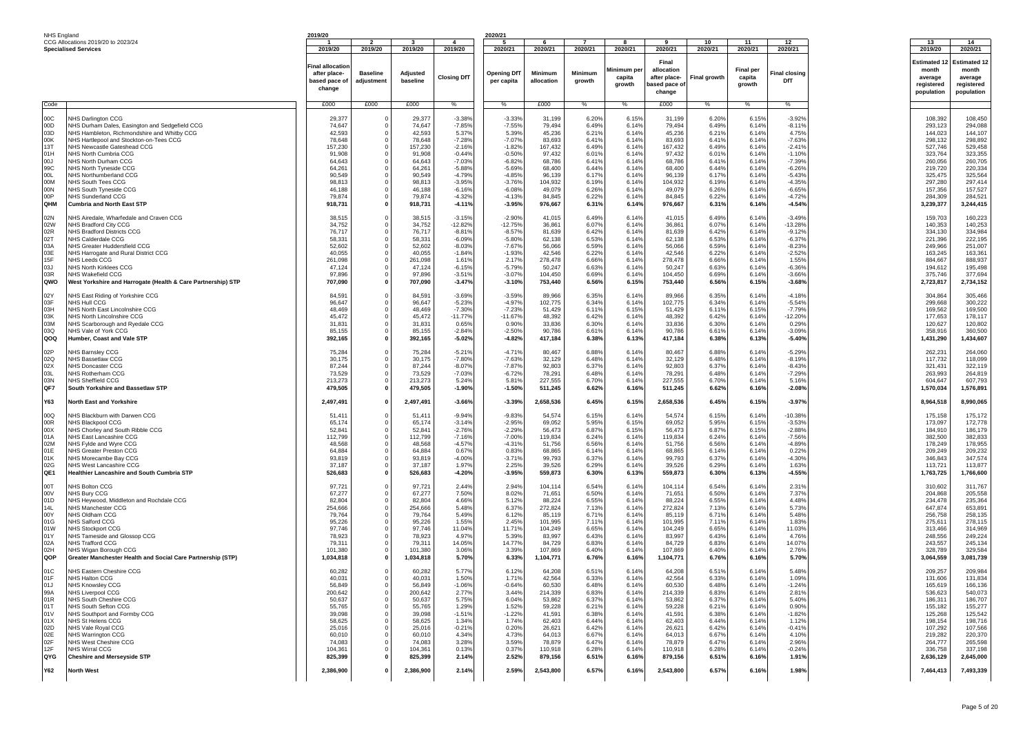| NHS England |                                                                                      | 2019/20                 |                            |                      |                       | 2020/21               |                      |                |                      |                            |                     |                            |                       |                      |                      |
|-------------|--------------------------------------------------------------------------------------|-------------------------|----------------------------|----------------------|-----------------------|-----------------------|----------------------|----------------|----------------------|----------------------------|---------------------|----------------------------|-----------------------|----------------------|----------------------|
|             | CCG Allocations 2019/20 to 2023/24                                                   |                         |                            |                      | 4                     |                       |                      |                |                      |                            | 10                  | 11                         | 12                    | 13                   | 14                   |
|             | <b>Specialised Services</b>                                                          | 2019/20                 | 2019/20                    | 2019/20              | 2019/20               | 2020/21               | 2020/21              | 2020/21        | 2020/21              | 2020/21                    | 2020/21             | 2020/21                    | 2020/21               | 2019/20              | 2020/21              |
|             |                                                                                      | Final allocatior        |                            |                      |                       |                       |                      |                |                      | Final                      |                     |                            |                       | <b>Estimated 1:</b>  | <b>Estimated 12</b>  |
|             |                                                                                      | after place-            | <b>Baseline</b>            | Adjusted             | <b>Closing DfT</b>    | <b>Opening DfT</b>    | Minimum              | Minimum        | Minimum pe<br>capita | allocation<br>after place- | <b>Final growth</b> | <b>Final per</b><br>capita | <b>Final closing</b>  | month<br>average     | month<br>average     |
|             |                                                                                      | based pace of<br>change | adjustment                 | baseline             |                       | per capita            | allocation           | arowth         | growth               | ased pace o                |                     | growth                     | DfT                   | reaistered           | registered           |
|             |                                                                                      |                         |                            |                      |                       |                       |                      |                |                      | change                     |                     |                            |                       | population           | population           |
| Code        |                                                                                      | £000                    | £000                       | £000                 | %                     | $\%$                  | £000                 | %              | $\%$                 | £000                       | $\%$                | %                          | %                     |                      |                      |
|             |                                                                                      |                         |                            |                      |                       |                       |                      |                |                      |                            |                     |                            |                       |                      |                      |
| 00C<br>00D  | NHS Darlington CCG<br>NHS Durham Dales, Easington and Sedgefield CCG                 | 29,377<br>74,647        | 0<br>$\Omega$              | 29,377<br>74,647     | $-3.389$<br>$-7.85%$  | $-3.339$<br>$-7.55%$  | 31,199<br>79,494     | 6.20%<br>6.49% | 6.15%<br>6.14%       | 31,199<br>79,494           | 6.20%<br>6.49%      | 6.15%<br>6.14%             | $-3.92%$<br>$-8.11%$  | 108,392<br>293,123   | 108,450<br>294,088   |
| 03D         | NHS Hambleton, Richmondshire and Whitby CCG                                          | 42,593                  | $\Omega$                   | 42,593               | 5.37%                 | 5.39%                 | 45,236               | 6.219          | 6.14%                | 45,236                     | 6.21%               | 6.14%                      | 4.75%                 | 144,023              | 144,107              |
| 00K<br>13T  | NHS Hartlepool and Stockton-on-Tees CCG<br>NHS Newcastle Gateshead CCG               | 78,648<br>157,230       |                            | 78,648<br>157,230    | $-7.289$<br>$-2.16%$  | $-7.07%$<br>$-1.82%$  | 83,693<br>167,432    | 6.41%<br>6.49% | 6.14%<br>6.14%       | 83,693<br>167,432          | 6.41%<br>6.49%      | 6.14%<br>6.14%             | $-7.63%$<br>$-2.419$  | 298,132<br>527,746   | 298,892<br>529,458   |
| 01H         | NHS North Cumbria CCG                                                                | 91,908                  |                            | 91,908               | $-0.449$              | $-0.50%$              | 97,432               | 6.019          | 6.14%                | 97,432                     | 6.01%               | 6.14%                      | $-1.109$              | 323,764              | 323,355              |
| LOO         | NHS North Durham CCG                                                                 | 64,643                  | 0                          | 64,643               | $-7.03%$              | $-6.82%$              | 68,786               | 6.41%          | 6.14%                | 68,786                     | 6.41%               | 6.14%                      | $-7.39%$              | 260,056              | 260,705              |
| 99C<br>100  | <b>NHS North Tyneside CCG</b><br>NHS Northumberland CCG                              | 64,261<br>90.549        | 0<br>0                     | 64,261<br>90,549     | $-5.88%$<br>$-4.799$  | $-5.69%$<br>$-4.85%$  | 68,400<br>96,139     | 6.44%<br>6.179 | 6.14%<br>6.14%       | 68,400<br>96,139           | 6.44%<br>6.17%      | 6.14%<br>6.14%             | $-6.269$<br>$-5.439$  | 219,720<br>325,475   | 220,334<br>325,564   |
| 00M         | NHS South Tees CCG                                                                   | 98,813                  | 0                          | 98,813               | $-3.95%$              | $-3.76%$              | 104,932              | 6.19%          | 6.14%                | 104,932                    | 6.19%               | 6.14%                      | $-4.35%$              | 297,280              | 297,414              |
| 00N<br>00P  | NHS South Tyneside CCG<br>NHS Sunderland CCG                                         | 46,188<br>79,874        | 0<br>0                     | 46,188<br>79,874     | $-6.16%$<br>$-4.32%$  | $-6.08%$<br>$-4.13%$  | 49,079<br>84,845     | 6.26%<br>6.22% | 6.14%<br>6.14%       | 49,079<br>84,845           | 6.26%<br>6.22%      | 6.14%<br>6.14%             | $-6.65%$<br>$-4.72%$  | 157,356<br>284,309   | 157,527<br>284,521   |
| QHM         | <b>Cumbria and North East STP</b>                                                    | 918,731                 | 0                          | 918,731              | $-4.11%$              | $-3.95%$              | 976,667              | 6.31%          | 6.14%                | 976,667                    | 6.31%               | 6.14%                      | -4.54%                | 3,239,377            | 3,244,415            |
|             |                                                                                      |                         |                            |                      |                       |                       |                      |                |                      |                            |                     |                            |                       |                      |                      |
| 02N<br>02W  | NHS Airedale, Wharfedale and Craven CCG<br>NHS Bradford City CCG                     | 38,515<br>34,752        | 0<br>0                     | 38,515<br>34,752     | $-3.15%$<br>$-12.82%$ | $-2.90%$<br>$-12.75%$ | 41,015<br>36,861     | 6.49%<br>6.07% | 6.14%<br>6.14%       | 41,015<br>36,861           | 6.49%<br>6.07%      | 6.14%<br>6.14%             | $-3.49%$<br>$-13.289$ | 159,703<br>140,353   | 160,223<br>140,253   |
| 02R         | NHS Bradford Districts CCG                                                           | 76,717                  | 0                          | 76,717               | $-8.81%$              | $-8.57%$              | 81,639               | 6.42%          | 6.14%                | 81,639                     | 6.42%               | 6.14%                      | $-9.12%$              | 334,130              | 334,984              |
| 02T<br>03A  | NHS Calderdale CCG                                                                   | 58,331<br>52,602        | 0<br>0                     | 58,331<br>52,602     | $-6.09%$<br>$-8.03%$  | $-5.80%$<br>$-7.67%$  | 62,138<br>56,066     | 6.53%<br>6.59% | 6.14%<br>6.14%       | 62,138<br>56,066           | 6.53%<br>6.59%      | 6.14%<br>6.14%             | $-6.37%$<br>$-8.23%$  | 221,396<br>249,966   | 222,195<br>251,007   |
| 03E         | NHS Greater Huddersfield CCG<br>NHS Harrogate and Rural District CCG                 | 40,055                  | 0                          | 40,055               | $-1.84%$              | $-1.93%$              | 42,546               | 6.22%          | 6.14%                | 42,546                     | 6.22%               | 6.14%                      | $-2.52%$              | 163,245              | 163,361              |
| 15F         | <b>NHS Leeds CCG</b>                                                                 | 261,098                 | 0                          | 261,098              | 1.61%                 | 2.17%                 | 278,478              | 6.669          | 6.14%                | 278,478                    | 6.66%               | 6.14%                      | 1.55%                 | 884,667              | 888,937              |
| 03J<br>03R  | <b>NHS North Kirklees CCG</b><br>NHS Wakefield CCG                                   | 47,124<br>97,896        | 0<br>$\mathbf 0$           | 47,124<br>97,896     | $-6.15%$<br>$-3.51%$  | $-5.79%$<br>$-3.07%$  | 50,247<br>104,450    | 6.63%<br>6.69% | 6.14%<br>6.14%       | 50,247<br>104,450          | 6.63%<br>6.69%      | 6.14%<br>6.14%             | $-6.36%$<br>$-3.66%$  | 194,612<br>375,746   | 195,498<br>377,694   |
| QWO         | West Yorkshire and Harrogate (Health & Care Partnership) STP                         | 707,090                 | 0                          | 707,090              | $-3.47%$              | $-3.10%$              | 753,440              | 6.56%          | 6.15%                | 753,440                    | 6.56%               | 6.15%                      | $-3.68%$              | 2,723,817            | 2,734,152            |
| 02Y         | NHS East Riding of Yorkshire CCG                                                     | 84,591                  | 0                          | 84,591               | $-3.69%$              | $-3.59%$              | 89,966               | 6.35%          | 6.14%                | 89,966                     | 6.35%               | 6.14%                      | $-4.18%$              | 304,864              | 305,466              |
| 03F         | NHS Hull CCG                                                                         | 96,647                  | $\Omega$                   | 96,647               | $-5.23%$              | $-4.97%$              | 102,775              | 6.34%          | 6.14%                | 102,775                    | 6.34%               | 6.14%                      | $-5.54%$              | 299,668              | 300,222              |
| 03H<br>03K  | NHS North East Lincolnshire CCG<br><b>NHS North Lincolnshire CCG</b>                 | 48.469<br>45,472        | $\Omega$<br>0              | 48,469<br>45,472     | $-7.30%$<br>$-11.77%$ | $-7.23%$<br>$-11.67%$ | 51.429<br>48,392     | 6.11%<br>6.42% | 6.15%<br>6.14%       | 51,429<br>48,392           | 6.11%<br>6.42%      | 6.15%<br>6.14%             | $-7.79%$<br>$-12.20%$ | 169.562<br>177,653   | 169,500<br>178,117   |
| 03M         | <b>NHS Scarborough and Ryedale CCG</b>                                               | 31,831                  | 0                          | 31,831               | 0.65%                 | 0.90%                 | 33,836               | 6.30%          | 6.14%                | 33,836                     | 6.30%               | 6.14%                      | 0.29%                 | 120,627              | 120,802              |
| 03Q         | NHS Vale of York CCG                                                                 | 85,155                  | 0                          | 85,155               | $-2.84%$              | $-2.50%$              | 90.786               | 6.61%          | 6.14%                | 90,786                     | 6.61%               | 6.14%                      | $-3.09%$              | 358,916              | 360,500              |
| QOQ         | Humber, Coast and Vale STF                                                           | 392,165                 | 0                          | 392,165              | $-5.02%$              | $-4.82%$              | 417,184              | 6.38%          | 6.13%                | 417,184                    | 6.38%               | 6.13%                      | $-5.40%$              | 1,431,290            | 1,434,607            |
| 02P         | NHS Barnsley CCG                                                                     | 75,284                  | 0                          | 75,284               | $-5.21%$              | $-4.719$              | 80,467               | 6.88%          | 6.14%                | 80,467                     | 6.88%               | 6.14%                      | $-5.29%$              | 262,231              | 264,060              |
| 02Q<br>02X  | <b>NHS Bassetlaw CCG</b><br><b>NHS Doncaster CCG</b>                                 | 30,175<br>87,244        | $\Omega$<br>0              | 30,175<br>87,244     | $-7.80%$<br>$-8.07%$  | $-7.63%$<br>$-7.87%$  | 32,129<br>92,803     | 6.48%<br>6.37% | 6.14%<br>6.14%       | 32,129<br>92,803           | 6.48%<br>6.37%      | 6.14%<br>6.14%             | $-8.19%$<br>$-8.43%$  | 117,732<br>321,431   | 118,099<br>322,119   |
| 03L         | NHS Rotherham CCG                                                                    | 73,529                  | 0                          | 73,529               | $-7.03%$              | $-6.72%$              | 78,291               | 6.48%          | 6.14%                | 78,291                     | 6.48%               | 6.14%                      | $-7.29%$              | 263,993              | 264,819              |
| 03N         | <b>NHS Sheffield CCG</b>                                                             | 213,273                 | 0                          | 213,273              | 5.24%                 | 5.81%                 | 227,555              | 6.70%          | 6.14%                | 227,555                    | 6.70%               | 6.14%                      | 5.16%                 | 604,647              | 607,793              |
| QF7         | South Yorkshire and Bassetlaw STP                                                    | 479,505                 | 0                          | 479,505              | $-1.90%$              | $-1.50%$              | 511,245              | 6.62%          | 6.16%                | 511,245                    | 6.62%               | 6.16%                      | $-2.08%$              | 1,570,034            | 1,576,891            |
| Y63         | <b>North East and Yorkshire</b>                                                      | 2,497,491               | $\mathbf 0$                | 2,497,491            | $-3.66%$              | $-3.39%$              | 2,658,536            | 6.45%          | 6.15%                | 2,658,536                  | 6.45%               | 6.15%                      | $-3.97%$              | 8,964,518            | 8,990,065            |
| 00Q         | NHS Blackburn with Darwen CCG                                                        | 51,411                  |                            | 51.41                | $-9.94%$              | $-9.83%$              | 54,574               | 6.15%          | 6.14%                | 54,574                     | 6.15%               | 6.14%                      | $-10.389$             | 175,158              | 175,172              |
| 00R         | NHS Blackpool CCG                                                                    | 65,174                  |                            | 65,174               | $-3.14%$              | $-2.95%$              | 69,052               | 5.95%          | 6.15%                | 69,052                     | 5.95%               | 6.15%                      | $-3.53%$              | 173,097              | 172,778              |
| 00X<br>01A  | NHS Chorley and South Ribble CCG<br>NHS East Lancashire CCG                          | 52,841<br>112,799       | 0<br>$\Omega$              | 52,841<br>112,799    | $-2.76%$<br>$-7.16%$  | $-2.29%$<br>$-7.00%$  | 56,473<br>119,834    | 6.87%<br>6.24% | 6.15%<br>6.14%       | 56,473<br>119,834          | 6.87%<br>6.24%      | 6.15%<br>6.14%             | $-2.88%$<br>$-7.56%$  | 184,910<br>382,500   | 186,179<br>382,833   |
| 02M         | NHS Fylde and Wyre CCG                                                               | 48,568                  | 0                          | 48,568               | $-4.57%$              | $-4.319$              | 51,756               | 6.56%          | 6.14%                | 51,756                     | 6.56%               | 6.14%                      | $-4.89%$              | 178,249              | 178,955              |
| 01E<br>01K  | NHS Greater Preston CCG<br>NHS Morecambe Bay CCG                                     | 64,884<br>93,819        | 0<br>0                     | 64,884<br>93,819     | 0.67%<br>$-4.00%$     | 0.83%<br>$-3.71%$     | 68,865<br>99,793     | 6.14%<br>6.37% | 6.14%<br>6.14%       | 68,865<br>99,793           | 6.14%<br>6.37%      | 6.14%<br>6.14%             | 0.22%<br>$-4.30%$     | 209,249<br>346,843   | 209,232<br>347,574   |
| 02G         | NHS West Lancashire CCG                                                              | 37,187                  | 0                          | 37,187               | 1.97%                 | 2.25%                 | 39,526               | 6.29%          | 6.14%                | 39,526                     | 6.29%               | 6.14%                      | 1.63%                 | 113,721              | 113,877              |
| QE1         | Healthier Lancashire and South Cumbria STP                                           | 526,683                 | 0                          | 526,683              | $-4.20%$              | $-3.95%$              | 559,873              | 6.30%          | 6.13%                | 559,873                    | 6.30%               | 6.13%                      | $-4.55%$              | 1,763,725            | 1,766,600            |
| 00T         | NHS Bolton CCG                                                                       | 97,721                  | 0                          | 97,721               | 2.44%                 | 2.94%                 | 104,114              | 6.54%          | 6.14%                | 104.114                    | 6.54%               | 6.14%                      | 2.31%                 | 310,602              | 311,767              |
| 00V         | NHS Bury CCG                                                                         | 67,277                  | $\Omega$                   | 67,277               | 7.50%                 | 8.02%                 | 71,651               | 6.50%          | 6.14%                | 71,651                     | 6.50%               | 6.14%                      | 7.37%                 | 204,868              | 205,558              |
| 01D<br>14L  | NHS Heywood, Middleton and Rochdale CCG<br>NHS Manchester CCG                        | 82,804<br>254,666       | 0                          | 82,804<br>254,666    | 4.66%<br>5.48%        | 5.12%<br>6.37%        | 88,224<br>272,824    | 6.55%<br>7.13% | 6.14%<br>6.14%       | 88,224<br>272,824          | 6.55%<br>7.13%      | 6.14%<br>6.14%             | 4.48%<br>5.73%        | 234,478<br>647,874   | 235,364<br>653,891   |
| 00Y         | NHS Oldham CCG                                                                       | 79,764                  | 0                          | 79,764               | 5.49%                 | 6.129                 | 85,119               | 6.719          | 6.14%                | 85,119                     | 6.71%               | 6.14%                      | 5.48%                 | 256,758              | 258,135              |
| 01G<br>01W  | NHS Salford CCG<br>NHS Stockport CCG                                                 | 95,226<br>97,746        | 0<br>0                     | 95,226<br>97,746     | 1.55%<br>11.04%       | 2.45%<br>11.719       | 101,995<br>104,249   | 7.119<br>6.65% | 6.14%<br>6.14%       | 101,995<br>104,249         | 7.11%<br>6.65%      | 6.14%<br>6.14%             | 1.83%<br>11.03%       | 275,611<br>313,466   | 278,115<br>314,969   |
| 01Y         | NHS Tameside and Glossop CCG                                                         | 78,923                  | 0                          | 78,923               | 4.97%                 | 5.39%                 | 83,997               | 6.43%          | 6.14%                | 83,997                     | 6.43%               | 6.14%                      | 4.76%                 | 248,556              | 249,224              |
| 02A         | NHS Trafford CCG                                                                     | 79,311                  | 0                          | 79,311               | 14.05%                | 14.77%                | 84,729               | 6.83%          | 6.14%                | 84,729                     | 6.83%               | 6.14%                      | 14.07%                | 243,557              | 245,134              |
| 02H<br>QOP  | NHS Wigan Borough CCG<br>Greater Manchester Health and Social Care Partnership (STP) | 101,380<br>1,034,818    | 0<br>0                     | 101,380<br>1,034,818 | 3.06%<br>5.70%        | 3.39%<br>6.33%        | 107,869<br>1,104,771 | 6.40%<br>6.76% | 6.14%<br>6.16%       | 107,869<br>1,104,771       | 6.40%<br>6.76%      | 6.14%<br>6.16%             | 2.76%<br>5.70%        | 328,789<br>3,064,559 | 329,584<br>3,081,739 |
|             |                                                                                      |                         |                            |                      |                       |                       |                      |                | 6.14%                |                            |                     |                            |                       |                      |                      |
| 01C<br>01F  | NHS Eastern Cheshire CCG<br>NHS Halton CCG                                           | 60,282<br>40,031        | $\Omega$<br>$\Omega$       | 60,282<br>40,031     | 5.77%<br>1.50%        | 6.12%<br>1.71%        | 64,208<br>42,564     | 6.51%<br>6.33% | 6.14%                | 64,208<br>42,564           | 6.51%<br>6.33%      | 6.14%<br>6.14%             | 5.48%<br>1.09%        | 209,257<br>131,606   | 209,984<br>131,834   |
| UTJ.        | NHS Knowslev CCG                                                                     | 56.849                  |                            | 56,849               | -1.067                | $-0.64%$              | 60.530               | 6.489          | 6.14'                | 60,530                     | 6.48%               | 6.14%                      | $-1.249$              | 165.619              | 166.136              |
| 99A<br>01R  | <b>NHS Liverpool CCG</b><br>NHS South Cheshire CCG                                   | 200,642<br>50,637       | $\mathbf 0$<br>$\mathbf 0$ | 200,642<br>50,637    | 2.77%<br>5.75%        | 3.44%<br>6.04%        | 214,339<br>53,862    | 6.83%<br>6.37% | 6.14%<br>6.14%       | 214,339<br>53,862          | 6.83%<br>6.37%      | 6.14%<br>6.14%             | 2.81%<br>5.40%        | 536,623<br>186,311   | 540,073<br>186,707   |
| 01T         | NHS South Sefton CCG                                                                 | 55,765                  | $^{\circ}$                 | 55,765               | 1.29%                 | 1.52%                 | 59,228               | 6.21%          | 6.14%                | 59,228                     | 6.21%               | 6.14%                      | 0.90%                 | 155,182              | 155,277              |
| 01V<br>01X  | NHS Southport and Formby CCG<br>NHS St Helens CCG                                    | 39,098<br>58,625        | $^{\circ}$<br>$\Omega$     | 39,098<br>58,625     | $-1.51%$<br>1.34%     | $-1.22%$<br>1.74%     | 41,591<br>62,403     | 6.38%<br>6.44% | 6.14%<br>6.14%       | 41,591<br>62,403           | 6.38%<br>6.44%      | 6.14%<br>6.14%             | $-1.82%$<br>1.12%     | 125,268<br>198,154   | 125,542<br>198,716   |
| 02D         | NHS Vale Royal CCG                                                                   | 25,016                  | 0                          | 25,016               | $-0.21%$              | 0.20%                 | 26,621               | 6.42%          | 6.14%                | 26,621                     | 6.42%               | 6.14%                      | $-0.41%$              | 107,292              | 107,566              |
| 02E         | <b>NHS Warrington CCG</b>                                                            | 60,010                  | 0                          | 60,010               | 4.34%                 | 4.73%                 | 64,013               | 6.67%          | 6.14%                | 64,013                     | 6.67%               | 6.14%                      | 4.10%                 | 219,282              | 220,370              |
| 02F<br>12F  | NHS West Cheshire CCG<br><b>NHS Wirral CCG</b>                                       | 74,083<br>104,361       | 0<br>$^{\circ}$            | 74,083<br>104,361    | 3.28%<br>0.13%        | 3.59%<br>0.37%        | 78,879<br>110,918    | 6.47%<br>6.28% | 6.14%<br>6.14%       | 78,879<br>110,918          | 6.47%<br>6.28%      | 6.14%<br>6.14%             | 2.96%<br>$-0.24%$     | 264,777<br>336,758   | 265,598<br>337,198   |
| QYG         | <b>Cheshire and Merseyside STP</b>                                                   | 825,399                 | 0                          | 825,399              | 2.14%                 | 2.52%                 | 879,156              | 6.51%          | 6.16%                | 879,156                    | 6.51%               | 6.16%                      | 1.91%                 | 2,636,129            | 2,645,000            |
| <b>Y62</b>  | <b>North West</b>                                                                    | 2,386,900               | 0                          | 2,386,900            | 2.14%                 | 2.59%                 | 2,543,800            | 6.57%          | 6.16%                | 2,543,800                  | 6.57%               | 6.16%                      | 1.98%                 | 7,464,413            | 7,493,339            |
|             |                                                                                      |                         |                            |                      |                       |                       |                      |                |                      |                            |                     |                            |                       |                      |                      |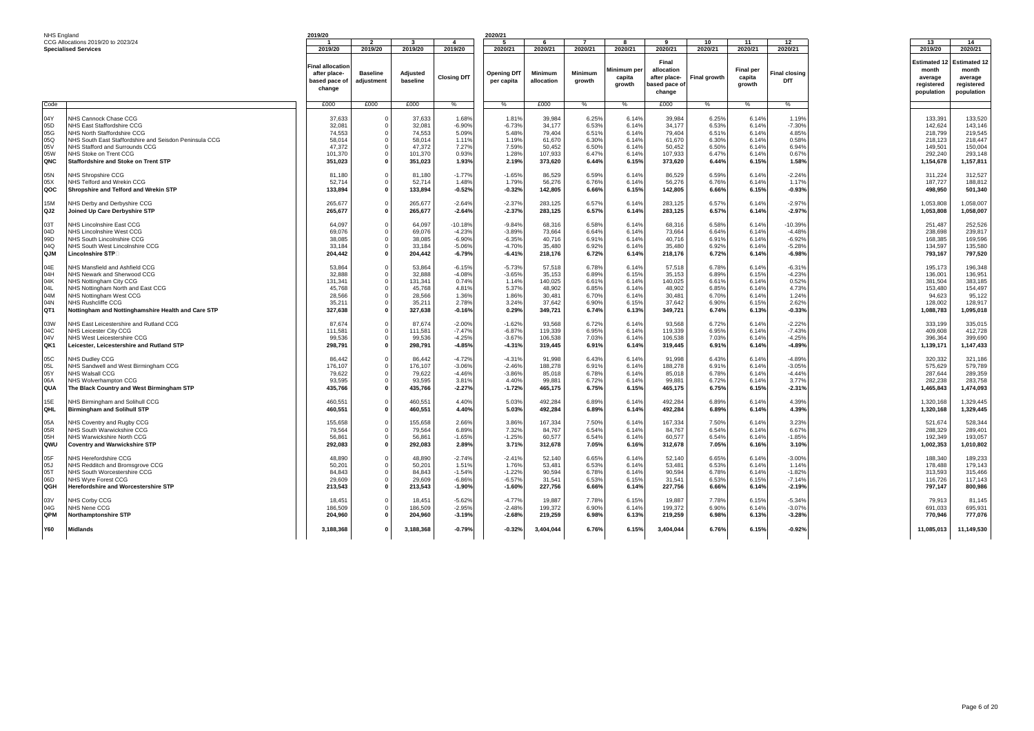| NHS England |                                                        | 2019/20          |                          |              |                    | 2020/21            |            |                |            |                          |               |                  |               |                    |              |
|-------------|--------------------------------------------------------|------------------|--------------------------|--------------|--------------------|--------------------|------------|----------------|------------|--------------------------|---------------|------------------|---------------|--------------------|--------------|
|             | CCG Allocations 2019/20 to 2023/24                     |                  | $\overline{\phantom{a}}$ | $\mathbf{3}$ | $\overline{4}$     | 5                  | -6         | $\overline{7}$ | R          | $\overline{\phantom{a}}$ | 10            | 11               | 12            | 13                 | 14           |
|             | <b>Specialised Services</b>                            | 2019/20          | 2019/20                  | 2019/20      | 2019/20            | 2020/21            | 2020/21    | 2020/21        | 2020/21    | 2020/21                  | 2020/21       | 2020/21          | 2020/21       | 2019/20            | 2020/21      |
|             |                                                        |                  |                          |              |                    |                    |            |                |            |                          |               |                  |               |                    |              |
|             |                                                        |                  |                          |              |                    |                    |            |                |            | Final                    |               |                  |               |                    |              |
|             |                                                        | Final allocatioı |                          |              |                    |                    |            |                |            |                          |               |                  |               | <b>Estimated 1</b> | Estimated 12 |
|             |                                                        | after place-     | <b>Baseline</b>          | Adjusted     |                    | <b>Opening DfT</b> | Minimum    | <b>Minimum</b> | Minimum pe | allocation               |               | <b>Final per</b> | Final closing | month              | month        |
|             |                                                        |                  |                          |              | <b>Closing DfT</b> |                    |            |                | capita     | after place-             | Final growth  | capita           |               | average            | average      |
|             |                                                        | based pace of    | adjustment               | baseline     |                    | per capita         | allocation | growth         | growth     | ased pace of             |               | growth           | DfT           | registered         | registered   |
|             |                                                        | change           |                          |              |                    |                    |            |                |            |                          |               |                  |               |                    |              |
|             |                                                        |                  |                          |              |                    |                    |            |                |            | change                   |               |                  |               | population         | population   |
|             |                                                        |                  |                          |              |                    |                    |            |                |            |                          |               |                  |               |                    |              |
| Code        |                                                        | £000             | £000                     | £000         |                    |                    | £000       | $\%$           | %          | £000                     | $\frac{9}{6}$ |                  | ℅             |                    |              |
|             |                                                        |                  |                          |              |                    |                    |            |                |            |                          |               |                  |               |                    |              |
| 04Y         | NHS Cannock Chase CCG                                  | 37,633           | $\mathbf 0$              | 37,633       | 1.68%              | 1.81%              | 39,984     | 6.25%          | 6.14%      | 39,984                   | 6.25%         | 6.14%            | 1.199         | 133,391            | 133,520      |
| 05D         | NHS East Staffordshire CCG                             | 32,081           | $\Omega$                 | 32,081       | $-6.90%$           | $-6.73%$           | 34,177     | 6.53%          | 6.14%      | 34,177                   | 6.53%         | 6.14%            | $-7.30%$      | 142,624            | 143,146      |
|             |                                                        |                  |                          |              |                    |                    |            |                |            |                          |               |                  |               |                    |              |
| 05G         | NHS North Staffordshire CCG                            | 74,553           | $\Omega$                 | 74,553       | 5.09%              | 5.48%              | 79,404     | 6.51%          | 6.14%      | 79,404                   | 6.51%         | 6.14%            | 4.85%         | 218,799            | 219,545      |
| 05Q         | NHS South East Staffordshire and Seisdon Peninsula CCG | 58,014           | $\Omega$                 | 58,014       | 1.11%              | 1.19%              | 61,670     | 6.30%          | 6.14%      | 61,670                   | 6.30%         | 6.14%            | 0.58%         | 218,123            | 218,447      |
| 05V         | NHS Stafford and Surrounds CCG                         | 47.372           | 0                        | 47.372       | 7.27%              | 7.59%              | 50.452     | 6.50%          | 6.14%      | 50.452                   | 6.50%         | 6.14%            | 6.94%         | 149.501            | 150,004      |
| 05W         | NHS Stoke on Trent CCG                                 | 101,370          | $\Omega$                 | 101,370      | 0.93%              | 1.28%              | 107,933    | 6.47%          | 6.14%      | 107.933                  | 6.47%         | 6.14%            | 0.67%         | 292,240            | 293,148      |
| QNC         | <b>Staffordshire and Stoke on Trent STP</b>            | 351,023          | $\mathbf 0$              | 351,023      | 1.93%              | 2.19%              | 373,620    | 6.44%          | 6.15%      | 373,620                  | 6.44%         | 6.15%            | 1.58%         | 1,154,678          | 1,157,811    |
|             |                                                        |                  |                          |              |                    |                    |            |                |            |                          |               |                  |               |                    |              |
|             |                                                        |                  |                          |              |                    |                    |            |                |            |                          |               |                  |               |                    |              |
| 05N         | <b>NHS Shropshire CCG</b>                              | 81.180           | $\Omega$                 | 81,180       | $-1.77%$           | $-1.65%$           | 86,529     | 6.59%          | 6.14%      | 86.529                   | 6.59%         | 6.14%            | $-2.249$      | 311.224            | 312,527      |
| 05X         | NHS Telford and Wrekin CCG                             | 52,714           | $\Omega$                 | 52,714       | 1.48%              | 1.79%              | 56,276     | 6.76%          | 6.14%      | 56,276                   | 6.76%         | 6.14%            | 1.17%         | 187,727            | 188,812      |
| QOC         | Shropshire and Telford and Wrekin STP                  | 133,894          | $\mathbf 0$              | 133,894      | $-0.52%$           | $-0.32%$           | 142,805    | 6.66%          | 6.15%      | 142,805                  | 6.66%         | 6.15%            | $-0.93%$      | 498,950            | 501,340      |
|             |                                                        |                  |                          |              |                    |                    |            |                |            |                          |               |                  |               |                    |              |
| 15M         | NHS Derby and Derbyshire CCG                           | 265,677          | $\Omega$                 | 265,677      | $-2.64%$           | $-2.37%$           | 283,125    | 6.57%          | 6.14%      | 283,125                  | 6.57%         | 6.14%            | $-2.97%$      | 1,053,808          | 1,058,007    |
|             |                                                        |                  |                          |              |                    |                    |            |                |            |                          |               |                  |               |                    |              |
| QJ2         | Joined Up Care Derbyshire STP                          | 265,677          | $\mathbf{0}$             | 265,677      | $-2.64%$           | $-2.37%$           | 283,125    | 6.57%          | 6.14%      | 283,125                  | 6.57%         | 6.14%            | $-2.97%$      | 1,053,808          | 1,058,007    |
|             |                                                        |                  |                          |              |                    |                    |            |                |            |                          |               |                  |               |                    |              |
| 03T         | NHS Lincolnshire East CCG                              | 64,097           | 0                        | 64.097       | $-10.18%$          | $-9.84%$           | 68.316     | 6.58%          | 6.14%      | 68,316                   | 6.58%         | 6.14%            | -10.39%       | 251.487            | 252,526      |
| 04D         | NHS Lincolnshire West CCG                              | 69.076           | 0                        | 69.076       | $-4.23%$           | $-3.89%$           | 73.664     | 6.64%          | 6.14%      | 73.664                   | 6.64%         | 6.14%            | $-4.48%$      | 238,698            | 239.817      |
| 99D         | NHS South Lincolnshire CCG                             | 38,085           | $\Omega$                 | 38,085       | $-6.90%$           | $-6.35%$           | 40,716     | 6.91%          | 6.14%      | 40,716                   | 6.91%         | 6.14%            | $-6.92%$      | 168,385            | 169,596      |
|             |                                                        |                  | $\mathbf 0$              |              |                    |                    |            |                |            |                          |               |                  |               |                    |              |
| 04Q         | NHS South West Lincolnshire CCG                        | 33,184           |                          | 33,184       | $-5.06%$           | $-4.70%$           | 35,480     | 6.92%          | 6.14%      | 35,480                   | 6.92%         | 6.14%            | $-5.289$      | 134,597            | 135,580      |
| QJM         | $Lincolnshire$ $\mathsf{STP}\square$                   | 204,442          | 0                        | 204,442      | $-6.79%$           | $-6.41%$           | 218,176    | 6.72%          | 6.14%      | 218,176                  | 6.72%         | 6.14%            | $-6.98%$      | 793,167            | 797,520      |
|             |                                                        |                  |                          |              |                    |                    |            |                |            |                          |               |                  |               |                    |              |
| 04E         | <b>IHS Mansfield and Ashfield CCG</b>                  | 53,864           | 0                        | 53,864       | $-6.15%$           | $-5.739$           | 57,518     | 6.78%          | 6.14%      | 57,518                   | 6.78%         | 6.14%            | $-6.31%$      | 195,173            | 196,348      |
| 04H         | NHS Newark and Sherwood CCG                            | 32,888           | $\Omega$                 | 32.888       | $-4.08%$           | $-3.65%$           | 35.153     | 6.89%          | 6.15%      | 35.153                   | 6.89%         | 6.15%            | $-4.23%$      | 136,001            | 136.951      |
| 04K         | NHS Nottingham City CCG                                | 131.341          | $\Omega$                 | 131.341      | 0.74%              | 1.14%              | 140,025    | 6.61%          | 6.14%      | 140.025                  | 6.61%         | 6.14%            | 0.52%         | 381.504            | 383,185      |
| 04L         |                                                        |                  | $\Omega$                 |              | 4.81%              |                    |            |                | 6.14%      |                          |               | 6.14%            |               |                    |              |
|             | NHS Nottingham North and East CCG                      | 45,768           |                          | 45,768       |                    | 5.37%              | 48,902     | 6.85%          |            | 48,902                   | 6.85%         |                  | 4.73%         | 153,480            | 154,497      |
| 04M         | NHS Nottingham West CCG                                | 28,566           | 0                        | 28,566       | 1.36%              | 1.86%              | 30,481     | 6.70%          | 6.14%      | 30,481                   | 6.70%         | 6.14%            | 1.24%         | 94,623             | 95,122       |
| 04N         | <b>NHS Rushcliffe CCG</b>                              | 35,211           | $\mathbf 0$              | 35,211       | 2.78%              | 3.24%              | 37,642     | 6.90%          | 6.15%      | 37,642                   | 6.90%         | 6.15%            | 2.62%         | 128,002            | 128,917      |
| QT1         | Nottingham and Nottinghamshire Health and Care STP     | 327,638          | $\mathbf{0}$             | 327,638      | $-0.16%$           | 0.29%              | 349,721    | 6.74%          | 6.13%      | 349,721                  | 6.74%         | 6.13%            | $-0.33%$      | 1,088,783          | 1,095,018    |
|             |                                                        |                  |                          |              |                    |                    |            |                |            |                          |               |                  |               |                    |              |
| 03W         | <b>NHS East Leicestershire and Rutland CCG</b>         | 87,674           | $\Omega$                 | 87,674       | $-2.00%$           | $-1.62%$           | 93,568     | 6.72%          | 6.14%      | 93,568                   | 6.72%         | 6.14%            | $-2.22%$      | 333,199            | 335,015      |
| 04C         | NHS Leicester City CCG                                 | 111,581          | $\Omega$                 | 111,581      | $-7.47%$           | $-6.87%$           | 119,339    | 6.95%          | 6.14%      | 119,339                  | 6.95%         | 6.14%            | $-7.43%$      | 409,608            | 412,728      |
| 04V         |                                                        |                  |                          |              |                    |                    |            |                |            |                          |               |                  |               |                    |              |
|             | NHS West Leicestershire CCG                            | 99,536           | $\Omega$                 | 99,536       | $-4.25%$           | $-3.67%$           | 106,538    | 7.03%          | 6.14%      | 106,538                  | 7.03%         | 6.14%            | $-4.25%$      | 396,364            | 399,690      |
| QK1         | eicester, Leicestershire and Rutland STP.              | 298,791          | 0                        | 298,791      | $-4.85%$           | $-4.31%$           | 319,445    | 6.91%          | 6.14%      | 319,445                  | 6.91%         | 6.14%            | $-4.89%$      | 1,139,171          | 1,147,433    |
|             |                                                        |                  |                          |              |                    |                    |            |                |            |                          |               |                  |               |                    |              |
| 05C         | <b>VHS Dudley CCG</b>                                  | 86,442           | $\Omega$                 | 86.442       | $-4.72%$           | $-4.319$           | 91,998     | 6.43%          | 6.14%      | 91.998                   | 6.43%         | 6.14%            | $-4.89%$      | 320.332            | 321,186      |
| 05L         | NHS Sandwell and West Birmingham CCG                   | 176.107          | $\Omega$                 | 176,107      | $-3.06%$           | $-2.46%$           | 188,278    | 6.91%          | 6.14%      | 188,278                  | 6.91%         | 6.14%            | $-3.05%$      | 575.629            | 579,789      |
| 05Y         | <b>NHS Walsall CCG</b>                                 | 79,622           | $\Omega$                 | 79,622       | $-4.46%$           | $-3.86%$           | 85,018     | 6.78%          | 6.14%      | 85,018                   | 6.78%         | 6.14%            | $-4.44%$      | 287,644            | 289,359      |
|             |                                                        |                  | $\mathbf 0$              |              |                    | 4.40%              |            | 6.72%          |            |                          | 6.72%         |                  | 3.77%         |                    | 283,758      |
| 06A         | NHS Wolverhampton CCG                                  | 93,595           |                          | 93,595       | 3.81%              |                    | 99,881     |                | 6.14%      | 99,881                   |               | 6.14%            |               | 282,238            |              |
| QUA         | The Black Country and West Birmingham STP              | 435,766          | 0                        | 435,766      | $-2.27%$           | $-1.72%$           | 465,175    | 6.75%          | 6.15%      | 465,175                  | 6.75%         | 6.15%            | $-2.31%$      | 1,465,843          | 1,474,093    |
|             |                                                        |                  |                          |              |                    |                    |            |                |            |                          |               |                  |               |                    |              |
| 15E         | NHS Birmingham and Solihull CCG                        | 460.551          | $\mathbf 0$              | 460.551      | 4.40%              | 5.03%              | 492.284    | 6.89%          | 6.14%      | 492.284                  | 6.89%         | 6.14%            | 4.39%         | 1.320.168          | 1.329.445    |
| QHL         | <b>Birmingham and Solihull STP</b>                     | 460,551          | 0                        | 460,551      | 4.40%              | 5.03%              | 492,284    | 6.89%          | 6.14%      | 492,284                  | 6.89%         | 6.14%            | 4.39%         | 1,320,168          | 1,329,445    |
|             |                                                        |                  |                          |              |                    |                    |            |                |            |                          |               |                  |               |                    |              |
| 05A         | NHS Coventry and Rugby CCG                             | 155,658          | $^{\circ}$               | 155,658      | 2.66%              | 3.86%              | 167,334    | 7.50%          | 6.14%      | 167,334                  | 7.50%         | 6.14%            | 3.23%         | 521,674            | 528,344      |
| 05R         | NHS South Warwickshire CCG                             | 79,564           | 0                        | 79,564       | 6.89%              | 7.32%              | 84,767     | 6.54%          | 6.14%      | 84,767                   | 6.54%         | 6.14%            | 6.67%         | 288,329            | 289,401      |
|             |                                                        |                  |                          |              |                    |                    |            |                |            |                          |               |                  |               |                    |              |
| 05H         | NHS Warwickshire North CCG                             | 56,861           | $\Omega$                 | 56,861       | $-1.65%$           | $-1.25%$           | 60,577     | 6.54%          | 6.14%      | 60,577                   | 6.54%         | 6.14%            | $-1.85%$      | 192,349            | 193,057      |
| QWU         | <b>Coventry and Warwickshire STP</b>                   | 292,083          | $\mathbf{0}$             | 292,083      | 2.89%              | 3.71%              | 312,678    | 7.05%          | 6.16%      | 312,678                  | 7.05%         | 6.16%            | 3.10%         | 1,002,353          | 1,010,802    |
|             |                                                        |                  |                          |              |                    |                    |            |                |            |                          |               |                  |               |                    |              |
| 05F         | <b>NHS Herefordshire CCG</b>                           | 48,890           | $\Omega$                 | 48,890       | $-2.74%$           | $-2.41%$           | 52,140     | 6.65%          | 6.14%      | 52,140                   | 6.65%         | 6.14%            | $-3.00%$      | 188.340            | 189,233      |
| 05J         | NHS Redditch and Bromsgrove CCG                        | 50,201           | $\Omega$                 | 50,201       | 1.51%              | 1.76%              | 53,481     | 6.53%          | 6.14%      | 53,481                   | 6.53%         | 6.14%            | 1.14%         | 178,488            | 179,143      |
|             |                                                        | 84,843           | $\Omega$                 |              | $-1.54%$           |                    |            | 6.78%          | 6.14%      | 90,594                   | 6.78%         | 6.14%            |               | 313,593            |              |
| 05T         | NHS South Worcestershire CCG                           |                  |                          | 84,843       |                    | $-1.22%$           | 90,594     |                |            |                          |               |                  | $-1.82%$      |                    | 315,466      |
| 06D         | NHS Wyre Forest CCG                                    | 29,609           | 0                        | 29,609       | $-6.86%$           | $-6.57%$           | 31.541     | 6.53%          | 6.15%      | 31.541                   | 6.53%         | 6.15%            | $-7.14%$      | 116,726            | 117,143      |
| QGH         | Herefordshire and Worcestershire STP                   | 213,543          | 0                        | 213,543      | $-1.90%$           | $-1.60%$           | 227,756    | 6.66%          | 6.14%      | 227,756                  | 6.66%         | 6.14%            | $-2.19%$      | 797,147            | 800,986      |
|             |                                                        |                  |                          |              |                    |                    |            |                |            |                          |               |                  |               |                    |              |
| 03V         | NHS Corby CCG                                          | 18,451           | $\Omega$                 | 18,451       | $-5.62%$           | $-4.77%$           | 19,887     | 7.78%          | 6.15%      | 19,887                   | 7.78%         | 6.15%            | $-5.34%$      | 79,913             | 81,145       |
| 04G         | NHS Nene CCG                                           | 186,509          | $\Omega$                 | 186,509      | $-2.95%$           | $-2.48%$           | 199,372    | 6.90%          | 6.14%      | 199,372                  | 6.90%         | 6.14%            | $-3.07%$      | 691,033            | 695,931      |
|             |                                                        |                  |                          |              |                    |                    |            |                |            |                          |               |                  |               |                    |              |
| QPM         | Northamptonshire STP                                   | 204,960          | 0                        | 204,960      | $-3.19%$           | $-2.68%$           | 219,259    | 6.98%          | 6.13%      | 219,259                  | 6.98%         | 6.13%            | $-3.28%$      | 770,946            | 777,076      |
|             |                                                        |                  |                          |              |                    |                    |            |                |            |                          |               |                  |               |                    |              |
| <b>Y60</b>  | <b>Midlands</b>                                        | 3,188,368        | 0                        | 3,188,368    | $-0.79%$           | $-0.32%$           | 3,404,044  | 6.76%          | 6.15%      | 3,404,044                | 6.76%         | 6.15%            | $-0.92%$      | 11.085.013         | 11,149,530   |
|             |                                                        |                  |                          |              |                    |                    |            |                |            |                          |               |                  |               |                    |              |
|             |                                                        |                  |                          |              |                    |                    |            |                |            |                          |               |                  |               |                    |              |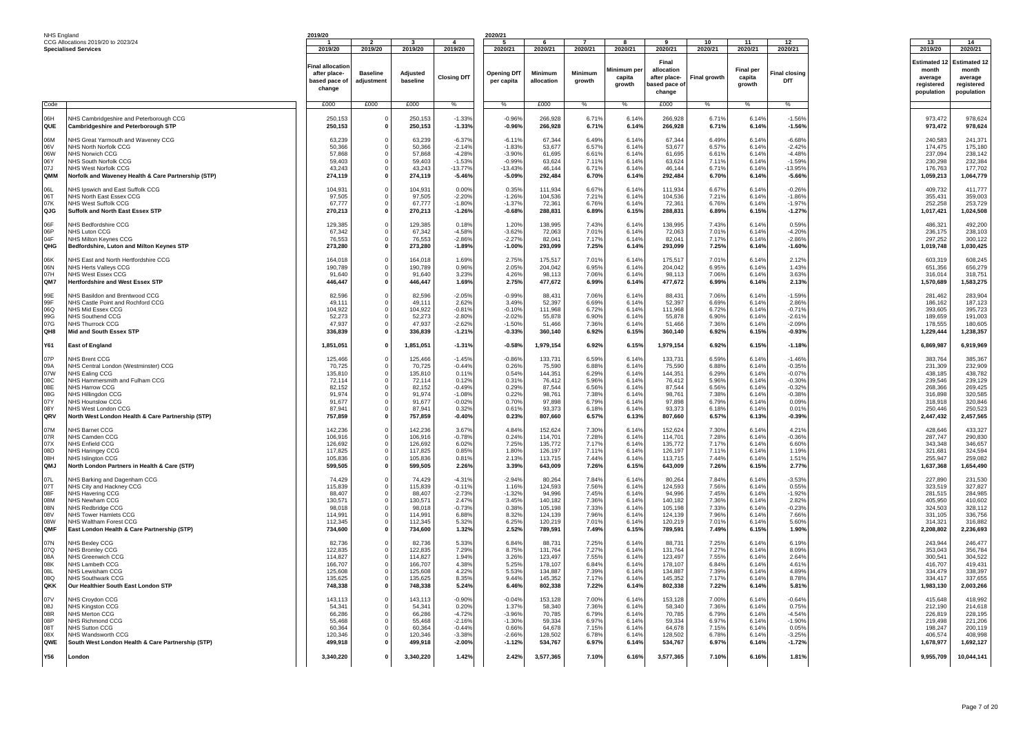| NHS England                                                 |                                                                                                                                                                                                                                                   | 2019/20                                                                                   |                                          |                                                                                           |                                                                                                 | 2020/21                                                                          |                                                                                           |                                                                               |                                                                               |                                                                                           |                                                                               |                                                                               |                                                                                                    |                                                                                                   |                                                                                                   |
|-------------------------------------------------------------|---------------------------------------------------------------------------------------------------------------------------------------------------------------------------------------------------------------------------------------------------|-------------------------------------------------------------------------------------------|------------------------------------------|-------------------------------------------------------------------------------------------|-------------------------------------------------------------------------------------------------|----------------------------------------------------------------------------------|-------------------------------------------------------------------------------------------|-------------------------------------------------------------------------------|-------------------------------------------------------------------------------|-------------------------------------------------------------------------------------------|-------------------------------------------------------------------------------|-------------------------------------------------------------------------------|----------------------------------------------------------------------------------------------------|---------------------------------------------------------------------------------------------------|---------------------------------------------------------------------------------------------------|
|                                                             | CCG Allocations 2019/20 to 2023/24                                                                                                                                                                                                                |                                                                                           |                                          |                                                                                           |                                                                                                 |                                                                                  |                                                                                           |                                                                               |                                                                               |                                                                                           | 10                                                                            | 11                                                                            | 12                                                                                                 | 13                                                                                                | 14                                                                                                |
|                                                             | <b>Specialised Services</b>                                                                                                                                                                                                                       | 2019/20<br>Final allocation<br>after place-<br>based pace of<br>change                    | 2019/20<br><b>Baseline</b><br>adjustment | 2019/20<br>Adjusted<br>baseline                                                           | 2019/20<br><b>Closing DfT</b>                                                                   | 2020/21<br><b>Opening DfT</b><br>per capita                                      | 2020/21<br><b>Minimum</b><br>allocation                                                   | 2020/21<br>Minimum<br>growth                                                  | 2020/21<br>Minimum pe<br>capita<br>arowth                                     | 2020/21<br>Final<br>allocation<br>after place-<br>pased pace of<br>change                 | 2020/21<br>Final growth                                                       | 2020/21<br><b>Final per</b><br>capita<br>growth                               | 2020/21<br>inal closing <sup>:</sup><br>DfT                                                        | 2019/20<br>Estimated *<br>month<br>average<br>reaistered<br>population                            | 2020/21<br><b>Estimated 12</b><br>month<br>average<br>reaistered<br>population                    |
| Code                                                        |                                                                                                                                                                                                                                                   | £000                                                                                      | £000                                     | £000                                                                                      | $\%$                                                                                            | $\frac{0}{6}$                                                                    | £000                                                                                      | $\%$                                                                          | $\%$                                                                          | £000                                                                                      | $\%$                                                                          | $\frac{1}{2}$                                                                 | $\%$                                                                                               |                                                                                                   |                                                                                                   |
| <b>Ha0</b><br>QUE                                           | NHS Cambridgeshire and Peterborough CCG<br>Cambridgeshire and Peterborough STP                                                                                                                                                                    | 250,153<br>250,153                                                                        |                                          | 250.153<br>250,153                                                                        | $-1.33%$<br>$-1.33%$                                                                            | $-0.96%$<br>$-0.96%$                                                             | 266,928<br>266,928                                                                        | 6.71%<br>6.71%                                                                | 6.149<br>6.14%                                                                | 266.928<br>266,928                                                                        | 6.71%<br>6.71%                                                                | 6.14%<br>6.14%                                                                | $-1.56%$<br>$-1.56%$                                                                               | 973,472<br>973,472                                                                                | 978,624<br>978,624                                                                                |
| M <sub>80</sub><br>06V<br>06W<br>06Y<br>07.1<br>QMM         | NHS Great Yarmouth and Waveney CCG<br>NHS North Norfolk CCG<br>NHS Norwich CCG<br>NHS South Norfolk CCG<br>NHS West Norfolk CCG<br>Norfolk and Waveney Health & Care Partnership (STP)                                                            | 63,239<br>50.366<br>57,868<br>59,403<br>43,243<br>274,119                                 |                                          | 63,239<br>50,366<br>57.86<br>59,403<br>43.243<br>274,119                                  | $-6.37%$<br>$-2.149$<br>$-4.289$<br>$-1.539$<br>$-13.77%$<br>$-5.46%$                           | $-6.119$<br>$-1.839$<br>$-3.90%$<br>$-0.99%$<br>$-13.43%$<br>$-5.09%$            | 67,344<br>53.677<br>61.69<br>63.624<br>46.144<br>292,484                                  | 6.49%<br>6.57%<br>6.61%<br>7.119<br>6.71%<br>6.70%                            | 6.14%<br>6.14%<br>6.14%<br>6.14%<br>6.14%<br>6.14%                            | 67.344<br>53.677<br>61.695<br>63,624<br>46.144<br>292,484                                 | 6.49%<br>6.57%<br>6.61%<br>7.11%<br>6.71%<br>6.70%                            | 6.14%<br>6.14%<br>6.14%<br>6.14%<br>6.14%<br>6.14%                            | $-6.68%$<br>$-2.429$<br>$-4.489$<br>$-1.59%$<br>$-13.95%$<br>$-5.66%$                              | 240,583<br>174.475<br>237.094<br>230.298<br>176,763<br>1,059,213                                  | 241,371<br>175.180<br>238.142<br>232,384<br>177,702<br>1,064,779                                  |
| 06L<br>06T<br>07K<br>QJG                                    | NHS Ipswich and East Suffolk CCG<br>NHS North East Essex CCG<br>NHS West Suffolk CCG<br>Suffolk and North East Essex STP                                                                                                                          | 104,931<br>97,505<br>67,777<br>270,213                                                    |                                          | 104,931<br>97.50<br>67,777<br>270,213                                                     | 0.00%<br>$-2.209$<br>$-1.80%$<br>$-1.26%$                                                       | 0.35%<br>$-1.269$<br>$-1.379$<br>$-0.68%$                                        | 111,934<br>104,536<br>72.361<br>288,831                                                   | 6.67%<br>7.219<br>6.76%<br>6.89%                                              | 6.14%<br>6.14%<br>6.14%<br>6.15%                                              | 111,934<br>104.536<br>72.361<br>288,831                                                   | 6.67%<br>7.21%<br>6.76%<br>6.89%                                              | 6.14%<br>6.14%<br>6.14%<br>6.15%                                              | $-0.26%$<br>$-1.869$<br>$-1.97%$<br>$-1.27%$                                                       | 409,732<br>355.431<br>252,258<br>1,017,421                                                        | 411,777<br>359,003<br>253,729<br>1,024,508                                                        |
| 06F<br>06P<br>04F<br>OHG                                    | NHS Bedfordshire CCG<br>NHS Luton CCG<br>NHS Milton Keynes CCG<br>Bedfordshire, Luton and Milton Keynes STP                                                                                                                                       | 129,385<br>67,342<br>76,553<br>273,280                                                    |                                          | 129,385<br>67,342<br>76.553<br>273,280                                                    | 0.18%<br>$-4.589$<br>$-2.86%$<br>$-1.89%$                                                       | 1.20%<br>$-3.62%$<br>$-2.27%$<br>$-1.00%$                                        | 138,995<br>72,063<br>82,041<br>293,099                                                    | 7.43%<br>7.01%<br>7.17%<br>7.25%                                              | 6.14%<br>6.14%<br>6.14%<br>6.14%                                              | 138,995<br>72,063<br>82,041<br>293,099                                                    | 7.43%<br>7.01%<br>7.17%<br>7.25%                                              | 6.14%<br>6.14%<br>6.14%<br>6.14%                                              | 0.59%<br>$-4.20%$<br>$-2.86%$<br>$-1.60%$                                                          | 486,321<br>236,175<br>297.252<br>1,019,748                                                        | 492,200<br>238,103<br>300.122<br>1,030,425                                                        |
| 06K<br>06N<br>07H<br>QM7                                    | NHS East and North Hertfordshire CCG<br>NHS Herts Valleys CCG<br>NHS West Essex CCG<br>Hertfordshire and West Essex STP                                                                                                                           | 164,018<br>190.789<br>91,640<br>446,447                                                   |                                          | 164,018<br>190,789<br>91,640<br>446,447                                                   | 1.69%<br>0.96%<br>3.23%<br>1.69%                                                                | 2.75%<br>2.05%<br>4.26%<br>2.75%                                                 | 175,517<br>204.042<br>98,113<br>477,672                                                   | 7.01%<br>6.95%<br>7.06%<br>6.99%                                              | 6.14%<br>6.14%<br>6.14%<br>6.14%                                              | 175.517<br>204.042<br>98,113<br>477,672                                                   | 7.01%<br>6.95%<br>7.06%<br>6.99%                                              | 6.14%<br>6.14%<br>6.14%<br>6.14%                                              | 2.12%<br>1.43%<br>3.63%<br>2.13%                                                                   | 603.319<br>651.356<br>316,014<br>1,570,689                                                        | 608.245<br>656,279<br>318,751<br>1,583,275                                                        |
| 99E<br>99F<br>06Q<br>99G<br>07G<br>QH8                      | NHS Basildon and Brentwood CCG<br>NHS Castle Point and Rochford CCG<br>NHS Mid Essex CCG<br>NHS Southend CCG<br><b>NHS Thurrock CCG</b><br>Mid and South Essex STP                                                                                | 82,596<br>49,111<br>104.922<br>52,273<br>47.937<br>336,839                                |                                          | 82,596<br>49,111<br>104,922<br>52,273<br>47.937<br>336,839                                | $-2.05%$<br>2.62%<br>$-0.819$<br>$-2.80%$<br>$-2.629$<br>$-1.21%$                               | $-0.99%$<br>3.49%<br>$-0.10%$<br>$-2.02%$<br>$-1.50%$<br>$-0.33%$                | 88,431<br>52,397<br>111.968<br>55,878<br>51.466<br>360,140                                | 7.06%<br>6.69%<br>6.72%<br>6.90%<br>7.36%<br>6.92%                            | 6.14%<br>6.14%<br>6.14%<br>6.14%<br>6.14%<br>6.15%                            | 88,431<br>52,397<br>111.968<br>55,878<br>51,466<br>360,140                                | 7.06%<br>6.69%<br>6.72%<br>6.90%<br>7.36%<br>6.92%                            | 6.14%<br>6.14%<br>6.14%<br>6.14%<br>6.14%<br>6.15%                            | $-1.59%$<br>2.86%<br>$-0.71%$<br>$-2.619$<br>$-2.09%$<br>$-0.93%$                                  | 281,462<br>186,162<br>393.605<br>189,659<br>178,555<br>1,229,444                                  | 283,904<br>187,123<br>395,723<br>191,003<br>180,605<br>1,238,357                                  |
| <b>Y61</b>                                                  | East of England                                                                                                                                                                                                                                   | 1,851,051                                                                                 |                                          | 1,851,051                                                                                 | $-1.31%$                                                                                        | $-0.58%$                                                                         | 1,979,154                                                                                 | 6.92%                                                                         | 6.15%                                                                         | 1,979,154                                                                                 | 6.92%                                                                         | 6.15%                                                                         | $-1.18%$                                                                                           | 6,869,987                                                                                         | 6,919,969                                                                                         |
| 07P<br>09A<br>07W<br>08C<br>08F<br>08G<br>07Y<br>08Y<br>ORV | NHS Brent CCG<br>NHS Central London (Westminster) CCG<br>NHS Ealing CCG<br>NHS Hammersmith and Fulham CCG<br>NHS Harrow CCG<br>NHS Hillingdon CCG<br>NHS Hounslow CCG<br>NHS West London CCG<br>North West London Health & Care Partnership (STP) | 125,466<br>70.725<br>135.810<br>72,114<br>82.152<br>91.974<br>91.677<br>87.941<br>757,859 |                                          | 125,466<br>70.725<br>135,810<br>72,114<br>82.152<br>91.974<br>91,677<br>87.941<br>757,859 | $-1.45%$<br>$-0.449$<br>0.11%<br>0.12%<br>$-0.499$<br>$-1.08%$<br>$-0.029$<br>0.329<br>$-0.40%$ | $-0.86%$<br>0.269<br>0.54%<br>0.31%<br>0.29%<br>0.22%<br>0.70%<br>0.61%<br>0.23% | 133,731<br>75.590<br>144,351<br>76,412<br>87.544<br>98.761<br>97,898<br>93.373<br>807,660 | 6.59%<br>6.88%<br>6.29%<br>5.96%<br>6.56%<br>7.38%<br>6.79%<br>6.18%<br>6.57% | 6.14%<br>6.14%<br>6.14%<br>6.14%<br>6.14%<br>6.14%<br>6.14%<br>6.14%<br>6.13% | 133,731<br>75.590<br>144.351<br>76,412<br>87.544<br>98.761<br>97,898<br>93.373<br>807,660 | 6.59%<br>6.88%<br>6.29%<br>5.96%<br>6.56%<br>7.38%<br>6.79%<br>6.18%<br>6.57% | 6.14%<br>6.14%<br>6.14%<br>6.14%<br>6.14%<br>6.14%<br>6.14%<br>6.14%<br>6.13% | $-1.46%$<br>$-0.35%$<br>$-0.07%$<br>$-0.30%$<br>$-0.32%$<br>$-0.38%$<br>0.09%<br>0.01%<br>$-0.39%$ | 383,764<br>231.309<br>438.185<br>239,546<br>268.366<br>316,898<br>318,918<br>250.446<br>2,447,432 | 385,367<br>232.909<br>438,782<br>239,129<br>269.425<br>320,585<br>320.846<br>250,523<br>2,457,565 |
| 07M<br>07R<br>07X<br>08D<br>08H<br>QMJ                      | NHS Barnet CCG<br>NHS Camden CCG<br>NHS Enfield CCG<br><b>NHS Haringey CCG</b><br><b>NHS Islinaton CCG</b><br>North London Partners in Health & Care (STP)                                                                                        | 142.236<br>106.916<br>126,692<br>117.825<br>105.836<br>599,505                            |                                          | 142.236<br>106,916<br>126,692<br>117.825<br>105.83<br>599,505                             | 3.67%<br>$-0.789$<br>6.02%<br>0.85%<br>0.819<br>2.26%                                           | 4.84%<br>0.24%<br>7.25%<br>1.80%<br>2.13%<br>3.39%                               | 152.624<br>114,701<br>135,772<br>126.197<br>113,715<br>643.009                            | 7.30%<br>7.28%<br>7.179<br>7.11%<br>7.44%<br>7.26%                            | 6.14%<br>6.14%<br>6.14%<br>6.14%<br>6.14%<br>6.15%                            | 152.624<br>114.701<br>135,772<br>126.197<br>113.715<br>643.009                            | 7.30%<br>7.28%<br>7.17%<br>7.11%<br>7.44%<br>7.26%                            | 6.14%<br>6.14%<br>6.14%<br>6.14%<br>6.14%<br>6.15%                            | 4.21%<br>$-0.36%$<br>6.60%<br>1.19%<br>1.51%<br>2.77%                                              | 428.646<br>287,747<br>343,348<br>321.681<br>255.947<br>1,637,368                                  | 433.327<br>290,830<br>346,657<br>324.594<br>259,082<br>1,654,490                                  |
| 07L<br>07T<br>08F<br>08M<br>08N<br>08V<br>08W<br>OMF        | NHS Barking and Dagenham CCG<br>NHS City and Hackney CCG<br><b>NHS Havering CCG</b><br>NHS Newham CCG<br>NHS Redbridge CCG<br><b>NHS Tower Hamlets CCG</b><br>NHS Waltham Forest CCG<br>East London Health & Care Partnership (STP)               | 74.429<br>115,839<br>88.407<br>130,571<br>98,018<br>114.991<br>112,345<br>734,600         |                                          | 74.42<br>115,839<br>88.407<br>130,571<br>98.01<br>114,991<br>112,345<br>734,600           | $-4.319$<br>$-0.119$<br>$-2.739$<br>$2.47^{\circ}$<br>$-0.739$<br>6.88%<br>5.32%<br>1.32%       | $-2.94%$<br>1.16%<br>$-1.329$<br>3.45%<br>0.38%<br>8.32%<br>6.25%<br>2.52%       | 80,264<br>124,593<br>94.996<br>140.182<br>105,198<br>124.139<br>120.219<br>789,591        | 7.84%<br>7.56%<br>7.45%<br>7.36%<br>7.33%<br>7.96%<br>7.01%<br>7.49%          | 6.14%<br>6.14%<br>6.14%<br>6.14%<br>6.14%<br>6.14%<br>6.14%<br>6.15%          | 80.264<br>124,593<br>94.996<br>140,182<br>105,198<br>124.139<br>120.219<br>789.591        | 7.84%<br>7.56%<br>7.45%<br>7.36%<br>7.33%<br>7.96%<br>7.01%<br>7.49%          | 6.14%<br>6.14%<br>6.14%<br>6.14%<br>6.14%<br>6.14%<br>6.14%<br>6.15%          | $-3.53%$<br>0.55%<br>$-1.929$<br>2.82%<br>$-0.23%$<br>7.66%<br>5.60%<br>1.90%                      | 227,890<br>323,519<br>281.515<br>405.950<br>324,503<br>331.105<br>314.321<br>2,208,802            | 231,530<br>327,827<br>284.985<br>410,602<br>328,112<br>336,756<br>316,882<br>2,236,693            |
| 07N<br>07Q<br>08A<br>08K<br>180<br>080<br>OKK               | NHS Bexley CCG<br>NHS Bromlev CCG<br>NHS Greenwich CCC<br>NHS Lambeth CCG<br>NHS Lewisham CCG<br>NHS Southwark CCG<br>Our Healthier South East London STP                                                                                         | 82.736<br>122,835<br>114.827<br>166,707<br>125,608<br>135,625<br>748,338                  |                                          | 82.73<br>122,835<br>114,827<br>166,707<br>125,608<br>135,625<br>748,338                   | 5.339<br>7.29%<br>1.94%<br>4.389<br>4.22%<br>8.35%<br>5.24%                                     | 6.84%<br>8.75%<br>3.26%<br>5.25%<br>5.53%<br>9.44%<br>6.46%                      | 88.73<br>131,764<br>123,497<br>178,107<br>134,887<br>145,352<br>802,338                   | 7.25%<br>7.27%<br>7.55%<br>6.84%<br>7.39%<br>7.17%<br>7.22%                   | 6.14%<br>6.14%<br>6.14%<br>6.14%<br>6.14%<br>6.14%<br>6.14%                   | 88.73<br>131,764<br>123,497<br>178,107<br>134,887<br>145,352<br>802,338                   | 7.25%<br>7.27%<br>7.55%<br>6.84%<br>7.39%<br>7.17%<br>7.22%                   | 6.14%<br>6.14%<br>6.14%<br>6.14%<br>6.14%<br>6.14%<br>6.14%                   | 6.19%<br>8.09%<br>2.64%<br>4.61%<br>4.89%<br>8.78%<br>5.81%                                        | 243.944<br>353,043<br>300,541<br>416.707<br>334,479<br>334.417<br>1,983,130                       | 246,477<br>356,784<br>304,522<br>419.431<br>338,397<br>337,655<br>2,003,266                       |
| 07V<br>08J<br>08R<br>08P<br>08T<br>08X<br>QWE               | NHS Croydon CCG<br>NHS Kingston CCG<br>NHS Merton CCG<br>NHS Richmond CCG<br>NHS Sutton CCG<br>NHS Wandsworth CCG<br>South West London Health & Care Partnership (STP)                                                                            | 143,113<br>54.341<br>66.286<br>55.468<br>60.364<br>120.346<br>499,918                     |                                          | 143,113<br>54.34<br>66,286<br>55,468<br>60.36<br>120.346<br>499,918                       | $-0.90%$<br>0.20%<br>$-4.729$<br>$-2.16%$<br>$-0.449$<br>$-3.389$<br>$-2.00%$                   | $-0.04%$<br>1.37%<br>$-3.96%$<br>$-1.30%$<br>0.66%<br>$-2.66%$<br>$-1.12%$       | 153,128<br>58,340<br>70.785<br>59,334<br>64,678<br>128.502<br>534,767                     | 7.00%<br>7.36%<br>6.79%<br>6.97%<br>7.15%<br>6.78%<br>6.97%                   | 6.14%<br>6.14%<br>6.14%<br>6.14%<br>6.14%<br>6.14%<br>6.14%                   | 153,128<br>58.340<br>70.785<br>59,334<br>64.678<br>128.502<br>534,767                     | 7.00%<br>7.36%<br>6.79%<br>6.97%<br>7.15%<br>6.78%<br>6.97%                   | 6.14%<br>6.14%<br>6.14%<br>6.14%<br>6.14%<br>6.14%<br>6.14%                   | $-0.64%$<br>0.75%<br>$-4.54%$<br>$-1.90%$<br>0.05%<br>$-3.25%$<br>$-1.72%$                         | 415,648<br>212,190<br>226.819<br>219,498<br>198.247<br>406.574<br>1,678,977                       | 418,992<br>214.618<br>228.195<br>221,206<br>200.119<br>408.998<br>1,692,127                       |
| Y56                                                         | London                                                                                                                                                                                                                                            | 3,340,220                                                                                 |                                          | 3,340,220                                                                                 | 1.42%                                                                                           | 2.42%                                                                            | 3,577,365                                                                                 | 7.10%                                                                         | 6.16%                                                                         | 3,577,365                                                                                 | 7.10%                                                                         | 6.16%                                                                         | 1.81%                                                                                              | 9,955,709                                                                                         | 10,044,141                                                                                        |
|                                                             |                                                                                                                                                                                                                                                   |                                                                                           |                                          |                                                                                           |                                                                                                 |                                                                                  |                                                                                           |                                                                               |                                                                               |                                                                                           |                                                                               |                                                                               |                                                                                                    |                                                                                                   |                                                                                                   |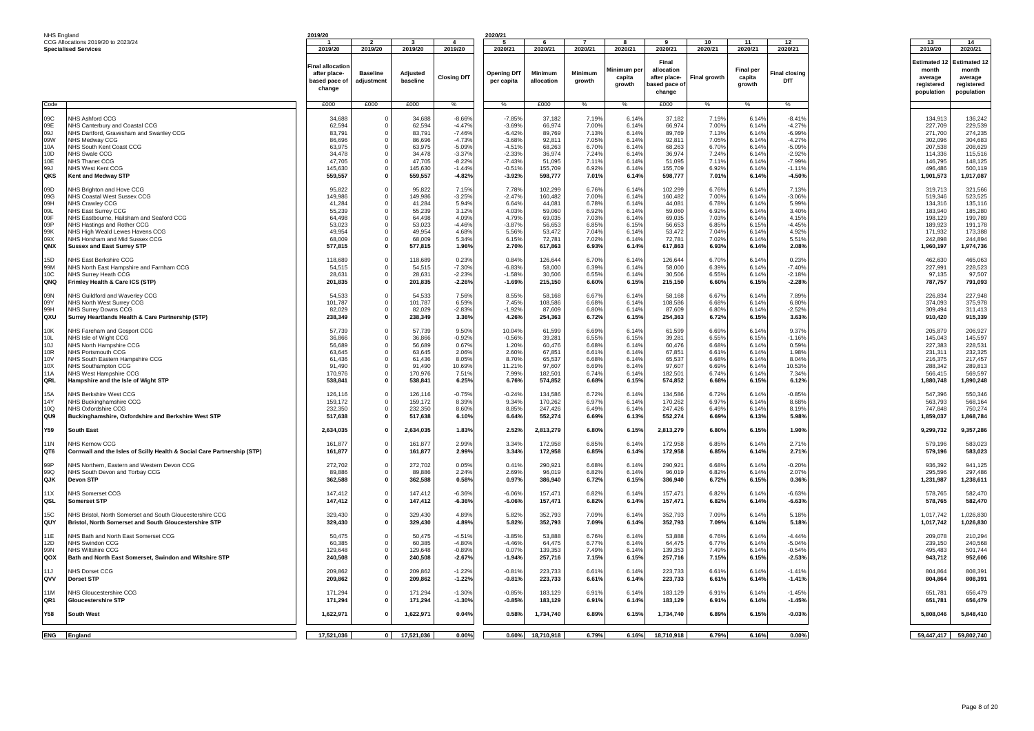|                 | NHS England                                                             | 2019/20           |                          |                  |                      | 2020/21              |                  |                |                       |                            |                |                            |                      |                     |                              |
|-----------------|-------------------------------------------------------------------------|-------------------|--------------------------|------------------|----------------------|----------------------|------------------|----------------|-----------------------|----------------------------|----------------|----------------------------|----------------------|---------------------|------------------------------|
|                 | CCG Allocations 2019/20 to 2023/24<br><b>Specialised Services</b>       | 2019/20           | 2019/20                  | 2019/20          | 2019/20              | 2020/21              | 2020/21          | 2020/21        | 2020/21               | 2020/21                    | 10<br>2020/21  | 11<br>2020/21              | 12<br>2020/21        | 13<br>2019/20       | 14<br>2020/21                |
|                 |                                                                         |                   |                          |                  |                      |                      |                  |                |                       |                            |                |                            |                      |                     |                              |
|                 |                                                                         | inal allocation   |                          |                  |                      |                      |                  |                |                       | Final                      |                |                            |                      | <b>Estimated 12</b> | <b>Estimated 1:</b><br>month |
|                 |                                                                         | after place-      | <b>Baseline</b>          | <b>Adjusted</b>  | <b>Closing DfT</b>   | <b>Opening DfT</b>   | Minimum          | <b>Minimum</b> | Minimum per<br>capita | allocation<br>after place- | Final growth   | <b>Final per</b><br>capita | <b>Final closing</b> | month<br>average    | average                      |
|                 |                                                                         | based pace of     | adjustment               | baseline         |                      | per capita           | allocation       | growth         | arowth                | ased pace of               |                | growth                     | DfT                  | registered          | registered                   |
|                 |                                                                         | change            |                          |                  |                      |                      |                  |                |                       | change                     |                |                            |                      | population          | population                   |
| Code            |                                                                         | £000              | £000                     | £000             | %                    | $\%$                 | £000             | $\%$           | $\%$                  | £000                       | %              | $\%$                       | $\%$                 |                     |                              |
|                 |                                                                         |                   |                          |                  |                      |                      |                  |                |                       |                            |                |                            |                      |                     |                              |
| 09C             | NHS Ashford CCG                                                         | 34,688            | $^{\circ}$               | 34.688           | $-8.66%$             | $-7.85%$             | 37,182           | 7.19%          | 6.14%                 | 37,182                     | 7.19%          | 6.14%                      | $-8.41$              | 134.913             | 136,242                      |
| 09E             | NHS Canterbury and Coastal CCG                                          | 62,594            | $\Omega$                 | 62,594           | $-4.47%$             | $-3.69%$             | 66,974           | 7.00%          | 6.14%                 | 66,974                     | 7.00%          | 6.14%                      | $-4.279$             | 227,709             | 229.539                      |
| 09J             | NHS Dartford, Gravesham and Swanley CCG                                 | 83,791            | $^{\circ}$               | 83,791           | $-7.46%$             | $-6.42%$             | 89,769           | 7.13%          | 6.14%                 | 89.769                     | 7.13%          | 6.14%                      | $-6.99%$             | 271,700             | 274,235                      |
| 09W<br>10A      | NHS Medway CCG<br>NHS South Kent Coast CCG                              | 86,696<br>63,975  | $\Omega$                 | 86,696<br>63,975 | $-4.73%$<br>$-5.09%$ | $-3.68%$<br>$-4.51%$ | 92,811<br>68,263 | 7.05%<br>6.70% | 6.14%<br>6.14%        | 92,811<br>68,263           | 7.05%<br>6.70% | 6.14%<br>6.14%             | $-4.279$<br>$-5.09%$ | 302,096<br>207.538  | 304,683<br>208,629           |
| 10D             | NHS Swale CCG                                                           | 34,478            |                          | 34,478           | $-3.37%$             | $-2.33%$             | 36,974           | 7.24%          | 6.14%                 | 36,974                     | 7.24%          | 6.14%                      | $-2.92%$             | 114,336             | 115,516                      |
| 10E             | NHS Thanet CCG                                                          | 47.705            | $\Omega$                 | 47.705           | $-8.22%$             | $-7.43%$             | 51,095           | 7.11%          | 6.14%                 | 51,095                     | 7.11%          | 6.14%                      | $-7.99%$             | 146.795             | 148,125                      |
| 99J             | NHS West Kent CCC                                                       | 145.630           | $^{\circ}$               | 145.630          | $-1.44%$             | $-0.51%$             | 155,709          | 6.92%          | 6.14%                 | 155,709                    | 6.92%          | 6.14%                      | $-1.119$             | 496.486             | 500,119                      |
| QKS             | Kent and Medway STP                                                     | 559,557           | $\Omega$                 | 559,557          | $-4.82%$             | $-3.92%$             | 598,777          | 7.01%          | 6.14%                 | 598,777                    | 7.01%          | 6.14%                      | $-4.50%$             | 1,901,573           | 1,917,087                    |
| 09D             | NHS Brighton and Hove CCG                                               | 95,822            | $\Omega$                 | 95,822           | 7.15%                | 7.78%                | 102,299          | 6.76%          | 6.14%                 | 102,299                    | 6.76%          | 6.14%                      | 7.13%                | 319.713             | 321,566                      |
| 09G             | NHS Coastal West Sussex CCG                                             | 149.986           |                          | 149,986          | $-3.25%$             | $-2.47%$             | 160,482          | 7.00%          | 6.14%                 | 160,482                    | 7.00%          | 6.14%                      | $-3.06%$             | 519.346             | 523.525                      |
| 09H             | <b>NHS Crawley CCG</b>                                                  | 41,284            |                          | 41.284           | 5.94%                | 6.64%                | 44.081           | 6.78%          | 6.14%                 | 44,081                     | 6.78%          | 6.14%                      | 5.99%                | 134.316             | 135.116                      |
| 09L             | NHS East Surrey CCG                                                     | 55,239            |                          | 55,239           | 3.12%                | 4.03%                | 59,060           | 6.92%          | 6.14%                 | 59,060                     | 6.92%          | 6.14%                      | 3.40%                | 183.940             | 185.280                      |
| 09F<br>0.9P     | NHS Eastbourne, Hailsham and Seaford CCG                                | 64.498            | $\Omega$                 | 64.498           | 4.09%                | 4.79%                | 69.035           | 7.03%          | 6.14%                 | 69,035                     | 7.03%          | 6.14%                      | 4.15%                | 198.129             | 199.789                      |
| 99K             | NHS Hastings and Rother CCG                                             | 53,023<br>49,954  | $\Omega$                 | 53,023<br>49.954 | $-4.46%$<br>4.68%    | $-3.87%$             | 56,653           | 6.85%<br>7.04% | 6.15%<br>6.14%        | 56,653                     | 6.85%<br>7.04% | 6.15%<br>6.14%             | $-4.45%$             | 189,923<br>171,932  | 191,178<br>173,388           |
| 09X             | NHS High Weald Lewes Havens CCG<br>NHS Horsham and Mid Sussex CCG       | 68,009            | $^{\circ}$               | 68,009           | 5.34%                | 5.56%<br>6.15%       | 53,472<br>72,781 | 7.02%          | 6.14%                 | 53,472<br>72,781           | 7.02%          | 6.14%                      | 4.92%<br>5.51%       | 242,898             | 244,894                      |
| QNX             | <b>Sussex and East Surrey STP</b>                                       | 577,815           | $\Omega$                 | 577,815          | 1.96%                | 2.70%                | 617,863          | 6.93%          | 6.14%                 | 617,863                    | 6.93%          | 6.14%                      | 2.08%                | 1,960,197           | 1,974,736                    |
|                 |                                                                         |                   |                          |                  |                      |                      |                  |                |                       |                            |                |                            |                      |                     |                              |
| 15D             | NHS Fast Berkshire CCG                                                  | 118,689           | $\Omega$                 | 118,689          | 0.23%                | 0.84%                | 126.644          | 6.70%          | 6.14%                 | 126,644                    | 6.70%          | 6.14%                      | 0.23%                | 462.630             | 465.063                      |
| 99M             | NHS North East Hampshire and Farnham CCG                                | 54,515            | $^{\circ}$               | 54.515           | $-7.30%$             | $-6.83%$             | 58,000           | 6.39%          | 6.14%                 | 58,000                     | 6.39%          | 6.14%                      | $-7.40%$             | 227,991             | 228,523                      |
| 10C<br>QNQ      | NHS Surrey Heath CCG                                                    | 28.631<br>201,835 | $\Omega$<br>$\mathbf 0$  | 28.631           | $-2.23%$<br>$-2.26%$ | $-1.58%$<br>$-1.69%$ | 30,506           | 6.55%<br>6.60% | 6.14%<br>6.15%        | 30,506                     | 6.55%<br>6.60% | 6.14%                      | $-2.18%$<br>$-2.28%$ | 97.135<br>787,757   | 97.507<br>791,093            |
|                 | Frimley Health & Care ICS (STP)                                         |                   |                          | 201,835          |                      |                      | 215,150          |                |                       | 215,150                    |                | 6.15%                      |                      |                     |                              |
| 09N             | NHS Guildford and Waverley CCG                                          | 54,533            | $^{\circ}$               | 54,533           | 7.56%                | 8.55%                | 58,168           | 6.67%          | 6.14%                 | 58,168                     | 6.67%          | 6.14%                      | 7.89%                | 226,834             | 227,948                      |
| 09Y             | NHS North West Surrey CCG                                               | 101,787           | $\overline{0}$           | 101,787          | 6.59%                | 7.45%                | 108,586          | 6.68%          | 6.14%                 | 108,586                    | 6.68%          | 6.14%                      | 6.80%                | 374,093             | 375,978                      |
| 99H             | NHS Surrey Downs CCG                                                    | 82,029            | $\Omega$                 | 82,029           | $-2.83%$             | $-1.92%$             | 87,609           | 6.80%          | 6.14%                 | 87,609                     | 6.80%          | 6.14%                      | $-2.52%$             | 309,494             | 311,413                      |
| QXU             | Surrey Heartlands Health & Care Partnership (STP)                       | 238,349           |                          | 238,349          | 3.36%                | 4.26%                | 254,363          | 6.72%          | 6.15%                 | 254,363                    | 6.72%          | 6.15%                      | 3.63%                | 910,420             | 915,339                      |
| 10K             | NHS Fareham and Gosport CCG                                             | 57,739            | $^{\circ}$               | 57,739           | 9.50%                | 10.04%               | 61,599           | 6.69%          | 6.14%                 | 61,599                     | 6.69%          | 6.14%                      | 9.37%                | 205,879             | 206,927                      |
| 10L             | NHS Isle of Wight CCG                                                   | 36,866            |                          | 36,866           | $-0.92%$             | $-0.56%$             | 39,281           | 6.55%          | 6.15%                 | 39,281                     | 6.55%          | 6.15%                      | $-1.169$             | 145.043             | 145,597                      |
| 10J             | NHS North Hampshire CCG                                                 | 56,689            | $^{\circ}$               | 56,689           | 0.67%                | 1.20%                | 60,476           | 6.68%          | 6.14%                 | 60,476                     | 6.68%          | 6.14%                      | 0.59%                | 227,383             | 228,531                      |
| 10 <sub>R</sub> | <b>NHS Portsmouth CCG</b>                                               | 63.645            | $\Omega$                 | 63.645           | 2.06%                | 2.60%                | 67.851           | 6.61%          | 6.14%                 | 67,851                     | 6.61%          | 6.14%                      | 1.98%                | 231.311             | 232,325                      |
| 10V             | <b>NHS South Eastern Hampshire CCG</b>                                  | 61,436            | $\Omega$                 | 61,436           | 8.05%                | 8.70%                | 65,537           | 6.68%          | 6.14%                 | 65,537                     | 6.68%          | 6.14%                      | 8.04%                | 216,375             | 217.457                      |
| 10X             | NHS Southampton CCG                                                     | 91.490            | $^{\circ}$               | 91.490           | 10.69%               | 11.21%               | 97,607           | 6.69%          | 6.14%                 | 97,607                     | 6.69%          | 6.14%                      | 10.53%               | 288,342             | 289.813                      |
| 11A             | NHS West Hampshire CCG                                                  | 170,976           | $\Omega$<br>$\mathbf{0}$ | 170,976          | 7.51%                | 7.99%                | 182,501          | 6.74%          | 6.14%                 | 182,501                    | 6.74%          | 6.14%                      | 7.34%                | 566,415             | 569.597                      |
| QRL             | Hampshire and the Isle of Wight STP                                     | 538,841           |                          | 538,841          | 6.25%                | 6.76%                | 574,852          | 6.68%          | 6.15%                 | 574,852                    | 6.68%          | 6.15%                      | 6.12%                | 1,880,748           | 1,890,248                    |
| 15A             | NHS Berkshire West CCG                                                  | 126,116           | $^{\circ}$               | 126,116          | $-0.75%$             | $-0.24%$             | 134,586          | 6.72%          | 6.14%                 | 134,586                    | 6.72%          | 6.14%                      | $-0.85%$             | 547.396             | 550,346                      |
| 14Y             | NHS Buckinghamshire CCG                                                 | 159,172           | $\overline{0}$           | 159,172          | 8.39%                | 9.34%                | 170,262          | 6.97%          | 6.14%                 | 170,262                    | 6.97%          | 6.14%                      | 8.68%                | 563,793             | 568.164                      |
| 100             | NHS Oxfordshire CCG                                                     | 232.350           | $\Omega$                 | 232.350          | 8.60%                | 8.85%                | 247.426          | 6.49%          | 6.14%                 | 247.426                    | 6.49%          | 6.14%                      | 8.19%                | 747.848             | 750.274                      |
| QU9             | Buckinghamshire, Oxfordshire and Berkshire West STP                     | 517,638           | $\mathbf{0}$             | 517,638          | 6.10%                | 6.64%                | 552,274          | 6.69%          | 6.13%                 | 552,274                    | 6.69%          | 6.13%                      | 5.98%                | 1,859,037           | 1,868,784                    |
| <b>Y59</b>      | South East                                                              | 2,634,035         | $\mathbf{0}$             | 2,634,035        | 1.83%                | 2.52%                | 2,813,279        | 6.80%          | 6.15%                 | 2,813,279                  | 6.80%          | 6.15%                      | 1.90%                | 9,299,732           | 9,357,286                    |
|                 |                                                                         |                   |                          |                  |                      |                      |                  |                |                       |                            |                |                            |                      |                     |                              |
| 11N             | <b>VHS Kernow CCG</b>                                                   | 161,877           | $^{\circ}$               | 161,877          | 2.99%                | 3.34%                | 172,958          | 6.85%          | 6.14%                 | 172,958                    | 6.85%          | 6.14%                      | 2.71%                | 579.196             | 583,023                      |
| QT <sub>6</sub> | Cornwall and the Isles of Scilly Health & Social Care Partnership (STP) | 161,877           |                          | 161,877          | 2.99%                | 3.34%                | 172,958          | 6.85%          | 6.14%                 | 172,958                    | 6.85%          | 6.14%                      | 2.71%                | 579.196             | 583,023                      |
| 99P             | <b>NHS Northern, Eastern and Western Devon CCG</b>                      | 272.702           | $\Omega$                 | 272.702          | 0.05%                | 0.41%                | 290.921          | 6.68%          | 6.14%                 | 290.921                    | 6.68%          | 6.14%                      | $-0.20%$             | 936.392             | 941,125                      |
| 99Q             | NHS South Devon and Torbay CCG                                          | 89,886            |                          | 89,886           | 2.24%                | 2.69%                | 96,019           | 6.82%          | 6.14%                 | 96,019                     | 6.82%          | 6.14%                      | 2.07%                | 295,596             | 297,486                      |
| QJK             | Devon STP                                                               | 362,588           | $\Omega$                 | 362,588          | 0.58%                | 0.97%                | 386,940          | 6.72%          | 6.15%                 | 386,940                    | 6.72%          | 6.15%                      | 0.36%                | 1,231,987           | 1,238,611                    |
| 11X             | NHS Somerset CCG                                                        | 147,412           | $\Omega$                 | 147,412          | $-6.36%$             | $-6.06%$             | 157,471          | 6.82%          | 6.14%                 | 157,471                    | 6.82%          | 6.14%                      | $-6.63%$             | 578,765             | 582,470                      |
| QSL             | <b>Somerset STP</b>                                                     | 147,412           | $\mathbf{0}$             | 147,412          | $-6.36%$             | $-6.06%$             | 157,471          | 6.82%          | 6.14%                 | 157,471                    | 6.82%          | 6.14%                      | $-6.63%$             | 578,765             | 582,470                      |
|                 |                                                                         |                   |                          |                  |                      |                      |                  |                |                       |                            |                |                            |                      |                     |                              |
| 15C             | NHS Bristol, North Somerset and South Gloucestershire CCG               | 329,430           | $^{\circ}$               | 329,430          | 4.89%                | 5.82%                | 352,793          | 7.09%          | 6.14%                 | 352,793                    | 7.09%          | 6.14%                      | 5.18%                | 1.017.742           | 1,026,830                    |
| QUY             | Bristol, North Somerset and South Gloucestershire STP                   | 329,430           | $\Omega$                 | 329,430          | 4.89%                | 5.82%                | 352,793          | 7.09%          | 6.14%                 | 352,793                    | 7.09%          | 6.14%                      | 5.18%                | 1,017,742           | 1,026,830                    |
| 11F             | NHS Bath and North East Somerset CCG                                    | 50,475            | $\Omega$                 | 50.475           | $-4.51%$             | $-3.85%$             | 53,888           | 6.76%          | 6.14%                 | 53,888                     | 6.76%          | 6.14%                      | $-4.44%$             | 209.078             | 210.294                      |
| 12D             | NHS Swindon CCG                                                         | 60,385            | $\Omega$                 | 60.385           | $-4.80%$             | $-4.46%$             | 64,475           | 6.77%          | 6.14%                 | 64,475                     | 6.77%          | 6.14%                      | $-5.04%$             | 239.150             | 240,568                      |
| 99N             | NHS Wiltshire CCG                                                       | 129,648           | $^{\circ}$               | 129,648          | $-0.89%$             | 0.07%                | 139,353          | 7.49%          | 6.14%                 | 139,353                    | 7.49%          | 6.14%                      | $-0.54%$             | 495,483             | 501,744                      |
| QOX             | Bath and North East Somerset, Swindon and Wiltshire STP                 | 240,508           | $\mathbf 0$              | 240,508          | $-2.67%$             | $-1.94%$             | 257,716          | 7.15%          | 6.15%                 | 257,716                    | 7.15%          | 6.15%                      | $-2.53%$             | 943,712             | 952,606                      |
|                 |                                                                         |                   |                          |                  |                      |                      |                  |                |                       |                            |                |                            |                      |                     |                              |
| 11.1            | <b>VHS Dorset CCG</b>                                                   | 209,862           | $\Omega$                 | 209,862          | $-1.22%$             | $-0.81%$             | 223,733          | 6.61%          | 6.14%                 | 223,733                    | 6.61%          | 6.14%                      | $-1.41%$             | 804.864             | 808,391                      |
| ovv             | <b>Dorset STP</b>                                                       | 209,862           | $\Omega$                 | 209,862          | $-1.22%$             | $-0.81%$             | 223,733          | 6.61%          | 6.14%                 | 223,733                    | 6.61%          | 6.14%                      | $-1.41%$             | 804,864             | 808,391                      |
| 11M             | NHS Gloucestershire CCG                                                 | 171,294           | $^{\circ}$               | 171,294          | $-1.30%$             | $-0.85%$             | 183,129          | 6.91%          | 6.14%                 | 183,129                    | 6.91%          | 6.14%                      | $-1.45%$             | 651,781             | 656,479                      |
| QR1             | <b>Gloucestershire STP</b>                                              | 171,294           |                          | 171,294          | $-1.30%$             | $-0.85%$             | 183,129          | 6.91%          | 6.14%                 | 183,129                    | 6.91%          | 6.14%                      | $-1.45%$             | 651,781             | 656,479                      |
|                 |                                                                         |                   |                          |                  |                      |                      |                  |                |                       |                            |                |                            |                      |                     |                              |
| <b>Y58</b>      | <b>South West</b>                                                       | 1,622,971         | $\mathbf{0}$             | 1,622,971        | 0.04%                | 0.58%                | 1,734,740        | 6.89%          | 6.15%                 | 1,734,740                  | 6.89%          | 6.15%                      | $-0.03%$             | 5,808,046           | 5,848,410                    |
|                 |                                                                         |                   |                          |                  |                      |                      |                  |                |                       |                            |                |                            |                      |                     |                              |
|                 | <b>ENG</b> England                                                      | 17,521,036        |                          | 0 17,521,036     | 0.00%                |                      | 0.60% 18,710,918 | 6.79%          |                       | 6.16% 18,710,918           | 6.79%          | 6.16%                      | 0.00%                |                     | 59,447,417   59,802,740      |

**Estimated 12 month average registered population**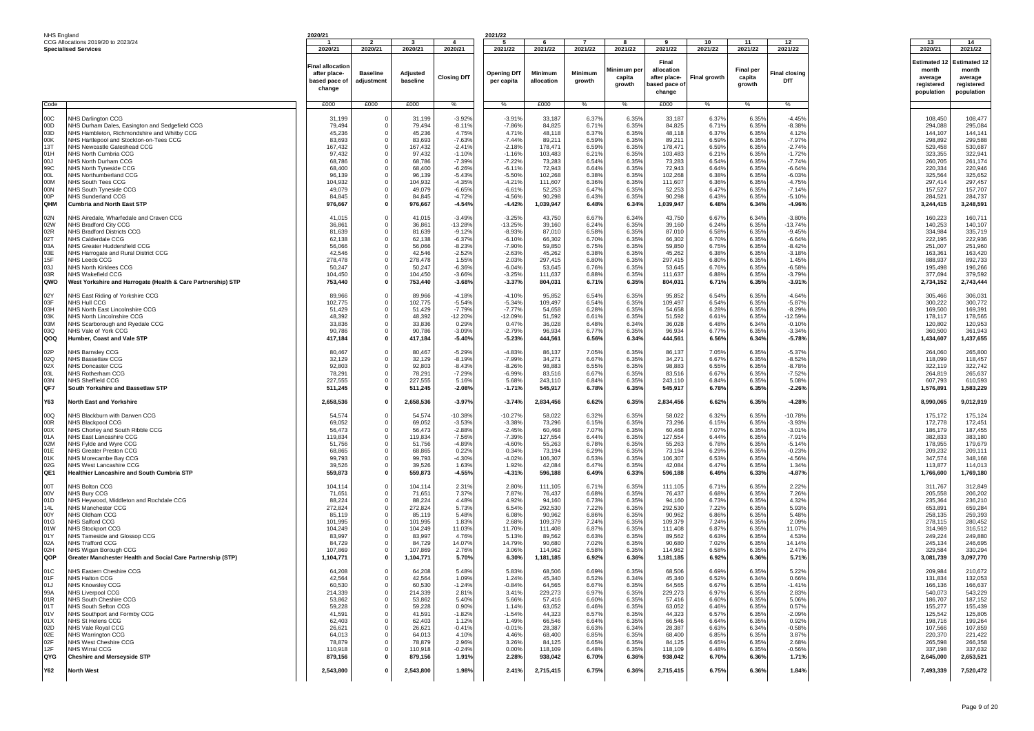| NHS England |                                                              | 2020/21           |                         |                  |                      | 2021/22              |                  |                |                |                  |                     |                  |                      |                    |                     |
|-------------|--------------------------------------------------------------|-------------------|-------------------------|------------------|----------------------|----------------------|------------------|----------------|----------------|------------------|---------------------|------------------|----------------------|--------------------|---------------------|
|             | CCG Allocations 2019/20 to 2023/24                           |                   | $\overline{\mathbf{2}}$ |                  | $\overline{a}$       | - 5                  |                  |                | 8              | -9               | 10                  | 11               | 12                   | 13                 | 14                  |
|             | <b>Specialised Services</b>                                  | 2020/21           | 2020/21                 | 2020/21          | 2020/21              | 2021/22              | 2021/22          | 2021/22        | 2021/22        | 2021/22          | 2021/22             | 2021/22          | 2021/22              | 2020/21            | 2021/22             |
|             |                                                              |                   |                         |                  |                      |                      |                  |                |                |                  |                     |                  |                      |                    |                     |
|             |                                                              | Final allocatio   |                         |                  |                      |                      |                  |                |                | Final            |                     |                  |                      | <b>Estimated ·</b> | <b>Estimated 12</b> |
|             |                                                              | after place-      | <b>Baseline</b>         | Adjusted         |                      | <b>Opening DfT</b>   | Minimum          | Minimum        | Minimum pe     | allocation       |                     | <b>Final per</b> | <b>Final closing</b> | month              | month               |
|             |                                                              | based pace of     | adjustment              | baseline         | <b>Closing DfT</b>   | per capita           | allocation       | growth         | capita         | after place-     | <b>Final growth</b> | capita           | DfT                  | average            | average             |
|             |                                                              | change            |                         |                  |                      |                      |                  |                | growth         | ased pace of     |                     | growth           |                      | registered         | registered          |
|             |                                                              |                   |                         |                  |                      |                      |                  |                |                | change           |                     |                  |                      | population         | population          |
|             |                                                              |                   | £000                    |                  | $\%$                 |                      |                  |                | %              |                  | %                   |                  | %                    |                    |                     |
| Code        |                                                              | £000              |                         | £000             |                      | %                    | £000             | %              |                | £000             |                     | %                |                      |                    |                     |
| 00C         | <b>NHS Darlington CCG</b>                                    | 31,199            |                         | 31,199           | $-3.92%$             | $-3.919$             | 33,187           | 6.379          | 6.35%          | 33,187           | 6.37%               | 6.35%            | $-4.45%$             | 108,450            | 108,477             |
| 00D         | NHS Durham Dales, Easington and Sedgefield CCG               | 79,494            |                         | 79,494           | $-8.11%$             | $-7.86%$             | 84,825           | 6.71%          | 6.35%          | 84,825           | 6.71%               | 6.35%            | $-8.38%$             | 294,088            | 295,084             |
| 03D         | NHS Hambleton, Richmondshire and Whitby CCG                  | 45,236            |                         | 45,236           | 4.75%                | 4.71%                | 48,118           | 6.37%          | 6.35%          | 48,118           | 6.37%               | 6.35%            | 4.12%                | 144,107            | 144,141             |
| 00K         | NHS Hartlepool and Stockton-on-Tees CCG                      | 83,693            |                         | 83,693           | $-7.63%$             | $-7.44%$             | 89,211           | 6.59%          | 6.35%          | 89,211           | 6.59%               | 6.35%            | $-7.97%$             | 298,892            | 299,588             |
| 13T         |                                                              |                   | 0                       |                  |                      | $-2.18%$             |                  | 6.59%          | 6.35%          |                  | 6.59%               |                  |                      |                    | 530,687             |
|             | NHS Newcastle Gateshead CCG                                  | 167,432           |                         | 167,432          | $-2.419$             |                      | 178,471          |                |                | 178,471          |                     | 6.35%            | $-2.74%$             | 529,458            |                     |
| 01H         | NHS North Cumbria CCG                                        | 97,432            | 0                       | 97,432           | $-1.109$             | $-1.169$             | 103,483          | 6.219          | 6.35%          | 103,483          | 6.21%               | 6.35%            | $-1.729$             | 323,355            | 322,941             |
| LOO<br>99C  | NHS North Durham CCG<br>NHS North Tyneside CCG               | 68,786<br>68,400  | 0<br>0                  | 68,786<br>68,400 | $-7.39%$             | $-7.229$<br>$-6.119$ | 73,283<br>72,943 | 6.549<br>6.64% | 6.35%<br>6.35% | 73,283<br>72,943 | 6.54%<br>6.64%      | 6.35%<br>6.35%   | $-7.749$<br>$-6.64%$ | 260,705<br>220,334 | 261,174<br>220,946  |
|             |                                                              |                   | 0                       |                  | $-6.26%$             |                      |                  |                |                |                  |                     |                  |                      |                    |                     |
| 00L<br>00M  | NHS Northumberland CCG<br>NHS South Tees CCG                 | 96,139<br>104,932 | 0                       | 96,139           | $-5.43%$<br>$-4.35%$ | $-5.50%$             | 102,268          | 6.38%          | 6.35%<br>6.35% | 102,268          | 6.38%               | 6.35%            | $-6.03%$<br>$-4.75%$ | 325,564<br>297,414 | 325,652             |
| 00N         |                                                              | 49,079            | 0                       | 104,932          | $-6.65%$             | $-4.21%$             | 111,607          | 6.36%          |                | 111,607          | 6.36%<br>6.47%      | 6.35%            | $-7.14%$             |                    | 297,457<br>157,707  |
| 00P         | NHS South Tyneside CCG                                       |                   | 0                       | 49,079           |                      | $-6.61%$<br>$-4.56%$ | 52,253           | 6.47%<br>6.43% | 6.35%<br>6.35% | 52,253           | 6.43%               | 6.35%            |                      | 157,527            | 284,737             |
| OHM         | <b>NHS Sunderland CCG</b>                                    | 84,845            |                         | 84,845           | $-4.72%$             |                      | 90,298           |                |                | 90,298           |                     | 6.35%            | $-5.10%$             | 284,521            |                     |
|             | <b>Cumbria and North East STP</b>                            | 976,667           | 0                       | 976,667          | $-4.54%$             | $-4.42%$             | 1,039,947        | 6.48%          | 6.34%          | 1,039,947        | 6.48%               | 6.34%            | -4.96%               | 3,244,415          | 3,248,591           |
| 02N         | VHS Airedale, Wharfedale and Craven CCG                      | 41,015            | 0                       | 41,015           | $-3.49%$             | $-3.25%$             | 43,750           | 6.67%          | 6.34%          | 43,750           | 6.67%               | 6.34%            | $-3.80%$             | 160,223            | 160,711             |
| 02W         | NHS Bradford City CCG                                        | 36.861            | 0                       | 36,861           | $-13.28%$            | $-13.25%$            | 39,160           | 6.24%          | 6.35%          | 39,160           | 6.24%               | 6.35%            | $-13.749$            | 140,253            | 140,107             |
| 02R         | <b>NHS Bradford Districts CCG</b>                            | 81,639            |                         | 81,639           | $-9.12%$             | $-8.93%$             | 87,010           | 6.58%          | 6.35%          | 87,010           | 6.58%               | 6.35%            | $-9.45%$             | 334,984            | 335,719             |
| 02T         | <b>NHS Calderdale CCG</b>                                    | 62,138            | 0                       | 62,138           | $-6.37%$             | $-6.10%$             | 66,302           | 6.70%          | 6.35%          | 66,302           | 6.70%               | 6.35%            | $-6.64%$             | 222,195            | 222,936             |
| 03A         | NHS Greater Huddersfield CCG                                 | 56,066            | 0                       | 56,066           | $-8.239$             | $-7.90%$             | 59,850           | 6.75%          | 6.35%          | 59,850           | 6.75%               | 6.35%            | $-8.42%$             | 251,007            | 251,960             |
| 03E         | NHS Harrogate and Rural District CCG                         | 42,546            | 0                       | 42,546           | $-2.52%$             | $-2.63%$             | 45,262           | 6.389          | 6.35%          | 45,262           | 6.38%               | 6.35%            | $-3.189$             | 163,361            | 163,420             |
| 15F         | <b>NHS Leeds CCG</b>                                         | 278,478           | $\mathbf 0$             | 278,478          | 1.55%                | 2.03%                | 297,415          | 6.80%          | 6.35%          | 297,415          | 6.80%               | 6.35%            | 1.45%                | 888,937            | 892,733             |
| 03J         | <b>NHS North Kirklees CCG</b>                                | 50,247            | $\mathbf 0$             | 50,247           | $-6.36%$             | $-6.04%$             | 53,645           | 6.76%          | 6.35%          | 53,645           | 6.76%               | 6.35%            | $-6.58%$             | 195,498            | 196,266             |
| 03R         | <b>NHS Wakefield CCG</b>                                     | 104,450           | 0                       | 104,450          | $-3.66%$             | $-3.25%$             | 111,637          | 6.88%          | 6.35%          | 111,637          | 6.88%               | 6.35%            | $-3.79%$             | 377,694            | 379,592             |
| QWO         | West Yorkshire and Harrogate (Health & Care Partnership) STP | 753,440           | 0                       | 753,440          | $-3.68%$             | $-3.37%$             | 804,031          | 6.71%          | 6.35%          | 804,031          | 6.71%               | 6.35%            | $-3.91%$             | 2,734,152          | 2,743,444           |
|             |                                                              |                   |                         |                  |                      |                      |                  |                |                |                  |                     |                  |                      |                    |                     |
| 02Y         | VHS East Riding of Yorkshire CCG                             | 89,966            | $\Omega$                | 89,966           | $-4.18%$             | $-4.10%$             | 95,852           | 6.54%          | 6.35%          | 95,852           | 6.54%               | 6.35%            | $-4.64%$             | 305,466            | 306,031             |
| 03F         | NHS Hull CCG                                                 | 102,775           | $\Omega$                | 102,775          | $-5.54%$             | $-5.34%$             | 109,497          | 6.54%          | 6.35%          | 109,497          | 6.54%               | 6.35%            | $-5.87%$             | 300,222            | 300,772             |
| 03H         | <b>NHS North East Lincolnshire CCG</b>                       | 51,429            | 0                       | 51,429           | $-7.79%$             | $-7.779$             | 54,658           | 6.28%          | 6.35%          | 54,658           | 6.28%               | 6.35%            | $-8.29%$             | 169,500            | 169,391             |
| 03K         | NHS North Lincolnshire CCG                                   | 48,392            | 0                       | 48,392           | $-12.20%$            | $-12.09%$            | 51,592           | 6.619          | 6.35%          | 51,592           | 6.61%               | 6.35%            | $-12.59%$            | 178,117            | 178,565             |
| 03M         | NHS Scarborough and Ryedale CCG                              | 33,836            |                         | 33,836           | 0.29%                | 0.47%                | 36,028           | 6.48%          | 6.34%          | 36,028           | 6.48%               | 6.34%            | $-0.10%$             | 120,802            | 120,953             |
| 03Q         | NHS Vale of York CCG                                         | 90,786            | 0                       | 90,786           | $-3.09%$             | $-2.79%$             | 96,934           | 6.77%          | 6.35%          | 96,934           | 6.77%               | 6.35%            | $-3.34%$             | 360,500            | 361,943             |
| QOQ         | Humber, Coast and Vale STF                                   | 417,184           | 0                       | 417,184          | $-5.40%$             | $-5.23%$             | 444,561          | 6.56%          | 6.34%          | 444,561          | 6.56%               | 6.34%            | $-5.78%$             | 1,434,607          | 1,437,655           |
|             |                                                              |                   |                         |                  |                      |                      |                  |                |                |                  |                     |                  |                      |                    |                     |
| 02P         | NHS Barnsley CCG                                             | 80,467            | 0                       | 80,467           | $-5.29%$             | $-4.83%$             | 86,137           | 7.05%          | 6.35%          | 86,137           | 7.05%               | 6.35%            | $-5.37%$             | 264,060            | 265,800             |
| 02Q         | <b>NHS Bassetlaw CCG</b>                                     | 32,129            |                         | 32,129           | $-8.19%$             | $-7.99%$             | 34,271           | 6.67%          | 6.35%          | 34,271           | 6.67%               | 6.35%            | $-8.52%$             | 118,099            | 118,457             |
| 02X         | <b>NHS Doncaster CCG</b>                                     | 92,803            | 0                       | 92,803           | $-8.43%$             | $-8.26%$             | 98,883           | 6.55%          | 6.35%          | 98,883           | 6.55%               | 6.35%            | $-8.78%$             | 322,119            | 322,742             |
| 03L         | <b>NHS Rotherham CCG</b>                                     | 78,291            | 0                       | 78,291           | $-7.29%$             | $-6.99%$             | 83,516           | 6.67%          | 6.35%          | 83,516           | 6.67%               | 6.35%            | $-7.52%$             | 264,819            | 265,637             |
| 03N         | <b>NHS Sheffield CCG</b>                                     | 227,555           | 0                       | 227,555          | 5.16%                | 5.68%                | 243,110          | 6.84%          | 6.35%          | 243,110          | 6.84%               | 6.35%            | 5.08%                | 607,793            | 610,593             |
| QF7         | South Yorkshire and Bassetlaw STP                            | 511,245           | $\mathbf 0$             | 511,245          | $-2.08%$             | $-1.71%$             | 545,917          | 6.78%          | 6.35%          | 545,917          | 6.78%               | 6.35%            | $-2.26%$             | 1,576,891          | 1,583,229           |
|             |                                                              |                   |                         |                  |                      |                      |                  |                |                |                  |                     |                  |                      |                    |                     |
| Y63         | <b>North East and Yorkshire</b>                              | 2,658,536         | $\mathbf 0$             | 2,658,536        | $-3.97%$             | $-3.74%$             | 2,834,456        | 6.62%          | 6.35%          | 2,834,456        | 6.62%               | 6.35%            | $-4.28%$             | 8,990,065          | 9,012,919           |
|             |                                                              |                   |                         |                  |                      |                      |                  |                |                |                  |                     |                  |                      |                    |                     |
| 00Q         | NHS Blackburn with Darwen CCG                                | 54,574            | 0                       | 54,574           | $-10.38%$            | $-10.27%$            | 58,022           | 6.329          | 6.35%          | 58,022           | 6.32%               | 6.35%            | $-10.789$            | 175,172            | 175,124             |
| 00R         | <b>NHS Blackpool CCG</b>                                     | 69,052            | 0                       | 69,052           | $-3.53%$             | $-3.38%$             | 73,296           | 6.15%          | 6.35%          | 73,296           | 6.15%               | 6.35%            | $-3.93%$             | 172,778            | 172,451             |
| 00X         | NHS Chorley and South Ribble CCG                             | 56,473            | 0                       | 56,473           | $-2.88%$             | $-2.45%$             | 60,468           | 7.07%          | 6.35%          | 60,468           | 7.07%               | 6.35%            | $-3.019$             | 186,179            | 187,455             |
| 01A         | NHS East Lancashire CCG                                      | 119,834           | 0                       | 119,834          | $-7.569$             | $-7.39%$             | 127,554          | 6.44%          | 6.35%          | 127,554          | 6.44%               | 6.35%            | $-7.919$             | 382,833            | 383,180             |
| 02M         | NHS Fylde and Wyre CCG                                       | 51,756            | 0                       | 51,756           | $-4.89%$             | $-4.60%$             | 55,263           | 6.78%          | 6.35%          | 55,263           | 6.78%               | 6.35%            | $-5.14%$             | 178,955            | 179,679             |
| 01E         | NHS Greater Preston CCG                                      | 68,865            | 0                       | 68,865           | 0.22%                | 0.34%                | 73,194           | 6.29%          | 6.35%          | 73,194           | 6.29%               | 6.35%            | $-0.23%$             | 209,232            | 209,111             |
| 01K         | NHS Morecambe Bay CCG                                        | 99,793            | 0                       | 99,793           | $-4.30%$             | $-4.02%$             | 106,307          | 6.53%          | 6.35%          | 106,307          | 6.53%               | 6.35%            | $-4.56%$             | 347,574            | 348,168             |
| 02G         | NHS West Lancashire CCG                                      | 39,526            | 0                       | 39,526           | 1.63%                | 1.92%                | 42,084           | 6.47%          | 6.35%          | 42,084           | 6.47%               | 6.35%            | 1.34%                | 113,877            | 114,013             |
| QE1         | <b>Healthier Lancashire and South Cumbria STP</b>            | 559,873           | 0                       | 559,873          | $-4.55%$             | $-4.31%$             | 596,188          | 6.49%          | 6.33%          | 596,188          | 6.49%               | 6.33%            | $-4.87%$             | 1,766,600          | 1,769,180           |
|             |                                                              |                   |                         |                  |                      |                      |                  |                |                |                  |                     |                  |                      |                    |                     |
| 00T         | <b>VHS Bolton CCG</b>                                        | 104,114           | 0                       | 104,114          | 2.31%                | 2.80%                | 111,105          | 6.71%          | 6.35%          | 111,105          | 6.71%               | 6.35%            | 2.22%                | 311,767            | 312,849             |
| 00V         | NHS Bury CCG                                                 | 71,651            |                         | 71,651           | 7.37%                | 7.87%                | 76,437           | 6.689          | 6.35%          | 76,437           | 6.68%               | 6.35%            | 7.26%                | 205,558            | 206,202             |
| 01D         | NHS Heywood, Middleton and Rochdale CCG                      | 88,224            |                         | 88,224           | 4.48%                | 4.92%                | 94,160           | 6.73%          | 6.35%          | 94,160           | 6.73%               | 6.35%            | 4.32%                | 235,364            | 236,210             |
| 14L         | NHS Manchester CCG                                           | 272,824           | 0                       | 272,824          | 5.73%                | 6.54%                | 292,530          | 7.22%          | 6.35%          | 292,530          | 7.22%               | 6.35%            | 5.93%                | 653,891            | 659,284             |
| 00Y         | NHS Oldham CCG                                               | 85,119            | 0                       | 85,119           | 5.48%                | 6.08%                | 90,962           | 6.869          | 6.35%          | 90,962           | 6.86%               | 6.35%            | 5.48%                | 258.135            | 259,393             |
| 01G         | <b>NHS Salford CCG</b>                                       | 101,995           | 0                       | 101,995          | 1.83%                | 2.68%                | 109,379          | 7.24%          | 6.35%          | 109,379          | 7.24%               | 6.35%            | 2.09%                | 278,115            | 280,452             |
| 01W<br>01Y  | <b>NHS Stockport CCG</b>                                     | 104,249           | 0                       | 104,249          | 11.03%               | 11.70%               | 111,408          | 6.87%          | 6.35%          | 111,408          | 6.87%               | 6.35%            | 11.07%               | 314,969            | 316,512             |
|             | NHS Tameside and Glossop CCG<br><b>NHS Trafford CCG</b>      | 83,997            | 0                       | 83,997           | 4.76%                | 5.13%                | 89,562           | 6.63%          | 6.35%          | 89,562           | 6.63%               | 6.35%            | 4.53%                | 249,224            | 249,880             |
| 02A         |                                                              | 84,729            | 0                       | 84,729           | 14.07%               | 14.79%               | 90,680           | 7.02%<br>6.58% | 6.35%<br>6.35% | 90,680           | 7.02%<br>6.58%      | 6.35%            | 14.14%               | 245.134            | 246,695             |
| 02H<br>QOP  | NHS Wigan Borough CCG                                        | 107,869           | 0                       | 107,869          | 2.76%                | 3.06%                | 114,962          |                |                | 114,962          |                     | 6.35%            | 2.47%                | 329,584            | 330,294             |
|             | Greater Manchester Health and Social Care Partnership (STP)  | 1,104,771         |                         | 1,104,771        | 5.70%                | 6.30%                | 1,181,185        | 6.92%          | 6.36%          | 1,181,185        | 6.92%               | 6.36%            | 5.71%                | 3,081,739          | 3,097,770           |
| 01C         | NHS Eastern Cheshire CCG                                     | 64,208            | $\Omega$                | 64,208           | 5.48%                | 5.83%                | 68,506           | 6.69%          | 6.35%          | 68,506           | 6.69%               | 6.35%            | 5.22%                | 209,984            | 210,672             |
| 01F         | NHS Halton CCG                                               | 42,564            | 0                       | 42,564           | 1.09%                | 1.24%                | 45,340           | 6.52%          | 6.34%          | 45,340           | 6.52%               | 6.34%            | 0.66%                | 131,834            | 132,053             |
| 01J         | IHS Knowsley CCG                                             | 60,530            |                         | 60,530           | -1.24%               | 0.84%                | 64,565           | 6.67           | 6.35%          | 64,565           | 6.67%               | 6.35%            | $-1.41'$             | 166,136            | 166,637             |
| 99A         | <b>NHS Liverpool CCG</b>                                     | 214,339           | $\mathbf 0$             | 214,339          | 2.81%                | 3.41%                | 229,273          | 6.97%          | 6.35%          | 229,273          | 6.97%               | 6.35%            | 2.83%                | 540,073            | 543,229             |
| 01R         | NHS South Cheshire CCG                                       | 53,862            | 0                       | 53,862           | 5.40%                | 5.66%                | 57,416           | 6.60%          | 6.35%          | 57,416           | 6.60%               | 6.35%            | 5.06%                | 186,707            | 187,152             |
| 01T         | NHS South Sefton CCG                                         | 59,228            | $\Omega$                | 59,228           | 0.90%                | 1.14%                | 63,052           | 6.46%          | 6.35%          | 63,052           | 6.46%               | 6.35%            | 0.57%                | 155,277            | 155,439             |
| 01V         | NHS Southport and Formby CCG                                 | 41,591            | $^{\circ}$              | 41,591           | $-1.82%$             | $-1.54%$             | 44,323           | 6.57%          | 6.35%          | 44,323           | 6.57%               | 6.35%            | $-2.09%$             | 125,542            | 125,805             |
| 01X         | NHS St Helens CCG                                            | 62,403            | $\mathbf 0$             | 62,403           | 1.12%                | 1.49%                | 66,546           | 6.64%          | 6.35%          | 66,546           | 6.64%               | 6.35%            | 0.92%                | 198,716            | 199,264             |
| 02D         | NHS Vale Royal CCG                                           | 26,621            | 0                       | 26,621           | $-0.41%$             | $-0.01%$             | 28,387           | 6.63%          | 6.34%          | 28,387           | 6.63%               | 6.34%            | $-0.58%$             | 107,566            | 107,859             |
| 02E         | <b>NHS Warrington CCG</b>                                    | 64,013            | 0                       | 64,013           | 4.10%                | 4.46%                | 68,400           | 6.85%          | 6.35%          | 68,400           | 6.85%               | 6.35%            | 3.87%                | 220,370            | 221,422             |
| 02F         | NHS West Cheshire CCG                                        | 78,879            | 0                       | 78,879           | 2.96%                | 3.26%                | 84,125           | 6.65%          | 6.35%          | 84,125           | 6.65%               | 6.35%            | 2.68%                | 265,598            | 266,358             |
| 12F         | NHS Wirral CCG                                               | 110,918           | $\Omega$                | 110,918          | $-0.24%$             | 0.00%                | 118,109          | 6.48%          | 6.35%          | 118,109          | 6.48%               | 6.35%            | $-0.56%$             | 337,198            | 337,632             |
| QYG         | <b>Cheshire and Merseyside STP</b>                           | 879,156           | $\mathbf 0$             | 879,156          | 1.91%                | 2.28%                | 938,042          | 6.70%          | 6.36%          | 938,042          | 6.70%               | 6.36%            | 1.71%                | 2,645,000          | 2,653,521           |
|             |                                                              |                   |                         |                  |                      |                      |                  |                |                |                  |                     |                  |                      |                    |                     |
| <b>Y62</b>  | <b>North West</b>                                            | 2,543,800         | $\mathbf{0}$            | 2,543,800        | 1.98%                | 2.41%                | 2,715,415        | 6.75%          | 6.36%          | 2,715,415        | 6.75%               | 6.36%            | 1.84%                | 7,493,339          | 7,520,472           |
|             |                                                              |                   |                         |                  |                      |                      |                  |                |                |                  |                     |                  |                      |                    |                     |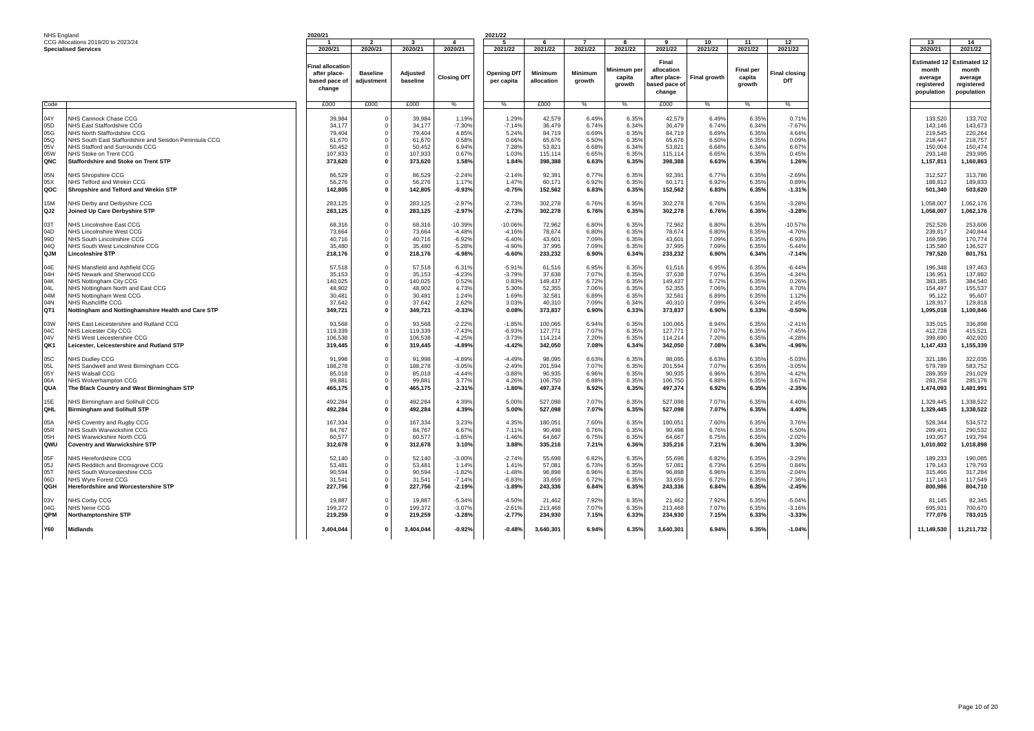| NHS England                                               |                                                                                                                                                                                                                                                         | 2020/21                                                              |                               |                                                                      |                                                                      | 2021/22                                                           |                                                                      |                                                             |                                                             |                                                                      |                                                             |                                                             |                                                                      |                                                                             |                                                                             |
|-----------------------------------------------------------|---------------------------------------------------------------------------------------------------------------------------------------------------------------------------------------------------------------------------------------------------------|----------------------------------------------------------------------|-------------------------------|----------------------------------------------------------------------|----------------------------------------------------------------------|-------------------------------------------------------------------|----------------------------------------------------------------------|-------------------------------------------------------------|-------------------------------------------------------------|----------------------------------------------------------------------|-------------------------------------------------------------|-------------------------------------------------------------|----------------------------------------------------------------------|-----------------------------------------------------------------------------|-----------------------------------------------------------------------------|
|                                                           | CCG Allocations 2019/20 to 2023/24                                                                                                                                                                                                                      |                                                                      | $\overline{2}$                | ્ર                                                                   | $\boldsymbol{\Lambda}$                                               | -5                                                                | -6                                                                   | $\overline{ }$                                              | $\mathbf{R}$                                                | $\bullet$                                                            | 10                                                          | 11                                                          | 12                                                                   | 13                                                                          | 14                                                                          |
|                                                           | <b>Specialised Services</b>                                                                                                                                                                                                                             | 2020/21                                                              | 2020/21                       | 2020/21                                                              | 2020/21                                                              | 2021/22                                                           | 2021/22                                                              | 2021/22                                                     | 2021/22                                                     | 2021/22                                                              | 2021/22                                                     | 2021/22                                                     | 2021/22                                                              | 2020/21                                                                     | 2021/22                                                                     |
|                                                           |                                                                                                                                                                                                                                                         | <b>Final allocation</b><br>after place-<br>based pace of<br>change   | <b>Baseline</b><br>adjustment | Adjusted<br>baseline                                                 | <b>Closing DfT</b>                                                   | <b>Opening DfT</b><br>per capita                                  | <b>Minimum</b><br>allocation                                         | Minimum<br>growth                                           | Minimum per<br>capita<br>growth                             | Final<br>allocation<br>after place-<br>based pace of<br>change       | <b>Final growth</b>                                         | <b>Final per</b><br>capita<br>growth                        | inal closing<br>DfT                                                  | Estimated 1<br>month<br>average<br>registered<br>population                 | Estimated 12<br>month<br>average<br>registered<br>population                |
| Code                                                      |                                                                                                                                                                                                                                                         | £000                                                                 | £000                          | £000                                                                 | %                                                                    | %                                                                 | £000                                                                 | ℅                                                           | %                                                           | £000                                                                 | %                                                           | $\%$                                                        | %                                                                    |                                                                             |                                                                             |
| 04Y<br>05D<br>05G<br>05Q<br>05V<br>05W<br>QNC             | NHS Cannock Chase CCG<br>NHS East Staffordshire CCG<br>NHS North Staffordshire CCG<br>NHS South East Staffordshire and Seisdon Peninsula CCG<br>NHS Stafford and Surrounds CCG<br>NHS Stoke on Trent CCG<br><b>Staffordshire and Stoke on Trent STP</b> | 39,984<br>34,177<br>79,404<br>61,670<br>50,452<br>107,933<br>373,620 |                               | 39.984<br>34,177<br>79,404<br>61,670<br>50,452<br>107,933<br>373,620 | 1.19%<br>$-7.30%$<br>4.85%<br>0.58%<br>6.94%<br>0.67%<br>1.58%       | 1.29%<br>$-7.14%$<br>5.24%<br>0.66%<br>7.28%<br>1.03%<br>1.84%    | 42,579<br>36,479<br>84,719<br>65,676<br>53,821<br>115,114<br>398,388 | 6.49%<br>6.74%<br>6.69%<br>6.50%<br>6.68%<br>6.65%<br>6.63% | 6.35%<br>6.34%<br>6.35%<br>6.35%<br>6.34%<br>6.35%<br>6.35% | 42.579<br>36,479<br>84,719<br>65,676<br>53,821<br>115,114<br>398,388 | 6.49%<br>6.74%<br>6.69%<br>6.50%<br>6.68%<br>6.65%<br>6.63% | 6.35%<br>6.34%<br>6.35%<br>6.35%<br>6.34%<br>6.35%<br>6.35% | 0.71<br>$-7.67%$<br>4.64%<br>0.09%<br>6.67%<br>0.45%<br>1.26%        | 133,520<br>143,146<br>219,545<br>218,447<br>150,004<br>293.148<br>1,157,811 | 133.702<br>143,673<br>220,264<br>218,757<br>150,474<br>293,995<br>1,160,863 |
| 05N                                                       | NHS Shropshire CCG                                                                                                                                                                                                                                      | 86,529                                                               | $\Omega$                      | 86,529                                                               | $-2.249$                                                             | $-2.14%$                                                          | 92,391                                                               | 6.77%                                                       | 6.35%                                                       | 92,391                                                               | 6.77%                                                       | 6.35%                                                       | $-2.69%$                                                             | 312,527                                                                     | 313,786                                                                     |
| 05X                                                       | NHS Telford and Wrekin CCG                                                                                                                                                                                                                              | 56.276                                                               |                               | 56,276                                                               | 1.17%                                                                | 1.47%                                                             | 60.171                                                               | 6.92%                                                       | 6.35%                                                       | 60.171                                                               | 6.92%                                                       | 6.35%                                                       | 0.89%                                                                | 188.812                                                                     | 189.833                                                                     |
| QOC                                                       | Shropshire and Telford and Wrekin STP                                                                                                                                                                                                                   | 142,805                                                              |                               | 142,805                                                              | $-0.93%$                                                             | $-0.75%$                                                          | 152,562                                                              | 6.83%                                                       | 6.35%                                                       | 152,562                                                              | 6.83%                                                       | 6.35%                                                       | $-1.31%$                                                             | 501,340                                                                     | 503,620                                                                     |
|                                                           |                                                                                                                                                                                                                                                         |                                                                      |                               |                                                                      |                                                                      |                                                                   |                                                                      |                                                             |                                                             |                                                                      |                                                             |                                                             |                                                                      |                                                                             |                                                                             |
| 15M                                                       | NHS Derby and Derbyshire CCG                                                                                                                                                                                                                            | 283,125                                                              | $\Omega$                      | 283,125                                                              | $-2.97%$                                                             | $-2.73%$                                                          | 302,278                                                              | 6.76%                                                       | 6.35%                                                       | 302,278                                                              | 6.76%                                                       | 6.35%                                                       | $-3.289$                                                             | 1,058,007                                                                   | 1,062,176                                                                   |
|                                                           |                                                                                                                                                                                                                                                         |                                                                      |                               |                                                                      |                                                                      |                                                                   |                                                                      |                                                             |                                                             |                                                                      |                                                             |                                                             |                                                                      |                                                                             |                                                                             |
| QJ2                                                       | Joined Up Care Derbyshire STP                                                                                                                                                                                                                           | 283,125                                                              |                               | 283,125                                                              | $-2.97%$                                                             | $-2.73%$                                                          | 302,278                                                              | 6.76%                                                       | 6.35%                                                       | 302,278                                                              | 6.76%                                                       | 6.35%                                                       | $-3.28%$                                                             | 1,058,007                                                                   | 1,062,176                                                                   |
| 03T                                                       |                                                                                                                                                                                                                                                         | 68,316                                                               |                               | 68,316                                                               | $-10.39%$                                                            | $-10.06%$                                                         | 72,962                                                               | 6.80%                                                       | 6.35%                                                       |                                                                      | 6.80%                                                       |                                                             | $-10.57%$                                                            | 252,526                                                                     | 253,606                                                                     |
|                                                           | NHS Lincolnshire East CCG                                                                                                                                                                                                                               |                                                                      |                               |                                                                      |                                                                      |                                                                   |                                                                      |                                                             |                                                             | 72,962                                                               |                                                             | 6.35%                                                       |                                                                      |                                                                             |                                                                             |
| 04D                                                       | NHS Lincolnshire West CCG                                                                                                                                                                                                                               | 73,664                                                               |                               | 73,664                                                               | $-4.489$                                                             | $-4.16%$                                                          | 78,674                                                               | 6.80%                                                       | 6.35%                                                       | 78,674                                                               | 6.80%                                                       | 6.35%                                                       | $-4.70%$                                                             | 239,817                                                                     | 240,844                                                                     |
| 99 <sub>D</sub>                                           | NHS South Lincolnshire CCG                                                                                                                                                                                                                              | 40,716                                                               |                               | 40.716                                                               | $-6.92%$                                                             | $-6.40%$                                                          | 43,601                                                               | 7.09%                                                       | 6.35%                                                       | 43,601                                                               | 7.09%                                                       | 6.35%                                                       | $-6.93%$                                                             | 169,596                                                                     | 170,774                                                                     |
| 04Q                                                       | NHS South West Lincolnshire CCG                                                                                                                                                                                                                         | 35,480                                                               |                               | 35,480                                                               | $-5.289$                                                             | $-4.90%$                                                          | 37,995                                                               | 7.09%                                                       | 6.35%                                                       | 37,995                                                               | 7.09%                                                       | 6.35%                                                       | $-5.44%$                                                             | 135,580                                                                     | 136,527                                                                     |
| QJM                                                       | Lincolnshire STP⊟                                                                                                                                                                                                                                       | 218,176                                                              |                               | 218,176                                                              | $-6.98%$                                                             | $-6.60%$                                                          | 233,232                                                              | 6.90%                                                       | 6.34%                                                       | 233,232                                                              | 6.90%                                                       | 6.34%                                                       | $-7.14%$                                                             | 797,520                                                                     | 801,751                                                                     |
| 04E<br>04H<br>04K<br>04L<br>04M<br>04N<br>QT <sub>1</sub> | NHS Mansfield and Ashfield CCG<br>NHS Newark and Sherwood CCG<br>NHS Nottingham City CCG<br>NHS Nottingham North and East CCG<br>NHS Nottingham West CCG<br>NHS Rushcliffe CCG<br>Nottingham and Nottinghamshire Health and Care STP                    | 57,518<br>35,153<br>140.025<br>48,902<br>30,481<br>37,642<br>349,721 |                               | 57.518<br>35,153<br>140.025<br>48,902<br>30,481<br>37,642<br>349,721 | $-6.319$<br>$-4.239$<br>0.52%<br>4.73%<br>1.24%<br>2.62%<br>$-0.33%$ | $-5.91%$<br>$-3.79%$<br>0.83%<br>5.30%<br>1.69%<br>3.03%<br>0.08% | 61,516<br>37,638<br>149,437<br>52,355<br>32,581<br>40,310<br>373,837 | 6.95%<br>7.07%<br>6.72%<br>7.06%<br>6.89%<br>7.09%<br>6.90% | 6.35%<br>6.35%<br>6.35%<br>6.35%<br>6.35%<br>6.34%<br>6.33% | 61,516<br>37,638<br>149,437<br>52,355<br>32,581<br>40,310<br>373,837 | 6.95%<br>7.07%<br>6.72%<br>7.06%<br>6.89%<br>7.09%<br>6.90% | 6.35%<br>6.35%<br>6.35%<br>6.35%<br>6.35%<br>6.34%<br>6.33% | $-6.449$<br>$-4.349$<br>0.26%<br>4.70%<br>1.12%<br>2.45%<br>$-0.50%$ | 196,348<br>136,951<br>383.185<br>154,497<br>95,122<br>128,917<br>1,095,018  | 197,463<br>137,882<br>384,540<br>155,537<br>95,607<br>129,818<br>1,100,846  |
|                                                           |                                                                                                                                                                                                                                                         |                                                                      |                               |                                                                      |                                                                      |                                                                   |                                                                      |                                                             |                                                             |                                                                      |                                                             |                                                             |                                                                      |                                                                             |                                                                             |
| 03W                                                       | NHS East Leicestershire and Rutland CCG                                                                                                                                                                                                                 | 93,568                                                               |                               | 93,568                                                               | $-2.229$                                                             | $-1.85%$                                                          | 100,065                                                              | 6.94%                                                       | 6.35%                                                       | 100,065                                                              | 6.94%                                                       | 6.35%                                                       | $-2.41%$                                                             | 335,015                                                                     | 336,898                                                                     |
| 04C                                                       | NHS Leicester City CCG                                                                                                                                                                                                                                  | 119,339                                                              |                               | 119,339                                                              | $-7.439$                                                             | $-6.93%$                                                          | 127,771                                                              | 7.07%                                                       | 6.35%                                                       | 127,771                                                              | 7.07%                                                       | 6.35%                                                       | $-7.45%$                                                             | 412,728                                                                     | 415,521                                                                     |
| 04V                                                       | NHS West Leicestershire CCG                                                                                                                                                                                                                             | 106,538                                                              |                               | 106,538                                                              | $-4.25%$                                                             | $-3.73%$                                                          | 114,214                                                              | 7.20%                                                       | 6.35%                                                       | 114,214                                                              | 7.20%                                                       | 6.35%                                                       | $-4.28%$                                                             | 399,690                                                                     | 402,920                                                                     |
| QK1                                                       | Leicester, Leicestershire and Rutland STP                                                                                                                                                                                                               | 319,445                                                              |                               | 319,445                                                              | $-4.89%$                                                             | $-4.42%$                                                          | 342,050                                                              | 7.08%                                                       | 6.34%                                                       | 342,050                                                              | 7.08%                                                       | 6.34%                                                       | $-4.96%$                                                             | 1,147,433                                                                   | 1,155,339                                                                   |
|                                                           |                                                                                                                                                                                                                                                         |                                                                      |                               |                                                                      |                                                                      |                                                                   |                                                                      |                                                             |                                                             |                                                                      |                                                             |                                                             |                                                                      |                                                                             |                                                                             |
| 05C                                                       | NHS Dudley CCG                                                                                                                                                                                                                                          | 91,998                                                               |                               | 91,998                                                               | $-4.89%$                                                             | $-4.49%$                                                          | 98,095                                                               | 6.63%                                                       | 6.35%                                                       | 98,095                                                               | 6.63%                                                       | 6.35%                                                       | $-5.03%$                                                             | 321,186                                                                     | 322,035                                                                     |
| 05L                                                       | NHS Sandwell and West Birmingham CCG                                                                                                                                                                                                                    | 188.278                                                              |                               | 188,278                                                              | $-3.05%$                                                             | $-2.49%$                                                          | 201,594                                                              | 7.07%                                                       | 6.35%                                                       | 201.594                                                              | 7.07%                                                       | 6.35%                                                       | $-3.05%$                                                             | 579,789                                                                     | 583.752                                                                     |
| 05Y                                                       | NHS Walsall CCG                                                                                                                                                                                                                                         | 85,018                                                               |                               | 85,018                                                               | $-4.449$                                                             | $-3.88%$                                                          | 90,935                                                               | 6.96%                                                       | 6.35%                                                       | 90,935                                                               | 6.96%                                                       | 6.35%                                                       | $-4.42%$                                                             | 289,359                                                                     | 291,029                                                                     |
| 06A                                                       | NHS Wolverhampton CCG                                                                                                                                                                                                                                   | 99,881                                                               |                               | 99,881                                                               | 3.77%                                                                | 4.26%                                                             | 106,750                                                              | 6.88%                                                       | 6.35%                                                       | 106,750                                                              | 6.88%                                                       | 6.35%                                                       | 3.67%                                                                | 283,758                                                                     | 285,176                                                                     |
| <b>QUA</b>                                                | The Black Country and West Birmingham STP                                                                                                                                                                                                               | 465,175                                                              |                               | 465,175                                                              | $-2.31%$                                                             | $-1.80%$                                                          | 497,374                                                              | 6.92%                                                       | 6.35%                                                       | 497,374                                                              | 6.92%                                                       | 6.35%                                                       | $-2.35%$                                                             | 1,474,093                                                                   | 1,481,991                                                                   |
|                                                           |                                                                                                                                                                                                                                                         |                                                                      |                               |                                                                      |                                                                      |                                                                   |                                                                      |                                                             |                                                             |                                                                      |                                                             |                                                             |                                                                      |                                                                             |                                                                             |
| 15E                                                       | NHS Birmingham and Solihull CCG                                                                                                                                                                                                                         | 492.284                                                              |                               | 492.284                                                              | 4.39%                                                                | 5.00%                                                             | 527.098                                                              | 7.07%                                                       | 6.35%                                                       | 527.098                                                              | 7.07%                                                       | 6.35%                                                       | 4.40%                                                                | 1.329.445                                                                   | 1.338.522                                                                   |
| <b>QHL</b>                                                | <b>Birmingham and Solihull STP</b>                                                                                                                                                                                                                      | 492,284                                                              |                               | 492,284                                                              | 4.39%                                                                | 5.00%                                                             | 527,098                                                              | 7.07%                                                       | 6.35%                                                       | 527,098                                                              | 7.07%                                                       | 6.35%                                                       | 4.40%                                                                | 1,329,445                                                                   | 1,338,522                                                                   |
|                                                           |                                                                                                                                                                                                                                                         |                                                                      |                               |                                                                      |                                                                      |                                                                   |                                                                      |                                                             |                                                             |                                                                      |                                                             |                                                             |                                                                      |                                                                             |                                                                             |
| 05A                                                       | NHS Coventry and Rugby CCG                                                                                                                                                                                                                              | 167,334                                                              |                               | 167,334                                                              | 3.23%                                                                | 4.35%                                                             | 180,051                                                              | 7.60%                                                       | 6.35%                                                       | 180,051                                                              | 7.60%                                                       | 6.35%                                                       | 3.76%                                                                | 528,344                                                                     | 534,572                                                                     |
| 05R                                                       | NHS South Warwickshire CCG                                                                                                                                                                                                                              | 84,767                                                               |                               | 84,767                                                               | 6.67%                                                                | 7.11%                                                             | 90,498                                                               | 6.76%                                                       | 6.35%                                                       | 90,498                                                               | 6.76%                                                       | 6.35%                                                       | 6.50%                                                                | 289,401                                                                     | 290,532                                                                     |
| 05H                                                       | NHS Warwickshire North CCG                                                                                                                                                                                                                              | 60,577                                                               |                               | 60,577                                                               | $-1.85%$                                                             | $-1.46%$                                                          | 64,667                                                               | 6.75%                                                       | 6.35%                                                       | 64,667                                                               | 6.75%                                                       | 6.35%                                                       | $-2.02%$                                                             | 193,057                                                                     | 193,794                                                                     |
| QWU                                                       | <b>Coventry and Warwickshire STP</b>                                                                                                                                                                                                                    | 312,678                                                              |                               | 312,678                                                              | 3.10%                                                                | 3.88%                                                             | 335,216                                                              | 7.21%                                                       | 6.36%                                                       | 335,216                                                              | 7.21%                                                       | 6.36%                                                       | 3.30%                                                                | 1,010,802                                                                   | 1,018,898                                                                   |
|                                                           |                                                                                                                                                                                                                                                         |                                                                      |                               |                                                                      |                                                                      |                                                                   |                                                                      |                                                             |                                                             |                                                                      |                                                             |                                                             |                                                                      |                                                                             |                                                                             |
| 05F                                                       | NHS Herefordshire CCG                                                                                                                                                                                                                                   | 52.140                                                               |                               | 52.140                                                               | $-3.00%$                                                             | $-2.74%$                                                          | 55,698                                                               | 6.82%                                                       | 6.35%                                                       | 55.698                                                               | 6.82%                                                       | 6.35%                                                       | $-3.29%$                                                             | 189.233                                                                     | 190.085                                                                     |
| 05J                                                       | NHS Redditch and Bromsgrove CCG                                                                                                                                                                                                                         | 53,481                                                               |                               | 53,481                                                               | 1.14%                                                                | 1.41%                                                             | 57,081                                                               | 6.73%                                                       | 6.35%                                                       | 57,081                                                               | 6.73%                                                       | 6.35%                                                       | 0.84%                                                                | 179,143                                                                     | 179,793                                                                     |
| 05T                                                       | NHS South Worcestershire CCG                                                                                                                                                                                                                            | 90,594                                                               |                               | 90,594                                                               | $-1.82%$                                                             | $-1.48%$                                                          | 96,898                                                               | 6.96%                                                       | 6.35%                                                       | 96,898                                                               | 6.96%                                                       | 6.35%                                                       | $-2.04%$                                                             | 315,466                                                                     | 317,284                                                                     |
| 06D                                                       | NHS Wyre Forest CCG                                                                                                                                                                                                                                     | 31,541                                                               |                               | 31,541                                                               | $-7.149$                                                             | $-6.83%$                                                          | 33,659                                                               | 6.72%                                                       | 6.35%                                                       | 33,659                                                               | 6.72%                                                       | 6.35%                                                       | $-7.36%$                                                             | 117,143                                                                     | 117,549                                                                     |
| QGH                                                       | Herefordshire and Worcestershire STP                                                                                                                                                                                                                    | 227,756                                                              |                               | 227,756                                                              | $-2.19%$                                                             | $-1.89%$                                                          | 243,336                                                              | 6.84%                                                       | 6.35%                                                       | 243,336                                                              | 6.84%                                                       | 6.35%                                                       | $-2.45%$                                                             | 800,986                                                                     | 804,710                                                                     |
|                                                           |                                                                                                                                                                                                                                                         |                                                                      |                               |                                                                      |                                                                      |                                                                   |                                                                      |                                                             |                                                             |                                                                      |                                                             |                                                             |                                                                      |                                                                             |                                                                             |
| 03V                                                       | <b>NHS Corby CCG</b>                                                                                                                                                                                                                                    | 19.887                                                               |                               | 19,887                                                               | $-5.34%$                                                             | $-4.50%$                                                          | 21.462                                                               | 7.92%                                                       | 6.35%                                                       | 21.462                                                               | 7.92%                                                       | 6.35%                                                       | $-5.04%$                                                             | 81.145                                                                      | 82.345                                                                      |
| 04G                                                       | NHS Nene CCG                                                                                                                                                                                                                                            | 199.372                                                              |                               | 199,372                                                              | $-3.07%$                                                             | $-2.61%$                                                          | 213,468                                                              | 7.07%                                                       | 6.35%                                                       | 213,468                                                              | 7.07%                                                       | 6.35%                                                       | $-3.16%$                                                             | 695,931                                                                     | 700,670                                                                     |
| QPM                                                       | <b>Northamptonshire STP</b>                                                                                                                                                                                                                             | 219,259                                                              |                               | 219,259                                                              | $-3.28%$                                                             | $-2.77%$                                                          | 234,930                                                              | 7.15%                                                       | 6.33%                                                       | 234,930                                                              | 7.15%                                                       | 6.33%                                                       | $-3.33%$                                                             | 777,076                                                                     | 783,015                                                                     |
|                                                           |                                                                                                                                                                                                                                                         |                                                                      |                               |                                                                      |                                                                      |                                                                   |                                                                      |                                                             |                                                             |                                                                      |                                                             |                                                             |                                                                      |                                                                             |                                                                             |
| <b>Y60</b>                                                | <b>Midlands</b>                                                                                                                                                                                                                                         | 3.404.044                                                            |                               | 3,404,044                                                            | $-0.92%$                                                             | $-0.48%$                                                          | 3,640,301                                                            | 6.94%                                                       | 6.35%                                                       | 3,640,301                                                            | 6.94%                                                       | 6.35%                                                       | $-1.04%$                                                             | 11,149,530                                                                  | 11.211.732                                                                  |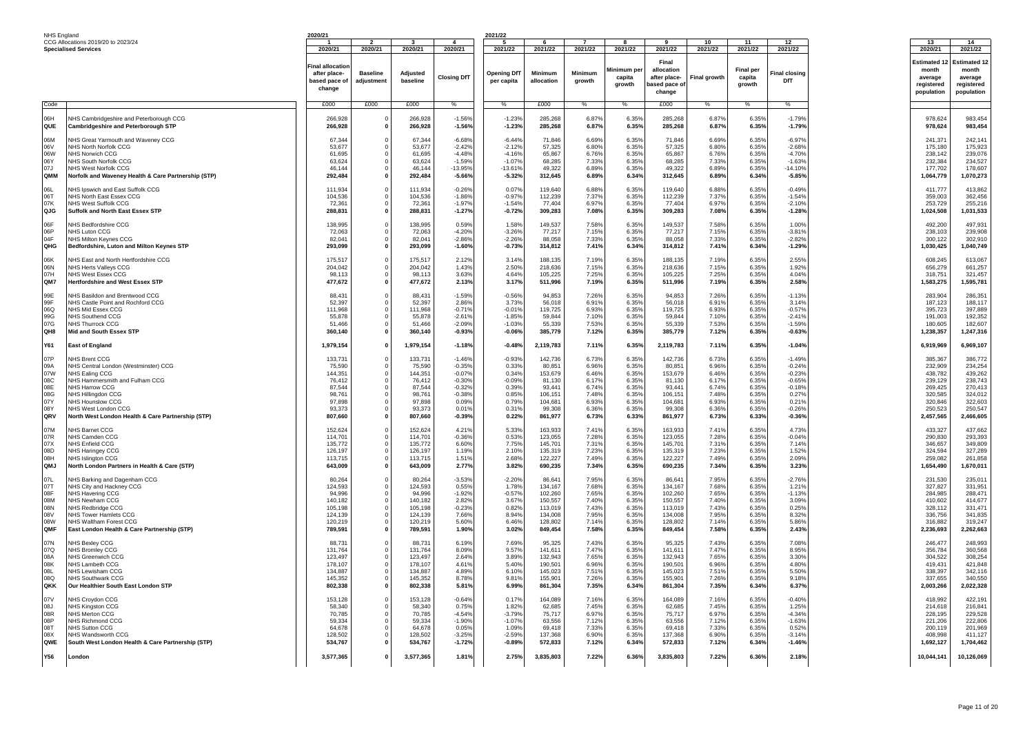| NHS England                                                 |                                                                                                                                                                                                                                                   | 2020/21                                                                                   |                                          |                                                                                          |                                                                                                    | 2021/22                                                                             |                                                                                             |                                                                               |                                                                               |                                                                                             |                                                                               |                                                                               |                                                                                                    |                                                                                                   |                                                                                                   |
|-------------------------------------------------------------|---------------------------------------------------------------------------------------------------------------------------------------------------------------------------------------------------------------------------------------------------|-------------------------------------------------------------------------------------------|------------------------------------------|------------------------------------------------------------------------------------------|----------------------------------------------------------------------------------------------------|-------------------------------------------------------------------------------------|---------------------------------------------------------------------------------------------|-------------------------------------------------------------------------------|-------------------------------------------------------------------------------|---------------------------------------------------------------------------------------------|-------------------------------------------------------------------------------|-------------------------------------------------------------------------------|----------------------------------------------------------------------------------------------------|---------------------------------------------------------------------------------------------------|---------------------------------------------------------------------------------------------------|
|                                                             | CCG Allocations 2019/20 to 2023/24                                                                                                                                                                                                                |                                                                                           |                                          |                                                                                          |                                                                                                    |                                                                                     |                                                                                             |                                                                               |                                                                               |                                                                                             | 10                                                                            | 11                                                                            | 12                                                                                                 | 13                                                                                                | 14                                                                                                |
|                                                             | <b>Specialised Services</b>                                                                                                                                                                                                                       | 2020/21<br>Final allocation<br>after place-<br>based pace of<br>change                    | 2020/21<br><b>Baseline</b><br>adjustment | 2020/21<br>Adjusted<br>baseline                                                          | 2020/21<br><b>Closing DfT</b>                                                                      | 2021/22<br><b>Opening DfT</b><br>per capita                                         | 2021/22<br><b>Minimum</b><br>allocation                                                     | 2021/22<br>Minimum<br>growth                                                  | 2021/22<br>Minimum pe<br>capita<br>arowth                                     | 2021/22<br>Final<br>allocation<br>after place-<br>pased pace of<br>change                   | 2021/22<br>Final growth                                                       | 2021/22<br><b>Final per</b><br>capita<br>growth                               | 2021/22<br>inal closing <sup>:</sup><br>DfT                                                        | 2020/21<br>Estimated *<br>month<br>average<br>reaistered<br>population                            | 2021/22<br><b>Estimated 12</b><br>month<br>average<br>reaistered<br>population                    |
| Code                                                        |                                                                                                                                                                                                                                                   | £000                                                                                      | £000                                     | £000                                                                                     | $\%$                                                                                               | $\frac{0}{6}$                                                                       | £000                                                                                        | $\%$                                                                          | $\%$                                                                          | £000                                                                                        | $\%$                                                                          | $\frac{0}{6}$                                                                 | $\%$                                                                                               |                                                                                                   |                                                                                                   |
| <b>Ha0</b><br>QUE                                           | NHS Cambridgeshire and Peterborough CCG<br>Cambridgeshire and Peterborough STP                                                                                                                                                                    | 266,928<br>266,928                                                                        |                                          | 266,928<br>266,928                                                                       | $-1.56%$<br>$-1.56%$                                                                               | $-1.239$<br>$-1.23%$                                                                | 285,268<br>285,268                                                                          | 6.87%<br>6.87%                                                                | 6.35%<br>6.35%                                                                | 285.268<br>285,268                                                                          | 6.87%<br>6.87%                                                                | 6.35%<br>6.35%                                                                | $-1.79%$<br>$-1.79%$                                                                               | 978,624<br>978,624                                                                                | 983,454<br>983,454                                                                                |
| M <sub>80</sub><br>06V<br>06W<br>06Y<br>07.1<br>QMM         | NHS Great Yarmouth and Waveney CCG<br>NHS North Norfolk CCG<br>NHS Norwich CCG<br>NHS South Norfolk CCG<br>NHS West Norfolk CCG<br>Norfolk and Waveney Health & Care Partnership (STP)                                                            | 67,344<br>53.677<br>61.695<br>63,624<br>46.144<br>292,484                                 |                                          | 67.34<br>53.677<br>61.69<br>63.624<br>46.144<br>292,484                                  | $-6.689$<br>$-2.429$<br>$-4.489$<br>$-1.59%$<br>$-13.95%$<br>$-5.66%$                              | $-6.449$<br>$-2.129$<br>$-4.169$<br>$-1.079$<br>$-13.619$<br>$-5.32%$               | 71.846<br>57.325<br>65.867<br>68.285<br>49.322<br>312,645                                   | 6.69%<br>6.80%<br>6.76%<br>7.33%<br>6.89%<br>6.89%                            | 6.35%<br>6.35%<br>6.35%<br>6.35%<br>6.35%<br>6.34%                            | 71.846<br>57,325<br>65.867<br>68,285<br>49.322<br>312,645                                   | 6.69%<br>6.80%<br>6.76%<br>7.33%<br>6.89%<br>6.89%                            | 6.35%<br>6.35%<br>6.35%<br>6.35%<br>6.35%<br>6.34%                            | $-6.97%$<br>$-2.68%$<br>$-4.70%$<br>$-1.63%$<br>$-14.109$<br>$-5.85%$                              | 241,371<br>175,180<br>238.142<br>232,384<br>177.702<br>1,064,779                                  | 242,141<br>175,923<br>239.076<br>234,527<br>178,607<br>1,070,273                                  |
| 06L<br>06T<br>07K<br>QJG                                    | NHS Ipswich and East Suffolk CCG<br>NHS North East Essex CCG<br>NHS West Suffolk CCG<br>Suffolk and North East Essex STP                                                                                                                          | 111,934<br>104.536<br>72,361<br>288,831                                                   |                                          | 111,934<br>104.53<br>72.361<br>288,831                                                   | $-0.26%$<br>$-1.869$<br>$-1.97%$<br>$-1.27%$                                                       | 0.07%<br>$-0.97%$<br>$-1.549$<br>$-0.72%$                                           | 119,640<br>112,239<br>77.404<br>309,283                                                     | 6.88%<br>7.37%<br>6.97%<br>7.08%                                              | 6.35%<br>6.35%<br>6.35%<br>6.35%                                              | 119,640<br>112,239<br>77,404<br>309,283                                                     | 6.88%<br>7.37%<br>6.97%<br>7.08%                                              | 6.35%<br>6.35%<br>6.35%<br>6.35%                                              | $-0.49%$<br>$-1.54%$<br>$-2.10%$<br>$-1.28%$                                                       | 411.777<br>359,003<br>253,729<br>1,024,508                                                        | 413,862<br>362.456<br>255,216<br>1,031,533                                                        |
| 06F<br>06P<br>04F<br>OHG                                    | NHS Bedfordshire CCG<br>NHS Luton CCG<br>NHS Milton Keynes CCG<br>Bedfordshire, Luton and Milton Keynes STP                                                                                                                                       | 138,995<br>72,063<br>82,041<br>293,099                                                    |                                          | 138,995<br>72,063<br>82,041<br>293,099                                                   | 0.59%<br>$-4.209$<br>$-2.86%$<br>$-1.60%$                                                          | 1.58%<br>$-3.26%$<br>$-2.26%$<br>$-0.73%$                                           | 149,537<br>77,217<br>88,058<br>314,812                                                      | 7.58%<br>7.15%<br>7.33%<br>7.41%                                              | 6.35%<br>6.35%<br>6.35%<br>6.34%                                              | 149,537<br>77,217<br>88,058<br>314,812                                                      | 7.58%<br>7.15%<br>7.33%<br>7.41%                                              | 6.35%<br>6.35%<br>6.35%<br>6.34%                                              | 1.00%<br>$-3.819$<br>$-2.82%$<br>$-1.29%$                                                          | 492,200<br>238,103<br>300,122<br>1,030,425                                                        | 497,931<br>239,908<br>302,910<br>1,040,749                                                        |
| 06K<br>06N<br>07H<br>QM7                                    | NHS East and North Hertfordshire CCG<br>NHS Herts Valleys CCG<br>NHS West Essex CCG<br>Hertfordshire and West Essex STP                                                                                                                           | 175.517<br>204.042<br>98,113<br>477,672                                                   |                                          | 175,517<br>204.042<br>98,113<br>477,672                                                  | 2.12%<br>1.43%<br>3.63%<br>2.13%                                                                   | 3.14%<br>2.50%<br>4.64%<br>3.17%                                                    | 188.135<br>218,636<br>105,225<br>511,996                                                    | 7.19%<br>7.15%<br>7.25%<br>7.19%                                              | 6.35%<br>6.35%<br>6.35%<br>6.35%                                              | 188.135<br>218.636<br>105,225<br>511,996                                                    | 7.19%<br>7.15%<br>7.25%<br>7.19%                                              | 6.35%<br>6.35%<br>6.35%<br>6.35%                                              | 2.55%<br>1.92%<br>4.04%<br>2.58%                                                                   | 608.245<br>656.279<br>318,751<br>1,583,275                                                        | 613,067<br>661.257<br>321,457<br>1,595,781                                                        |
| 99E<br>99F<br>06Q<br>99G<br>07G<br>QH8                      | NHS Basildon and Brentwood CCG<br>NHS Castle Point and Rochford CCG<br>NHS Mid Essex CCG<br>NHS Southend CCG<br><b>NHS Thurrock CCG</b><br>Mid and South Essex STP                                                                                | 88,431<br>52,397<br>111.968<br>55,878<br>51,466<br>360,140                                |                                          | 88,431<br>52,397<br>111,968<br>55,878<br>51.466<br>360,140                               | $-1.59%$<br>2.86%<br>$-0.719$<br>$-2.619$<br>$-2.09%$<br>$-0.93%$                                  | $-0.56%$<br>3.73%<br>$-0.019$<br>$-1.85%$<br>$-1.03%$<br>$-0.06%$                   | 94,853<br>56,018<br>119,725<br>59,844<br>55.339<br>385,779                                  | 7.26%<br>6.91%<br>6.93%<br>7.10%<br>7.53%<br>7.12%                            | 6.35%<br>6.35%<br>6.35%<br>6.35%<br>6.35%<br>6.35%                            | 94,853<br>56,018<br>119.725<br>59,844<br>55,339<br>385,779                                  | 7.26%<br>6.91%<br>6.93%<br>7.10%<br>7.53%<br>7.12%                            | 6.35%<br>6.35%<br>6.35%<br>6.35%<br>6.35%<br>6.35%                            | $-1.13%$<br>3.14%<br>$-0.57%$<br>$-2.419$<br>$-1.59%$<br>$-0.63%$                                  | 283,904<br>187,123<br>395.723<br>191,003<br>180,605<br>1,238,357                                  | 286,351<br>188,117<br>397.889<br>192,352<br>182,607<br>1,247,316                                  |
| <b>Y61</b>                                                  | East of England                                                                                                                                                                                                                                   | 1,979,154                                                                                 |                                          | 1,979,154                                                                                | $-1.18%$                                                                                           | $-0.48%$                                                                            | 2,119,783                                                                                   | 7.11%                                                                         | 6.35%                                                                         | 2,119,783                                                                                   | 7.11%                                                                         | 6.35%                                                                         | $-1.04%$                                                                                           | 6,919,969                                                                                         | 6,969,107                                                                                         |
| 07P<br>09A<br>07W<br>08C<br>08F<br>08G<br>07Y<br>08Y<br>ORV | NHS Brent CCG<br>NHS Central London (Westminster) CCG<br>NHS Ealing CCG<br>NHS Hammersmith and Fulham CCG<br>NHS Harrow CCG<br>NHS Hillingdon CCG<br>NHS Hounslow CCG<br>NHS West London CCG<br>North West London Health & Care Partnership (STP) | 133,731<br>75.590<br>144.351<br>76,412<br>87.544<br>98.761<br>97.898<br>93.373<br>807,660 |                                          | 133,731<br>75.590<br>144.351<br>76,412<br>87.544<br>98.761<br>97.89<br>93.373<br>807,660 | $-1.469$<br>$-0.359$<br>$-0.079$<br>$-0.30%$<br>$-0.329$<br>$-0.389$<br>0.09%<br>0.01%<br>$-0.39%$ | $-0.93%$<br>0.33%<br>0.34%<br>$-0.09%$<br>0.39%<br>0.85%<br>0.79%<br>0.31%<br>0.22% | 142,736<br>80.851<br>153,679<br>81.130<br>93.441<br>106,151<br>104,681<br>99.308<br>861,977 | 6.73%<br>6.96%<br>6.46%<br>6.17%<br>6.74%<br>7.48%<br>6.93%<br>6.36%<br>6.73% | 6.35%<br>6.35%<br>6.35%<br>6.35%<br>6.35%<br>6.35%<br>6.35%<br>6.35%<br>6.33% | 142,736<br>80.851<br>153.679<br>81,130<br>93.441<br>106.151<br>104,681<br>99.308<br>861,977 | 6.73%<br>6.96%<br>6.46%<br>6.17%<br>6.74%<br>7.48%<br>6.93%<br>6.36%<br>6.73% | 6.35%<br>6.35%<br>6.35%<br>6.35%<br>6.35%<br>6.35%<br>6.35%<br>6.35%<br>6.33% | $-1.49%$<br>$-0.24%$<br>$-0.23%$<br>$-0.65%$<br>$-0.18%$<br>0.27%<br>0.219<br>$-0.26%$<br>$-0.36%$ | 385,367<br>232,909<br>438.782<br>239,129<br>269.425<br>320.585<br>320,846<br>250.523<br>2,457,565 | 386,772<br>234.254<br>439.262<br>238.743<br>270.413<br>324.012<br>322,603<br>250.547<br>2,466,605 |
| 07M<br>07R<br>07X<br>08D<br>08H<br>QMJ                      | NHS Barnet CCG<br>NHS Camden CCG<br>NHS Enfield CCG<br><b>NHS Haringey CCG</b><br><b>NHS Islinaton CCG</b><br>North London Partners in Health & Care (STP)                                                                                        | 152.624<br>114.701<br>135,772<br>126.197<br>113,715<br>643,009                            |                                          | 152.624<br>114,701<br>135,772<br>126.197<br>113,715<br>643,009                           | 4.21%<br>$-0.369$<br>6.60%<br>1.199<br>1.519<br>2.77%                                              | 5.33%<br>0.53%<br>7.75%<br>2.10%<br>2.68%<br>3.82%                                  | 163.933<br>123,055<br>145,701<br>135.319<br>122.227<br>690,235                              | 7.41%<br>7.28%<br>7.319<br>7.23%<br>7.49%<br>7.34%                            | 6.35%<br>6.35%<br>6.35%<br>6.35%<br>6.35%<br>6.35%                            | 163.933<br>123.055<br>145,701<br>135,319<br>122.227<br>690,235                              | 7.41%<br>7.28%<br>7.31%<br>7.23%<br>7.49%<br>7.34%                            | 6.35%<br>6.35%<br>6.35%<br>6.35%<br>6.35%<br>6.35%                            | 4.73%<br>$-0.04%$<br>7.14%<br>1.52%<br>2.09%<br>3.23%                                              | 433.327<br>290,830<br>346,657<br>324.594<br>259.082<br>1,654,490                                  | 437.662<br>293.393<br>349,809<br>327.289<br>261,858<br>1,670,011                                  |
| 07L<br>07T<br>08F<br>08M<br>08N<br>08V<br>08W<br>OMF        | NHS Barking and Dagenham CCG<br>NHS City and Hackney CCG<br><b>NHS Havering CCG</b><br>NHS Newham CCG<br>NHS Redbridge CCG<br><b>NHS Tower Hamlets CCG</b><br>NHS Waltham Forest CCG<br>East London Health & Care Partnership (STP)               | 80,264<br>124,593<br>94.996<br>140,182<br>105,198<br>124.139<br>120.219<br>789,591        |                                          | 80.26<br>124,593<br>94.996<br>140.182<br>105,198<br>124.139<br>120.219<br>789,591        | $-3.539$<br>0.55%<br>$-1.929$<br>2.829<br>$-0.239$<br>7.66%<br>5.609<br>1.90%                      | $-2.20%$<br>1.78%<br>$-0.579$<br>3.67%<br>0.82%<br>8.94%<br>6.46%<br>3.02%          | 86.64<br>134,167<br>102.260<br>150.557<br>113,019<br>134,008<br>128,802<br>849.454          | 7.95%<br>7.68%<br>7.65%<br>7.40%<br>7.43%<br>7.95%<br>7.149<br>7.58%          | 6.35%<br>6.35%<br>6.35%<br>6.35%<br>6.35%<br>6.35%<br>6.35%<br>6.35%          | 86.64<br>134,167<br>102.260<br>150,557<br>113,019<br>134,008<br>128,802<br>849,454          | 7.95%<br>7.68%<br>7.65%<br>7.40%<br>7.43%<br>7.95%<br>7.14%<br>7.58%          | 6.35%<br>6.35%<br>6.35%<br>6.35%<br>6.35%<br>6.35%<br>6.35%<br>6.35%          | $-2.76%$<br>1.219<br>$-1.139$<br>3.09%<br>0.25%<br>8.32%<br>5.86%<br>2.43%                         | 231,530<br>327,827<br>284.985<br>410,602<br>328,112<br>336.756<br>316,882<br>2.236.693            | 235,011<br>331,951<br>288,471<br>414,677<br>331,471<br>341.835<br>319,247<br>2,262,663            |
| 07N<br>07Q<br>08A<br>08K<br>180<br>080<br>OKK               | NHS Bexley CCG<br>NHS Bromlev CCG<br>NHS Greenwich CCC<br>NHS Lambeth CCG<br>NHS Lewisham CCG<br>NHS Southwark CCG<br>Our Healthier South East London STP                                                                                         | 88.731<br>131,764<br>123.497<br>178,107<br>134,887<br>145,352<br>802,338                  |                                          | 88.73<br>131,764<br>123,497<br>178,107<br>134,887<br>145,352<br>802,338                  | 6.199<br>8.09%<br>2.64%<br>4.619<br>4.89%<br>8.78%<br>$5.81^{\circ}$                               | 7.69%<br>9.57%<br>3.89%<br>5.40%<br>6.10%<br>9.81%<br>6.99%                         | 95.32<br>141,611<br>132,943<br>190.501<br>145,023<br>155,901<br>861,304                     | 7.43%<br>7.47%<br>7.65%<br>6.96%<br>7.51%<br>7.26%<br>7.35%                   | 6.35%<br>6.35%<br>6.35%<br>6.35%<br>6.35%<br>6.35%<br>6.34%                   | 95.325<br>141,611<br>132.943<br>190.501<br>145,023<br>155,901<br>861,304                    | 7.43%<br>7.47%<br>7.65%<br>6.96%<br>7.51%<br>7.26%<br>7.35%                   | 6.35%<br>6.35%<br>6.35%<br>6.35%<br>6.35%<br>6.35%<br>6.34%                   | 7.08%<br>8.95%<br>3.30%<br>4.80%<br>5.50%<br>9.18%<br>6.37%                                        | 246.477<br>356,784<br>304,522<br>419.431<br>338,397<br>337,655<br>2,003,266                       | 248,993<br>360,568<br>308,254<br>421.848<br>342,116<br>340,550<br>2,022,328                       |
| 07V<br>08J<br>08R<br>08P<br>08T<br>08X<br>QWE               | NHS Croydon CCG<br>NHS Kingston CCG<br>NHS Merton CCG<br>NHS Richmond CCG<br>NHS Sutton CCG<br>NHS Wandsworth CCG<br>South West London Health & Care Partnership (STP)                                                                            | 153,128<br>58,340<br>70.785<br>59,334<br>64.678<br>128.502<br>534,767                     |                                          | 153,128<br>58,340<br>70.785<br>59,334<br>64.67<br>128,502<br>534,767                     | $-0.64%$<br>0.759<br>$-4.549$<br>$-1.90%$<br>0.05%<br>$-3.25%$<br>$-1.72%$                         | 0.17%<br>1.82%<br>$-3.79%$<br>$-1.07%$<br>1.09%<br>$-2.59%$<br>$-0.89%$             | 164,089<br>62.685<br>75.717<br>63,556<br>69,418<br>137.368<br>572,833                       | 7.169<br>7.45%<br>6.97%<br>7.12%<br>7.33%<br>6.90%<br>7.12%                   | 6.35%<br>6.35%<br>6.35%<br>6.35%<br>6.35%<br>6.35%<br>6.34%                   | 164,089<br>62.685<br>75,717<br>63,556<br>69.418<br>137.368<br>572,833                       | 7.16%<br>7.45%<br>6.97%<br>7.12%<br>7.33%<br>6.90%<br>7.12%                   | 6.35%<br>6.35%<br>6.35%<br>6.35%<br>6.35%<br>6.35%<br>6.34%                   | $-0.40%$<br>1.25%<br>$-4.34%$<br>$-1.63%$<br>0.52%<br>$-3.14%$<br>$-1.46%$                         | 418.992<br>214,618<br>228.195<br>221,206<br>200,119<br>408.998<br>1,692,127                       | 422,191<br>216,841<br>229.528<br>222,806<br>201,969<br>411.127<br>1,704,462                       |
| Y56                                                         | London                                                                                                                                                                                                                                            | 3,577,365                                                                                 |                                          | 3,577,365                                                                                | 1.81%                                                                                              | 2.75%                                                                               | 3,835,803                                                                                   | 7.22%                                                                         | 6.36%                                                                         | 3,835,803                                                                                   | 7.22%                                                                         | 6.36%                                                                         | 2.18%                                                                                              | 10,044,141                                                                                        | 10,126,069                                                                                        |
|                                                             |                                                                                                                                                                                                                                                   |                                                                                           |                                          |                                                                                          |                                                                                                    |                                                                                     |                                                                                             |                                                                               |                                                                               |                                                                                             |                                                                               |                                                                               |                                                                                                    |                                                                                                   |                                                                                                   |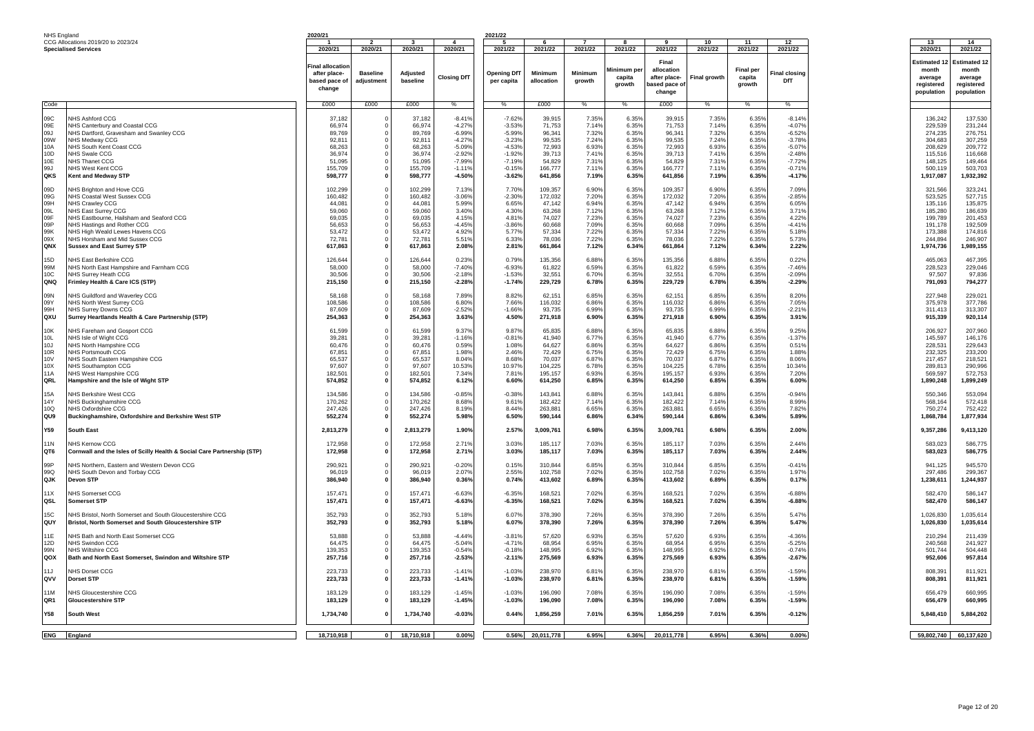| <b>NHS England</b>                                               |                                                                                                                                                                                                                                                           | 2020/21                                                                        |                                                  |                                                                                |                                                                            | 2021/22                                                                    |                                                                                 |                                                                      |                                                                      |                                                                                 |                                                                      |                                                                      |                                                                            |                                                                                       |                                                                                        |
|------------------------------------------------------------------|-----------------------------------------------------------------------------------------------------------------------------------------------------------------------------------------------------------------------------------------------------------|--------------------------------------------------------------------------------|--------------------------------------------------|--------------------------------------------------------------------------------|----------------------------------------------------------------------------|----------------------------------------------------------------------------|---------------------------------------------------------------------------------|----------------------------------------------------------------------|----------------------------------------------------------------------|---------------------------------------------------------------------------------|----------------------------------------------------------------------|----------------------------------------------------------------------|----------------------------------------------------------------------------|---------------------------------------------------------------------------------------|----------------------------------------------------------------------------------------|
|                                                                  | CCG Allocations 2019/20 to 2023/24<br><b>Specialised Services</b>                                                                                                                                                                                         | 2020/21                                                                        | $\overline{2}$<br>2020/21                        | ર<br>2020/21                                                                   | $\overline{A}$<br>2020/21                                                  | -5<br>2021/22                                                              | $\epsilon$<br>2021/22                                                           | $\overline{7}$<br>2021/22                                            | $\mathbf{R}$<br>2021/22                                              | $\alpha$<br>2021/22                                                             | 10<br>2021/22                                                        | 11<br>2021/22                                                        | 12<br>2021/22                                                              | 13<br>2020/21                                                                         | 14<br>2021/22                                                                          |
|                                                                  |                                                                                                                                                                                                                                                           | <b>Final allocation</b><br>after place-<br>based pace of<br>change             | <b>Baseline</b><br>adjustment                    | Adiusted<br>baseline                                                           | <b>Closing DfT</b>                                                         | <b>Opening DfT</b><br>per capita                                           | Minimum<br>allocation                                                           | Minimum<br>arowth                                                    | Minimum per<br>capita<br>growth                                      | Final<br>allocation<br>after place-<br>based pace of                            | Final growth                                                         | <b>Final per</b><br>capita<br>growth                                 | <b>Final closinc</b><br>DfT                                                | <b>Estimated 1</b><br>month<br>average<br>registered<br>population                    | <b>Estimated 12</b><br>month<br>average<br>registered<br>population                    |
|                                                                  |                                                                                                                                                                                                                                                           |                                                                                |                                                  |                                                                                |                                                                            |                                                                            |                                                                                 |                                                                      |                                                                      | change                                                                          |                                                                      |                                                                      |                                                                            |                                                                                       |                                                                                        |
| Code                                                             |                                                                                                                                                                                                                                                           | £000                                                                           | £000                                             | £000                                                                           | $\%$                                                                       | %                                                                          | £000                                                                            | $\%$                                                                 | $\%$                                                                 | £000                                                                            | $\%$                                                                 | $\%$                                                                 | %                                                                          |                                                                                       |                                                                                        |
| ngr.<br>09E<br>09.1<br>09W<br>10A                                | NHS Ashford CCG<br>NHS Canterbury and Coastal CCG<br>NHS Dartford, Gravesham and Swanley CCG<br>NHS Medway CCG<br>NHS South Kent Coast CCG                                                                                                                | 37 182<br>66,974<br>89 769<br>92.81<br>68.263                                  | $\overline{\mathbf{0}}$<br>$\Omega$              | 37 182<br>66.974<br>89 769<br>92.81<br>68.263                                  | $-8.419$<br>$-4.27%$<br>$-6.99%$<br>$-4.27%$<br>$-5.09%$                   | $-7.62%$<br>$-3.53%$<br>$-5.99%$<br>$-3.23%$<br>$-4.539$                   | 39.915<br>71,753<br>96.341<br>99,535<br>72.993                                  | 7.35%<br>7.149<br>7.32%<br>7.24%<br>6.93%                            | 6.35%<br>6.35%<br>6.35%<br>6.35%<br>6.35%                            | 39.915<br>71,753<br>96.341<br>99,535<br>72,993                                  | 7.35%<br>7.14%<br>7.32%<br>7.24%<br>6.93%                            | 6.35%<br>6.35%<br>6.35%<br>6.35%<br>6.35%                            | $-8.14%$<br>$-4.07%$<br>$-6.52%$<br>$-3.78%$<br>$-5.07%$                   | 136.242<br>229,539<br>274.235<br>304,683<br>208.629                                   | 137,530<br>231,244<br>276.751<br>307,259<br>209.772                                    |
| 10 <sub>D</sub><br>10F                                           | <b>NHS Swale CCG</b><br>NHS Thanet CCG                                                                                                                                                                                                                    | 36.974<br>51.095                                                               | $\Omega$                                         | 36.974<br>51.095                                                               | $-2.92%$<br>$-7.99%$                                                       | $-1.92%$<br>$-7.19%$                                                       | 39.713<br>54.829                                                                | 7.41%<br>7.31%                                                       | 6.35%<br>6.35%                                                       | 39,713<br>54.829                                                                | 7.41%<br>7.31%                                                       | 6.35%<br>6.35%                                                       | $-2.48%$<br>$-7.72%$                                                       | 115,516<br>148.125                                                                    | 116,668<br>149,464                                                                     |
| 99J                                                              | NHS West Kent CCG                                                                                                                                                                                                                                         | 155,709                                                                        |                                                  | 155,709                                                                        | $-1.119$                                                                   | $-0.15%$                                                                   | 166,777                                                                         | 7.119                                                                | 6.35%                                                                | 166,777                                                                         | 7.119                                                                | 6.35%                                                                | $-0.71%$                                                                   | 500,119                                                                               | 503,703                                                                                |
| QKS                                                              | <b>Kent and Medway STP</b>                                                                                                                                                                                                                                | 598,777                                                                        | $\Omega$                                         | 598,777                                                                        | $-4.50%$                                                                   | $-3.62%$                                                                   | 641,856                                                                         | 7.19%                                                                | 6.35%                                                                | 641,856                                                                         | 7.19%                                                                | 6.35%                                                                | $-4.17%$                                                                   | 1,917,087                                                                             | 1,932,392                                                                              |
| 09D<br>09G<br>09H<br>09L<br>0 <sub>QE</sub><br>09P<br>99K<br>09X | NHS Brighton and Hove CCG<br>NHS Coastal West Sussex CCG<br><b>NHS Crawlev CCG</b><br>NHS East Surrey CCG<br>NHS Eastbourne, Hailsham and Seaford CCG<br>NHS Hastings and Rother CCG<br>NHS High Weald Lewes Havens CCG<br>NHS Horsham and Mid Sussex CCG | 102.299<br>160,482<br>44.081<br>59,060<br>69.035<br>56,653<br>53,472<br>72,781 | $\Omega$<br>$\Omega$<br>$\Omega$                 | 102.299<br>160,482<br>44,081<br>59,060<br>69.035<br>56,653<br>53.472<br>72,781 | 7.13%<br>$-3.06%$<br>5.99%<br>3.40%<br>4.15%<br>$-4.45%$<br>4.92%<br>5.51% | 7.70%<br>$-2.30%$<br>6.65%<br>4.30%<br>4.81%<br>$-3.86%$<br>5.77%<br>6.33% | 109.357<br>172,032<br>47,142<br>63,268<br>74,027<br>60,668<br>57.334<br>78,036  | 6.90%<br>7.20%<br>6.94%<br>7.12%<br>7.23%<br>7.09%<br>7.22%<br>7.22% | 6.35%<br>6.35%<br>6.35%<br>6.35%<br>6.35%<br>6.35%<br>6.35%<br>6.35% | 109,357<br>172,032<br>47,142<br>63,268<br>74,027<br>60,668<br>57.334<br>78,036  | 6.90%<br>7.20%<br>6.94%<br>7.12%<br>7.23%<br>7.09%<br>7.22%<br>7.22% | 6.35%<br>6.35%<br>6.35%<br>6.35%<br>6.35%<br>6.35%<br>6.35%<br>6.35% | 7.09%<br>$-2.85%$<br>6.05%<br>3.71%<br>4.22%<br>$-4.41%$<br>5.18%<br>5.73% | 321.566<br>523,525<br>135.116<br>185,280<br>199,789<br>191,178<br>173,388<br>244,894  | 323,241<br>527,715<br>135,875<br>186,639<br>201,453<br>192,509<br>174,816<br>246,907   |
| QNX                                                              | <b>Sussex and East Surrey STF</b>                                                                                                                                                                                                                         | 617,863                                                                        | $\mathbf{0}$                                     | 617,863                                                                        | 2.08%                                                                      | 2.81%                                                                      | 661,864                                                                         | 7.12%                                                                | 6.34%                                                                | 661,864                                                                         | 7.12%                                                                | 6.34%                                                                | 2.22%                                                                      | 1,974,736                                                                             | 1,989,155                                                                              |
| 15D<br>99M<br>10C<br>QNQ                                         | NHS East Berkshire CCG<br>NHS North East Hampshire and Farnham CCG<br><b>NHS Surrev Heath CCG</b><br>Frimley Health & Care ICS (STP)                                                                                                                      | 126,644<br>58,000<br>30,506<br>215,150                                         | $\Omega$<br>$\Omega$<br>$\Omega$<br>$\mathbf{0}$ | 126,644<br>58,000<br>30,506<br>215,150                                         | 0.23%<br>$-7.40%$<br>$-2.18%$<br>$-2.28%$                                  | 0.79%<br>$-6.93%$<br>$-1.53%$<br>$-1.74%$                                  | 135,356<br>61,822<br>32,551<br>229,729                                          | 6.88%<br>6.59%<br>6.70%<br>6.78%                                     | 6.35%<br>6.35%<br>6.35%<br>6.35%                                     | 135,356<br>61,822<br>32,551<br>229,729                                          | 6.88%<br>6.59%<br>6.70%<br>6.78%                                     | 6.35%<br>6.35%<br>6.35%<br>6.35%                                     | 0.22%<br>$-7.46%$<br>$-2.09%$<br>$-2.29%$                                  | 465,063<br>228,523<br>97,507<br>791,093                                               | 467,395<br>229,046<br>97,836<br>794,277                                                |
| 09N<br>09Y<br><b>AOD</b><br>QXU                                  | NHS Guildford and Waverley CCG<br><b>VHS North West Surrey CCG</b><br>NHS Surrey Downs CCG<br>Surrey Heartlands Health & Care Partnership (STP)                                                                                                           | 58.168<br>108.586<br>87,609<br>254,363                                         |                                                  | 58.168<br>108.586<br>87,609<br>254,363                                         | 7.89%<br>6.80%<br>$-2.52%$<br>3.63%                                        | 8.82%<br>7.66%<br>$-1.66%$<br>4.50%                                        | 62,151<br>116,032<br>93,735<br>271,918                                          | 6.85%<br>6.86%<br>6.99%<br>6.90%                                     | 6.35%<br>6.35%<br>6.35%<br>6.35%                                     | 62,151<br>116,032<br>93,735<br>271,918                                          | 6.85%<br>6.86%<br>6.99%<br>6.90%                                     | 6.35%<br>6.35%<br>6.35%<br>6.35%                                     | 8.20%<br>7.05%<br>$-2.21%$<br>3.91%                                        | 227.948<br>375,978<br>311,413<br>915,339                                              | 229,021<br>377.786<br>313,307<br>920,114                                               |
| 10K<br>10 I<br>10.1<br>10R<br>10V<br>10X<br>11A<br>ORL           | <b>VHS Fareham and Gosport CCG</b><br>NHS Isle of Wight CCG<br>NHS North Hampshire CCG<br>NHS Portsmouth CCG<br>NHS South Eastern Hampshire CCG<br><b>NHS Southampton CCG</b><br>NHS West Hampshire CCG<br>Hampshire and the Isle of Wight STP            | 61,599<br>39,281<br>60,476<br>67.851<br>65,537<br>97,607<br>182,501<br>574.852 | $\Omega$<br>$\mathbf{0}$                         | 61,599<br>39,281<br>60,476<br>67.851<br>65,537<br>97.607<br>182,501<br>574,852 | 9.37%<br>$-1.16%$<br>0.59%<br>1.98%<br>8.04%<br>10.53%<br>7.34%<br>6.12%   | 9.87%<br>$-0.81%$<br>1.08%<br>2.46%<br>8.68%<br>10.97%<br>7.81%<br>6.60%   | 65,835<br>41,940<br>64,627<br>72,429<br>70,037<br>104,225<br>195,157<br>614,250 | 6.88%<br>6.77%<br>6.86%<br>6.75%<br>6.87%<br>6.78%<br>6.93%<br>6.85% | 6.35%<br>6.35%<br>6.35%<br>6.35%<br>6.35%<br>6.35%<br>6.35%<br>6.35% | 65,835<br>41,940<br>64,627<br>72,429<br>70,037<br>104,225<br>195,157<br>614,250 | 6.88%<br>6.77%<br>6.86%<br>6.75%<br>6.87%<br>6.78%<br>6.93%<br>6.85% | 6.35%<br>6.35%<br>6.35%<br>6.35%<br>6.35%<br>6.35%<br>6.35%<br>6.35% | 9.25%<br>$-1.37%$<br>0.51%<br>1.88%<br>8.06%<br>10.34%<br>7.20%<br>6.00%   | 206,927<br>145,597<br>228,531<br>232.325<br>217,457<br>289.81<br>569.597<br>1.890.248 | 207,960<br>146,176<br>229,643<br>233,200<br>218,521<br>290,996<br>572,753<br>1,899,249 |
| 15A<br>14Y                                                       | NHS Berkshire West CCG<br>NHS Buckinghamshire CCG                                                                                                                                                                                                         | 134.586<br>170,262                                                             | $\Omega$<br>$\Omega$                             | 134.586<br>170,262                                                             | $-0.85%$<br>8.68%                                                          | $-0.38%$<br>9.61%                                                          | 143,841<br>182,422                                                              | 6.88%<br>7.14%                                                       | 6.35%<br>6.35%                                                       | 143,841<br>182,422                                                              | 6.88%<br>7.14%                                                       | 6.35%<br>6.35%                                                       | $-0.94%$<br>8.99%                                                          | 550.346<br>568,164                                                                    | 553,094<br>572,418                                                                     |
| 10 <sub>O</sub>                                                  | NHS Oxfordshire CCG                                                                                                                                                                                                                                       | 247.426                                                                        | $\Omega$                                         | 247.426                                                                        | 8.19%                                                                      | 8.44%                                                                      | 263.881                                                                         | 6.65%                                                                | 6.35%                                                                | 263.881                                                                         | 6.65%                                                                | 6.35%                                                                | 7.82%                                                                      | 750.274                                                                               | 752,422                                                                                |
| QU9                                                              | Buckinghamshire, Oxfordshire and Berkshire West STP                                                                                                                                                                                                       | 552,274                                                                        | $\mathbf{0}$                                     | 552,274                                                                        | 5.98%                                                                      | 6.50%                                                                      | 590,144                                                                         | 6.86%                                                                | 6.34%                                                                | 590,144                                                                         | 6.86%                                                                | 6.34%                                                                | 5.89%                                                                      | 1,868,784                                                                             | 1,877,934                                                                              |
| <b>Y59</b>                                                       | South East                                                                                                                                                                                                                                                | 2,813,279                                                                      | $\mathbf{0}$                                     | 2,813,279                                                                      | 1.90%                                                                      | 2.57%                                                                      | 3,009,761                                                                       | 6.98%                                                                | 6.35%                                                                | 3,009,761                                                                       | 6.98%                                                                | 6.35%                                                                | 2.00%                                                                      | 9,357,286                                                                             | 9,413,120                                                                              |
| 11N<br>OT6                                                       | <b>NHS Kernow CCG</b><br>Cornwall and the Isles of Scilly Health & Social Care Partnership (STP)                                                                                                                                                          | 172,958<br>172.958                                                             |                                                  | 172,958<br>172,958                                                             | 2.71%<br>2.71%                                                             | 3.03%<br>3.03%                                                             | 185,117<br>185,117                                                              | 7.03%<br>7.03%                                                       | 6.35%<br>6.35%                                                       | 185,117<br>185,117                                                              | 7.03%<br>7.03%                                                       | 6.35%<br>6.35%                                                       | 2.44%<br>2.44%                                                             | 583,023<br>583,023                                                                    | 586,775<br>586,775                                                                     |
| <b>QQP</b>                                                       | NHS Northern, Eastern and Western Devon CCG                                                                                                                                                                                                               | 290.921                                                                        | $\Omega$                                         | 290.921                                                                        | $-0.20%$                                                                   | 0.15%                                                                      | 310.844                                                                         | 6.85%                                                                | 6.35%                                                                | 310.844                                                                         | 6.85%                                                                | 6.35%                                                                | $-0.419$                                                                   | 941.125                                                                               | 945,570                                                                                |
| 990<br><b>QJK</b>                                                | NHS South Devon and Torbay CCG<br><b>Devon STP</b>                                                                                                                                                                                                        | 96,019<br>386,940                                                              | $\Omega$                                         | 96,019<br>386,940                                                              | 2.07%<br>0.36%                                                             | 2.55%<br>0.74%                                                             | 102,758<br>413,602                                                              | 7.02%<br>6.89%                                                       | 6.35%<br>6.35%                                                       | 102,758<br>413,602                                                              | 7.02%<br>6.89%                                                       | 6.35%<br>6.35%                                                       | 1.97%<br>0.17%                                                             | 297,486<br>1,238,611                                                                  | 299,367<br>1,244,937                                                                   |
| 11X<br><b>QSL</b>                                                | NHS Somerset CCG<br>Somerset STP                                                                                                                                                                                                                          | 157,471<br>157,471                                                             | $\overline{0}$<br>$\mathbf{0}$                   | 157,471<br>157,471                                                             | $-6.63%$<br>$-6.63%$                                                       | $-6.35%$<br>$-6.35%$                                                       | 168,521<br>168,521                                                              | 7.02%<br>7.02%                                                       | 6.35%<br>6.35%                                                       | 168,521<br>168,521                                                              | 7.02%<br>7.02%                                                       | 6.35%<br>6.35%                                                       | $-6.88%$<br>$-6.88%$                                                       | 582,470<br>582,470                                                                    | 586,147<br>586,147                                                                     |
| 15C<br><b>QUY</b>                                                | VHS Bristol, North Somerset and South Gloucestershire CCG<br>Bristol, North Somerset and South Gloucestershire STP                                                                                                                                        | 352.793<br>352,793                                                             | $\Omega$<br>$\Omega$                             | 352,793<br>352,793                                                             | 5.18%<br>5.18%                                                             | 6.07%<br>6.07%                                                             | 378,390<br>378,390                                                              | 7.26%<br>7.26%                                                       | 6.35%<br>6.35%                                                       | 378,390<br>378,390                                                              | 7.26%<br>7.26%                                                       | 6.35%<br>6.35%                                                       | 5.47%<br>5.47%                                                             | 1,026,830<br>1,026,830                                                                | 1,035,614<br>1,035,614                                                                 |
| 11F<br>12D<br>99N                                                | NHS Bath and North East Somerset CCG<br>NHS Swindon CCG<br><b>VHS Wiltshire CCG</b>                                                                                                                                                                       | 53.888<br>64,475<br>139,353                                                    | $\Omega$<br>$\Omega$                             | 53.888<br>64,475<br>139,353                                                    | $-4.44%$<br>$-5.04%$<br>$-0.54%$                                           | $-3.81%$<br>$-4.71%$<br>$-0.18%$                                           | 57.620<br>68,954<br>148,995                                                     | 6.93%<br>6.95%<br>6.92%                                              | 6.35%<br>6.35%<br>6.35%                                              | 57.620<br>68,954<br>148,995                                                     | 6.93%<br>6.95%<br>6.92%                                              | 6.35%<br>6.35%<br>6.35%                                              | $-4.36%$<br>$-5.25%$<br>$-0.74%$                                           | 210.294<br>240,568<br>501,744                                                         | 211.439<br>241,927<br>504,448                                                          |
| QOX                                                              | Bath and North East Somerset, Swindon and Wiltshire STP                                                                                                                                                                                                   | 257,716                                                                        |                                                  | 257,716                                                                        | $-2.53%$                                                                   | $-2.11%$                                                                   | 275,569                                                                         | 6.93%                                                                | 6.35%                                                                | 275,569                                                                         | 6.93%                                                                | 6.35%                                                                | $-2.67%$                                                                   | 952,606                                                                               | 957,814                                                                                |
| 11.1<br>ovv                                                      | NHS Dorset CCG<br><b>Dorset STP</b>                                                                                                                                                                                                                       | 223,733<br>223,733                                                             | $\Omega$<br>$\Omega$                             | 223,733<br>223,733                                                             | $-1.419$<br>$-1.41%$                                                       | $-1.03%$<br>$-1.03%$                                                       | 238,970<br>238,970                                                              | 6.81%<br>6.81%                                                       | 6.35%<br>6.35%                                                       | 238,970<br>238,970                                                              | 6.81%<br>6.81%                                                       | 6.35%<br>6.35%                                                       | $-1.59%$<br>$-1.59%$                                                       | 808.39<br>808,391                                                                     | 811,921<br>811,921                                                                     |
| QR1                                                              | NHS Gloucestershire CCG<br><b>Gloucestershire STP</b>                                                                                                                                                                                                     | 183.129<br>183,129                                                             | $\overline{\mathbf{0}}$                          | 183.129<br>183,129                                                             | $-1.45%$<br>$-1.45%$                                                       | $-1.03%$<br>$-1.03%$                                                       | 196,090<br>196,090                                                              | 7.08%<br>7.08%                                                       | 6.35%<br>6.35%                                                       | 196,090<br>196,090                                                              | 7.08%<br>7.08%                                                       | 6.35%<br>6.35%                                                       | $-1.59%$<br>$-1.59%$                                                       | 656,479<br>656,479                                                                    | 660,995<br>660,995                                                                     |
| Y58                                                              | <b>South West</b>                                                                                                                                                                                                                                         | 1,734,740                                                                      |                                                  | 1,734,740                                                                      | $-0.03%$                                                                   | 0.44%                                                                      | 1,856,259                                                                       | 7.01%                                                                | 6.35%                                                                | 1,856,259                                                                       | 7.01%                                                                | 6.35%                                                                | $-0.12%$                                                                   | 5,848,410                                                                             | 5,884,202                                                                              |
|                                                                  | <b>ENG</b> England                                                                                                                                                                                                                                        | 18,710,918                                                                     |                                                  | 0 18,710,918                                                                   | 0.00%                                                                      |                                                                            | 0.56% 20,011,778                                                                | 6.95%                                                                |                                                                      | 6.36% 20,011,778                                                                | 6.95%                                                                | 6.36%                                                                | 0.00%                                                                      |                                                                                       | 59,802,740 60,137,620                                                                  |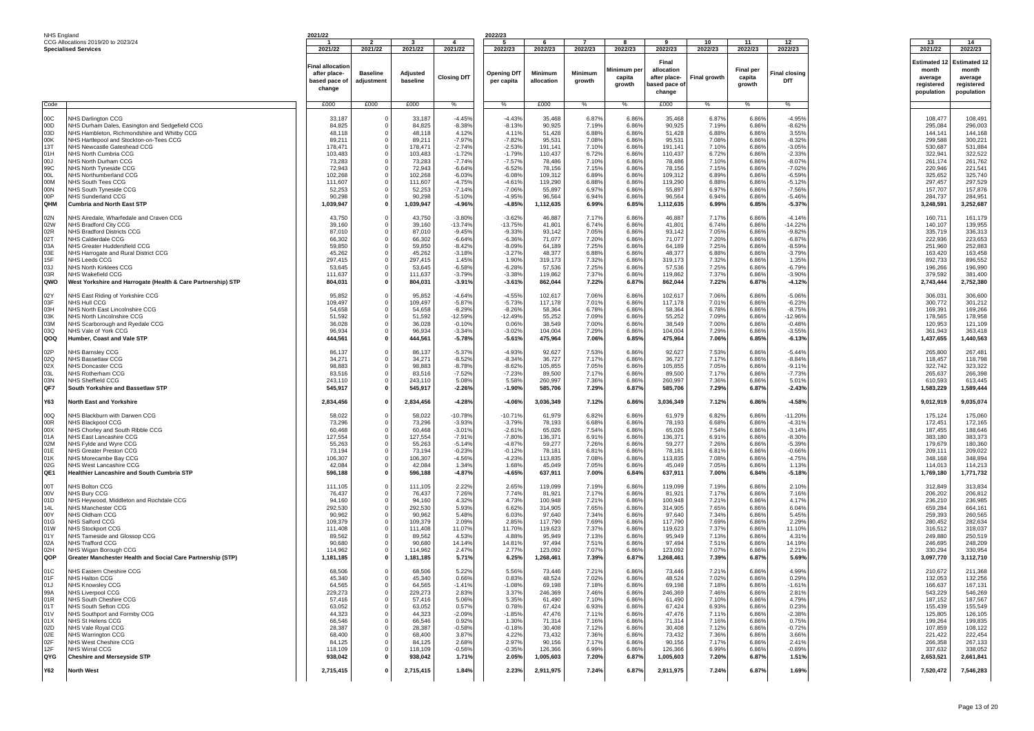| NHS England |                                                               | 2021/22            |                      |                    |                      | 2022/23              |                      |                |                |                      |                     |                  |                           |                      |                      |
|-------------|---------------------------------------------------------------|--------------------|----------------------|--------------------|----------------------|----------------------|----------------------|----------------|----------------|----------------------|---------------------|------------------|---------------------------|----------------------|----------------------|
|             | CCG Allocations 2019/20 to 2023/24                            |                    | $\overline{2}$       |                    | 4                    | - 5                  |                      |                | -8             | -9                   | 10                  | 11               | 12                        | 13                   | 14                   |
|             | <b>Specialised Services</b>                                   | 2021/22            | 2021/22              | 2021/22            | 2021/22              | 2022/23              | 2022/23              | 2022/23        | 2022/23        | 2022/23              | 2022/23             | 2022/23          | 2022/23                   | 2021/22              | 2022/23              |
|             |                                                               |                    |                      |                    |                      |                      |                      |                |                | Final                |                     |                  |                           | <b>Estimated ·</b>   | Estimated 12         |
|             |                                                               | Final allocatior   |                      |                    |                      |                      |                      |                |                |                      |                     |                  |                           |                      |                      |
|             |                                                               | after place-       | <b>Baseline</b>      | Adjusted           |                      | <b>Opening DfT</b>   | Minimum              | Minimum        | Minimum pe     | allocation           |                     | <b>Final per</b> | inal closing <sup>-</sup> | month                | month                |
|             |                                                               | based pace of      | adjustment           | baseline           | <b>Closing DfT</b>   | per capita           | allocation           | growth         | capita         | after place-         | <b>Final growth</b> | capita           | DfT                       | average              | average              |
|             |                                                               | change             |                      |                    |                      |                      |                      |                | growth         | pased pace of        |                     | growth           |                           | registered           | registered           |
|             |                                                               |                    |                      |                    |                      |                      |                      |                |                | change               |                     |                  |                           | population           | population           |
| Code        |                                                               | £000               | £000                 | £000               | %                    | %                    | £000                 | %              | %              | £000                 | %                   | %                | $\%$                      |                      |                      |
|             |                                                               |                    |                      |                    |                      |                      |                      |                |                |                      |                     |                  |                           |                      |                      |
| 00C         | NHS Darlington CCG                                            | 33,187             |                      | 33,187             | $-4.45%$             | $-4.43%$             | 35.468               | 6.87%          | 6.86%          | 35,468               | 6.87%               | 6.86%            | $-4.95%$                  | 108,477              | 108,491              |
| 00D         | NHS Durham Dales, Easington and Sedgefield CCG                | 84,825             |                      | 84,825             | $-8.389$             | $-8.13%$             | 90,925               | 7.19%          | 6.86%          | 90,925               | 7.19%               | 6.86%            | $-8.62%$                  | 295,084              | 296,003              |
| 03D         | NHS Hambleton, Richmondshire and Whitby CCG                   | 48,118             |                      | 48,118             | 4.12%                | 4.11%                | 51,428               | 6.88%          | 6.86%          | 51,428               | 6.88%               | 6.86%            | 3.55%                     | 144,141              | 144,168              |
| 00K         | NHS Hartlepool and Stockton-on-Tees CCG                       | 89,211             |                      | 89.21'             | $-7.97%$             | $-7.82%$             | 95,531               | 7.08%          | 6.86%          | 95,531               | 7.08%               | 6.86%            | $-8.32%$                  | 299,588              | 300,221              |
| 13T         | NHS Newcastle Gateshead CCG                                   | 178,471            |                      | 178,471            | $-2.749$             | $-2.53%$             | 191,141              | 7.10%          | 6.869          | 191,141              | 7.10%               | 6.86%            | $-3.05%$                  | 530,687              | 531,884              |
| 01H         | NHS North Cumbria CCG                                         | 103,483            |                      | 103,483            | $-1.729$             | $-1.79%$             | 110,437              | 6.72%          | 6.869          | 110,437              | 6.72%               | 6.86%            | $-2.33%$                  | 322,941              | 322,522              |
| LOO         | NHS North Durham CCG                                          | 73,283             |                      | 73,283             | $-7.749$             | $-7.57%$             | 78,486               | 7.10%          | 6.86%          | 78,486               | 7.10%               | 6.86%            | $-8.07%$                  | 261,174              | 261,762              |
| 99C         | NHS North Tyneside CCG                                        | 72,943             |                      | 72,943             | $-6.64%$             | $-6.52%$             | 78,156               | 7.15%          | 6.86%          | 78,156               | 7.15%               | 6.86%            | $-7.02%$                  | 220,946              | 221,541              |
| <b>OOL</b>  | NHS Northumberland CCG                                        | 102,268            |                      | 102,268            | $-6.03%$             | $-6.08%$             | 109,312              | 6.89%          | 6.86%          | 109,312              | 6.89%               | 6.86%            | $-6.59%$                  | 325,652              | 325,740              |
| 00M         | NHS South Tees CCG                                            | 111,607            |                      | 111,607            | $-4.75%$             | $-4.61%$             | 119,290              | 6.88%          | 6.86%          | 119,290              | 6.88%               | 6.86%            | $-5.12%$                  | 297,457              | 297,529              |
| 00N<br>00P  | NHS South Tyneside CCG                                        | 52,253             | $^{\circ}$           | 52,253             | $-7.14%$             | $-7.06%$             | 55,897               | 6.97%          | 6.86%          | 55,897               | 6.97%               | 6.86%            | $-7.56%$                  | 157,707              | 157,876<br>284,951   |
| OHM         | NHS Sunderland CCG                                            | 90,298             | $\Omega$             | 90,298             | $-5.10%$             | $-4.95%$             | 96,564               | 6.94%          | 6.86%          | 96,564               | 6.94%               | 6.86%            | $-5.46%$                  | 284,737              |                      |
|             | Cumbria and North East STP                                    | 1,039,947          |                      | 1,039,947          | -4.96%               | $-4.85%$             | 1,112,635            | 6.99%          | 6.85%          | 1,112,635            | 6.99%               | 6.85%            | $-5.37%$                  | 3,248,591            | 3,252,687            |
| 02N         | NHS Airedale, Wharfedale and Craven CCG                       | 43,750             |                      | 43,750             | $-3.80%$             | $-3.62%$             | 46,887               | 7.17%          | 6.86%          | 46,887               | 7.17%               | 6.86%            | $-4.14%$                  | 160,711              | 161,179              |
| 02W         | NHS Bradford City CCG                                         | 39,160             |                      | 39.160             | $-13.749$            | $-13.75%$            | 41,801               | 6.74%          | 6.86%          | 41,801               | 6.74%               | 6.86%            | $-14.22%$                 | 140,107              | 139,955              |
| 02R         | NHS Bradford Districts CCG                                    | 87,010             |                      | 87,010             | $-9.45%$             | $-9.339$             | 93,142               | 7.05%          | 6.86%          | 93,142               | 7.05%               | 6.86%            | $-9.82%$                  | 335,719              | 336,313              |
| 02T         | NHS Calderdale CCG                                            | 66,302             |                      | 66,302             | -6.64%               | $-6.36%$             | 71,077               | 7.20%          | 6.869          | 71,077               | 7.20%               | 6.86%            | $-6.87%$                  | 222,936              | 223,653              |
| 03A         | NHS Greater Huddersfield CCG                                  | 59,850             |                      | 59,850             | $-8.42%$             | $-8.09%$             | 64,189               | 7.25%          | 6.869          | 64,189               | 7.25%               | 6.86%            | $-8.59%$                  | 251,960              | 252,883              |
| 03E         | NHS Harrogate and Rural District CCG                          | 45,262             |                      | 45,262             | $-3.189$             | $-3.27%$             | 48,377               | 6.88%          | 6.86%          | 48,377               | 6.88%               | 6.86%            | $-3.79%$                  | 163,420              | 163,458              |
| 15F         | NHS Leeds CCG                                                 | 297,415            |                      | 297,415            | 1.45%                | 1.90%                | 319,173              | 7.32%          | 6.86%          | 319,173              | 7.32%               | 6.86%            | 1.35%                     | 892,733              | 896,552              |
| 03J         | NHS North Kirklees CCG                                        | 53,645             | $\Omega$             | 53,645             | $-6.58%$             | $-6.28%$             | 57,536               | 7.25%          | 6.86%          | 57,536               | 7.25%               | 6.86%            | $-6.79%$                  | 196,266              | 196,990              |
| 03R         | NHS Wakefield CCG                                             | 111,637            |                      | 111,637            | $-3.79%$             | $-3.38%$             | 119,862              | 7.37%          | 6.86%          | 119,862              | 7.37%               | 6.86%            | $-3.90%$                  | 379,592              | 381,400              |
| QWO         | West Yorkshire and Harrogate (Health & Care Partnership) STP  | 804,031            | 0                    | 804,031            | $-3.91%$             | $-3.61%$             | 862,044              | 7.22%          | 6.87%          | 862,044              | 7.22%               | 6.87%            | $-4.12%$                  | 2,743,444            | 2,752,380            |
| 02Y         | NHS East Riding of Yorkshire CCG                              | 95,852             |                      | 95,852             | $-4.64%$             | $-4.55%$             | 102,617              | 7.06%          | 6.86%          | 102,617              | 7.06%               | 6.86%            | $-5.06%$                  | 306,031              | 306,600              |
| 03F         | NHS Hull CCG                                                  | 109,497            |                      | 109,497            | $-5.87%$             | $-5.73%$             | 117,178              | 7.01%          | 6.86%          | 117,178              | 7.01%               | 6.86%            | $-6.23%$                  | 300,772              | 301,212              |
| 03H         | NHS North East Lincolnshire CCG                               | 54,658             |                      | 54,658             | $-8.29%$             | $-8.26%$             | 58,364               | 6.78%          | 6.86%          | 58,364               | 6.78%               | 6.86%            | $-8.75%$                  | 169,391              | 169,266              |
| 03K         | NHS North Lincolnshire CCG                                    | 51,592             |                      | 51,592             | $-12.59%$            | $-12.49%$            | 55,252               | 7.09%          | 6.86%          | 55,252               | 7.09%               | 6.86%            | $-12.96%$                 | 178,565              | 178,958              |
| 03M         | NHS Scarborough and Ryedale CCG                               | 36,028             |                      | 36,028             | $-0.109$             | 0.06%                | 38,549               | 7.00%          | 6.86%          | 38,549               | 7.00%               | 6.86%            | $-0.48%$                  | 120,953              | 121,109              |
| 03Q         | NHS Vale of York CCG                                          | 96,934             |                      | 96,934             | $-3.34%$             | $-3.02%$             | 104,004              | 7.29%          | 6.869          | 104,004              | 7.29%               | 6.86%            | $-3.55%$                  | 361,943              | 363,418              |
| QOQ         | Humber, Coast and Vale STP                                    | 444,561            |                      | 444,561            | $-5.78%$             | $-5.61%$             | 475,964              | 7.06%          | 6.85%          | 475,964              | 7.06%               | 6.85%            | $-6.13%$                  | 1,437,655            | 1,440,563            |
|             |                                                               |                    |                      |                    |                      |                      |                      |                |                |                      |                     |                  |                           |                      |                      |
| 02P         | NHS Barnsley CCG                                              | 86,137             |                      | 86,137             | $-5.37%$             | $-4.93%$             | 92,627               | 7.53%          | 6.86%          | 92,627               | 7.53%               | 6.86%            | $-5.44%$                  | 265,800              | 267,481              |
| 02Q         | NHS Bassetlaw CCG                                             | 34.27'             |                      | 34,271             | $-8.529$             | $-8.34%$             | 36,727               | 7.17%          | 6.86%          | 36,727               | 7.17%               | 6.86%            | $-8.84%$                  | 118,457              | 118,798              |
| 02X         | <b>NHS Doncaster CCG</b>                                      | 98.883             |                      | 98,883             | $-8.78%$             | $-8.62%$             | 105,855              | 7.05%          | 6.86%          | 105,855              | 7.05%               | 6.86%            | $-9.11%$                  | 322,742              | 323,322              |
| 03L<br>03N  | NHS Rotherham CCG                                             | 83,516             | 0<br>$^{\circ}$      | 83,516             | $-7.52%$             | $-7.23%$             | 89,500               | 7.17%          | 6.86%          | 89,500<br>260,997    | 7.17%               | 6.86%            | $-7.73%$                  | 265,637              | 266,398<br>613,445   |
| QF7         | NHS Sheffield CCG<br>South Yorkshire and Bassetlaw STP        | 243,110<br>545,917 | $\mathbf 0$          | 243,110<br>545,917 | 5.08%<br>$-2.26%$    | 5.58%<br>$-1.90%$    | 260,997<br>585,706   | 7.36%<br>7.29% | 6.86%<br>6.87% | 585,706              | 7.36%<br>7.29%      | 6.86%<br>6.87%   | 5.01%<br>$-2.43%$         | 610,593<br>1,583,229 | 1,589,444            |
|             |                                                               |                    |                      |                    |                      |                      |                      |                |                |                      |                     |                  |                           |                      |                      |
| Y63         | <b>North East and Yorkshire</b>                               | 2,834,456          | $\Omega$             | 2,834,456          | $-4.28%$             | $-4.06%$             | 3,036,349            | 7.12%          | 6.86%          | 3,036,349            | 7.12%               | 6.86%            | $-4.58%$                  | 9,012,919            | 9,035,074            |
|             |                                                               |                    |                      |                    |                      |                      |                      |                |                |                      |                     |                  |                           |                      |                      |
| 00Q         | NHS Blackburn with Darwen CCG                                 | 58,022             |                      | 58,022             | $-10.78%$            | $-10.71%$            | 61,979               | 6.82%          | 6.869          | 61,979               | 6.82%               | 6.86%            | $-11.20%$                 | 175,124              | 175,060              |
| 00R         | NHS Blackpool CCG                                             | 73,296             |                      | 73,296             | $-3.93%$             | $-3.79%$             | 78,193               | 6.68%          | 6.869          | 78,193               | 6.68%               | 6.86%            | $-4.31%$                  | 172,451              | 172,165              |
| 00X<br>01A  | NHS Chorley and South Ribble CCG<br>NHS East Lancashire CCG   | 60.468<br>127,554  |                      | 60,468<br>127,554  | $-3.019$<br>$-7.919$ | $-2.61%$<br>$-7.80%$ | 65,026<br>136,371    | 7.54%<br>6.91% | 6.869<br>6.86% | 65,026<br>136,371    | 7.54%<br>6.91%      | 6.86%<br>6.86%   | $-3.14%$<br>$-8.30%$      | 187,455<br>383,180   | 188,646<br>383,373   |
| 02M         | NHS Fylde and Wyre CCG                                        | 55,263             |                      | 55,263             | $-5.14%$             | $-4.87%$             | 59,277               | 7.26%          | 6.86%          | 59,277               | 7.26%               | 6.86%            | $-5.39%$                  | 179,679              | 180,360              |
| 01E         | NHS Greater Preston CCG                                       | 73,194             |                      | 73,194             | $-0.23%$             | $-0.12%$             | 78,181               | 6.819          | 6.86%          | 78,181               | 6.81%               | 6.86%            | $-0.66%$                  | 209,111              | 209,022              |
| 01K         | NHS Morecambe Bay CCG                                         | 106,307            | $^{\circ}$           | 106,307            | $-4.56%$             | $-4.23%$             | 113,835              | 7.08%          | 6.86%          | 113,835              | 7.08%               | 6.86%            | $-4.75%$                  | 348,168              | 348,894              |
| 02G         | NHS West Lancashire CCG                                       | 42,084             | $^{\circ}$           | 42,084             | 1.34%                | 1.68%                | 45,049               | 7.05%          | 6.86%          | 45,049               | 7.05%               | 6.86%            | 1.13%                     | 114,013              | 114,213              |
| QE1         | Healthier Lancashire and South Cumbria STP                    | 596,188            | $\mathbf 0$          | 596,188            | $-4.87%$             | $-4.65%$             | 637,911              | 7.00%          | 6.84%          | 637,911              | 7.00%               | 6.84%            | $-5.18%$                  | 1,769,180            | 1,771,732            |
|             |                                                               |                    |                      |                    |                      |                      |                      |                |                |                      |                     |                  |                           |                      |                      |
| 00T         | NHS Bolton CCG                                                | 111,105            |                      | 111,105            | 2.22%                | 2.65%                | 119,099              | 7.19%          | 6.86%          | 119,099              | 7.19%               | 6.86%            | 2.10%                     | 312,849              | 313,834              |
| V00         | NHS Bury CCG                                                  | 76,437             |                      | 76,437             | 7.26%                | 7.74%                | 81,921               | 7.179          | 6.86%          | 81,921               | 7.17%               | 6.86%            | 7.16%                     | 206,202              | 206,812              |
| 01D<br>14L  | NHS Heywood, Middleton and Rochdale CCG<br>NHS Manchester CCG | 94,160             |                      | 94,160             | 4.32%                | 4.73%                | 100,948              | 7.219<br>7.65% | 6.86%          | 100,948              | 7.21%               | 6.86%            | 4.17%                     | 236,210              | 236,985              |
| 00Y         | NHS Oldham CCG                                                | 292,530<br>90,962  |                      | 292,530<br>90,962  | 5.93%<br>5.48%       | 6.62%<br>6.03%       | 314,905<br>97,640    | 7.34%          | 6.869<br>6.869 | 314,905<br>97,640    | 7.65%<br>7.34%      | 6.86%<br>6.86%   | 6.04%<br>5.45%            | 659,284<br>259,393   | 664,161<br>260,565   |
| 01G         | NHS Salford CCG                                               | 109,379            |                      | 109,379            | 2.09%                | 2.85%                | 117,790              | 7.69%          | 6.86%          | 117,790              | 7.69%               | 6.86%            | 2.29%                     | 280,452              | 282,634              |
| 01W         | <b>NHS Stockport CCG</b>                                      | 111,408            |                      | 111,408            | 11.07%               | 11.70%               | 119,623              | 7.37%          | 6.86%          | 119,623              | 7.37%               | 6.86%            | 11.10%                    | 316,512              | 318,037              |
| 01Y         | NHS Tameside and Glossop CCG                                  | 89,562             |                      | 89,562             | 4.53%                | 4.88%                | 95,949               | 7.13%          | 6.86%          | 95,949               | 7.13%               | 6.86%            | 4.31%                     | 249,880              | 250,519              |
| 02A         | <b>NHS Trafford CCG</b>                                       | 90,680             |                      | 90,680             | 14.14%               | 14.81%               | 97,494               | 7.51%          | 6.86%          | 97,494               | 7.51%               | 6.86%            | 14.19%                    | 246.695              | 248,209              |
| 02H         | NHS Wigan Borough CCG                                         | 114,962            |                      | 114,962            | 2.47%                | 2.77%                | 123,092              | 7.07%          | 6.86%          | 123,092              | 7.07%               | 6.86%            | 2.21%                     | 330,294              | 330,954              |
| QOP         | Greater Manchester Health and Social Care Partnership (STP)   | 1,181,185          |                      | 1,181,185          | 5.71%                | 6.25%                | 1,268,461            | 7.39%          | 6.87%          | 1,268,461            | 7.39%               | 6.87%            | 5.69%                     | 3,097,770            | 3,112,710            |
| 01C         | NHS Eastern Cheshire CCG                                      | 68,506             |                      | 68,506             | 5.22%                | 5.56%                | 73,446               | 7.21%          | 6.86%          | 73,446               | 7.21%               | 6.86%            | 4.99%                     | 210,672              | 211,368              |
| 01F         | NHS Halton CCG                                                | 45,340             |                      | 45,340             | 0.66%                | 0.83%                | 48,524               | 7.02%          | 6.86%          | 48,524               | 7.02%               | 6.86%            | 0.29%                     | 132,053              | 132,256              |
| 01J         | <b>VHS Knowsley CCG</b>                                       | 64.565             |                      | 64,565             | $-1.41$              | $-1.08%$             | 69,198               | 7.189          | 6.869          | 69,198               | 7.18%               | $6.86^{\circ}$   | $-1.61'$                  | 166,637              | 167,131              |
| 99A         | <b>NHS Liverpool CCG</b>                                      | 229,273            |                      | 229,273            | 2.83%                | 3.379                | 246,369              | 7.46%          | 6.86%          | 246,369              | 7.46%               | 6.86%            | 2.81%                     | 543,229              | 546,269              |
| 01R         | NHS South Cheshire CCG                                        | 57,416             |                      | 57,416             | 5.06%                | 5.35%                | 61,490               | 7.10%          | 6.86%          | 61,490               | 7.10%               | 6.86%            | 4.79%                     | 187,152              | 187,567              |
| 01T         | NHS South Sefton CCG                                          | 63,052             |                      | 63,052             | 0.57%                | 0.78%                | 67,424               | 6.93%          | 6.86%          | 67,424               | 6.93%               | 6.86%            | 0.23%                     | 155,439              | 155,549              |
| 01V         | NHS Southport and Formby CCG                                  | 44,323             |                      | 44,323             | $-2.09%$             | $-1.85%$             | 47,476               | 7.11%          | 6.86%          | 47,476               | 7.119               | 6.86%            | $-2.38%$                  | 125,805              | 126,105              |
| 01X         | NHS St Helens CCG                                             | 66,546             |                      | 66,546             | 0.92%                | 1.30%                | 71,314               | 7.16%          | 6.86%          | 71,314               | 7.16%               | 6.86%            | 0.75%                     | 199,264              | 199,835              |
| 02D         | NHS Vale Royal CCG                                            | 28,387             |                      | 28,387             | $-0.58%$             | $-0.18%$             | 30,408               | 7.12%          | 6.86%          | 30,408               | 7.12%               | 6.86%            | $-0.72%$                  | 107,859              | 108,122              |
| 02E         | <b>NHS Warrington CCG</b>                                     | 68,400             | $^{\circ}$           | 68,400             | 3.87%                | 4.22%                | 73,432               | 7.36%          | 6.86%          | 73,432               | 7.36%               | 6.86%            | 3.66%                     | 221,422              | 222,454              |
| 02F<br>12F  | NHS West Cheshire CCG                                         | 84,125             | $^{\circ}$           | 84,125<br>118,109  | 2.68%                | 2.97%                | 90,156               | 7.17%          | 6.86%<br>6.86% | 90,156               | 7.17%               | 6.86%<br>6.86%   | 2.41%                     | 266,358              | 267,133              |
| QYG         | NHS Wirral CCG<br><b>Cheshire and Merseyside STP</b>          | 118,109<br>938,042 | $\Omega$<br>$\Omega$ | 938,042            | $-0.56%$<br>1.71%    | $-0.35%$<br>2.05%    | 126,366<br>1,005,603 | 6.99%<br>7.20% | 6.87%          | 126,366<br>1,005,603 | 6.99%<br>7.20%      | 6.87%            | $-0.89%$<br>1.51%         | 337,632<br>2,653,521 | 338,052<br>2,661,841 |
|             |                                                               |                    |                      |                    |                      |                      |                      |                |                |                      |                     |                  |                           |                      |                      |
| <b>Y62</b>  | <b>North West</b>                                             | 2,715,415          | $\mathbf{0}$         | 2,715,415          | 1.84%                | 2.23%                | 2,911,975            | 7.24%          | 6.87%          | 2,911,975            | 7.24%               | 6.87%            | 1.69%                     | 7,520,472            | 7,546,283            |
|             |                                                               |                    |                      |                    |                      |                      |                      |                |                |                      |                     |                  |                           |                      |                      |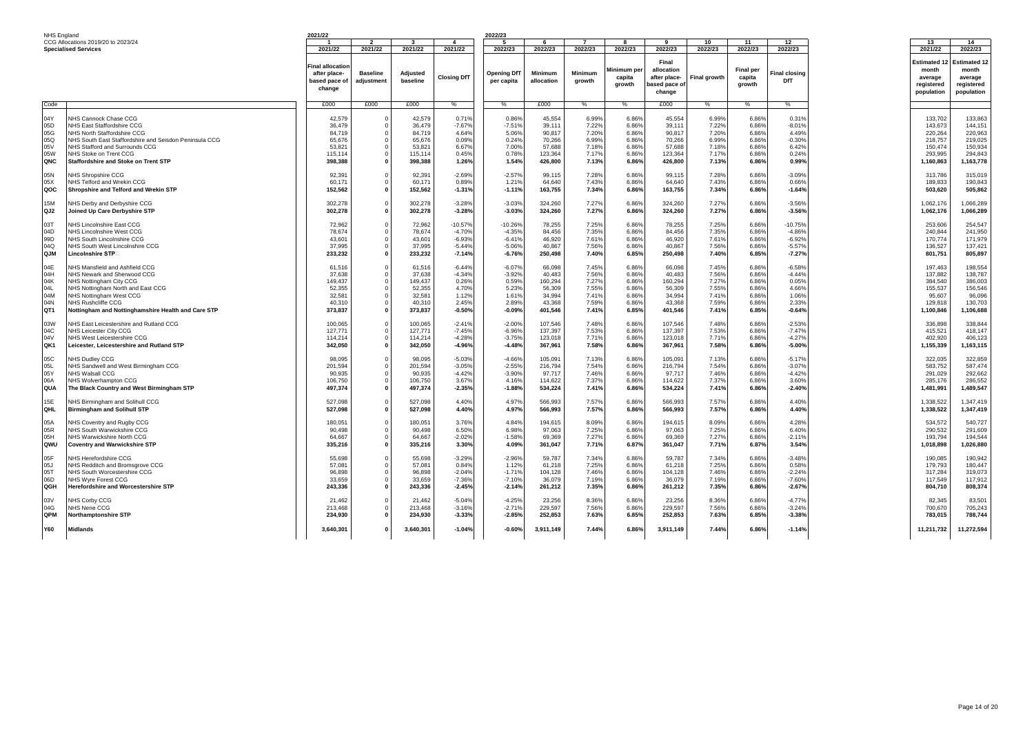| NHS England     |                                                        | 2021/22        |                 |           |                    | 2022/23            |                |                |            |               |                     |                  |               |                     |                     |
|-----------------|--------------------------------------------------------|----------------|-----------------|-----------|--------------------|--------------------|----------------|----------------|------------|---------------|---------------------|------------------|---------------|---------------------|---------------------|
|                 | CCG Allocations 2019/20 to 2023/24                     |                | $\overline{2}$  |           | $\overline{4}$     | -5                 | 6              | $\overline{7}$ | R          | $\mathbf{q}$  | 10                  | 11               | 12            | 13                  | 14                  |
|                 | <b>Specialised Services</b>                            | 2021/22        | 2021/22         | 2021/22   | 2021/22            | 2022/23            | 2022/23        | 2022/23        | 2022/23    | 2022/23       | 2022/23             | 2022/23          | 2022/23       | 2021/22             | 2022/23             |
|                 |                                                        |                |                 |           |                    |                    |                |                |            |               |                     |                  |               |                     |                     |
|                 |                                                        |                |                 |           |                    |                    |                |                |            | Final         |                     |                  |               |                     |                     |
|                 |                                                        | inal allocatio |                 |           |                    |                    |                |                |            |               |                     |                  |               | <b>Estimated 12</b> | <b>Estimated 12</b> |
|                 |                                                        |                |                 |           |                    |                    |                |                | Minimum pe | allocation    |                     | <b>Final per</b> |               | month               | month               |
|                 |                                                        | after place-   | <b>Baseline</b> | Adjusted  | <b>Closing DfT</b> | <b>Opening DfT</b> | <b>Minimum</b> | <b>Minimum</b> | capita     | after place-  | <b>Final growth</b> | capita           | Final closing | average             | average             |
|                 |                                                        | based pace of  | adjustment      | baseline  |                    | per capita         | allocation     | growth         |            |               |                     |                  | DfT           |                     |                     |
|                 |                                                        | change         |                 |           |                    |                    |                |                | growth     | based pace of |                     | growth           |               | registered          | registered          |
|                 |                                                        |                |                 |           |                    |                    |                |                |            | change        |                     |                  |               | population          | population          |
|                 |                                                        |                |                 |           |                    |                    |                |                |            |               |                     |                  |               |                     |                     |
| Code            |                                                        | £000           | £000            | £000      | $\frac{0}{6}$      |                    | £000           | %              | %          | £000          | %                   | %                | $\frac{0}{6}$ |                     |                     |
|                 |                                                        |                |                 |           |                    |                    |                |                |            |               |                     |                  |               |                     |                     |
|                 | <b>VHS Cannock Chase CCG</b>                           |                | $\Omega$        |           | 0.71%              |                    |                |                |            |               |                     |                  |               |                     |                     |
| 04Y             |                                                        | 42,579         |                 | 42,579    |                    | 0.86%              | 45,554         | 6.99%          | 6.869      | 45,554        | 6.99%               | 6.86%            | 0.31%         | 133,702             | 133,863             |
| 05D             | NHS East Staffordshire CCG                             | 36,479         | $\Omega$        | 36,479    | $-7.67%$           | $-7.51%$           | 39,111         | 7.22%          | 6.869      | 39,111        | 7.22%               | 6.86%            | $-8.019$      | 143,673             | 144,151             |
| 05G             | NHS North Staffordshire CCG                            | 84.719         | $\mathbf 0$     | 84.719    | 4.64%              | 5.06%              | 90.817         | 7.20%          | 6.86%      | 90.817        | 7.20%               | 6.86%            | 4.49%         | 220,264             | 220.963             |
| 05Q             | NHS South East Staffordshire and Seisdon Peninsula CCG | 65,676         | $\Omega$        | 65,676    | 0.09%              | 0.24%              | 70,266         | 6.99%          | 6.86%      | 70,266        | 6.99%               | 6.86%            | $-0.30%$      | 218,757             | 219,025             |
|                 |                                                        |                |                 |           |                    |                    |                |                |            |               |                     |                  |               |                     |                     |
| 05V             | NHS Stafford and Surrounds CCG                         | 53,821         | $\Omega$        | 53,821    | 6.67%              | 7.00%              | 57,688         | 7.18%          | 6.86%      | 57,688        | 7.18%               | 6.86%            | 6.42%         | 150,474             | 150,934             |
| 05W             | NHS Stoke on Trent CCG                                 | 115,114        | $\Omega$        | 115,114   | 0.45%              | 0.78%              | 123,364        | 7.17%          | 6.86%      | 123,364       | 7.17%               | 6.86%            | 0.24%         | 293,995             | 294,843             |
| <b>ONC</b>      | Staffordshire and Stoke on Trent STP                   | 398,388        | $\mathbf{0}$    | 398,388   | 1.26%              | 1.54%              | 426,800        | 7.13%          | 6.86%      | 426,800       | 7.13%               | 6.86%            | 0.99%         | 1,160,863           | 1,163,778           |
|                 |                                                        |                |                 |           |                    |                    |                |                |            |               |                     |                  |               |                     |                     |
|                 |                                                        |                | $\Omega$        |           |                    |                    |                |                |            |               |                     |                  |               |                     |                     |
| 05N             | <b>NHS Shropshire CCG</b>                              | 92,391         |                 | 92,391    | $-2.69%$           | $-2.57%$           | 99,115         | 7.28%          | 6.86%      | 99,115        | 7.28%               | 6.86%            | $-3.09%$      | 313,786             | 315,019             |
| 05X             | <b>NHS Telford and Wrekin CCG</b>                      | 60,171         | $^{\circ}$      | 60,17     | 0.89%              | 1.21%              | 64,640         | 7.43%          | 6.869      | 64,640        | 7.43%               | 6.86%            | 0.66%         | 189,833             | 190,843             |
| QOC             | Shropshire and Telford and Wrekin STP                  | 152,562        | $\mathbf{0}$    | 152,562   | $-1.31%$           | $-1.11%$           | 163,755        | 7.34%          | 6.86%      | 163,755       | 7.34%               | 6.86%            | $-1.64%$      | 503,620             | 505.862             |
|                 |                                                        |                |                 |           |                    |                    |                |                |            |               |                     |                  |               |                     |                     |
| 15M             | <b>VHS Derby and Derbyshire CCG</b>                    | 302,278        | $\Omega$        | 302,278   | $-3.28%$           | $-3.03%$           | 324,260        | 7.27%          | 6.86%      | 324,260       | 7.27%               | 6.86%            | $-3.56%$      | 1.062.176           | 1,066,289           |
|                 |                                                        |                |                 |           |                    |                    |                |                |            |               |                     |                  |               |                     |                     |
| QJ2             | Joined Up Care Derbyshire STP                          | 302,278        | 0               | 302,278   | $-3.28%$           | $-3.03%$           | 324,260        | 7.27%          | 6.86%      | 324,260       | 7.27%               | 6.86%            | $-3.56%$      | 1,062,176           | 1,066,289           |
|                 |                                                        |                |                 |           |                    |                    |                |                |            |               |                     |                  |               |                     |                     |
| 03T             | <b>NHS Lincolnshire East CCG</b>                       | 72,962         | $\Omega$        | 72,962    | $-10.57%$          | -10.26%            | 78,255         | 7.25%          | 6.86%      | 78,255        | 7.25%               | 6.86%            | $-10.75%$     | 253,606             | 254,547             |
| 04D             | NHS Lincolnshire West CCG                              | 78,674         | $\mathbf 0$     | 78,674    | $-4.70%$           | $-4.35%$           | 84.456         | 7.35%          | 6.86%      | 84,456        | 7.35%               | 6.86%            | $-4.86%$      | 240,844             | 241,950             |
|                 |                                                        |                |                 |           |                    |                    |                |                |            |               |                     |                  |               |                     |                     |
| 99D             | NHS South Lincolnshire CCG                             | 43,601         | $\mathbf 0$     | 43,601    | $-6.93%$           | $-6.41%$           | 46,920         | 7.61%          | 6.86%      | 46,920        | 7.61%               | 6.86%            | $-6.92%$      | 170,774             | 171,979             |
| 04Q             | NHS South West Lincolnshire CCG                        | 37,995         | $\mathbf 0$     | 37.995    | $-5.44%$           | $-5.06%$           | 40.867         | 7.56%          | 6.86%      | 40.867        | 7.56%               | 6.86%            | $-5.57%$      | 136,527             | 137.421             |
| QJM             | Lincolnshire STP                                       | 233,232        | $\mathbf{0}$    | 233,232   | $-7.14%$           | $-6.76%$           | 250,498        | 7.40%          | 6.85%      | 250,498       | 7.40%               | 6.85%            | $-7.27%$      | 801,751             | 805,897             |
|                 |                                                        |                |                 |           |                    |                    |                |                |            |               |                     |                  |               |                     |                     |
|                 |                                                        |                |                 |           |                    |                    |                |                |            |               |                     |                  |               |                     |                     |
| 04E             | <b>NHS Mansfield and Ashfield CCG</b>                  | 61,516         | $^{\circ}$      | 61,516    | $-6.44%$           | $-6.07%$           | 66,098         | 7.45%          | 6.86%      | 66,098        | 7.45%               | 6.86%            | $-6.58%$      | 197,463             | 198,554             |
| 04H             | NHS Newark and Sherwood CCG                            | 37,638         | $\mathbf 0$     | 37,638    | $-4.34%$           | $-3.92%$           | 40,483         | 7.56%          | 6.869      | 40,483        | 7.56%               | 6.86%            | $-4.44%$      | 137,882             | 138,787             |
| 04K             | <b>NHS Nottingham City CCG</b>                         | 149,437        | $\Omega$        | 149,437   | 0.26%              | 0.59%              | 160,294        | 7.27%          | 6.86%      | 160,294       | 7.27%               | 6.86%            | 0.05%         | 384,540             | 386,003             |
| 04L             | <b>NHS Nottingham North and East CCG</b>               | 52,355         | $\Omega$        | 52,355    | 4.70%              | 5.23%              | 56,309         | 7.55%          | 6.86%      | 56,309        | 7.55%               | 6.86%            | 4.66%         | 155.537             | 156,546             |
| 04M             | NHS Nottingham West CCG                                | 32.581         | $\Omega$        | 32.581    | 1.12%              | 1.61%              | 34.994         | 7.41%          | 6.869      | 34.994        | 7.41%               | 6.86%            | 1.06%         | 95.607              | 96,096              |
|                 |                                                        |                |                 |           |                    |                    |                |                |            |               |                     |                  |               |                     |                     |
| 04N             | NHS Rushcliffe CCG                                     | 40,310         | $\Omega$        | 40,310    | 2.45%              | 2.89%              | 43,368         | 7.59%          | 6.86%      | 43,368        | 7.59%               | 6.86%            | 2.33%         | 129,818             | 130,703             |
| QT <sub>1</sub> | Nottingham and Nottinghamshire Health and Care STP     | 373,837        | $\mathbf{0}$    | 373,837   | $-0.50%$           | $-0.09%$           | 401,546        | 7.41%          | 6.85%      | 401,546       | 7.41%               | 6.85%            | $-0.64%$      | 1,100,846           | 1,106,688           |
|                 |                                                        |                |                 |           |                    |                    |                |                |            |               |                     |                  |               |                     |                     |
| 03W             | <b>IHS East Leicestershire and Rutland CCG</b>         | 100,065        | $\mathbf 0$     | 100,065   | $-2.41%$           | $-2.00%$           | 107,546        | 7.48%          | 6.86%      | 107,546       | 7.48%               | 6.86%            | $-2.53%$      | 336,898             | 338,844             |
| 04C             | NHS Leicester City CCG                                 | 127,771        | $\mathbf 0$     | 127,771   | $-7.45%$           | $-6.96%$           | 137,397        | 7.53%          | 6.86%      | 137,397       | 7.53%               | 6.86%            | $-7.47%$      | 415,521             | 418,147             |
|                 |                                                        |                |                 |           |                    |                    |                |                |            |               |                     |                  |               |                     |                     |
| 04V             | NHS West Leicestershire CCG                            | 114.214        | $\Omega$        | 114,214   | $-4.28%$           | $-3.75%$           | 123,018        | 7.71%          | 6.86%      | 123.018       | 7.71%               | 6.86%            | $-4.27%$      | 402.920             | 406.123             |
| QK1             | eicester, Leicestershire and Rutland STP               | 342,050        | $\mathbf 0$     | 342,050   | $-4.96%$           | $-4.48%$           | 367,961        | 7.58%          | 6.86%      | 367,961       | 7.58%               | 6.86%            | $-5.00%$      | 1,155,339           | 1,163,115           |
|                 |                                                        |                |                 |           |                    |                    |                |                |            |               |                     |                  |               |                     |                     |
| 05C             | <b>VHS Dudley CCG</b>                                  | 98,095         | $\Omega$        | 98,095    | $-5.03%$           | $-4.66%$           | 105,091        | 7.13%          | 6.86%      | 105,091       | 7.13%               | 6.86%            | $-5.17%$      | 322,035             | 322,859             |
| 05L             |                                                        |                |                 |           |                    |                    |                |                |            |               |                     |                  |               |                     |                     |
|                 | NHS Sandwell and West Birmingham CCG                   | 201.594        | $\Omega$        | 201.594   | $-3.05%$           | $-2.55%$           | 216,794        | 7.54%          | 6.869      | 216,794       | 7.54%               | 6.86%            | $-3.07%$      | 583.752             | 587.474             |
| 05Y             | NHS Walsall CCG                                        | 90,935         | $\Omega$        | 90,935    | $-4.42%$           | $-3.90%$           | 97,717         | 7.46%          | 6.869      | 97,717        | 7.46%               | 6.86%            | $-4.42%$      | 291,029             | 292,662             |
| 06A             | <b>NHS Wolverhampton CCG</b>                           | 106,750        | $\Omega$        | 106,750   | 3.67%              | 4.16%              | 114,622        | 7.37%          | 6.86%      | 114,622       | 7.37%               | 6.86%            | 3.60%         | 285,176             | 286,552             |
| QUA             | The Black Country and West Birmingham STP              | 497,374        | $\mathbf 0$     | 497,374   | $-2.35%$           | $-1.88%$           | 534,224        | 7.41%          | 6.86%      | 534,224       | 7.41%               | 6.86%            | $-2.40%$      | 1,481,991           | 1,489,547           |
|                 |                                                        |                |                 |           |                    |                    |                |                |            |               |                     |                  |               |                     |                     |
| 15E             | NHS Birmingham and Solihull CCG                        | 527,098        | $\Omega$        | 527,098   | 4.40%              | 4.97%              | 566,993        | 7.57%          | 6.86%      | 566,993       | 7.57%               | 6.86%            | 4.40%         | 1,338,522           | 1,347,419           |
|                 |                                                        |                |                 |           |                    |                    |                |                |            |               |                     |                  |               |                     |                     |
| QHL             | <b>Birmingham and Solihull STP</b>                     | 527,098        | $\mathbf{0}$    | 527,098   | 4.40%              | 4.97%              | 566,993        | 7.57%          | 6.86%      | 566,993       | 7.57%               | 6.86%            | 4.40%         | 1,338,522           | 1,347,419           |
|                 |                                                        |                |                 |           |                    |                    |                |                |            |               |                     |                  |               |                     |                     |
| 05A             | <b>VHS Coventry and Rugby CCG</b>                      | 180.051        | $\Omega$        | 180.051   | 3.76%              | 4.84%              | 194.615        | 8.09%          | 6.86%      | 194.615       | 8.09%               | 6.86%            | 4.28%         | 534.572             | 540.727             |
| 05R             | NHS South Warwickshire CCG                             | 90.498         | $\Omega$        | 90.498    | 6.50%              | 6.98%              | 97.063         | 7.25%          | 6.86%      | 97.063        | 7.25%               | 6.86%            | 6.40%         | 290.532             | 291.609             |
| 05H             | NHS Warwickshire North CCG                             | 64,667         | $\Omega$        | 64,667    | $-2.02%$           | $-1.58%$           | 69,369         | 7.27%          | 6.86%      | 69.369        | 7.27%               | 6.86%            | $-2.11%$      | 193.794             | 194,544             |
|                 |                                                        |                |                 |           |                    |                    |                |                |            |               |                     |                  |               |                     |                     |
| QWU             | <b>Coventry and Warwickshire STP</b>                   | 335,216        | $\mathbf 0$     | 335,216   | 3.30%              | 4.09%              | 361,047        | 7.71%          | 6.87%      | 361,047       | 7.71%               | 6.87%            | 3.54%         | 1,018,898           | 1,026,880           |
|                 |                                                        |                |                 |           |                    |                    |                |                |            |               |                     |                  |               |                     |                     |
| 05F             | <b>VHS Herefordshire CCG</b>                           | 55,698         | $\Omega$        | 55,698    | $-3.29%$           | $-2.96%$           | 59.787         | 7.34%          | 6.869      | 59,787        | 7.34%               | 6.86%            | $-3.48%$      | 190.085             | 190,942             |
| 05J             | NHS Redditch and Bromsgrove CCG                        | 57,081         | $\Omega$        | 57,081    | 0.84%              | 1.12%              | 61,218         | 7.25%          | 6.869      | 61,218        | 7.25%               | 6.86%            | 0.58%         | 179,793             | 180.447             |
| 05T             | <b>NHS South Worcestershire CCG</b>                    | 96,898         | $\Omega$        | 96,898    | $-2.04%$           | $-1.71%$           | 104,128        | 7.46%          | 6.869      | 104,128       | 7.46%               | 6.86%            | $-2.24%$      | 317,284             | 319,073             |
|                 |                                                        |                |                 |           |                    |                    |                |                |            |               |                     |                  |               |                     |                     |
| CG 0.           | <b>VHS Wyre Forest CCG</b>                             | 33.659         | $\Omega$        | 33.659    | $-7.36%$           | $-7.10%$           | 36,079         | 7.19%          | 6.86%      | 36,079        | 7.19%               | 6.86%            | $-7.60%$      | 117,549             | 117,912             |
| QGH             | Herefordshire and Worcestershire STP                   | 243,336        | $\mathbf{0}$    | 243,336   | $-2.45%$           | $-2.14%$           | 261,212        | 7.35%          | 6.86%      | 261,212       | 7.35%               | 6.86%            | $-2.67%$      | 804,710             | 808,374             |
|                 |                                                        |                |                 |           |                    |                    |                |                |            |               |                     |                  |               |                     |                     |
| 03V             | <b>VHS Corby CCG</b>                                   | 21,462         | $\mathbf 0$     | 21,462    | $-5.04%$           | $-4.25%$           | 23,256         | 8.36%          | 6.86%      | 23,256        | 8.36%               | 6.86%            | $-4.77%$      | 82,345              | 83,501              |
| 04G             | NHS Nene CCG                                           | 213,468        | $\mathbf 0$     | 213,468   | $-3.16%$           | $-2.71%$           | 229,597        | 7.56%          | 6.86%      | 229,597       | 7.56%               | 6.86%            | $-3.24%$      | 700,670             | 705,243             |
|                 |                                                        |                |                 |           |                    |                    |                |                |            |               |                     |                  |               |                     |                     |
| QPM             | Northamptonshire STP                                   | 234,930        | $\mathbf{0}$    | 234,930   | $-3.33%$           | $-2.85%$           | 252,853        | 7.63%          | 6.85%      | 252,853       | 7.63%               | 6.85%            | $-3.38%$      | 783,015             | 788.744             |
|                 |                                                        |                |                 |           |                    |                    |                |                |            |               |                     |                  |               |                     |                     |
| <b>Y60</b>      | <b>Midlands</b>                                        | 3,640,301      | 0               | 3,640,301 | $-1.04%$           | $-0.60%$           | 3,911,149      | 7.44%          | 6.86%      | 3,911,149     | 7.44%               | 6.86%            | $-1.14%$      | 11,211,732          | 11,272,594          |
|                 |                                                        |                |                 |           |                    |                    |                |                |            |               |                     |                  |               |                     |                     |
|                 |                                                        |                |                 |           |                    |                    |                |                |            |               |                     |                  |               |                     |                     |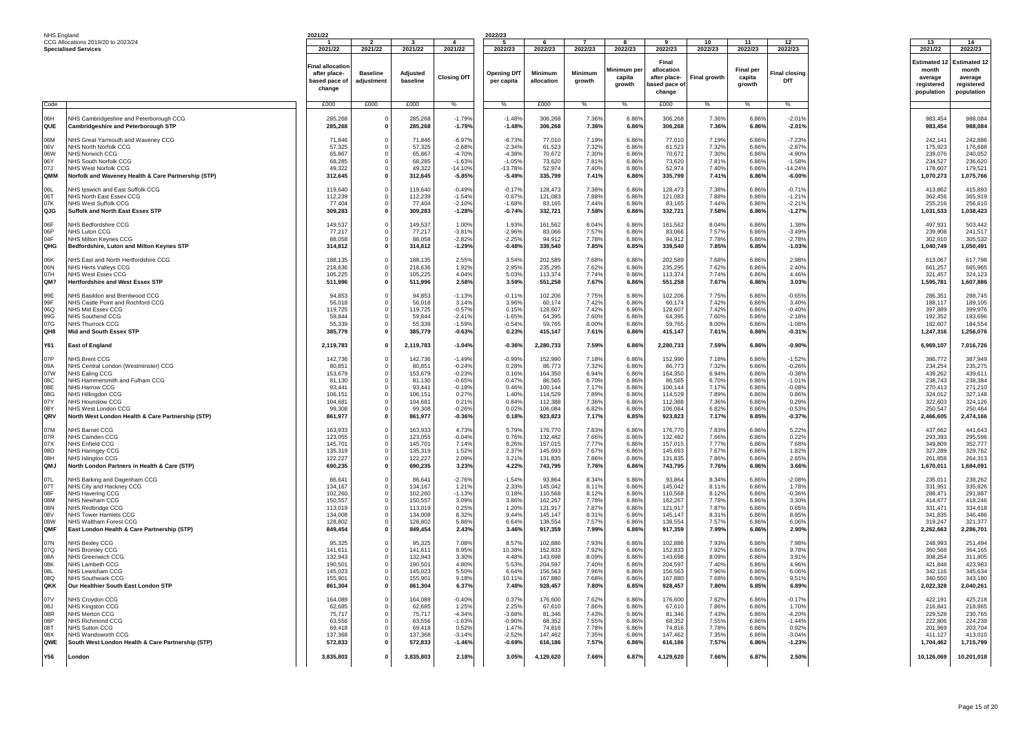| NHS England                                                 |                                                                                                                                                                                                                                                                              | 2021/22                                                                                    |                                          |                                                                                             |                                                                                                    | 2022/23                                                                             |                                                                                               |                                                                               |                                                                               |                                                                                               |                                                                               |                                                                               |                                                                                                    |                                                                                                   |                                                                                                   |
|-------------------------------------------------------------|------------------------------------------------------------------------------------------------------------------------------------------------------------------------------------------------------------------------------------------------------------------------------|--------------------------------------------------------------------------------------------|------------------------------------------|---------------------------------------------------------------------------------------------|----------------------------------------------------------------------------------------------------|-------------------------------------------------------------------------------------|-----------------------------------------------------------------------------------------------|-------------------------------------------------------------------------------|-------------------------------------------------------------------------------|-----------------------------------------------------------------------------------------------|-------------------------------------------------------------------------------|-------------------------------------------------------------------------------|----------------------------------------------------------------------------------------------------|---------------------------------------------------------------------------------------------------|---------------------------------------------------------------------------------------------------|
|                                                             | CCG Allocations 2019/20 to 2023/24                                                                                                                                                                                                                                           |                                                                                            |                                          |                                                                                             |                                                                                                    |                                                                                     |                                                                                               |                                                                               |                                                                               |                                                                                               | 10                                                                            | 11                                                                            | 12                                                                                                 | 13                                                                                                | 14                                                                                                |
|                                                             | <b>Specialised Services</b>                                                                                                                                                                                                                                                  | 2021/22<br><b>Final allocatio</b><br>after place-<br>based pace of<br>change               | 2021/22<br><b>Baseline</b><br>adjustment | 2021/22<br>Adiusted<br>baseline                                                             | 2021/22<br><b>Closing DfT</b>                                                                      | 2022/23<br><b>Opening DfT</b><br>per capita                                         | 2022/23<br>Minimum<br>allocation                                                              | 2022/23<br>Minimum<br>growth                                                  | 2022/23<br>Minimum pe<br>capita<br>arowth                                     | 2022/23<br>Final<br>allocation<br>after place-<br>based pace o<br>change                      | 2022/23<br>Final growth                                                       | 2022/23<br><b>Final per</b><br>capita<br>growth                               | 2022/23<br>Final closing<br>DfT                                                                    | 2021/22<br>Estimated *<br>month<br>average<br>reaistered<br>population                            | 2022/23<br><b>Estimated 12</b><br>month<br>average<br>reaistered<br>population                    |
| Code                                                        |                                                                                                                                                                                                                                                                              | £000                                                                                       | £000                                     | £000                                                                                        | $\%$                                                                                               | $\frac{0}{6}$                                                                       | £000                                                                                          | $\%$                                                                          | $\%$                                                                          | £000                                                                                          | $\%$                                                                          | $\frac{0}{6}$                                                                 | $\frac{0}{6}$                                                                                      |                                                                                                   |                                                                                                   |
| H30<br><b>QUE</b>                                           | <b>NHS Cambridgeshire and Peterborough CCG</b><br><b>Cambridgeshire and Peterborough STP</b>                                                                                                                                                                                 | 285,268<br>285,268                                                                         |                                          | 285,268<br>285,268                                                                          | $-1.79%$<br>$-1.79%$                                                                               | $-1.48%$<br>$-1.48%$                                                                | 306,268<br>306,268                                                                            | 7.36%<br>7.36%                                                                | 6.86%<br>6.86%                                                                | 306.268<br>306.268                                                                            | 7.36%<br>7.36%                                                                | 6.86%<br>6.86%                                                                | $-2.019$<br>$-2.01%$                                                                               | 983,454<br>983,454                                                                                | 988,084<br>988,084                                                                                |
| M <sub>80</sub><br>06V<br>06W<br>06Y<br>07J<br>QMM          | <b>NHS Great Yarmouth and Waveney CCG</b><br>NHS North Norfolk CCG<br>NHS Norwich CCG<br>NHS South Norfolk CCG<br>NHS West Norfolk CCG<br>Norfolk and Waveney Health & Care Partnership (STP)                                                                                | 71.846<br>57.325<br>65.867<br>68,285<br>49.322<br>312,645                                  | $\Omega$                                 | 71.846<br>57.325<br>65.867<br>68.285<br>49.322<br>312,645                                   | $-6.97%$<br>$-2.68%$<br>$-4.709$<br>$-1.63%$<br>$-14.109$<br>$-5.85%$                              | $-6.73%$<br>$-2.349$<br>$-4.389$<br>$-1.05%$<br>$-13.789$<br>$-5.49%$               | 77.01<br>61.52<br>70.672<br>73.62<br>52.97<br>335,799                                         | 7.19%<br>7.32%<br>7.30%<br>7.81%<br>7.40%<br>7.41%                            | 6.86%<br>6.86%<br>6.86%<br>6.86%<br>6.86%<br>6.86%                            | 77,010<br>61.523<br>70.672<br>73,620<br>52,974<br>335,799                                     | 7.19%<br>7.329<br>7.30%<br>7.81%<br>7.40%<br>7.41%                            | 6.86%<br>6.86%<br>6.86%<br>6.86%<br>6.86%<br>6.86%                            | $-7.23%$<br>$-2.87%$<br>$-4.90%$<br>$-1.58%$<br>$-14.249$<br>$-6.00%$                              | 242,141<br>175,923<br>239.076<br>234,527<br>178,607<br>1,070,273                                  | 242,886<br>176,688<br>240.052<br>236,620<br>179.521<br>1,075,766                                  |
| 06L<br>06T<br>07K<br>QJG                                    | <b>VHS Ipswich and East Suffolk CCG</b><br>NHS North East Essex CCG<br>NHS West Suffolk CCG<br>Suffolk and North East Essex STP                                                                                                                                              | 119,640<br>112,239<br>77,404<br>309,283                                                    |                                          | 119,640<br>112.239<br>77.404<br>309,283                                                     | $-0.49%$<br>$-1.54%$<br>$-2.109$<br>$-1.28%$                                                       | $-0.17%$<br>$-0.67%$<br>$-1.68%$<br>$-0.74%$                                        | 128,473<br>121,083<br>83.165<br>332,721                                                       | 7.38%<br>7.88%<br>7.44%<br>7.58%                                              | 6.86%<br>6.86%<br>6.86%<br>6.86%                                              | 128,473<br>121.083<br>83.165<br>332,721                                                       | 7.38%<br>7.88%<br>7.44%<br>7.58%                                              | 6.86%<br>6.86%<br>6.86%<br>6.86%                                              | $-0.719$<br>$-1.219$<br>$-2.219$<br>$-1.27%$                                                       | 413,862<br>362,456<br>255,216<br>1,031,533                                                        | 415,893<br>365,919<br>256,610<br>1,038,423                                                        |
| 06F<br>06P<br>04F<br>OHG                                    | <b>VHS Bedfordshire CCG</b><br>NHS Luton CCG<br><b>VHS Milton Keynes CCG</b><br>Bedfordshire, Luton and Milton Keynes STP                                                                                                                                                    | 149,537<br>77,217<br>88.058<br>314,812                                                     | $\Omega$                                 | 149,537<br>77,217<br>88.058<br>314,812                                                      | 1.00%<br>$-3.819$<br>$-2.82%$<br>$-1.29%$                                                          | 1.93%<br>$-2.96%$<br>$-2.25%$<br>$-0.48%$                                           | 161.562<br>83,066<br>94,912<br>339,540                                                        | 8.04%<br>7.57%<br>7.78%<br>7.85%                                              | 6.86%<br>6.86%<br>6.86%<br>6.85%                                              | 161.562<br>83,066<br>94,912<br>339,540                                                        | 8.04%<br>7.57%<br>7.78%<br>7.85%                                              | 6.86%<br>6.86%<br>6.86%<br>6.85%                                              | 1.38%<br>$-3.49%$<br>$-2.789$<br>$-1.03%$                                                          | 497,931<br>239,908<br>302,910<br>1,040,749                                                        | 503,442<br>241,517<br>305,532<br>1,050,491                                                        |
| 06K<br>06N<br>07H<br>QM7                                    | <b>NHS East and North Hertfordshire CCG</b><br>NHS Herts Valleys CCG<br>NHS West Essex CCG<br>Hertfordshire and West Essex STP                                                                                                                                               | 188.135<br>218.636<br>105,225<br>511,996                                                   | $\Omega$<br>$\Omega$                     | 188.135<br>218,636<br>105,225<br>511,996                                                    | 2.55%<br>1.92%<br>4.04%<br>2.58%                                                                   | 3.54%<br>2.95%<br>5.03%<br>3.59%                                                    | 202.589<br>235.295<br>113,374<br>551,258                                                      | 7.68%<br>7.62%<br>7.74%<br>7.67%                                              | 6.86%<br>6.86%<br>6.86%<br>6.86%                                              | 202.589<br>235.295<br>113,374<br>551,258                                                      | 7.68%<br>7.62%<br>7.74%<br>7.67%                                              | 6.86%<br>6.86%<br>6.86%<br>6.86%                                              | 2.98%<br>2.40%<br>4.46%<br>3.03%                                                                   | 613,067<br>661.257<br>321,457<br>1,595,781                                                        | 617.798<br>665.965<br>324,123<br>1,607,886                                                        |
| 99E<br>99F<br>06Q<br>99G<br>07G<br>QH8                      | NHS Basildon and Brentwood CCG<br><b>NHS Castle Point and Rochford CCG</b><br>NHS Mid Essex CCG<br>NHS Southend CCG<br>NHS Thurrock CCG<br>Mid and South Essex STP                                                                                                           | 94,853<br>56,018<br>119.725<br>59,844<br>55,339<br>385,779                                 | $\Omega$<br>$\mathbf 0$                  | 94,853<br>56,018<br>119,725<br>59,844<br>55,339<br>385,779                                  | $-1.139$<br>3.14%<br>$-0.57%$<br>$-2.419$<br>$-1.59%$<br>$-0.63%$                                  | $-0.119$<br>3.96%<br>0.15%<br>$-1.65%$<br>$-0.54%$<br>0.23%                         | 102,206<br>60,174<br>128,607<br>64,395<br>59.765<br>415,147                                   | 7.75%<br>7.42%<br>7.42%<br>7.60%<br>8.00%<br>7.61%                            | 6.86%<br>6.86%<br>6.86%<br>6.86%<br>6.86%<br>6.86%                            | 102,206<br>60,174<br>128,607<br>64,395<br>59.765<br>415,147                                   | 7.75%<br>7.42%<br>7.42%<br>7.60%<br>8.00%<br>7.61%                            | 6.86%<br>6.86%<br>6.86%<br>6.86%<br>6.86%<br>6.86%                            | $-0.65%$<br>3.40%<br>$-0.40%$<br>$-2.18%$<br>$-1.08%$<br>$-0.31%$                                  | 286,351<br>188,117<br>397.889<br>192,352<br>182.607<br>1,247,316                                  | 288,745<br>189,105<br>399,976<br>193,696<br>184,554<br>1,256,076                                  |
| Y61                                                         | <b>East of England</b>                                                                                                                                                                                                                                                       | 2,119,783                                                                                  | $\Omega$                                 | 2,119,783                                                                                   | $-1.04%$                                                                                           | $-0.36%$                                                                            | 2,280,733                                                                                     | 7.59%                                                                         | 6.86%                                                                         | 2,280,733                                                                                     | 7.59%                                                                         | 6.86%                                                                         | $-0.90%$                                                                                           | 6,969,107                                                                                         | 7,016,726                                                                                         |
| 07P<br>09A<br>07W<br>08C<br>08E<br>08G<br>07Y<br>08Y<br>QRV | <b>VHS Brent CCG</b><br>NHS Central London (Westminster) CCG<br>NHS Ealing CCG<br><b>HS Hammersmith and Fulham CCG</b><br>NHS Harrow CCG<br>NHS Hillingdon CCG<br><b>VHS Hounslow CCG</b><br><b>NHS West London CCG</b><br>North West London Health & Care Partnership (STP) | 142,736<br>80.85<br>153.679<br>81,130<br>93.441<br>106.151<br>104,681<br>99.308<br>861,977 |                                          | 142,736<br>80.851<br>153.679<br>81.130<br>93.441<br>106,151<br>104,681<br>99.308<br>861,977 | $-1.49%$<br>$-0.249$<br>$-0.239$<br>$-0.65%$<br>$-0.189$<br>0.27%<br>0.21%<br>$-0.269$<br>$-0.36%$ | $-0.99%$<br>0.28%<br>0.16%<br>$-0.47%$<br>0.46%<br>1.40%<br>0.84%<br>0.02%<br>0.18% | 152,990<br>86.773<br>164,350<br>86,565<br>100.144<br>114.529<br>112,388<br>106.084<br>923,823 | 7.18%<br>7.32%<br>6.94%<br>6.70%<br>7.17%<br>7.89%<br>7.36%<br>6.82%<br>7.17% | 6.86%<br>6.86%<br>6.86%<br>6.86%<br>6.86%<br>6.86%<br>6.86%<br>6.86%<br>6.85% | 152,990<br>86.773<br>164.350<br>86.565<br>100.144<br>114,529<br>112,388<br>106.084<br>923,823 | 7.18%<br>7.329<br>6.94%<br>6.70%<br>7.17%<br>7.89%<br>7.36%<br>6.82%<br>7.17% | 6.86%<br>6.86%<br>6.86%<br>6.86%<br>6.86%<br>6.86%<br>6.86%<br>6.86%<br>6.85% | $-1.529$<br>$-0.26%$<br>$-0.38%$<br>$-1.019$<br>$-0.08%$<br>0.86%<br>0.29%<br>$-0.53%$<br>$-0.37%$ | 386,772<br>234.254<br>439.262<br>238,743<br>270.413<br>324.012<br>322,603<br>250.547<br>2,466,605 | 387,949<br>235.275<br>439.611<br>238.384<br>271.210<br>327.148<br>324,126<br>250.464<br>2,474,166 |
| 07M<br>07R<br>07X<br>08D<br>08H<br>QMJ                      | NHS Barnet CCG<br>NHS Camden CCG<br><b>JHS Enfield CCG</b><br>NHS Haringey CCG<br>NHS Islinaton CCG<br>North London Partners in Health & Care (STP)                                                                                                                          | 163.933<br>123.055<br>145,701<br>135.319<br>122.227<br>690.235                             | $\Omega$                                 | 163.933<br>123.055<br>145,701<br>135.319<br>122.227<br>690.235                              | 4.73%<br>$-0.04%$<br>7.14%<br>1.52%<br>2.09%<br>3.23%                                              | 5.79%<br>0.76%<br>8.26%<br>2.37%<br>3.21%<br>4.22%                                  | 176,770<br>132.482<br>157,015<br>145.693<br>131,835<br>743,795                                | 7.83%<br>7.66%<br>7.77%<br>7.67%<br>7.86%<br>7.76%                            | 6.86%<br>6.86%<br>6.86%<br>6.86%<br>6.86%<br>6.86%                            | 176.770<br>132.482<br>157,015<br>145.693<br>131,835<br>743,795                                | 7.83%<br>7.66%<br>7.77%<br>7.67%<br>7.86%<br>7.76%                            | 6.86%<br>6.86%<br>6.86%<br>6.86%<br>6.86%<br>6.86%                            | 5.22%<br>0.22%<br>7.68%<br>1.82%<br>2.65%<br>3.66%                                                 | 437.662<br>293.393<br>349,809<br>327,289<br>261.858<br>1,670,011                                  | 441.643<br>295,596<br>352.777<br>329,762<br>264,313<br>1,684,091                                  |
| 07L<br>07T<br>08F<br>08M<br>08N<br>08V<br>08W<br>QMF        | NHS Barking and Dagenham CCG<br><b>VHS City and Hackney CCG</b><br>NHS Havering CCG<br>NHS Newham CCG<br><b>NHS Redbridge CCG</b><br>NHS Tower Hamlets CCG<br>NHS Waltham Forest CCG<br>East London Health & Care Partnership (STP)                                          | 86.64<br>134,167<br>102.260<br>150.557<br>113,019<br>134,008<br>128,802<br>849,454         | $\Omega$<br>$\Omega$                     | 86.64<br>134,167<br>102.260<br>150,557<br>113,019<br>134.008<br>128,802<br>849,454          | $-2.769$<br>1.21%<br>$-1.139$<br>3.09%<br>0.25%<br>8.32%<br>5.86%<br>2.43%                         | $-1.54%$<br>2.33%<br>0.18%<br>3.86%<br>1.20%<br>9.44%<br>6.64%<br>3.46%             | 93,864<br>145,042<br>110,568<br>162.26<br>121,917<br>145.14<br>138,554<br>917,359             | 8.34%<br>8.11%<br>8.12%<br>7.78%<br>7.87%<br>8.31%<br>7.57%<br>7.99%          | 6.86%<br>6.86%<br>6.86%<br>6.86%<br>6.86%<br>6.86%<br>6.86%<br>6.86%          | 93,864<br>145,042<br>110.568<br>162.267<br>121,917<br>145.147<br>138,554<br>917,359           | 8.34%<br>8.11%<br>8.12%<br>7.78%<br>7.87%<br>8.319<br>7.57%<br>7.99%          | 6.86%<br>6.86%<br>6.86%<br>6.86%<br>6.86%<br>6.86%<br>6.86%<br>6.86%          | $-2.08%$<br>1.78%<br>$-0.36%$<br>3.30%<br>0.65%<br>8.85%<br>6.06%<br>2.90%                         | 235,011<br>331,951<br>288.471<br>414,677<br>331,471<br>341.835<br>319.247<br>2.262.663            | 238,262<br>335,826<br>291.887<br>418,246<br>334,618<br>346,486<br>321,377<br>2,286,701            |
| 07N<br>07Q<br>08A<br>08K<br>08L<br>08Q<br>QKK               | NHS Bexlev CCG<br>NHS Bromlev CCG<br>NHS Greenwich CCC<br>NHS Lambeth CCG<br>NHS Lewisham CCG<br>NHS Southwark CCG<br>Our Healthier South East London STP                                                                                                                    | 95.325<br>141,611<br>132.943<br>190.501<br>145,023<br>155,901<br>861,304                   | $\Omega$<br>$\Omega$                     | 95.325<br>141,611<br>132.943<br>190.50<br>145.023<br>155,901<br>861,304                     | 7.08%<br>8.95%<br>3.30%<br>4.80%<br>5.50%<br>9.18%<br>6.37%                                        | 8.579<br>10.38%<br>4.48%<br>5.53%<br>6.64%<br>10.11%<br>7.48%                       | 102.88<br>152,833<br>143,698<br>204.597<br>156,563<br>167,880<br>928,457                      | 7.93%<br>7.92%<br>8.09%<br>7.40%<br>7.96%<br>7.68%<br>7.80%                   | 6.86%<br>6.86%<br>6.86%<br>6.86%<br>6.86%<br>6.86%<br>6.85%                   | 102.886<br>152,833<br>143.698<br>204.597<br>156,563<br>167,880<br>928,457                     | 7.93%<br>7.92%<br>8.09%<br>7.40%<br>7.96%<br>7.68%<br>7.80%                   | 6.86%<br>6.86%<br>6.86%<br>6.86%<br>6.86%<br>6.86%<br>6.85%                   | 7.98%<br>9.78%<br>3.91%<br>4.96%<br>6.06%<br>9.51%<br>6.89%                                        | 248,993<br>360,568<br>308.254<br>421.848<br>342.116<br>340,550<br>2,022,328                       | 251.494<br>364,165<br>311.805<br>423.983<br>345,634<br>343,180<br>2,040,261                       |
| 07V<br><b>08J</b><br>08R<br>08P<br>08T<br>08X<br>QWE        | <b>VHS Croydon CCG</b><br>NHS Kingston CCG<br>NHS Merton CCG<br>NHS Richmond CCC<br><b>VHS Sutton CCG</b><br>NHS Wandsworth CCG<br>South West London Health & Care Partnership (STP)                                                                                         | 164,089<br>62.685<br>75.717<br>63,556<br>69.418<br>137.368<br>572,833                      |                                          | 164,089<br>62.685<br>75.717<br>63,556<br>69.418<br>137.368<br>572,833                       | $-0.40%$<br>1.25%<br>$-4.349$<br>$-1.63%$<br>0.52%<br>$-3.149$<br>$-1.46%$                         | 0.37%<br>2.25%<br>$-3.68%$<br>$-0.90%$<br>1.47%<br>$-2.52%$<br>$-0.69%$             | 176,600<br>67,610<br>81.346<br>68.352<br>74,816<br>147.462<br>616,186                         | 7.62%<br>7.86%<br>7.43%<br>7.55%<br>7.78%<br>7.35%<br>7.57%                   | 6.86%<br>6.86%<br>6.86%<br>6.86%<br>6.86%<br>6.86%<br>6.86%                   | 176,600<br>67.610<br>81.346<br>68,352<br>74.816<br>147.462<br>616,186                         | 7.62%<br>7.86%<br>7.43%<br>7.55%<br>7.78%<br>7.35%<br>7.57%                   | 6.86%<br>6.86%<br>6.86%<br>6.86%<br>6.86%<br>6.86%<br>6.86%                   | $-0.179$<br>1.70%<br>$-4.20%$<br>$-1.44%$<br>0.92%<br>$-3.04%$<br>$-1.23%$                         | 422,191<br>216,841<br>229.528<br>222,806<br>201,969<br>411.127<br>1,704,462                       | 425,218<br>218,865<br>230,765<br>224,239<br>203.704<br>413,010<br>1,715,799                       |
| <b>Y56</b>                                                  | London                                                                                                                                                                                                                                                                       | 3,835,803                                                                                  |                                          | 3,835,803                                                                                   | 2.18%                                                                                              | 3.05%                                                                               | 4,129,620                                                                                     | 7.66%                                                                         | 6.87%                                                                         | 4,129,620                                                                                     | 7.66%                                                                         | 6.87%                                                                         | 2.50%                                                                                              | 10,126,069                                                                                        | 10,201,018                                                                                        |
|                                                             |                                                                                                                                                                                                                                                                              |                                                                                            |                                          |                                                                                             |                                                                                                    |                                                                                     |                                                                                               |                                                                               |                                                                               |                                                                                               |                                                                               |                                                                               |                                                                                                    |                                                                                                   |                                                                                                   |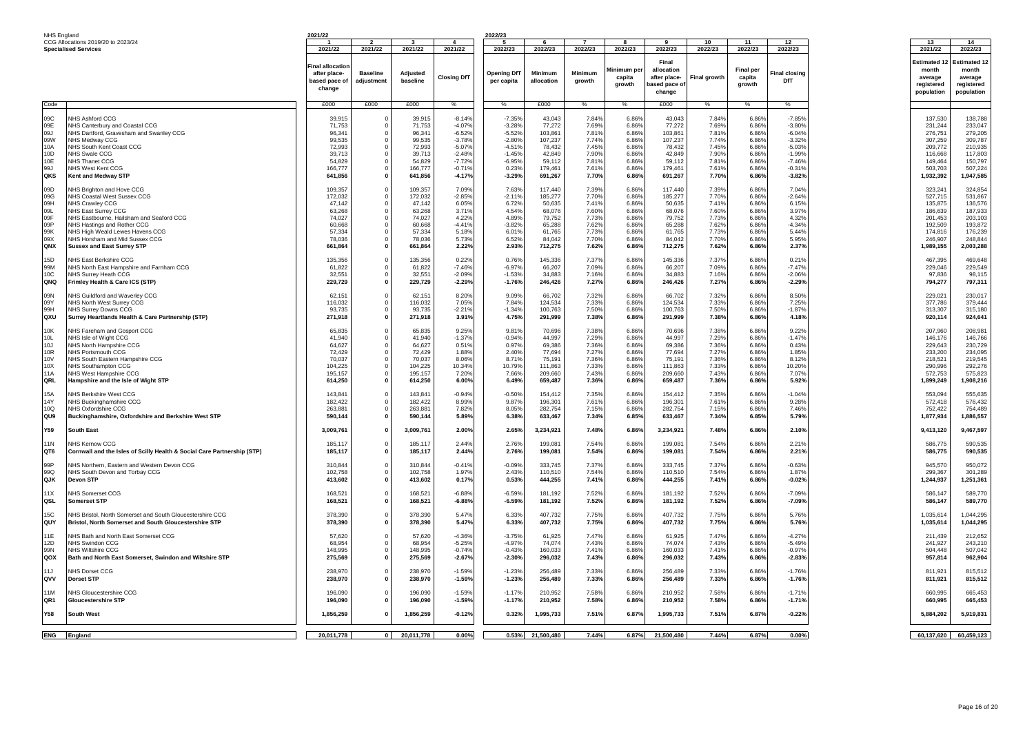| 2021/22<br>2022/23<br>2022/23<br>2022/23<br><b>Specialised Services</b><br>2021/22<br>2021/22<br>2021/22<br>2022/23<br>2022/23<br>2022/23<br>2022/23<br>2022/23<br>2021/22<br>2022/23<br>Final<br><b>Estimated 1</b><br>inal allocatio<br>Minimum per<br>allocation<br><b>Final per</b><br>month<br>month<br>Minimum<br>Minimum<br>after place-<br><b>Baseline</b><br>Adiusted<br>Opening DfT<br><b>Final closinc</b><br><b>Closing DfT</b><br>capita<br>after place-<br>Final growth<br>capita<br>average<br>average<br>baseline<br>DfT<br>based pace of<br>adiustment<br>per capita<br>allocation<br>growth<br>growth<br>based pace of<br>growth<br>registered<br>registered<br>change<br>population<br>change<br>£000<br>£000<br>£000<br>£000<br>£000<br>%<br>eho:<br>%<br>%<br>%<br>$\%$<br>$\%$<br>$\%$<br>NHS Ashford CCG<br>$-8.14%$<br>43,043<br>784%<br>$-7.85%$<br>137,530<br>138 788<br>39.915<br>39.91<br>$-7.35%$<br>784%<br>6.86%<br>43.043<br>6.86%<br>nam<br>$^{\circ}$<br>09E<br>NHS Canterbury and Coastal CCG<br>71,753<br>$\mathbf 0$<br>71,753<br>$-4.07%$<br>$-3.28%$<br>77,272<br>7.69%<br>6.86%<br>77,272<br>7.69%<br>6.86%<br>$-3.80%$<br>231,244<br>103,861<br>7.81%<br>6.86%<br>103,861<br>7.81%<br>1.00<br>NHS Dartford, Gravesham and Swanley CCG<br>$\Omega$<br>$-6.52%$<br>$-5.52%$<br>6.86%<br>$-6.04%$<br>276.751<br>96.341<br>96.341<br>09W<br>99,535<br>99,535<br>$-3.78%$<br>$-2.80%$<br>107,237<br>7.74%<br>6.86%<br>107,237<br>7.74%<br>6.86%<br>$-3.32%$<br>309,787<br><b>NHS Medway CCG</b><br>$\overline{0}$<br>307.259<br>7.45%<br>7.45%<br>10A<br>72.993<br>72.993<br>$-5.07%$<br>$-4.519$<br>78.432<br>6.86%<br>78,432<br>6.86%<br>$-5.039$<br>209.772<br>210.935<br>NHS South Kent Coast CCG<br>$\Omega$<br>NHS Swale CCG<br>$-2.48%$<br>$-1.45%$<br>42,849<br>7.90%<br>6.86%<br>42,849<br>7.90%<br>$-1.99%$<br>10D<br>39.713<br>$\overline{0}$<br>39,713<br>6.86%<br>116,668<br>59,112<br>7.81%<br>149,464<br>10F<br>NHS Thanet CCG<br>54.829<br>54.829<br>$-7.72%$<br>$-6.95%$<br>59.112<br>7.81%<br>6.86%<br>6.86%<br>$-7.46%$<br>150.797<br>$\Omega$<br>99J<br><b>NHS West Kent CCG</b><br>166,777<br>$\mathbf 0$<br>166,777<br>$-0.71%$<br>0.23%<br>179,461<br>7.619<br>6.86%<br>179,461<br>7.61%<br>6.86%<br>$-0.31%$<br>503,703<br>507,224<br>1,947,585<br>OKS<br>$\mathbf{0}$<br>641,856<br>$-4.17%$<br>691,267<br>7.70%<br>6.86%<br>691,267<br>7.70%<br>$-3.82%$<br><b>Kent and Medway STP</b><br>641,856<br>$-3.29%$<br>6.86%<br>1,932,392<br>324,854<br>NHS Brighton and Hove CCG<br>109.357<br>109.357<br>7.63%<br>117.440<br>7.39%<br>6.86%<br>117.440<br>7.39%<br>323.24<br>09D<br>7.09%<br>6.86%<br>7.04%<br>$\Omega$<br>09G<br>NHS Coastal West Sussex CCG<br>172,032<br>172,032<br>$-2.85%$<br>$-2.119$<br>185,277<br>7.70%<br>6.86%<br>185,277<br>7.70%<br>6.86%<br>$-2.64%$<br>527,715<br>531,867<br>$^{\circ}$<br>6.05%<br>6.72%<br>7.41%<br>6.86%<br>50,635<br>7.41%<br>6.15%<br>09H<br><b>NHS Crawley CCG</b><br>47.142<br>$\overline{0}$<br>47.142<br>50.635<br>6.86%<br>135.875<br>09L<br>NHS East Surrey CCG<br>63,268<br>3.71%<br>4.54%<br>68,076<br>7.60%<br>6.86%<br>68,076<br>7.60%<br>6.86%<br>3.97%<br>186,639<br>187,933<br>$^{\circ}$<br>63.26<br>74,027<br>74,027<br>4.89%<br>79,752<br>7.73%<br>6.86%<br>79,752<br>7.73%<br>6.86%<br>4.32%<br>201,453<br>203,103<br>09F<br>NHS Eastbourne, Hailsham and Seaford CCG<br>4.22%<br>$\Omega$<br>09P<br>NHS Hastings and Rother CCG<br>60,668<br>$\overline{0}$<br>60,668<br>$-4.41%$<br>$-3.82%$<br>65,288<br>7.62%<br>6.86%<br>65,288<br>7.62%<br>6.86%<br>$-4.34%$<br>192,509<br>5.18%<br>6.01%<br>61.765<br>7.73%<br>6.86%<br>61.765<br>7.73%<br>5.44%<br>99K<br>NHS High Weald Lewes Havens CCG<br>57.334<br>57.334<br>6.86%<br>174.816<br>$\Omega$<br>09X<br>NHS Horsham and Mid Sussex CCG<br>78,036<br>$\mathbf 0$<br>78,036<br>5.73%<br>6.52%<br>84,042<br>7.70%<br>6.86%<br>84,042<br>7.70%<br>6.86%<br>5.95%<br>246,907<br>248,844<br>QNX<br>2.22%<br>2.93%<br>712,275<br>7.62%<br>6.86%<br>712,275<br>7.62%<br>6.86%<br>2.37%<br>1.989.155<br>2,003,288<br><b>Sussex and East Surrey STP</b><br>661.864<br>$\mathbf{0}$<br>661,864<br>15D<br>NHS East Berkshire CCG<br>135,356<br>135,356<br>0.22%<br>0.76%<br>145,336<br>7.37%<br>6.86%<br>145,336<br>7.37%<br>6.86%<br>0.21%<br>467,395<br>469,648<br>$\overline{0}$<br>99M<br>NHS North East Hampshire and Farnham CCG<br>61,822<br>$\mathbf 0$<br>61,822<br>$-7.46%$<br>$-6.97%$<br>66,207<br>7.09%<br>6.86%<br>66,207<br>7.09%<br>6.86%<br>$-7.47%$<br>229,046<br>229,549<br>10C<br>32,551<br>32,551<br>$-2.09%$<br>$-1.53%$<br>34,883<br>7.169<br>6.86%<br>34,883<br>7.16%<br>6.86%<br>$-2.06%$<br>97,836<br>NHS Surrev Heath CCG<br>$\overline{0}$<br>QNQ<br>Frimley Health & Care ICS (STP)<br>229,729<br>$\mathbf{0}$<br>229,729<br>$-2.29%$<br>$-1.76%$<br>246,426<br>7.27%<br>6.86%<br>246,426<br>7.27%<br>6.86%<br>$-2.29%$<br>794,277<br>8.20%<br>66,702<br>7.32%<br>6.86%<br>7.32%<br>8.50%<br>229,021<br><b>OQN</b><br>NHS Guildford and Waverley CCG<br>62.151<br>$\overline{0}$<br>62.15<br>9.09%<br>66,702<br>6.86%<br>7.84%<br>124,534<br>7.33%<br>124,534<br>7.33%<br>7.25%<br>09Y<br>NHS North West Surrey CCG<br>116,032<br>$\Omega$<br>116,032<br>7.05%<br>6.86%<br>6.86%<br>377.786<br>379,444<br>7.50%<br>99H<br>NHS Surrey Downs CCG<br>93.735<br>$\overline{0}$<br>93,735<br>$-2.21%$<br>$-1.34%$<br>100,763<br>7.50%<br>6.86%<br>100,763<br>6.86%<br>$-1.87%$<br>313,307<br>315,180<br>QXU<br>4.75%<br>7.38%<br>6.86%<br>7.38%<br>Surrey Heartlands Health & Care Partnership (STP)<br>271,918<br>$\mathbf{0}$<br>271,918<br>3.91%<br>291,999<br>291,999<br>6.86%<br>4.18%<br>920.114<br>924,641<br>10K<br><b>VHS Fareham and Gosport CCG</b><br>65,835<br>65,835<br>9.25%<br>9.81%<br>70,696<br>7.38%<br>6.86%<br>70,696<br>7.38%<br>6.86%<br>9.22%<br>207,960<br>208,981<br>$\overline{0}$<br>10L<br>41.940<br>41.940<br>$-1.37%$<br>$-0.94%$<br>44,997<br>7.29%<br>6.86%<br>44,997<br>7.29%<br>6.86%<br>$-1.47%$<br>146,766<br>NHS Isle of Wight CCG<br>$\Omega$<br>146.176<br>10.1<br>NHS North Hampshire CCG<br>64,627<br>$\mathbf 0$<br>64,627<br>0.51%<br>0.97%<br>69,386<br>7.36%<br>6.86%<br>69,386<br>7.36%<br>6.86%<br>0.43%<br>229,643<br>7.27%<br>77,694<br>7.27%<br>10R<br>1.88%<br>2.40%<br>77,694<br>6.86%<br>6.86%<br>1.85%<br>233.200<br>234.095<br><b>NHS Portsmouth CCG</b><br>72.429<br>$\Omega$<br>72.429<br>8.71%<br>7.36%<br>6.86%<br>75,191<br>7.36%<br>8.12%<br>218,521<br>219,545<br>10V<br>NHS South Eastern Hampshire CCG<br>70.03<br>$\overline{0}$<br>70,037<br>8.06%<br>75.19<br>6.86%<br>7.33%<br>10.34%<br>10.79%<br>111,863<br>6.86%<br>111,863<br>7.33%<br>6.86%<br>10.20%<br>10X<br><b>NHS Southampton CCG</b><br>104.225<br>$\Omega$<br>104,225<br>290.996<br>7.43%<br>7.43%<br>11A<br>NHS West Hampshire CCG<br>195.157<br>$\mathbf 0$<br>195,157<br>7.20%<br>7.66%<br>209,660<br>6.86%<br>209,660<br>6.86%<br>7.07%<br>572,753<br>7.36%<br>ORL<br>$\mathbf{0}$<br>6.00%<br>6.86%<br>659,487<br>7.36%<br>6.86%<br>5.92%<br>1,908,216<br>Hampshire and the Isle of Wight STP<br>614,250<br>614,250<br>6.49%<br>659,487<br>1,899,249<br>$-0.94%$<br>7.35%<br>7.35%<br>143,841<br>143,841<br>$-0.50%$<br>154,412<br>6.86%<br>154.412<br>6.86%<br>$-1.04%$<br>553.094<br>15A<br>NHS Berkshire West CCG<br>$\Omega$<br>14Y<br>NHS Buckinghamshire CCG<br>182,422<br>$\mathbf 0$<br>182,422<br>8.99%<br>9.87%<br>196,301<br>7.61%<br>6.86%<br>196,301<br>7.61%<br>6.86%<br>9.28%<br>572,418<br>576,432<br>7.15%<br>7.82%<br>282.754<br>7.15%<br>6.86%<br>NHS Oxfordshire CCG<br>263.881<br>$\Omega$<br>263.881<br>8.05%<br>282,754<br>6.86%<br>7.46%<br>752,422<br>10O<br>Buckinghamshire, Oxfordshire and Berkshire West STP<br>7.34%<br>7.34%<br>QU9<br>590,144<br>$\mathbf{0}$<br>590,144<br>5.89%<br>6.38%<br>633,467<br>6.85%<br>633,467<br>6.85%<br>5.79%<br>1,877,934<br>7.48%<br>Y59<br>South East<br>3,009,761<br>$\mathbf{0}$<br>3,009,761<br>2.00%<br>2.65%<br>3,234,921<br>6.86%<br>3,234,921<br>7.48%<br>6.86%<br>2.10%<br>9,413,120<br>185,117<br>185,117<br>2.44%<br>2.76%<br>199,081<br>7.54%<br>6.86%<br>199,081<br>7.54%<br>6.86%<br>2.21%<br>586,775<br>11N<br>NHS Kernow CCG<br>$\overline{0}$<br>7.54%<br>OT6<br>Cornwall and the Isles of Scilly Health & Social Care Partnership (STP)<br>185,117<br>$\mathbf{0}$<br>2.44%<br>2.76%<br>199,081<br>7.54%<br>6.86%<br>199,081<br>6.86%<br>2.21%<br>590,535<br>185,117<br>586,775<br>333.745<br>7.37%<br>7.37%<br>99P<br><b>NHS Northern, Eastern and Western Devon CCG</b><br>310.844<br>310.84<br>$-0.41%$<br>$-0.09%$<br>6.86%<br>333.745<br>6.86%<br>$-0.63%$<br>945.570<br>$\Omega$<br>99Q<br>NHS South Devon and Torbay CCG<br>102,758<br>$\Omega$<br>102,758<br>1.97%<br>2.43%<br>110,510<br>7.54%<br>6.86%<br>110,510<br>7.54%<br>6.86%<br>1.87%<br>299,367<br>301,289<br><b>QJK</b><br>0.17%<br>0.53%<br>444,255<br>7.41%<br>6.86%<br>444,255<br>7.41%<br>1,251,361<br>Devon STP<br>413,602<br>$\mathbf 0$<br>413,602<br>6.86%<br>$-0.02%$<br>1,244,937<br>11X<br>NHS Somerset CCG<br>168,521<br>168,521<br>$-6.88%$<br>$-6.59%$<br>181,192<br>7.52%<br>6.86%<br>181,192<br>7.52%<br>6.86%<br>$-7.09%$<br>586,147<br>589,770<br>$\overline{0}$<br>QSL<br>7.52%<br>6.86%<br>7.52%<br><b>Somerset STP</b><br>168,521<br>$\mathbf{0}$<br>168,521<br>$-6.88%$<br>$-6.59%$<br>181,192<br>181,192<br>6.86%<br>$-7.09%$<br>586,147<br>589,770<br>5.47%<br>407,732<br>7.75%<br>407,732<br>7.75%<br>5.76%<br>1,044,295<br>15C<br>VHS Bristol, North Somerset and South Gloucestershire CCG<br>378,390<br>$\overline{0}$<br>378,390<br>6.33%<br>6.86%<br>6.86%<br>1,035,614<br>378,390<br>5.47%<br>407,732<br>7.75%<br>6.86%<br>407,732<br>7.75%<br>5.76%<br>1,044,295<br><b>OUY</b><br>Bristol, North Somerset and South Gloucestershire STP<br>378,390<br>$\mathbf 0$<br>6.33%<br>6.86%<br>1,035,614<br>NHS Bath and North East Somerset CCG<br>$-4.36%$<br>$-3.75%$<br>61.925<br>7.47%<br>6.86%<br>61.925<br>7.47%<br>6.86%<br>$-4.27%$<br>211.439<br>212.652<br>11F<br>57.620<br>57.62<br>$\Omega$<br>12D<br><b>NHS Swindon CCG</b><br>68.954<br>$\overline{0}$<br>68.95<br>$-5.25%$<br>$-4.97%$<br>74,074<br>7.43%<br>6.86%<br>74,074<br>7.43%<br>6.86%<br>$-5.49%$<br>241,927<br>243,210<br>99N<br><b>VHS Wiltshire CCG</b><br>148,995<br>$\mathbf 0$<br>148,995<br>$-0.74%$<br>$-0.43%$<br>160,033<br>7.41%<br>6.86%<br>160,033<br>7.41%<br>6.86%<br>$-0.97%$<br>504,448<br>QOX<br>Bath and North East Somerset, Swindon and Wiltshire STP<br>275,569<br>275,569<br>$-2.67%$<br>$-2.30%$<br>296,032<br>7.43%<br>6.86%<br>296,032<br>7.43%<br>6.86%<br>$-2.83%$<br>957,814<br>$\mathbf 0$<br>256,489<br>7.33%<br>7.33%<br>$-1.76%$<br><b>VHS Dorset CCG</b><br>238,970<br>238,970<br>$-1.59%$<br>$-1.23%$<br>6.86%<br>256,489<br>6.86%<br>811,921<br>11.1<br>$\overline{0}$<br>7.33%<br>6.86%<br>7.33%<br>ovv<br>Dorset STP<br>238,970<br>238,970<br>$-1.59%$<br>$-1.23%$<br>256,489<br>256,489<br>6.86%<br>$-1.76%$<br>811,921<br>$\mathbf{0}$<br>NHS Gloucestershire CCG<br>196,090<br>196,090<br>$-1.59%$<br>$-1.17%$<br>210,952<br>7.58%<br>6.86%<br>210,952<br>7.58%<br>6.86%<br>$-1.71%$<br>660,995<br>11M<br>$^{\circ}$<br>QR1<br><b>Gloucestershire STP</b><br>$\mathbf{0}$<br>$-1.59%$<br>$-1.17%$<br>210,952<br>7.58%<br>6.86%<br>210,952<br>7.58%<br>6.86%<br>$-1.71%$<br>196.090<br>196,090<br>660.995<br><b>Y58</b><br><b>South West</b><br>1,856,259<br>1,856,259<br>$-0.12%$<br>0.32%<br>1,995,733<br>7.51%<br>6.87%<br>1,995,733<br>7.51%<br>6.87%<br>$-0.22%$<br>5,884,202<br>$\mathbf 0$<br><b>ENG</b> England<br>0.00%<br>0.53% 21,500,480<br>60,137,620 60,459,123<br>20,011,778<br>$0$ 20,011,778<br>7.44%<br>6.87% 21,500,480<br>7.44%<br>6.87%<br>0.00% | NHS England                        | 2021/22 |                          |     |                | 2022/23 |            |                |   |           |    |    |    |    |              |
|-------------------------------------------------------------------------------------------------------------------------------------------------------------------------------------------------------------------------------------------------------------------------------------------------------------------------------------------------------------------------------------------------------------------------------------------------------------------------------------------------------------------------------------------------------------------------------------------------------------------------------------------------------------------------------------------------------------------------------------------------------------------------------------------------------------------------------------------------------------------------------------------------------------------------------------------------------------------------------------------------------------------------------------------------------------------------------------------------------------------------------------------------------------------------------------------------------------------------------------------------------------------------------------------------------------------------------------------------------------------------------------------------------------------------------------------------------------------------------------------------------------------------------------------------------------------------------------------------------------------------------------------------------------------------------------------------------------------------------------------------------------------------------------------------------------------------------------------------------------------------------------------------------------------------------------------------------------------------------------------------------------------------------------------------------------------------------------------------------------------------------------------------------------------------------------------------------------------------------------------------------------------------------------------------------------------------------------------------------------------------------------------------------------------------------------------------------------------------------------------------------------------------------------------------------------------------------------------------------------------------------------------------------------------------------------------------------------------------------------------------------------------------------------------------------------------------------------------------------------------------------------------------------------------------------------------------------------------------------------------------------------------------------------------------------------------------------------------------------------------------------------------------------------------------------------------------------------------------------------------------------------------------------------------------------------------------------------------------------------------------------------------------------------------------------------------------------------------------------------------------------------------------------------------------------------------------------------------------------------------------------------------------------------------------------------------------------------------------------------------------------------------------------------------------------------------------------------------------------------------------------------------------------------------------------------------------------------------------------------------------------------------------------------------------------------------------------------------------------------------------------------------------------------------------------------------------------------------------------------------------------------------------------------------------------------------------------------------------------------------------------------------------------------------------------------------------------------------------------------------------------------------------------------------------------------------------------------------------------------------------------------------------------------------------------------------------------------------------------------------------------------------------------------------------------------------------------------------------------------------------------------------------------------------------------------------------------------------------------------------------------------------------------------------------------------------------------------------------------------------------------------------------------------------------------------------------------------------------------------------------------------------------------------------------------------------------------------------------------------------------------------------------------------------------------------------------------------------------------------------------------------------------------------------------------------------------------------------------------------------------------------------------------------------------------------------------------------------------------------------------------------------------------------------------------------------------------------------------------------------------------------------------------------------------------------------------------------------------------------------------------------------------------------------------------------------------------------------------------------------------------------------------------------------------------------------------------------------------------------------------------------------------------------------------------------------------------------------------------------------------------------------------------------------------------------------------------------------------------------------------------------------------------------------------------------------------------------------------------------------------------------------------------------------------------------------------------------------------------------------------------------------------------------------------------------------------------------------------------------------------------------------------------------------------------------------------------------------------------------------------------------------------------------------------------------------------------------------------------------------------------------------------------------------------------------------------------------------------------------------------------------------------------------------------------------------------------------------------------------------------------------------------------------------------------------------------------------------------------------------------------------------------------------------------------------------------------------------------------------------------------------------------------------------------------------------------------------------------------------------------------------------------------------------------------------------------------------------------------------------------------------------------------------------------------------------------------------------------------------------------------------------------------------------------------------------------------------------------------------------------------------------------------------------------------------------------------------------------------------------------------------------------------------------------------------------------------------------------------------------------------------------------------------------------------------------------------------------------------------------------------------------------------------------------------------------------------------------------------------------------------------------------------------------------------------------------------------------------------------------------------------------------------------------------------------------------------------------------------------------------------------------------------------------------------------------------------------------------------------------------------------------------------------------------------------------------------------------------------------------------------------------------------------------------------------------------------------------------------------------------------------------------------------------------------------------------------------------------------------------------------------------------------------------------------------------------------------------------------------------------------------------------------------------------------------------------------------------------------------------------------------------------------------------------------------------------------------------------------------------------------------------------------------------------------------------------------------------------------------------------------------------------------------------------------------------------------------------------------------------------------------------------------------------------------------------------------------------------------------------------------------------------------------------------------------------------------------------------------------------------------------------------------------------------------------------------------------------------------------------------------------------------------------------------------------------------------------------------------------------------------------------------------------------------------------------------------------------------------------------------------------------------------------------------------------------------------------------------------------------------------------------------------------------------------------------------------------------------------------------------------------------------------------------------------------------------------------------------------------------------------------------------------------------------------------------------------------------------------------------------------------------------------------------------------------------------------------------------------------------------------------------------------------------------------------------------------------------------------------------------------------------------------------------------------------------------------------------------------------------------------------------------------------------------------------------------------------------------------------------------------------------------------------------------------------------------------------------------------------------------------------------------------------------------------------|------------------------------------|---------|--------------------------|-----|----------------|---------|------------|----------------|---|-----------|----|----|----|----|--------------|
|                                                                                                                                                                                                                                                                                                                                                                                                                                                                                                                                                                                                                                                                                                                                                                                                                                                                                                                                                                                                                                                                                                                                                                                                                                                                                                                                                                                                                                                                                                                                                                                                                                                                                                                                                                                                                                                                                                                                                                                                                                                                                                                                                                                                                                                                                                                                                                                                                                                                                                                                                                                                                                                                                                                                                                                                                                                                                                                                                                                                                                                                                                                                                                                                                                                                                                                                                                                                                                                                                                                                                                                                                                                                                                                                                                                                                                                                                                                                                                                                                                                                                                                                                                                                                                                                                                                                                                                                                                                                                                                                                                                                                                                                                                                                                                                                                                                                                                                                                                                                                                                                                                                                                                                                                                                                                                                                                                                                                                                                                                                                                                                                                                                                                                                                                                                                                                                                                                                                                                                                                                                                                                                                                                                                                                                                                                                                                                                                                                                                                                                                                                                                                                                                                                                                                                                                                                                                                                                                                                                                                                                                                                                                                                                                                                                                                                                                                                                                                                                                                                                                                                                                                                                                                                                                                                                                                                                                                                                                                                                                                                                                                                                                                                                                                                                                                                                                                                                                                                                                                                                                                                                                                                                                                                                                                                                                                                                                                                                                                                                                                                                                                                                                                                                                                                                                                                                                                                                                                                                                                                                                                                                                                                                                                                                                                                                                                                                                                                                                                                                                                                                                                                                                                                                                                                                                                                                                                                                                                                                                                                                                                                                                                                                                                                                                                                                                                                                                                                                                                                                                                                                                                                                                                                                                                                                                                                                                                                                                                                                                                                                                                                                                                                                                                                                                                                                                             | CCG Allocations 2019/20 to 2023/24 |         | $\overline{\phantom{a}}$ | - ર | $\overline{4}$ | -5      | $\epsilon$ | $\overline{z}$ | 8 | $\bullet$ | 10 | 11 | 12 | 13 | 14           |
|                                                                                                                                                                                                                                                                                                                                                                                                                                                                                                                                                                                                                                                                                                                                                                                                                                                                                                                                                                                                                                                                                                                                                                                                                                                                                                                                                                                                                                                                                                                                                                                                                                                                                                                                                                                                                                                                                                                                                                                                                                                                                                                                                                                                                                                                                                                                                                                                                                                                                                                                                                                                                                                                                                                                                                                                                                                                                                                                                                                                                                                                                                                                                                                                                                                                                                                                                                                                                                                                                                                                                                                                                                                                                                                                                                                                                                                                                                                                                                                                                                                                                                                                                                                                                                                                                                                                                                                                                                                                                                                                                                                                                                                                                                                                                                                                                                                                                                                                                                                                                                                                                                                                                                                                                                                                                                                                                                                                                                                                                                                                                                                                                                                                                                                                                                                                                                                                                                                                                                                                                                                                                                                                                                                                                                                                                                                                                                                                                                                                                                                                                                                                                                                                                                                                                                                                                                                                                                                                                                                                                                                                                                                                                                                                                                                                                                                                                                                                                                                                                                                                                                                                                                                                                                                                                                                                                                                                                                                                                                                                                                                                                                                                                                                                                                                                                                                                                                                                                                                                                                                                                                                                                                                                                                                                                                                                                                                                                                                                                                                                                                                                                                                                                                                                                                                                                                                                                                                                                                                                                                                                                                                                                                                                                                                                                                                                                                                                                                                                                                                                                                                                                                                                                                                                                                                                                                                                                                                                                                                                                                                                                                                                                                                                                                                                                                                                                                                                                                                                                                                                                                                                                                                                                                                                                                                                                                                                                                                                                                                                                                                                                                                                                                                                                                                                                                                                             |                                    |         |                          |     |                |         |            |                |   |           |    |    |    |    | Estimated 12 |
|                                                                                                                                                                                                                                                                                                                                                                                                                                                                                                                                                                                                                                                                                                                                                                                                                                                                                                                                                                                                                                                                                                                                                                                                                                                                                                                                                                                                                                                                                                                                                                                                                                                                                                                                                                                                                                                                                                                                                                                                                                                                                                                                                                                                                                                                                                                                                                                                                                                                                                                                                                                                                                                                                                                                                                                                                                                                                                                                                                                                                                                                                                                                                                                                                                                                                                                                                                                                                                                                                                                                                                                                                                                                                                                                                                                                                                                                                                                                                                                                                                                                                                                                                                                                                                                                                                                                                                                                                                                                                                                                                                                                                                                                                                                                                                                                                                                                                                                                                                                                                                                                                                                                                                                                                                                                                                                                                                                                                                                                                                                                                                                                                                                                                                                                                                                                                                                                                                                                                                                                                                                                                                                                                                                                                                                                                                                                                                                                                                                                                                                                                                                                                                                                                                                                                                                                                                                                                                                                                                                                                                                                                                                                                                                                                                                                                                                                                                                                                                                                                                                                                                                                                                                                                                                                                                                                                                                                                                                                                                                                                                                                                                                                                                                                                                                                                                                                                                                                                                                                                                                                                                                                                                                                                                                                                                                                                                                                                                                                                                                                                                                                                                                                                                                                                                                                                                                                                                                                                                                                                                                                                                                                                                                                                                                                                                                                                                                                                                                                                                                                                                                                                                                                                                                                                                                                                                                                                                                                                                                                                                                                                                                                                                                                                                                                                                                                                                                                                                                                                                                                                                                                                                                                                                                                                                                                                                                                                                                                                                                                                                                                                                                                                                                                                                                                                                                                             |                                    |         |                          |     |                |         |            |                |   |           |    |    |    |    |              |
|                                                                                                                                                                                                                                                                                                                                                                                                                                                                                                                                                                                                                                                                                                                                                                                                                                                                                                                                                                                                                                                                                                                                                                                                                                                                                                                                                                                                                                                                                                                                                                                                                                                                                                                                                                                                                                                                                                                                                                                                                                                                                                                                                                                                                                                                                                                                                                                                                                                                                                                                                                                                                                                                                                                                                                                                                                                                                                                                                                                                                                                                                                                                                                                                                                                                                                                                                                                                                                                                                                                                                                                                                                                                                                                                                                                                                                                                                                                                                                                                                                                                                                                                                                                                                                                                                                                                                                                                                                                                                                                                                                                                                                                                                                                                                                                                                                                                                                                                                                                                                                                                                                                                                                                                                                                                                                                                                                                                                                                                                                                                                                                                                                                                                                                                                                                                                                                                                                                                                                                                                                                                                                                                                                                                                                                                                                                                                                                                                                                                                                                                                                                                                                                                                                                                                                                                                                                                                                                                                                                                                                                                                                                                                                                                                                                                                                                                                                                                                                                                                                                                                                                                                                                                                                                                                                                                                                                                                                                                                                                                                                                                                                                                                                                                                                                                                                                                                                                                                                                                                                                                                                                                                                                                                                                                                                                                                                                                                                                                                                                                                                                                                                                                                                                                                                                                                                                                                                                                                                                                                                                                                                                                                                                                                                                                                                                                                                                                                                                                                                                                                                                                                                                                                                                                                                                                                                                                                                                                                                                                                                                                                                                                                                                                                                                                                                                                                                                                                                                                                                                                                                                                                                                                                                                                                                                                                                                                                                                                                                                                                                                                                                                                                                                                                                                                                                                                             |                                    |         |                          |     |                |         |            |                |   |           |    |    |    |    | population   |
|                                                                                                                                                                                                                                                                                                                                                                                                                                                                                                                                                                                                                                                                                                                                                                                                                                                                                                                                                                                                                                                                                                                                                                                                                                                                                                                                                                                                                                                                                                                                                                                                                                                                                                                                                                                                                                                                                                                                                                                                                                                                                                                                                                                                                                                                                                                                                                                                                                                                                                                                                                                                                                                                                                                                                                                                                                                                                                                                                                                                                                                                                                                                                                                                                                                                                                                                                                                                                                                                                                                                                                                                                                                                                                                                                                                                                                                                                                                                                                                                                                                                                                                                                                                                                                                                                                                                                                                                                                                                                                                                                                                                                                                                                                                                                                                                                                                                                                                                                                                                                                                                                                                                                                                                                                                                                                                                                                                                                                                                                                                                                                                                                                                                                                                                                                                                                                                                                                                                                                                                                                                                                                                                                                                                                                                                                                                                                                                                                                                                                                                                                                                                                                                                                                                                                                                                                                                                                                                                                                                                                                                                                                                                                                                                                                                                                                                                                                                                                                                                                                                                                                                                                                                                                                                                                                                                                                                                                                                                                                                                                                                                                                                                                                                                                                                                                                                                                                                                                                                                                                                                                                                                                                                                                                                                                                                                                                                                                                                                                                                                                                                                                                                                                                                                                                                                                                                                                                                                                                                                                                                                                                                                                                                                                                                                                                                                                                                                                                                                                                                                                                                                                                                                                                                                                                                                                                                                                                                                                                                                                                                                                                                                                                                                                                                                                                                                                                                                                                                                                                                                                                                                                                                                                                                                                                                                                                                                                                                                                                                                                                                                                                                                                                                                                                                                                                                                             |                                    |         |                          |     |                |         |            |                |   |           |    |    |    |    |              |
|                                                                                                                                                                                                                                                                                                                                                                                                                                                                                                                                                                                                                                                                                                                                                                                                                                                                                                                                                                                                                                                                                                                                                                                                                                                                                                                                                                                                                                                                                                                                                                                                                                                                                                                                                                                                                                                                                                                                                                                                                                                                                                                                                                                                                                                                                                                                                                                                                                                                                                                                                                                                                                                                                                                                                                                                                                                                                                                                                                                                                                                                                                                                                                                                                                                                                                                                                                                                                                                                                                                                                                                                                                                                                                                                                                                                                                                                                                                                                                                                                                                                                                                                                                                                                                                                                                                                                                                                                                                                                                                                                                                                                                                                                                                                                                                                                                                                                                                                                                                                                                                                                                                                                                                                                                                                                                                                                                                                                                                                                                                                                                                                                                                                                                                                                                                                                                                                                                                                                                                                                                                                                                                                                                                                                                                                                                                                                                                                                                                                                                                                                                                                                                                                                                                                                                                                                                                                                                                                                                                                                                                                                                                                                                                                                                                                                                                                                                                                                                                                                                                                                                                                                                                                                                                                                                                                                                                                                                                                                                                                                                                                                                                                                                                                                                                                                                                                                                                                                                                                                                                                                                                                                                                                                                                                                                                                                                                                                                                                                                                                                                                                                                                                                                                                                                                                                                                                                                                                                                                                                                                                                                                                                                                                                                                                                                                                                                                                                                                                                                                                                                                                                                                                                                                                                                                                                                                                                                                                                                                                                                                                                                                                                                                                                                                                                                                                                                                                                                                                                                                                                                                                                                                                                                                                                                                                                                                                                                                                                                                                                                                                                                                                                                                                                                                                                                                                             |                                    |         |                          |     |                |         |            |                |   |           |    |    |    |    |              |
|                                                                                                                                                                                                                                                                                                                                                                                                                                                                                                                                                                                                                                                                                                                                                                                                                                                                                                                                                                                                                                                                                                                                                                                                                                                                                                                                                                                                                                                                                                                                                                                                                                                                                                                                                                                                                                                                                                                                                                                                                                                                                                                                                                                                                                                                                                                                                                                                                                                                                                                                                                                                                                                                                                                                                                                                                                                                                                                                                                                                                                                                                                                                                                                                                                                                                                                                                                                                                                                                                                                                                                                                                                                                                                                                                                                                                                                                                                                                                                                                                                                                                                                                                                                                                                                                                                                                                                                                                                                                                                                                                                                                                                                                                                                                                                                                                                                                                                                                                                                                                                                                                                                                                                                                                                                                                                                                                                                                                                                                                                                                                                                                                                                                                                                                                                                                                                                                                                                                                                                                                                                                                                                                                                                                                                                                                                                                                                                                                                                                                                                                                                                                                                                                                                                                                                                                                                                                                                                                                                                                                                                                                                                                                                                                                                                                                                                                                                                                                                                                                                                                                                                                                                                                                                                                                                                                                                                                                                                                                                                                                                                                                                                                                                                                                                                                                                                                                                                                                                                                                                                                                                                                                                                                                                                                                                                                                                                                                                                                                                                                                                                                                                                                                                                                                                                                                                                                                                                                                                                                                                                                                                                                                                                                                                                                                                                                                                                                                                                                                                                                                                                                                                                                                                                                                                                                                                                                                                                                                                                                                                                                                                                                                                                                                                                                                                                                                                                                                                                                                                                                                                                                                                                                                                                                                                                                                                                                                                                                                                                                                                                                                                                                                                                                                                                                                                                                             |                                    |         |                          |     |                |         |            |                |   |           |    |    |    |    | 233,047      |
|                                                                                                                                                                                                                                                                                                                                                                                                                                                                                                                                                                                                                                                                                                                                                                                                                                                                                                                                                                                                                                                                                                                                                                                                                                                                                                                                                                                                                                                                                                                                                                                                                                                                                                                                                                                                                                                                                                                                                                                                                                                                                                                                                                                                                                                                                                                                                                                                                                                                                                                                                                                                                                                                                                                                                                                                                                                                                                                                                                                                                                                                                                                                                                                                                                                                                                                                                                                                                                                                                                                                                                                                                                                                                                                                                                                                                                                                                                                                                                                                                                                                                                                                                                                                                                                                                                                                                                                                                                                                                                                                                                                                                                                                                                                                                                                                                                                                                                                                                                                                                                                                                                                                                                                                                                                                                                                                                                                                                                                                                                                                                                                                                                                                                                                                                                                                                                                                                                                                                                                                                                                                                                                                                                                                                                                                                                                                                                                                                                                                                                                                                                                                                                                                                                                                                                                                                                                                                                                                                                                                                                                                                                                                                                                                                                                                                                                                                                                                                                                                                                                                                                                                                                                                                                                                                                                                                                                                                                                                                                                                                                                                                                                                                                                                                                                                                                                                                                                                                                                                                                                                                                                                                                                                                                                                                                                                                                                                                                                                                                                                                                                                                                                                                                                                                                                                                                                                                                                                                                                                                                                                                                                                                                                                                                                                                                                                                                                                                                                                                                                                                                                                                                                                                                                                                                                                                                                                                                                                                                                                                                                                                                                                                                                                                                                                                                                                                                                                                                                                                                                                                                                                                                                                                                                                                                                                                                                                                                                                                                                                                                                                                                                                                                                                                                                                                                                                             |                                    |         |                          |     |                |         |            |                |   |           |    |    |    |    | 279,205      |
|                                                                                                                                                                                                                                                                                                                                                                                                                                                                                                                                                                                                                                                                                                                                                                                                                                                                                                                                                                                                                                                                                                                                                                                                                                                                                                                                                                                                                                                                                                                                                                                                                                                                                                                                                                                                                                                                                                                                                                                                                                                                                                                                                                                                                                                                                                                                                                                                                                                                                                                                                                                                                                                                                                                                                                                                                                                                                                                                                                                                                                                                                                                                                                                                                                                                                                                                                                                                                                                                                                                                                                                                                                                                                                                                                                                                                                                                                                                                                                                                                                                                                                                                                                                                                                                                                                                                                                                                                                                                                                                                                                                                                                                                                                                                                                                                                                                                                                                                                                                                                                                                                                                                                                                                                                                                                                                                                                                                                                                                                                                                                                                                                                                                                                                                                                                                                                                                                                                                                                                                                                                                                                                                                                                                                                                                                                                                                                                                                                                                                                                                                                                                                                                                                                                                                                                                                                                                                                                                                                                                                                                                                                                                                                                                                                                                                                                                                                                                                                                                                                                                                                                                                                                                                                                                                                                                                                                                                                                                                                                                                                                                                                                                                                                                                                                                                                                                                                                                                                                                                                                                                                                                                                                                                                                                                                                                                                                                                                                                                                                                                                                                                                                                                                                                                                                                                                                                                                                                                                                                                                                                                                                                                                                                                                                                                                                                                                                                                                                                                                                                                                                                                                                                                                                                                                                                                                                                                                                                                                                                                                                                                                                                                                                                                                                                                                                                                                                                                                                                                                                                                                                                                                                                                                                                                                                                                                                                                                                                                                                                                                                                                                                                                                                                                                                                                                                                             |                                    |         |                          |     |                |         |            |                |   |           |    |    |    |    |              |
|                                                                                                                                                                                                                                                                                                                                                                                                                                                                                                                                                                                                                                                                                                                                                                                                                                                                                                                                                                                                                                                                                                                                                                                                                                                                                                                                                                                                                                                                                                                                                                                                                                                                                                                                                                                                                                                                                                                                                                                                                                                                                                                                                                                                                                                                                                                                                                                                                                                                                                                                                                                                                                                                                                                                                                                                                                                                                                                                                                                                                                                                                                                                                                                                                                                                                                                                                                                                                                                                                                                                                                                                                                                                                                                                                                                                                                                                                                                                                                                                                                                                                                                                                                                                                                                                                                                                                                                                                                                                                                                                                                                                                                                                                                                                                                                                                                                                                                                                                                                                                                                                                                                                                                                                                                                                                                                                                                                                                                                                                                                                                                                                                                                                                                                                                                                                                                                                                                                                                                                                                                                                                                                                                                                                                                                                                                                                                                                                                                                                                                                                                                                                                                                                                                                                                                                                                                                                                                                                                                                                                                                                                                                                                                                                                                                                                                                                                                                                                                                                                                                                                                                                                                                                                                                                                                                                                                                                                                                                                                                                                                                                                                                                                                                                                                                                                                                                                                                                                                                                                                                                                                                                                                                                                                                                                                                                                                                                                                                                                                                                                                                                                                                                                                                                                                                                                                                                                                                                                                                                                                                                                                                                                                                                                                                                                                                                                                                                                                                                                                                                                                                                                                                                                                                                                                                                                                                                                                                                                                                                                                                                                                                                                                                                                                                                                                                                                                                                                                                                                                                                                                                                                                                                                                                                                                                                                                                                                                                                                                                                                                                                                                                                                                                                                                                                                                                                             |                                    |         |                          |     |                |         |            |                |   |           |    |    |    |    | 117,803      |
|                                                                                                                                                                                                                                                                                                                                                                                                                                                                                                                                                                                                                                                                                                                                                                                                                                                                                                                                                                                                                                                                                                                                                                                                                                                                                                                                                                                                                                                                                                                                                                                                                                                                                                                                                                                                                                                                                                                                                                                                                                                                                                                                                                                                                                                                                                                                                                                                                                                                                                                                                                                                                                                                                                                                                                                                                                                                                                                                                                                                                                                                                                                                                                                                                                                                                                                                                                                                                                                                                                                                                                                                                                                                                                                                                                                                                                                                                                                                                                                                                                                                                                                                                                                                                                                                                                                                                                                                                                                                                                                                                                                                                                                                                                                                                                                                                                                                                                                                                                                                                                                                                                                                                                                                                                                                                                                                                                                                                                                                                                                                                                                                                                                                                                                                                                                                                                                                                                                                                                                                                                                                                                                                                                                                                                                                                                                                                                                                                                                                                                                                                                                                                                                                                                                                                                                                                                                                                                                                                                                                                                                                                                                                                                                                                                                                                                                                                                                                                                                                                                                                                                                                                                                                                                                                                                                                                                                                                                                                                                                                                                                                                                                                                                                                                                                                                                                                                                                                                                                                                                                                                                                                                                                                                                                                                                                                                                                                                                                                                                                                                                                                                                                                                                                                                                                                                                                                                                                                                                                                                                                                                                                                                                                                                                                                                                                                                                                                                                                                                                                                                                                                                                                                                                                                                                                                                                                                                                                                                                                                                                                                                                                                                                                                                                                                                                                                                                                                                                                                                                                                                                                                                                                                                                                                                                                                                                                                                                                                                                                                                                                                                                                                                                                                                                                                                                                                             |                                    |         |                          |     |                |         |            |                |   |           |    |    |    |    |              |
|                                                                                                                                                                                                                                                                                                                                                                                                                                                                                                                                                                                                                                                                                                                                                                                                                                                                                                                                                                                                                                                                                                                                                                                                                                                                                                                                                                                                                                                                                                                                                                                                                                                                                                                                                                                                                                                                                                                                                                                                                                                                                                                                                                                                                                                                                                                                                                                                                                                                                                                                                                                                                                                                                                                                                                                                                                                                                                                                                                                                                                                                                                                                                                                                                                                                                                                                                                                                                                                                                                                                                                                                                                                                                                                                                                                                                                                                                                                                                                                                                                                                                                                                                                                                                                                                                                                                                                                                                                                                                                                                                                                                                                                                                                                                                                                                                                                                                                                                                                                                                                                                                                                                                                                                                                                                                                                                                                                                                                                                                                                                                                                                                                                                                                                                                                                                                                                                                                                                                                                                                                                                                                                                                                                                                                                                                                                                                                                                                                                                                                                                                                                                                                                                                                                                                                                                                                                                                                                                                                                                                                                                                                                                                                                                                                                                                                                                                                                                                                                                                                                                                                                                                                                                                                                                                                                                                                                                                                                                                                                                                                                                                                                                                                                                                                                                                                                                                                                                                                                                                                                                                                                                                                                                                                                                                                                                                                                                                                                                                                                                                                                                                                                                                                                                                                                                                                                                                                                                                                                                                                                                                                                                                                                                                                                                                                                                                                                                                                                                                                                                                                                                                                                                                                                                                                                                                                                                                                                                                                                                                                                                                                                                                                                                                                                                                                                                                                                                                                                                                                                                                                                                                                                                                                                                                                                                                                                                                                                                                                                                                                                                                                                                                                                                                                                                                                                                             |                                    |         |                          |     |                |         |            |                |   |           |    |    |    |    |              |
|                                                                                                                                                                                                                                                                                                                                                                                                                                                                                                                                                                                                                                                                                                                                                                                                                                                                                                                                                                                                                                                                                                                                                                                                                                                                                                                                                                                                                                                                                                                                                                                                                                                                                                                                                                                                                                                                                                                                                                                                                                                                                                                                                                                                                                                                                                                                                                                                                                                                                                                                                                                                                                                                                                                                                                                                                                                                                                                                                                                                                                                                                                                                                                                                                                                                                                                                                                                                                                                                                                                                                                                                                                                                                                                                                                                                                                                                                                                                                                                                                                                                                                                                                                                                                                                                                                                                                                                                                                                                                                                                                                                                                                                                                                                                                                                                                                                                                                                                                                                                                                                                                                                                                                                                                                                                                                                                                                                                                                                                                                                                                                                                                                                                                                                                                                                                                                                                                                                                                                                                                                                                                                                                                                                                                                                                                                                                                                                                                                                                                                                                                                                                                                                                                                                                                                                                                                                                                                                                                                                                                                                                                                                                                                                                                                                                                                                                                                                                                                                                                                                                                                                                                                                                                                                                                                                                                                                                                                                                                                                                                                                                                                                                                                                                                                                                                                                                                                                                                                                                                                                                                                                                                                                                                                                                                                                                                                                                                                                                                                                                                                                                                                                                                                                                                                                                                                                                                                                                                                                                                                                                                                                                                                                                                                                                                                                                                                                                                                                                                                                                                                                                                                                                                                                                                                                                                                                                                                                                                                                                                                                                                                                                                                                                                                                                                                                                                                                                                                                                                                                                                                                                                                                                                                                                                                                                                                                                                                                                                                                                                                                                                                                                                                                                                                                                                                                                             |                                    |         |                          |     |                |         |            |                |   |           |    |    |    |    |              |
|                                                                                                                                                                                                                                                                                                                                                                                                                                                                                                                                                                                                                                                                                                                                                                                                                                                                                                                                                                                                                                                                                                                                                                                                                                                                                                                                                                                                                                                                                                                                                                                                                                                                                                                                                                                                                                                                                                                                                                                                                                                                                                                                                                                                                                                                                                                                                                                                                                                                                                                                                                                                                                                                                                                                                                                                                                                                                                                                                                                                                                                                                                                                                                                                                                                                                                                                                                                                                                                                                                                                                                                                                                                                                                                                                                                                                                                                                                                                                                                                                                                                                                                                                                                                                                                                                                                                                                                                                                                                                                                                                                                                                                                                                                                                                                                                                                                                                                                                                                                                                                                                                                                                                                                                                                                                                                                                                                                                                                                                                                                                                                                                                                                                                                                                                                                                                                                                                                                                                                                                                                                                                                                                                                                                                                                                                                                                                                                                                                                                                                                                                                                                                                                                                                                                                                                                                                                                                                                                                                                                                                                                                                                                                                                                                                                                                                                                                                                                                                                                                                                                                                                                                                                                                                                                                                                                                                                                                                                                                                                                                                                                                                                                                                                                                                                                                                                                                                                                                                                                                                                                                                                                                                                                                                                                                                                                                                                                                                                                                                                                                                                                                                                                                                                                                                                                                                                                                                                                                                                                                                                                                                                                                                                                                                                                                                                                                                                                                                                                                                                                                                                                                                                                                                                                                                                                                                                                                                                                                                                                                                                                                                                                                                                                                                                                                                                                                                                                                                                                                                                                                                                                                                                                                                                                                                                                                                                                                                                                                                                                                                                                                                                                                                                                                                                                                                                                             |                                    |         |                          |     |                |         |            |                |   |           |    |    |    |    |              |
|                                                                                                                                                                                                                                                                                                                                                                                                                                                                                                                                                                                                                                                                                                                                                                                                                                                                                                                                                                                                                                                                                                                                                                                                                                                                                                                                                                                                                                                                                                                                                                                                                                                                                                                                                                                                                                                                                                                                                                                                                                                                                                                                                                                                                                                                                                                                                                                                                                                                                                                                                                                                                                                                                                                                                                                                                                                                                                                                                                                                                                                                                                                                                                                                                                                                                                                                                                                                                                                                                                                                                                                                                                                                                                                                                                                                                                                                                                                                                                                                                                                                                                                                                                                                                                                                                                                                                                                                                                                                                                                                                                                                                                                                                                                                                                                                                                                                                                                                                                                                                                                                                                                                                                                                                                                                                                                                                                                                                                                                                                                                                                                                                                                                                                                                                                                                                                                                                                                                                                                                                                                                                                                                                                                                                                                                                                                                                                                                                                                                                                                                                                                                                                                                                                                                                                                                                                                                                                                                                                                                                                                                                                                                                                                                                                                                                                                                                                                                                                                                                                                                                                                                                                                                                                                                                                                                                                                                                                                                                                                                                                                                                                                                                                                                                                                                                                                                                                                                                                                                                                                                                                                                                                                                                                                                                                                                                                                                                                                                                                                                                                                                                                                                                                                                                                                                                                                                                                                                                                                                                                                                                                                                                                                                                                                                                                                                                                                                                                                                                                                                                                                                                                                                                                                                                                                                                                                                                                                                                                                                                                                                                                                                                                                                                                                                                                                                                                                                                                                                                                                                                                                                                                                                                                                                                                                                                                                                                                                                                                                                                                                                                                                                                                                                                                                                                                                                             |                                    |         |                          |     |                |         |            |                |   |           |    |    |    |    | 136,576      |
|                                                                                                                                                                                                                                                                                                                                                                                                                                                                                                                                                                                                                                                                                                                                                                                                                                                                                                                                                                                                                                                                                                                                                                                                                                                                                                                                                                                                                                                                                                                                                                                                                                                                                                                                                                                                                                                                                                                                                                                                                                                                                                                                                                                                                                                                                                                                                                                                                                                                                                                                                                                                                                                                                                                                                                                                                                                                                                                                                                                                                                                                                                                                                                                                                                                                                                                                                                                                                                                                                                                                                                                                                                                                                                                                                                                                                                                                                                                                                                                                                                                                                                                                                                                                                                                                                                                                                                                                                                                                                                                                                                                                                                                                                                                                                                                                                                                                                                                                                                                                                                                                                                                                                                                                                                                                                                                                                                                                                                                                                                                                                                                                                                                                                                                                                                                                                                                                                                                                                                                                                                                                                                                                                                                                                                                                                                                                                                                                                                                                                                                                                                                                                                                                                                                                                                                                                                                                                                                                                                                                                                                                                                                                                                                                                                                                                                                                                                                                                                                                                                                                                                                                                                                                                                                                                                                                                                                                                                                                                                                                                                                                                                                                                                                                                                                                                                                                                                                                                                                                                                                                                                                                                                                                                                                                                                                                                                                                                                                                                                                                                                                                                                                                                                                                                                                                                                                                                                                                                                                                                                                                                                                                                                                                                                                                                                                                                                                                                                                                                                                                                                                                                                                                                                                                                                                                                                                                                                                                                                                                                                                                                                                                                                                                                                                                                                                                                                                                                                                                                                                                                                                                                                                                                                                                                                                                                                                                                                                                                                                                                                                                                                                                                                                                                                                                                                                                             |                                    |         |                          |     |                |         |            |                |   |           |    |    |    |    |              |
|                                                                                                                                                                                                                                                                                                                                                                                                                                                                                                                                                                                                                                                                                                                                                                                                                                                                                                                                                                                                                                                                                                                                                                                                                                                                                                                                                                                                                                                                                                                                                                                                                                                                                                                                                                                                                                                                                                                                                                                                                                                                                                                                                                                                                                                                                                                                                                                                                                                                                                                                                                                                                                                                                                                                                                                                                                                                                                                                                                                                                                                                                                                                                                                                                                                                                                                                                                                                                                                                                                                                                                                                                                                                                                                                                                                                                                                                                                                                                                                                                                                                                                                                                                                                                                                                                                                                                                                                                                                                                                                                                                                                                                                                                                                                                                                                                                                                                                                                                                                                                                                                                                                                                                                                                                                                                                                                                                                                                                                                                                                                                                                                                                                                                                                                                                                                                                                                                                                                                                                                                                                                                                                                                                                                                                                                                                                                                                                                                                                                                                                                                                                                                                                                                                                                                                                                                                                                                                                                                                                                                                                                                                                                                                                                                                                                                                                                                                                                                                                                                                                                                                                                                                                                                                                                                                                                                                                                                                                                                                                                                                                                                                                                                                                                                                                                                                                                                                                                                                                                                                                                                                                                                                                                                                                                                                                                                                                                                                                                                                                                                                                                                                                                                                                                                                                                                                                                                                                                                                                                                                                                                                                                                                                                                                                                                                                                                                                                                                                                                                                                                                                                                                                                                                                                                                                                                                                                                                                                                                                                                                                                                                                                                                                                                                                                                                                                                                                                                                                                                                                                                                                                                                                                                                                                                                                                                                                                                                                                                                                                                                                                                                                                                                                                                                                                                                                                             |                                    |         |                          |     |                |         |            |                |   |           |    |    |    |    | 193,872      |
|                                                                                                                                                                                                                                                                                                                                                                                                                                                                                                                                                                                                                                                                                                                                                                                                                                                                                                                                                                                                                                                                                                                                                                                                                                                                                                                                                                                                                                                                                                                                                                                                                                                                                                                                                                                                                                                                                                                                                                                                                                                                                                                                                                                                                                                                                                                                                                                                                                                                                                                                                                                                                                                                                                                                                                                                                                                                                                                                                                                                                                                                                                                                                                                                                                                                                                                                                                                                                                                                                                                                                                                                                                                                                                                                                                                                                                                                                                                                                                                                                                                                                                                                                                                                                                                                                                                                                                                                                                                                                                                                                                                                                                                                                                                                                                                                                                                                                                                                                                                                                                                                                                                                                                                                                                                                                                                                                                                                                                                                                                                                                                                                                                                                                                                                                                                                                                                                                                                                                                                                                                                                                                                                                                                                                                                                                                                                                                                                                                                                                                                                                                                                                                                                                                                                                                                                                                                                                                                                                                                                                                                                                                                                                                                                                                                                                                                                                                                                                                                                                                                                                                                                                                                                                                                                                                                                                                                                                                                                                                                                                                                                                                                                                                                                                                                                                                                                                                                                                                                                                                                                                                                                                                                                                                                                                                                                                                                                                                                                                                                                                                                                                                                                                                                                                                                                                                                                                                                                                                                                                                                                                                                                                                                                                                                                                                                                                                                                                                                                                                                                                                                                                                                                                                                                                                                                                                                                                                                                                                                                                                                                                                                                                                                                                                                                                                                                                                                                                                                                                                                                                                                                                                                                                                                                                                                                                                                                                                                                                                                                                                                                                                                                                                                                                                                                                                                                             |                                    |         |                          |     |                |         |            |                |   |           |    |    |    |    | 176,239      |
|                                                                                                                                                                                                                                                                                                                                                                                                                                                                                                                                                                                                                                                                                                                                                                                                                                                                                                                                                                                                                                                                                                                                                                                                                                                                                                                                                                                                                                                                                                                                                                                                                                                                                                                                                                                                                                                                                                                                                                                                                                                                                                                                                                                                                                                                                                                                                                                                                                                                                                                                                                                                                                                                                                                                                                                                                                                                                                                                                                                                                                                                                                                                                                                                                                                                                                                                                                                                                                                                                                                                                                                                                                                                                                                                                                                                                                                                                                                                                                                                                                                                                                                                                                                                                                                                                                                                                                                                                                                                                                                                                                                                                                                                                                                                                                                                                                                                                                                                                                                                                                                                                                                                                                                                                                                                                                                                                                                                                                                                                                                                                                                                                                                                                                                                                                                                                                                                                                                                                                                                                                                                                                                                                                                                                                                                                                                                                                                                                                                                                                                                                                                                                                                                                                                                                                                                                                                                                                                                                                                                                                                                                                                                                                                                                                                                                                                                                                                                                                                                                                                                                                                                                                                                                                                                                                                                                                                                                                                                                                                                                                                                                                                                                                                                                                                                                                                                                                                                                                                                                                                                                                                                                                                                                                                                                                                                                                                                                                                                                                                                                                                                                                                                                                                                                                                                                                                                                                                                                                                                                                                                                                                                                                                                                                                                                                                                                                                                                                                                                                                                                                                                                                                                                                                                                                                                                                                                                                                                                                                                                                                                                                                                                                                                                                                                                                                                                                                                                                                                                                                                                                                                                                                                                                                                                                                                                                                                                                                                                                                                                                                                                                                                                                                                                                                                                                                                             |                                    |         |                          |     |                |         |            |                |   |           |    |    |    |    |              |
|                                                                                                                                                                                                                                                                                                                                                                                                                                                                                                                                                                                                                                                                                                                                                                                                                                                                                                                                                                                                                                                                                                                                                                                                                                                                                                                                                                                                                                                                                                                                                                                                                                                                                                                                                                                                                                                                                                                                                                                                                                                                                                                                                                                                                                                                                                                                                                                                                                                                                                                                                                                                                                                                                                                                                                                                                                                                                                                                                                                                                                                                                                                                                                                                                                                                                                                                                                                                                                                                                                                                                                                                                                                                                                                                                                                                                                                                                                                                                                                                                                                                                                                                                                                                                                                                                                                                                                                                                                                                                                                                                                                                                                                                                                                                                                                                                                                                                                                                                                                                                                                                                                                                                                                                                                                                                                                                                                                                                                                                                                                                                                                                                                                                                                                                                                                                                                                                                                                                                                                                                                                                                                                                                                                                                                                                                                                                                                                                                                                                                                                                                                                                                                                                                                                                                                                                                                                                                                                                                                                                                                                                                                                                                                                                                                                                                                                                                                                                                                                                                                                                                                                                                                                                                                                                                                                                                                                                                                                                                                                                                                                                                                                                                                                                                                                                                                                                                                                                                                                                                                                                                                                                                                                                                                                                                                                                                                                                                                                                                                                                                                                                                                                                                                                                                                                                                                                                                                                                                                                                                                                                                                                                                                                                                                                                                                                                                                                                                                                                                                                                                                                                                                                                                                                                                                                                                                                                                                                                                                                                                                                                                                                                                                                                                                                                                                                                                                                                                                                                                                                                                                                                                                                                                                                                                                                                                                                                                                                                                                                                                                                                                                                                                                                                                                                                                                                                             |                                    |         |                          |     |                |         |            |                |   |           |    |    |    |    |              |
|                                                                                                                                                                                                                                                                                                                                                                                                                                                                                                                                                                                                                                                                                                                                                                                                                                                                                                                                                                                                                                                                                                                                                                                                                                                                                                                                                                                                                                                                                                                                                                                                                                                                                                                                                                                                                                                                                                                                                                                                                                                                                                                                                                                                                                                                                                                                                                                                                                                                                                                                                                                                                                                                                                                                                                                                                                                                                                                                                                                                                                                                                                                                                                                                                                                                                                                                                                                                                                                                                                                                                                                                                                                                                                                                                                                                                                                                                                                                                                                                                                                                                                                                                                                                                                                                                                                                                                                                                                                                                                                                                                                                                                                                                                                                                                                                                                                                                                                                                                                                                                                                                                                                                                                                                                                                                                                                                                                                                                                                                                                                                                                                                                                                                                                                                                                                                                                                                                                                                                                                                                                                                                                                                                                                                                                                                                                                                                                                                                                                                                                                                                                                                                                                                                                                                                                                                                                                                                                                                                                                                                                                                                                                                                                                                                                                                                                                                                                                                                                                                                                                                                                                                                                                                                                                                                                                                                                                                                                                                                                                                                                                                                                                                                                                                                                                                                                                                                                                                                                                                                                                                                                                                                                                                                                                                                                                                                                                                                                                                                                                                                                                                                                                                                                                                                                                                                                                                                                                                                                                                                                                                                                                                                                                                                                                                                                                                                                                                                                                                                                                                                                                                                                                                                                                                                                                                                                                                                                                                                                                                                                                                                                                                                                                                                                                                                                                                                                                                                                                                                                                                                                                                                                                                                                                                                                                                                                                                                                                                                                                                                                                                                                                                                                                                                                                                                                                             |                                    |         |                          |     |                |         |            |                |   |           |    |    |    |    |              |
|                                                                                                                                                                                                                                                                                                                                                                                                                                                                                                                                                                                                                                                                                                                                                                                                                                                                                                                                                                                                                                                                                                                                                                                                                                                                                                                                                                                                                                                                                                                                                                                                                                                                                                                                                                                                                                                                                                                                                                                                                                                                                                                                                                                                                                                                                                                                                                                                                                                                                                                                                                                                                                                                                                                                                                                                                                                                                                                                                                                                                                                                                                                                                                                                                                                                                                                                                                                                                                                                                                                                                                                                                                                                                                                                                                                                                                                                                                                                                                                                                                                                                                                                                                                                                                                                                                                                                                                                                                                                                                                                                                                                                                                                                                                                                                                                                                                                                                                                                                                                                                                                                                                                                                                                                                                                                                                                                                                                                                                                                                                                                                                                                                                                                                                                                                                                                                                                                                                                                                                                                                                                                                                                                                                                                                                                                                                                                                                                                                                                                                                                                                                                                                                                                                                                                                                                                                                                                                                                                                                                                                                                                                                                                                                                                                                                                                                                                                                                                                                                                                                                                                                                                                                                                                                                                                                                                                                                                                                                                                                                                                                                                                                                                                                                                                                                                                                                                                                                                                                                                                                                                                                                                                                                                                                                                                                                                                                                                                                                                                                                                                                                                                                                                                                                                                                                                                                                                                                                                                                                                                                                                                                                                                                                                                                                                                                                                                                                                                                                                                                                                                                                                                                                                                                                                                                                                                                                                                                                                                                                                                                                                                                                                                                                                                                                                                                                                                                                                                                                                                                                                                                                                                                                                                                                                                                                                                                                                                                                                                                                                                                                                                                                                                                                                                                                                                                                             |                                    |         |                          |     |                |         |            |                |   |           |    |    |    |    | 98,115       |
|                                                                                                                                                                                                                                                                                                                                                                                                                                                                                                                                                                                                                                                                                                                                                                                                                                                                                                                                                                                                                                                                                                                                                                                                                                                                                                                                                                                                                                                                                                                                                                                                                                                                                                                                                                                                                                                                                                                                                                                                                                                                                                                                                                                                                                                                                                                                                                                                                                                                                                                                                                                                                                                                                                                                                                                                                                                                                                                                                                                                                                                                                                                                                                                                                                                                                                                                                                                                                                                                                                                                                                                                                                                                                                                                                                                                                                                                                                                                                                                                                                                                                                                                                                                                                                                                                                                                                                                                                                                                                                                                                                                                                                                                                                                                                                                                                                                                                                                                                                                                                                                                                                                                                                                                                                                                                                                                                                                                                                                                                                                                                                                                                                                                                                                                                                                                                                                                                                                                                                                                                                                                                                                                                                                                                                                                                                                                                                                                                                                                                                                                                                                                                                                                                                                                                                                                                                                                                                                                                                                                                                                                                                                                                                                                                                                                                                                                                                                                                                                                                                                                                                                                                                                                                                                                                                                                                                                                                                                                                                                                                                                                                                                                                                                                                                                                                                                                                                                                                                                                                                                                                                                                                                                                                                                                                                                                                                                                                                                                                                                                                                                                                                                                                                                                                                                                                                                                                                                                                                                                                                                                                                                                                                                                                                                                                                                                                                                                                                                                                                                                                                                                                                                                                                                                                                                                                                                                                                                                                                                                                                                                                                                                                                                                                                                                                                                                                                                                                                                                                                                                                                                                                                                                                                                                                                                                                                                                                                                                                                                                                                                                                                                                                                                                                                                                                                                                             |                                    |         |                          |     |                |         |            |                |   |           |    |    |    |    | 797,311      |
|                                                                                                                                                                                                                                                                                                                                                                                                                                                                                                                                                                                                                                                                                                                                                                                                                                                                                                                                                                                                                                                                                                                                                                                                                                                                                                                                                                                                                                                                                                                                                                                                                                                                                                                                                                                                                                                                                                                                                                                                                                                                                                                                                                                                                                                                                                                                                                                                                                                                                                                                                                                                                                                                                                                                                                                                                                                                                                                                                                                                                                                                                                                                                                                                                                                                                                                                                                                                                                                                                                                                                                                                                                                                                                                                                                                                                                                                                                                                                                                                                                                                                                                                                                                                                                                                                                                                                                                                                                                                                                                                                                                                                                                                                                                                                                                                                                                                                                                                                                                                                                                                                                                                                                                                                                                                                                                                                                                                                                                                                                                                                                                                                                                                                                                                                                                                                                                                                                                                                                                                                                                                                                                                                                                                                                                                                                                                                                                                                                                                                                                                                                                                                                                                                                                                                                                                                                                                                                                                                                                                                                                                                                                                                                                                                                                                                                                                                                                                                                                                                                                                                                                                                                                                                                                                                                                                                                                                                                                                                                                                                                                                                                                                                                                                                                                                                                                                                                                                                                                                                                                                                                                                                                                                                                                                                                                                                                                                                                                                                                                                                                                                                                                                                                                                                                                                                                                                                                                                                                                                                                                                                                                                                                                                                                                                                                                                                                                                                                                                                                                                                                                                                                                                                                                                                                                                                                                                                                                                                                                                                                                                                                                                                                                                                                                                                                                                                                                                                                                                                                                                                                                                                                                                                                                                                                                                                                                                                                                                                                                                                                                                                                                                                                                                                                                                                                                                             |                                    |         |                          |     |                |         |            |                |   |           |    |    |    |    | 230,017      |
|                                                                                                                                                                                                                                                                                                                                                                                                                                                                                                                                                                                                                                                                                                                                                                                                                                                                                                                                                                                                                                                                                                                                                                                                                                                                                                                                                                                                                                                                                                                                                                                                                                                                                                                                                                                                                                                                                                                                                                                                                                                                                                                                                                                                                                                                                                                                                                                                                                                                                                                                                                                                                                                                                                                                                                                                                                                                                                                                                                                                                                                                                                                                                                                                                                                                                                                                                                                                                                                                                                                                                                                                                                                                                                                                                                                                                                                                                                                                                                                                                                                                                                                                                                                                                                                                                                                                                                                                                                                                                                                                                                                                                                                                                                                                                                                                                                                                                                                                                                                                                                                                                                                                                                                                                                                                                                                                                                                                                                                                                                                                                                                                                                                                                                                                                                                                                                                                                                                                                                                                                                                                                                                                                                                                                                                                                                                                                                                                                                                                                                                                                                                                                                                                                                                                                                                                                                                                                                                                                                                                                                                                                                                                                                                                                                                                                                                                                                                                                                                                                                                                                                                                                                                                                                                                                                                                                                                                                                                                                                                                                                                                                                                                                                                                                                                                                                                                                                                                                                                                                                                                                                                                                                                                                                                                                                                                                                                                                                                                                                                                                                                                                                                                                                                                                                                                                                                                                                                                                                                                                                                                                                                                                                                                                                                                                                                                                                                                                                                                                                                                                                                                                                                                                                                                                                                                                                                                                                                                                                                                                                                                                                                                                                                                                                                                                                                                                                                                                                                                                                                                                                                                                                                                                                                                                                                                                                                                                                                                                                                                                                                                                                                                                                                                                                                                                                                                             |                                    |         |                          |     |                |         |            |                |   |           |    |    |    |    |              |
|                                                                                                                                                                                                                                                                                                                                                                                                                                                                                                                                                                                                                                                                                                                                                                                                                                                                                                                                                                                                                                                                                                                                                                                                                                                                                                                                                                                                                                                                                                                                                                                                                                                                                                                                                                                                                                                                                                                                                                                                                                                                                                                                                                                                                                                                                                                                                                                                                                                                                                                                                                                                                                                                                                                                                                                                                                                                                                                                                                                                                                                                                                                                                                                                                                                                                                                                                                                                                                                                                                                                                                                                                                                                                                                                                                                                                                                                                                                                                                                                                                                                                                                                                                                                                                                                                                                                                                                                                                                                                                                                                                                                                                                                                                                                                                                                                                                                                                                                                                                                                                                                                                                                                                                                                                                                                                                                                                                                                                                                                                                                                                                                                                                                                                                                                                                                                                                                                                                                                                                                                                                                                                                                                                                                                                                                                                                                                                                                                                                                                                                                                                                                                                                                                                                                                                                                                                                                                                                                                                                                                                                                                                                                                                                                                                                                                                                                                                                                                                                                                                                                                                                                                                                                                                                                                                                                                                                                                                                                                                                                                                                                                                                                                                                                                                                                                                                                                                                                                                                                                                                                                                                                                                                                                                                                                                                                                                                                                                                                                                                                                                                                                                                                                                                                                                                                                                                                                                                                                                                                                                                                                                                                                                                                                                                                                                                                                                                                                                                                                                                                                                                                                                                                                                                                                                                                                                                                                                                                                                                                                                                                                                                                                                                                                                                                                                                                                                                                                                                                                                                                                                                                                                                                                                                                                                                                                                                                                                                                                                                                                                                                                                                                                                                                                                                                                                                                             |                                    |         |                          |     |                |         |            |                |   |           |    |    |    |    |              |
|                                                                                                                                                                                                                                                                                                                                                                                                                                                                                                                                                                                                                                                                                                                                                                                                                                                                                                                                                                                                                                                                                                                                                                                                                                                                                                                                                                                                                                                                                                                                                                                                                                                                                                                                                                                                                                                                                                                                                                                                                                                                                                                                                                                                                                                                                                                                                                                                                                                                                                                                                                                                                                                                                                                                                                                                                                                                                                                                                                                                                                                                                                                                                                                                                                                                                                                                                                                                                                                                                                                                                                                                                                                                                                                                                                                                                                                                                                                                                                                                                                                                                                                                                                                                                                                                                                                                                                                                                                                                                                                                                                                                                                                                                                                                                                                                                                                                                                                                                                                                                                                                                                                                                                                                                                                                                                                                                                                                                                                                                                                                                                                                                                                                                                                                                                                                                                                                                                                                                                                                                                                                                                                                                                                                                                                                                                                                                                                                                                                                                                                                                                                                                                                                                                                                                                                                                                                                                                                                                                                                                                                                                                                                                                                                                                                                                                                                                                                                                                                                                                                                                                                                                                                                                                                                                                                                                                                                                                                                                                                                                                                                                                                                                                                                                                                                                                                                                                                                                                                                                                                                                                                                                                                                                                                                                                                                                                                                                                                                                                                                                                                                                                                                                                                                                                                                                                                                                                                                                                                                                                                                                                                                                                                                                                                                                                                                                                                                                                                                                                                                                                                                                                                                                                                                                                                                                                                                                                                                                                                                                                                                                                                                                                                                                                                                                                                                                                                                                                                                                                                                                                                                                                                                                                                                                                                                                                                                                                                                                                                                                                                                                                                                                                                                                                                                                                                                             |                                    |         |                          |     |                |         |            |                |   |           |    |    |    |    |              |
|                                                                                                                                                                                                                                                                                                                                                                                                                                                                                                                                                                                                                                                                                                                                                                                                                                                                                                                                                                                                                                                                                                                                                                                                                                                                                                                                                                                                                                                                                                                                                                                                                                                                                                                                                                                                                                                                                                                                                                                                                                                                                                                                                                                                                                                                                                                                                                                                                                                                                                                                                                                                                                                                                                                                                                                                                                                                                                                                                                                                                                                                                                                                                                                                                                                                                                                                                                                                                                                                                                                                                                                                                                                                                                                                                                                                                                                                                                                                                                                                                                                                                                                                                                                                                                                                                                                                                                                                                                                                                                                                                                                                                                                                                                                                                                                                                                                                                                                                                                                                                                                                                                                                                                                                                                                                                                                                                                                                                                                                                                                                                                                                                                                                                                                                                                                                                                                                                                                                                                                                                                                                                                                                                                                                                                                                                                                                                                                                                                                                                                                                                                                                                                                                                                                                                                                                                                                                                                                                                                                                                                                                                                                                                                                                                                                                                                                                                                                                                                                                                                                                                                                                                                                                                                                                                                                                                                                                                                                                                                                                                                                                                                                                                                                                                                                                                                                                                                                                                                                                                                                                                                                                                                                                                                                                                                                                                                                                                                                                                                                                                                                                                                                                                                                                                                                                                                                                                                                                                                                                                                                                                                                                                                                                                                                                                                                                                                                                                                                                                                                                                                                                                                                                                                                                                                                                                                                                                                                                                                                                                                                                                                                                                                                                                                                                                                                                                                                                                                                                                                                                                                                                                                                                                                                                                                                                                                                                                                                                                                                                                                                                                                                                                                                                                                                                                                                                             |                                    |         |                          |     |                |         |            |                |   |           |    |    |    |    |              |
|                                                                                                                                                                                                                                                                                                                                                                                                                                                                                                                                                                                                                                                                                                                                                                                                                                                                                                                                                                                                                                                                                                                                                                                                                                                                                                                                                                                                                                                                                                                                                                                                                                                                                                                                                                                                                                                                                                                                                                                                                                                                                                                                                                                                                                                                                                                                                                                                                                                                                                                                                                                                                                                                                                                                                                                                                                                                                                                                                                                                                                                                                                                                                                                                                                                                                                                                                                                                                                                                                                                                                                                                                                                                                                                                                                                                                                                                                                                                                                                                                                                                                                                                                                                                                                                                                                                                                                                                                                                                                                                                                                                                                                                                                                                                                                                                                                                                                                                                                                                                                                                                                                                                                                                                                                                                                                                                                                                                                                                                                                                                                                                                                                                                                                                                                                                                                                                                                                                                                                                                                                                                                                                                                                                                                                                                                                                                                                                                                                                                                                                                                                                                                                                                                                                                                                                                                                                                                                                                                                                                                                                                                                                                                                                                                                                                                                                                                                                                                                                                                                                                                                                                                                                                                                                                                                                                                                                                                                                                                                                                                                                                                                                                                                                                                                                                                                                                                                                                                                                                                                                                                                                                                                                                                                                                                                                                                                                                                                                                                                                                                                                                                                                                                                                                                                                                                                                                                                                                                                                                                                                                                                                                                                                                                                                                                                                                                                                                                                                                                                                                                                                                                                                                                                                                                                                                                                                                                                                                                                                                                                                                                                                                                                                                                                                                                                                                                                                                                                                                                                                                                                                                                                                                                                                                                                                                                                                                                                                                                                                                                                                                                                                                                                                                                                                                                                                                             |                                    |         |                          |     |                |         |            |                |   |           |    |    |    |    | 230,729      |
|                                                                                                                                                                                                                                                                                                                                                                                                                                                                                                                                                                                                                                                                                                                                                                                                                                                                                                                                                                                                                                                                                                                                                                                                                                                                                                                                                                                                                                                                                                                                                                                                                                                                                                                                                                                                                                                                                                                                                                                                                                                                                                                                                                                                                                                                                                                                                                                                                                                                                                                                                                                                                                                                                                                                                                                                                                                                                                                                                                                                                                                                                                                                                                                                                                                                                                                                                                                                                                                                                                                                                                                                                                                                                                                                                                                                                                                                                                                                                                                                                                                                                                                                                                                                                                                                                                                                                                                                                                                                                                                                                                                                                                                                                                                                                                                                                                                                                                                                                                                                                                                                                                                                                                                                                                                                                                                                                                                                                                                                                                                                                                                                                                                                                                                                                                                                                                                                                                                                                                                                                                                                                                                                                                                                                                                                                                                                                                                                                                                                                                                                                                                                                                                                                                                                                                                                                                                                                                                                                                                                                                                                                                                                                                                                                                                                                                                                                                                                                                                                                                                                                                                                                                                                                                                                                                                                                                                                                                                                                                                                                                                                                                                                                                                                                                                                                                                                                                                                                                                                                                                                                                                                                                                                                                                                                                                                                                                                                                                                                                                                                                                                                                                                                                                                                                                                                                                                                                                                                                                                                                                                                                                                                                                                                                                                                                                                                                                                                                                                                                                                                                                                                                                                                                                                                                                                                                                                                                                                                                                                                                                                                                                                                                                                                                                                                                                                                                                                                                                                                                                                                                                                                                                                                                                                                                                                                                                                                                                                                                                                                                                                                                                                                                                                                                                                                                                                             |                                    |         |                          |     |                |         |            |                |   |           |    |    |    |    |              |
|                                                                                                                                                                                                                                                                                                                                                                                                                                                                                                                                                                                                                                                                                                                                                                                                                                                                                                                                                                                                                                                                                                                                                                                                                                                                                                                                                                                                                                                                                                                                                                                                                                                                                                                                                                                                                                                                                                                                                                                                                                                                                                                                                                                                                                                                                                                                                                                                                                                                                                                                                                                                                                                                                                                                                                                                                                                                                                                                                                                                                                                                                                                                                                                                                                                                                                                                                                                                                                                                                                                                                                                                                                                                                                                                                                                                                                                                                                                                                                                                                                                                                                                                                                                                                                                                                                                                                                                                                                                                                                                                                                                                                                                                                                                                                                                                                                                                                                                                                                                                                                                                                                                                                                                                                                                                                                                                                                                                                                                                                                                                                                                                                                                                                                                                                                                                                                                                                                                                                                                                                                                                                                                                                                                                                                                                                                                                                                                                                                                                                                                                                                                                                                                                                                                                                                                                                                                                                                                                                                                                                                                                                                                                                                                                                                                                                                                                                                                                                                                                                                                                                                                                                                                                                                                                                                                                                                                                                                                                                                                                                                                                                                                                                                                                                                                                                                                                                                                                                                                                                                                                                                                                                                                                                                                                                                                                                                                                                                                                                                                                                                                                                                                                                                                                                                                                                                                                                                                                                                                                                                                                                                                                                                                                                                                                                                                                                                                                                                                                                                                                                                                                                                                                                                                                                                                                                                                                                                                                                                                                                                                                                                                                                                                                                                                                                                                                                                                                                                                                                                                                                                                                                                                                                                                                                                                                                                                                                                                                                                                                                                                                                                                                                                                                                                                                                                                                             |                                    |         |                          |     |                |         |            |                |   |           |    |    |    |    | 292,276      |
|                                                                                                                                                                                                                                                                                                                                                                                                                                                                                                                                                                                                                                                                                                                                                                                                                                                                                                                                                                                                                                                                                                                                                                                                                                                                                                                                                                                                                                                                                                                                                                                                                                                                                                                                                                                                                                                                                                                                                                                                                                                                                                                                                                                                                                                                                                                                                                                                                                                                                                                                                                                                                                                                                                                                                                                                                                                                                                                                                                                                                                                                                                                                                                                                                                                                                                                                                                                                                                                                                                                                                                                                                                                                                                                                                                                                                                                                                                                                                                                                                                                                                                                                                                                                                                                                                                                                                                                                                                                                                                                                                                                                                                                                                                                                                                                                                                                                                                                                                                                                                                                                                                                                                                                                                                                                                                                                                                                                                                                                                                                                                                                                                                                                                                                                                                                                                                                                                                                                                                                                                                                                                                                                                                                                                                                                                                                                                                                                                                                                                                                                                                                                                                                                                                                                                                                                                                                                                                                                                                                                                                                                                                                                                                                                                                                                                                                                                                                                                                                                                                                                                                                                                                                                                                                                                                                                                                                                                                                                                                                                                                                                                                                                                                                                                                                                                                                                                                                                                                                                                                                                                                                                                                                                                                                                                                                                                                                                                                                                                                                                                                                                                                                                                                                                                                                                                                                                                                                                                                                                                                                                                                                                                                                                                                                                                                                                                                                                                                                                                                                                                                                                                                                                                                                                                                                                                                                                                                                                                                                                                                                                                                                                                                                                                                                                                                                                                                                                                                                                                                                                                                                                                                                                                                                                                                                                                                                                                                                                                                                                                                                                                                                                                                                                                                                                                                                                             |                                    |         |                          |     |                |         |            |                |   |           |    |    |    |    | 575,823      |
|                                                                                                                                                                                                                                                                                                                                                                                                                                                                                                                                                                                                                                                                                                                                                                                                                                                                                                                                                                                                                                                                                                                                                                                                                                                                                                                                                                                                                                                                                                                                                                                                                                                                                                                                                                                                                                                                                                                                                                                                                                                                                                                                                                                                                                                                                                                                                                                                                                                                                                                                                                                                                                                                                                                                                                                                                                                                                                                                                                                                                                                                                                                                                                                                                                                                                                                                                                                                                                                                                                                                                                                                                                                                                                                                                                                                                                                                                                                                                                                                                                                                                                                                                                                                                                                                                                                                                                                                                                                                                                                                                                                                                                                                                                                                                                                                                                                                                                                                                                                                                                                                                                                                                                                                                                                                                                                                                                                                                                                                                                                                                                                                                                                                                                                                                                                                                                                                                                                                                                                                                                                                                                                                                                                                                                                                                                                                                                                                                                                                                                                                                                                                                                                                                                                                                                                                                                                                                                                                                                                                                                                                                                                                                                                                                                                                                                                                                                                                                                                                                                                                                                                                                                                                                                                                                                                                                                                                                                                                                                                                                                                                                                                                                                                                                                                                                                                                                                                                                                                                                                                                                                                                                                                                                                                                                                                                                                                                                                                                                                                                                                                                                                                                                                                                                                                                                                                                                                                                                                                                                                                                                                                                                                                                                                                                                                                                                                                                                                                                                                                                                                                                                                                                                                                                                                                                                                                                                                                                                                                                                                                                                                                                                                                                                                                                                                                                                                                                                                                                                                                                                                                                                                                                                                                                                                                                                                                                                                                                                                                                                                                                                                                                                                                                                                                                                                                                             |                                    |         |                          |     |                |         |            |                |   |           |    |    |    |    |              |
|                                                                                                                                                                                                                                                                                                                                                                                                                                                                                                                                                                                                                                                                                                                                                                                                                                                                                                                                                                                                                                                                                                                                                                                                                                                                                                                                                                                                                                                                                                                                                                                                                                                                                                                                                                                                                                                                                                                                                                                                                                                                                                                                                                                                                                                                                                                                                                                                                                                                                                                                                                                                                                                                                                                                                                                                                                                                                                                                                                                                                                                                                                                                                                                                                                                                                                                                                                                                                                                                                                                                                                                                                                                                                                                                                                                                                                                                                                                                                                                                                                                                                                                                                                                                                                                                                                                                                                                                                                                                                                                                                                                                                                                                                                                                                                                                                                                                                                                                                                                                                                                                                                                                                                                                                                                                                                                                                                                                                                                                                                                                                                                                                                                                                                                                                                                                                                                                                                                                                                                                                                                                                                                                                                                                                                                                                                                                                                                                                                                                                                                                                                                                                                                                                                                                                                                                                                                                                                                                                                                                                                                                                                                                                                                                                                                                                                                                                                                                                                                                                                                                                                                                                                                                                                                                                                                                                                                                                                                                                                                                                                                                                                                                                                                                                                                                                                                                                                                                                                                                                                                                                                                                                                                                                                                                                                                                                                                                                                                                                                                                                                                                                                                                                                                                                                                                                                                                                                                                                                                                                                                                                                                                                                                                                                                                                                                                                                                                                                                                                                                                                                                                                                                                                                                                                                                                                                                                                                                                                                                                                                                                                                                                                                                                                                                                                                                                                                                                                                                                                                                                                                                                                                                                                                                                                                                                                                                                                                                                                                                                                                                                                                                                                                                                                                                                                                                                             |                                    |         |                          |     |                |         |            |                |   |           |    |    |    |    | 555,635      |
|                                                                                                                                                                                                                                                                                                                                                                                                                                                                                                                                                                                                                                                                                                                                                                                                                                                                                                                                                                                                                                                                                                                                                                                                                                                                                                                                                                                                                                                                                                                                                                                                                                                                                                                                                                                                                                                                                                                                                                                                                                                                                                                                                                                                                                                                                                                                                                                                                                                                                                                                                                                                                                                                                                                                                                                                                                                                                                                                                                                                                                                                                                                                                                                                                                                                                                                                                                                                                                                                                                                                                                                                                                                                                                                                                                                                                                                                                                                                                                                                                                                                                                                                                                                                                                                                                                                                                                                                                                                                                                                                                                                                                                                                                                                                                                                                                                                                                                                                                                                                                                                                                                                                                                                                                                                                                                                                                                                                                                                                                                                                                                                                                                                                                                                                                                                                                                                                                                                                                                                                                                                                                                                                                                                                                                                                                                                                                                                                                                                                                                                                                                                                                                                                                                                                                                                                                                                                                                                                                                                                                                                                                                                                                                                                                                                                                                                                                                                                                                                                                                                                                                                                                                                                                                                                                                                                                                                                                                                                                                                                                                                                                                                                                                                                                                                                                                                                                                                                                                                                                                                                                                                                                                                                                                                                                                                                                                                                                                                                                                                                                                                                                                                                                                                                                                                                                                                                                                                                                                                                                                                                                                                                                                                                                                                                                                                                                                                                                                                                                                                                                                                                                                                                                                                                                                                                                                                                                                                                                                                                                                                                                                                                                                                                                                                                                                                                                                                                                                                                                                                                                                                                                                                                                                                                                                                                                                                                                                                                                                                                                                                                                                                                                                                                                                                                                                                                             |                                    |         |                          |     |                |         |            |                |   |           |    |    |    |    | 754.489      |
|                                                                                                                                                                                                                                                                                                                                                                                                                                                                                                                                                                                                                                                                                                                                                                                                                                                                                                                                                                                                                                                                                                                                                                                                                                                                                                                                                                                                                                                                                                                                                                                                                                                                                                                                                                                                                                                                                                                                                                                                                                                                                                                                                                                                                                                                                                                                                                                                                                                                                                                                                                                                                                                                                                                                                                                                                                                                                                                                                                                                                                                                                                                                                                                                                                                                                                                                                                                                                                                                                                                                                                                                                                                                                                                                                                                                                                                                                                                                                                                                                                                                                                                                                                                                                                                                                                                                                                                                                                                                                                                                                                                                                                                                                                                                                                                                                                                                                                                                                                                                                                                                                                                                                                                                                                                                                                                                                                                                                                                                                                                                                                                                                                                                                                                                                                                                                                                                                                                                                                                                                                                                                                                                                                                                                                                                                                                                                                                                                                                                                                                                                                                                                                                                                                                                                                                                                                                                                                                                                                                                                                                                                                                                                                                                                                                                                                                                                                                                                                                                                                                                                                                                                                                                                                                                                                                                                                                                                                                                                                                                                                                                                                                                                                                                                                                                                                                                                                                                                                                                                                                                                                                                                                                                                                                                                                                                                                                                                                                                                                                                                                                                                                                                                                                                                                                                                                                                                                                                                                                                                                                                                                                                                                                                                                                                                                                                                                                                                                                                                                                                                                                                                                                                                                                                                                                                                                                                                                                                                                                                                                                                                                                                                                                                                                                                                                                                                                                                                                                                                                                                                                                                                                                                                                                                                                                                                                                                                                                                                                                                                                                                                                                                                                                                                                                                                                                                             |                                    |         |                          |     |                |         |            |                |   |           |    |    |    |    | 1,886,557    |
|                                                                                                                                                                                                                                                                                                                                                                                                                                                                                                                                                                                                                                                                                                                                                                                                                                                                                                                                                                                                                                                                                                                                                                                                                                                                                                                                                                                                                                                                                                                                                                                                                                                                                                                                                                                                                                                                                                                                                                                                                                                                                                                                                                                                                                                                                                                                                                                                                                                                                                                                                                                                                                                                                                                                                                                                                                                                                                                                                                                                                                                                                                                                                                                                                                                                                                                                                                                                                                                                                                                                                                                                                                                                                                                                                                                                                                                                                                                                                                                                                                                                                                                                                                                                                                                                                                                                                                                                                                                                                                                                                                                                                                                                                                                                                                                                                                                                                                                                                                                                                                                                                                                                                                                                                                                                                                                                                                                                                                                                                                                                                                                                                                                                                                                                                                                                                                                                                                                                                                                                                                                                                                                                                                                                                                                                                                                                                                                                                                                                                                                                                                                                                                                                                                                                                                                                                                                                                                                                                                                                                                                                                                                                                                                                                                                                                                                                                                                                                                                                                                                                                                                                                                                                                                                                                                                                                                                                                                                                                                                                                                                                                                                                                                                                                                                                                                                                                                                                                                                                                                                                                                                                                                                                                                                                                                                                                                                                                                                                                                                                                                                                                                                                                                                                                                                                                                                                                                                                                                                                                                                                                                                                                                                                                                                                                                                                                                                                                                                                                                                                                                                                                                                                                                                                                                                                                                                                                                                                                                                                                                                                                                                                                                                                                                                                                                                                                                                                                                                                                                                                                                                                                                                                                                                                                                                                                                                                                                                                                                                                                                                                                                                                                                                                                                                                                                                                             |                                    |         |                          |     |                |         |            |                |   |           |    |    |    |    | 9,467,597    |
|                                                                                                                                                                                                                                                                                                                                                                                                                                                                                                                                                                                                                                                                                                                                                                                                                                                                                                                                                                                                                                                                                                                                                                                                                                                                                                                                                                                                                                                                                                                                                                                                                                                                                                                                                                                                                                                                                                                                                                                                                                                                                                                                                                                                                                                                                                                                                                                                                                                                                                                                                                                                                                                                                                                                                                                                                                                                                                                                                                                                                                                                                                                                                                                                                                                                                                                                                                                                                                                                                                                                                                                                                                                                                                                                                                                                                                                                                                                                                                                                                                                                                                                                                                                                                                                                                                                                                                                                                                                                                                                                                                                                                                                                                                                                                                                                                                                                                                                                                                                                                                                                                                                                                                                                                                                                                                                                                                                                                                                                                                                                                                                                                                                                                                                                                                                                                                                                                                                                                                                                                                                                                                                                                                                                                                                                                                                                                                                                                                                                                                                                                                                                                                                                                                                                                                                                                                                                                                                                                                                                                                                                                                                                                                                                                                                                                                                                                                                                                                                                                                                                                                                                                                                                                                                                                                                                                                                                                                                                                                                                                                                                                                                                                                                                                                                                                                                                                                                                                                                                                                                                                                                                                                                                                                                                                                                                                                                                                                                                                                                                                                                                                                                                                                                                                                                                                                                                                                                                                                                                                                                                                                                                                                                                                                                                                                                                                                                                                                                                                                                                                                                                                                                                                                                                                                                                                                                                                                                                                                                                                                                                                                                                                                                                                                                                                                                                                                                                                                                                                                                                                                                                                                                                                                                                                                                                                                                                                                                                                                                                                                                                                                                                                                                                                                                                                                                                             |                                    |         |                          |     |                |         |            |                |   |           |    |    |    |    | 590,535      |
|                                                                                                                                                                                                                                                                                                                                                                                                                                                                                                                                                                                                                                                                                                                                                                                                                                                                                                                                                                                                                                                                                                                                                                                                                                                                                                                                                                                                                                                                                                                                                                                                                                                                                                                                                                                                                                                                                                                                                                                                                                                                                                                                                                                                                                                                                                                                                                                                                                                                                                                                                                                                                                                                                                                                                                                                                                                                                                                                                                                                                                                                                                                                                                                                                                                                                                                                                                                                                                                                                                                                                                                                                                                                                                                                                                                                                                                                                                                                                                                                                                                                                                                                                                                                                                                                                                                                                                                                                                                                                                                                                                                                                                                                                                                                                                                                                                                                                                                                                                                                                                                                                                                                                                                                                                                                                                                                                                                                                                                                                                                                                                                                                                                                                                                                                                                                                                                                                                                                                                                                                                                                                                                                                                                                                                                                                                                                                                                                                                                                                                                                                                                                                                                                                                                                                                                                                                                                                                                                                                                                                                                                                                                                                                                                                                                                                                                                                                                                                                                                                                                                                                                                                                                                                                                                                                                                                                                                                                                                                                                                                                                                                                                                                                                                                                                                                                                                                                                                                                                                                                                                                                                                                                                                                                                                                                                                                                                                                                                                                                                                                                                                                                                                                                                                                                                                                                                                                                                                                                                                                                                                                                                                                                                                                                                                                                                                                                                                                                                                                                                                                                                                                                                                                                                                                                                                                                                                                                                                                                                                                                                                                                                                                                                                                                                                                                                                                                                                                                                                                                                                                                                                                                                                                                                                                                                                                                                                                                                                                                                                                                                                                                                                                                                                                                                                                                                                             |                                    |         |                          |     |                |         |            |                |   |           |    |    |    |    |              |
|                                                                                                                                                                                                                                                                                                                                                                                                                                                                                                                                                                                                                                                                                                                                                                                                                                                                                                                                                                                                                                                                                                                                                                                                                                                                                                                                                                                                                                                                                                                                                                                                                                                                                                                                                                                                                                                                                                                                                                                                                                                                                                                                                                                                                                                                                                                                                                                                                                                                                                                                                                                                                                                                                                                                                                                                                                                                                                                                                                                                                                                                                                                                                                                                                                                                                                                                                                                                                                                                                                                                                                                                                                                                                                                                                                                                                                                                                                                                                                                                                                                                                                                                                                                                                                                                                                                                                                                                                                                                                                                                                                                                                                                                                                                                                                                                                                                                                                                                                                                                                                                                                                                                                                                                                                                                                                                                                                                                                                                                                                                                                                                                                                                                                                                                                                                                                                                                                                                                                                                                                                                                                                                                                                                                                                                                                                                                                                                                                                                                                                                                                                                                                                                                                                                                                                                                                                                                                                                                                                                                                                                                                                                                                                                                                                                                                                                                                                                                                                                                                                                                                                                                                                                                                                                                                                                                                                                                                                                                                                                                                                                                                                                                                                                                                                                                                                                                                                                                                                                                                                                                                                                                                                                                                                                                                                                                                                                                                                                                                                                                                                                                                                                                                                                                                                                                                                                                                                                                                                                                                                                                                                                                                                                                                                                                                                                                                                                                                                                                                                                                                                                                                                                                                                                                                                                                                                                                                                                                                                                                                                                                                                                                                                                                                                                                                                                                                                                                                                                                                                                                                                                                                                                                                                                                                                                                                                                                                                                                                                                                                                                                                                                                                                                                                                                                                                                                             |                                    |         |                          |     |                |         |            |                |   |           |    |    |    |    | 950,072      |
|                                                                                                                                                                                                                                                                                                                                                                                                                                                                                                                                                                                                                                                                                                                                                                                                                                                                                                                                                                                                                                                                                                                                                                                                                                                                                                                                                                                                                                                                                                                                                                                                                                                                                                                                                                                                                                                                                                                                                                                                                                                                                                                                                                                                                                                                                                                                                                                                                                                                                                                                                                                                                                                                                                                                                                                                                                                                                                                                                                                                                                                                                                                                                                                                                                                                                                                                                                                                                                                                                                                                                                                                                                                                                                                                                                                                                                                                                                                                                                                                                                                                                                                                                                                                                                                                                                                                                                                                                                                                                                                                                                                                                                                                                                                                                                                                                                                                                                                                                                                                                                                                                                                                                                                                                                                                                                                                                                                                                                                                                                                                                                                                                                                                                                                                                                                                                                                                                                                                                                                                                                                                                                                                                                                                                                                                                                                                                                                                                                                                                                                                                                                                                                                                                                                                                                                                                                                                                                                                                                                                                                                                                                                                                                                                                                                                                                                                                                                                                                                                                                                                                                                                                                                                                                                                                                                                                                                                                                                                                                                                                                                                                                                                                                                                                                                                                                                                                                                                                                                                                                                                                                                                                                                                                                                                                                                                                                                                                                                                                                                                                                                                                                                                                                                                                                                                                                                                                                                                                                                                                                                                                                                                                                                                                                                                                                                                                                                                                                                                                                                                                                                                                                                                                                                                                                                                                                                                                                                                                                                                                                                                                                                                                                                                                                                                                                                                                                                                                                                                                                                                                                                                                                                                                                                                                                                                                                                                                                                                                                                                                                                                                                                                                                                                                                                                                                                                             |                                    |         |                          |     |                |         |            |                |   |           |    |    |    |    |              |
|                                                                                                                                                                                                                                                                                                                                                                                                                                                                                                                                                                                                                                                                                                                                                                                                                                                                                                                                                                                                                                                                                                                                                                                                                                                                                                                                                                                                                                                                                                                                                                                                                                                                                                                                                                                                                                                                                                                                                                                                                                                                                                                                                                                                                                                                                                                                                                                                                                                                                                                                                                                                                                                                                                                                                                                                                                                                                                                                                                                                                                                                                                                                                                                                                                                                                                                                                                                                                                                                                                                                                                                                                                                                                                                                                                                                                                                                                                                                                                                                                                                                                                                                                                                                                                                                                                                                                                                                                                                                                                                                                                                                                                                                                                                                                                                                                                                                                                                                                                                                                                                                                                                                                                                                                                                                                                                                                                                                                                                                                                                                                                                                                                                                                                                                                                                                                                                                                                                                                                                                                                                                                                                                                                                                                                                                                                                                                                                                                                                                                                                                                                                                                                                                                                                                                                                                                                                                                                                                                                                                                                                                                                                                                                                                                                                                                                                                                                                                                                                                                                                                                                                                                                                                                                                                                                                                                                                                                                                                                                                                                                                                                                                                                                                                                                                                                                                                                                                                                                                                                                                                                                                                                                                                                                                                                                                                                                                                                                                                                                                                                                                                                                                                                                                                                                                                                                                                                                                                                                                                                                                                                                                                                                                                                                                                                                                                                                                                                                                                                                                                                                                                                                                                                                                                                                                                                                                                                                                                                                                                                                                                                                                                                                                                                                                                                                                                                                                                                                                                                                                                                                                                                                                                                                                                                                                                                                                                                                                                                                                                                                                                                                                                                                                                                                                                                                                                             |                                    |         |                          |     |                |         |            |                |   |           |    |    |    |    |              |
|                                                                                                                                                                                                                                                                                                                                                                                                                                                                                                                                                                                                                                                                                                                                                                                                                                                                                                                                                                                                                                                                                                                                                                                                                                                                                                                                                                                                                                                                                                                                                                                                                                                                                                                                                                                                                                                                                                                                                                                                                                                                                                                                                                                                                                                                                                                                                                                                                                                                                                                                                                                                                                                                                                                                                                                                                                                                                                                                                                                                                                                                                                                                                                                                                                                                                                                                                                                                                                                                                                                                                                                                                                                                                                                                                                                                                                                                                                                                                                                                                                                                                                                                                                                                                                                                                                                                                                                                                                                                                                                                                                                                                                                                                                                                                                                                                                                                                                                                                                                                                                                                                                                                                                                                                                                                                                                                                                                                                                                                                                                                                                                                                                                                                                                                                                                                                                                                                                                                                                                                                                                                                                                                                                                                                                                                                                                                                                                                                                                                                                                                                                                                                                                                                                                                                                                                                                                                                                                                                                                                                                                                                                                                                                                                                                                                                                                                                                                                                                                                                                                                                                                                                                                                                                                                                                                                                                                                                                                                                                                                                                                                                                                                                                                                                                                                                                                                                                                                                                                                                                                                                                                                                                                                                                                                                                                                                                                                                                                                                                                                                                                                                                                                                                                                                                                                                                                                                                                                                                                                                                                                                                                                                                                                                                                                                                                                                                                                                                                                                                                                                                                                                                                                                                                                                                                                                                                                                                                                                                                                                                                                                                                                                                                                                                                                                                                                                                                                                                                                                                                                                                                                                                                                                                                                                                                                                                                                                                                                                                                                                                                                                                                                                                                                                                                                                                                                             |                                    |         |                          |     |                |         |            |                |   |           |    |    |    |    |              |
|                                                                                                                                                                                                                                                                                                                                                                                                                                                                                                                                                                                                                                                                                                                                                                                                                                                                                                                                                                                                                                                                                                                                                                                                                                                                                                                                                                                                                                                                                                                                                                                                                                                                                                                                                                                                                                                                                                                                                                                                                                                                                                                                                                                                                                                                                                                                                                                                                                                                                                                                                                                                                                                                                                                                                                                                                                                                                                                                                                                                                                                                                                                                                                                                                                                                                                                                                                                                                                                                                                                                                                                                                                                                                                                                                                                                                                                                                                                                                                                                                                                                                                                                                                                                                                                                                                                                                                                                                                                                                                                                                                                                                                                                                                                                                                                                                                                                                                                                                                                                                                                                                                                                                                                                                                                                                                                                                                                                                                                                                                                                                                                                                                                                                                                                                                                                                                                                                                                                                                                                                                                                                                                                                                                                                                                                                                                                                                                                                                                                                                                                                                                                                                                                                                                                                                                                                                                                                                                                                                                                                                                                                                                                                                                                                                                                                                                                                                                                                                                                                                                                                                                                                                                                                                                                                                                                                                                                                                                                                                                                                                                                                                                                                                                                                                                                                                                                                                                                                                                                                                                                                                                                                                                                                                                                                                                                                                                                                                                                                                                                                                                                                                                                                                                                                                                                                                                                                                                                                                                                                                                                                                                                                                                                                                                                                                                                                                                                                                                                                                                                                                                                                                                                                                                                                                                                                                                                                                                                                                                                                                                                                                                                                                                                                                                                                                                                                                                                                                                                                                                                                                                                                                                                                                                                                                                                                                                                                                                                                                                                                                                                                                                                                                                                                                                                                                                                             |                                    |         |                          |     |                |         |            |                |   |           |    |    |    |    |              |
|                                                                                                                                                                                                                                                                                                                                                                                                                                                                                                                                                                                                                                                                                                                                                                                                                                                                                                                                                                                                                                                                                                                                                                                                                                                                                                                                                                                                                                                                                                                                                                                                                                                                                                                                                                                                                                                                                                                                                                                                                                                                                                                                                                                                                                                                                                                                                                                                                                                                                                                                                                                                                                                                                                                                                                                                                                                                                                                                                                                                                                                                                                                                                                                                                                                                                                                                                                                                                                                                                                                                                                                                                                                                                                                                                                                                                                                                                                                                                                                                                                                                                                                                                                                                                                                                                                                                                                                                                                                                                                                                                                                                                                                                                                                                                                                                                                                                                                                                                                                                                                                                                                                                                                                                                                                                                                                                                                                                                                                                                                                                                                                                                                                                                                                                                                                                                                                                                                                                                                                                                                                                                                                                                                                                                                                                                                                                                                                                                                                                                                                                                                                                                                                                                                                                                                                                                                                                                                                                                                                                                                                                                                                                                                                                                                                                                                                                                                                                                                                                                                                                                                                                                                                                                                                                                                                                                                                                                                                                                                                                                                                                                                                                                                                                                                                                                                                                                                                                                                                                                                                                                                                                                                                                                                                                                                                                                                                                                                                                                                                                                                                                                                                                                                                                                                                                                                                                                                                                                                                                                                                                                                                                                                                                                                                                                                                                                                                                                                                                                                                                                                                                                                                                                                                                                                                                                                                                                                                                                                                                                                                                                                                                                                                                                                                                                                                                                                                                                                                                                                                                                                                                                                                                                                                                                                                                                                                                                                                                                                                                                                                                                                                                                                                                                                                                                                                                             |                                    |         |                          |     |                |         |            |                |   |           |    |    |    |    |              |
|                                                                                                                                                                                                                                                                                                                                                                                                                                                                                                                                                                                                                                                                                                                                                                                                                                                                                                                                                                                                                                                                                                                                                                                                                                                                                                                                                                                                                                                                                                                                                                                                                                                                                                                                                                                                                                                                                                                                                                                                                                                                                                                                                                                                                                                                                                                                                                                                                                                                                                                                                                                                                                                                                                                                                                                                                                                                                                                                                                                                                                                                                                                                                                                                                                                                                                                                                                                                                                                                                                                                                                                                                                                                                                                                                                                                                                                                                                                                                                                                                                                                                                                                                                                                                                                                                                                                                                                                                                                                                                                                                                                                                                                                                                                                                                                                                                                                                                                                                                                                                                                                                                                                                                                                                                                                                                                                                                                                                                                                                                                                                                                                                                                                                                                                                                                                                                                                                                                                                                                                                                                                                                                                                                                                                                                                                                                                                                                                                                                                                                                                                                                                                                                                                                                                                                                                                                                                                                                                                                                                                                                                                                                                                                                                                                                                                                                                                                                                                                                                                                                                                                                                                                                                                                                                                                                                                                                                                                                                                                                                                                                                                                                                                                                                                                                                                                                                                                                                                                                                                                                                                                                                                                                                                                                                                                                                                                                                                                                                                                                                                                                                                                                                                                                                                                                                                                                                                                                                                                                                                                                                                                                                                                                                                                                                                                                                                                                                                                                                                                                                                                                                                                                                                                                                                                                                                                                                                                                                                                                                                                                                                                                                                                                                                                                                                                                                                                                                                                                                                                                                                                                                                                                                                                                                                                                                                                                                                                                                                                                                                                                                                                                                                                                                                                                                                                                                             |                                    |         |                          |     |                |         |            |                |   |           |    |    |    |    |              |
|                                                                                                                                                                                                                                                                                                                                                                                                                                                                                                                                                                                                                                                                                                                                                                                                                                                                                                                                                                                                                                                                                                                                                                                                                                                                                                                                                                                                                                                                                                                                                                                                                                                                                                                                                                                                                                                                                                                                                                                                                                                                                                                                                                                                                                                                                                                                                                                                                                                                                                                                                                                                                                                                                                                                                                                                                                                                                                                                                                                                                                                                                                                                                                                                                                                                                                                                                                                                                                                                                                                                                                                                                                                                                                                                                                                                                                                                                                                                                                                                                                                                                                                                                                                                                                                                                                                                                                                                                                                                                                                                                                                                                                                                                                                                                                                                                                                                                                                                                                                                                                                                                                                                                                                                                                                                                                                                                                                                                                                                                                                                                                                                                                                                                                                                                                                                                                                                                                                                                                                                                                                                                                                                                                                                                                                                                                                                                                                                                                                                                                                                                                                                                                                                                                                                                                                                                                                                                                                                                                                                                                                                                                                                                                                                                                                                                                                                                                                                                                                                                                                                                                                                                                                                                                                                                                                                                                                                                                                                                                                                                                                                                                                                                                                                                                                                                                                                                                                                                                                                                                                                                                                                                                                                                                                                                                                                                                                                                                                                                                                                                                                                                                                                                                                                                                                                                                                                                                                                                                                                                                                                                                                                                                                                                                                                                                                                                                                                                                                                                                                                                                                                                                                                                                                                                                                                                                                                                                                                                                                                                                                                                                                                                                                                                                                                                                                                                                                                                                                                                                                                                                                                                                                                                                                                                                                                                                                                                                                                                                                                                                                                                                                                                                                                                                                                                                                                             |                                    |         |                          |     |                |         |            |                |   |           |    |    |    |    |              |
|                                                                                                                                                                                                                                                                                                                                                                                                                                                                                                                                                                                                                                                                                                                                                                                                                                                                                                                                                                                                                                                                                                                                                                                                                                                                                                                                                                                                                                                                                                                                                                                                                                                                                                                                                                                                                                                                                                                                                                                                                                                                                                                                                                                                                                                                                                                                                                                                                                                                                                                                                                                                                                                                                                                                                                                                                                                                                                                                                                                                                                                                                                                                                                                                                                                                                                                                                                                                                                                                                                                                                                                                                                                                                                                                                                                                                                                                                                                                                                                                                                                                                                                                                                                                                                                                                                                                                                                                                                                                                                                                                                                                                                                                                                                                                                                                                                                                                                                                                                                                                                                                                                                                                                                                                                                                                                                                                                                                                                                                                                                                                                                                                                                                                                                                                                                                                                                                                                                                                                                                                                                                                                                                                                                                                                                                                                                                                                                                                                                                                                                                                                                                                                                                                                                                                                                                                                                                                                                                                                                                                                                                                                                                                                                                                                                                                                                                                                                                                                                                                                                                                                                                                                                                                                                                                                                                                                                                                                                                                                                                                                                                                                                                                                                                                                                                                                                                                                                                                                                                                                                                                                                                                                                                                                                                                                                                                                                                                                                                                                                                                                                                                                                                                                                                                                                                                                                                                                                                                                                                                                                                                                                                                                                                                                                                                                                                                                                                                                                                                                                                                                                                                                                                                                                                                                                                                                                                                                                                                                                                                                                                                                                                                                                                                                                                                                                                                                                                                                                                                                                                                                                                                                                                                                                                                                                                                                                                                                                                                                                                                                                                                                                                                                                                                                                                                                                                             |                                    |         |                          |     |                |         |            |                |   |           |    |    |    |    | 507,042      |
|                                                                                                                                                                                                                                                                                                                                                                                                                                                                                                                                                                                                                                                                                                                                                                                                                                                                                                                                                                                                                                                                                                                                                                                                                                                                                                                                                                                                                                                                                                                                                                                                                                                                                                                                                                                                                                                                                                                                                                                                                                                                                                                                                                                                                                                                                                                                                                                                                                                                                                                                                                                                                                                                                                                                                                                                                                                                                                                                                                                                                                                                                                                                                                                                                                                                                                                                                                                                                                                                                                                                                                                                                                                                                                                                                                                                                                                                                                                                                                                                                                                                                                                                                                                                                                                                                                                                                                                                                                                                                                                                                                                                                                                                                                                                                                                                                                                                                                                                                                                                                                                                                                                                                                                                                                                                                                                                                                                                                                                                                                                                                                                                                                                                                                                                                                                                                                                                                                                                                                                                                                                                                                                                                                                                                                                                                                                                                                                                                                                                                                                                                                                                                                                                                                                                                                                                                                                                                                                                                                                                                                                                                                                                                                                                                                                                                                                                                                                                                                                                                                                                                                                                                                                                                                                                                                                                                                                                                                                                                                                                                                                                                                                                                                                                                                                                                                                                                                                                                                                                                                                                                                                                                                                                                                                                                                                                                                                                                                                                                                                                                                                                                                                                                                                                                                                                                                                                                                                                                                                                                                                                                                                                                                                                                                                                                                                                                                                                                                                                                                                                                                                                                                                                                                                                                                                                                                                                                                                                                                                                                                                                                                                                                                                                                                                                                                                                                                                                                                                                                                                                                                                                                                                                                                                                                                                                                                                                                                                                                                                                                                                                                                                                                                                                                                                                                                                                             |                                    |         |                          |     |                |         |            |                |   |           |    |    |    |    | 962,904      |
|                                                                                                                                                                                                                                                                                                                                                                                                                                                                                                                                                                                                                                                                                                                                                                                                                                                                                                                                                                                                                                                                                                                                                                                                                                                                                                                                                                                                                                                                                                                                                                                                                                                                                                                                                                                                                                                                                                                                                                                                                                                                                                                                                                                                                                                                                                                                                                                                                                                                                                                                                                                                                                                                                                                                                                                                                                                                                                                                                                                                                                                                                                                                                                                                                                                                                                                                                                                                                                                                                                                                                                                                                                                                                                                                                                                                                                                                                                                                                                                                                                                                                                                                                                                                                                                                                                                                                                                                                                                                                                                                                                                                                                                                                                                                                                                                                                                                                                                                                                                                                                                                                                                                                                                                                                                                                                                                                                                                                                                                                                                                                                                                                                                                                                                                                                                                                                                                                                                                                                                                                                                                                                                                                                                                                                                                                                                                                                                                                                                                                                                                                                                                                                                                                                                                                                                                                                                                                                                                                                                                                                                                                                                                                                                                                                                                                                                                                                                                                                                                                                                                                                                                                                                                                                                                                                                                                                                                                                                                                                                                                                                                                                                                                                                                                                                                                                                                                                                                                                                                                                                                                                                                                                                                                                                                                                                                                                                                                                                                                                                                                                                                                                                                                                                                                                                                                                                                                                                                                                                                                                                                                                                                                                                                                                                                                                                                                                                                                                                                                                                                                                                                                                                                                                                                                                                                                                                                                                                                                                                                                                                                                                                                                                                                                                                                                                                                                                                                                                                                                                                                                                                                                                                                                                                                                                                                                                                                                                                                                                                                                                                                                                                                                                                                                                                                                                                                             |                                    |         |                          |     |                |         |            |                |   |           |    |    |    |    | 815,512      |
|                                                                                                                                                                                                                                                                                                                                                                                                                                                                                                                                                                                                                                                                                                                                                                                                                                                                                                                                                                                                                                                                                                                                                                                                                                                                                                                                                                                                                                                                                                                                                                                                                                                                                                                                                                                                                                                                                                                                                                                                                                                                                                                                                                                                                                                                                                                                                                                                                                                                                                                                                                                                                                                                                                                                                                                                                                                                                                                                                                                                                                                                                                                                                                                                                                                                                                                                                                                                                                                                                                                                                                                                                                                                                                                                                                                                                                                                                                                                                                                                                                                                                                                                                                                                                                                                                                                                                                                                                                                                                                                                                                                                                                                                                                                                                                                                                                                                                                                                                                                                                                                                                                                                                                                                                                                                                                                                                                                                                                                                                                                                                                                                                                                                                                                                                                                                                                                                                                                                                                                                                                                                                                                                                                                                                                                                                                                                                                                                                                                                                                                                                                                                                                                                                                                                                                                                                                                                                                                                                                                                                                                                                                                                                                                                                                                                                                                                                                                                                                                                                                                                                                                                                                                                                                                                                                                                                                                                                                                                                                                                                                                                                                                                                                                                                                                                                                                                                                                                                                                                                                                                                                                                                                                                                                                                                                                                                                                                                                                                                                                                                                                                                                                                                                                                                                                                                                                                                                                                                                                                                                                                                                                                                                                                                                                                                                                                                                                                                                                                                                                                                                                                                                                                                                                                                                                                                                                                                                                                                                                                                                                                                                                                                                                                                                                                                                                                                                                                                                                                                                                                                                                                                                                                                                                                                                                                                                                                                                                                                                                                                                                                                                                                                                                                                                                                                                                                             |                                    |         |                          |     |                |         |            |                |   |           |    |    |    |    | 815,512      |
|                                                                                                                                                                                                                                                                                                                                                                                                                                                                                                                                                                                                                                                                                                                                                                                                                                                                                                                                                                                                                                                                                                                                                                                                                                                                                                                                                                                                                                                                                                                                                                                                                                                                                                                                                                                                                                                                                                                                                                                                                                                                                                                                                                                                                                                                                                                                                                                                                                                                                                                                                                                                                                                                                                                                                                                                                                                                                                                                                                                                                                                                                                                                                                                                                                                                                                                                                                                                                                                                                                                                                                                                                                                                                                                                                                                                                                                                                                                                                                                                                                                                                                                                                                                                                                                                                                                                                                                                                                                                                                                                                                                                                                                                                                                                                                                                                                                                                                                                                                                                                                                                                                                                                                                                                                                                                                                                                                                                                                                                                                                                                                                                                                                                                                                                                                                                                                                                                                                                                                                                                                                                                                                                                                                                                                                                                                                                                                                                                                                                                                                                                                                                                                                                                                                                                                                                                                                                                                                                                                                                                                                                                                                                                                                                                                                                                                                                                                                                                                                                                                                                                                                                                                                                                                                                                                                                                                                                                                                                                                                                                                                                                                                                                                                                                                                                                                                                                                                                                                                                                                                                                                                                                                                                                                                                                                                                                                                                                                                                                                                                                                                                                                                                                                                                                                                                                                                                                                                                                                                                                                                                                                                                                                                                                                                                                                                                                                                                                                                                                                                                                                                                                                                                                                                                                                                                                                                                                                                                                                                                                                                                                                                                                                                                                                                                                                                                                                                                                                                                                                                                                                                                                                                                                                                                                                                                                                                                                                                                                                                                                                                                                                                                                                                                                                                                                                                                             |                                    |         |                          |     |                |         |            |                |   |           |    |    |    |    | 665,453      |
|                                                                                                                                                                                                                                                                                                                                                                                                                                                                                                                                                                                                                                                                                                                                                                                                                                                                                                                                                                                                                                                                                                                                                                                                                                                                                                                                                                                                                                                                                                                                                                                                                                                                                                                                                                                                                                                                                                                                                                                                                                                                                                                                                                                                                                                                                                                                                                                                                                                                                                                                                                                                                                                                                                                                                                                                                                                                                                                                                                                                                                                                                                                                                                                                                                                                                                                                                                                                                                                                                                                                                                                                                                                                                                                                                                                                                                                                                                                                                                                                                                                                                                                                                                                                                                                                                                                                                                                                                                                                                                                                                                                                                                                                                                                                                                                                                                                                                                                                                                                                                                                                                                                                                                                                                                                                                                                                                                                                                                                                                                                                                                                                                                                                                                                                                                                                                                                                                                                                                                                                                                                                                                                                                                                                                                                                                                                                                                                                                                                                                                                                                                                                                                                                                                                                                                                                                                                                                                                                                                                                                                                                                                                                                                                                                                                                                                                                                                                                                                                                                                                                                                                                                                                                                                                                                                                                                                                                                                                                                                                                                                                                                                                                                                                                                                                                                                                                                                                                                                                                                                                                                                                                                                                                                                                                                                                                                                                                                                                                                                                                                                                                                                                                                                                                                                                                                                                                                                                                                                                                                                                                                                                                                                                                                                                                                                                                                                                                                                                                                                                                                                                                                                                                                                                                                                                                                                                                                                                                                                                                                                                                                                                                                                                                                                                                                                                                                                                                                                                                                                                                                                                                                                                                                                                                                                                                                                                                                                                                                                                                                                                                                                                                                                                                                                                                                                                                             |                                    |         |                          |     |                |         |            |                |   |           |    |    |    |    | 665,453      |
|                                                                                                                                                                                                                                                                                                                                                                                                                                                                                                                                                                                                                                                                                                                                                                                                                                                                                                                                                                                                                                                                                                                                                                                                                                                                                                                                                                                                                                                                                                                                                                                                                                                                                                                                                                                                                                                                                                                                                                                                                                                                                                                                                                                                                                                                                                                                                                                                                                                                                                                                                                                                                                                                                                                                                                                                                                                                                                                                                                                                                                                                                                                                                                                                                                                                                                                                                                                                                                                                                                                                                                                                                                                                                                                                                                                                                                                                                                                                                                                                                                                                                                                                                                                                                                                                                                                                                                                                                                                                                                                                                                                                                                                                                                                                                                                                                                                                                                                                                                                                                                                                                                                                                                                                                                                                                                                                                                                                                                                                                                                                                                                                                                                                                                                                                                                                                                                                                                                                                                                                                                                                                                                                                                                                                                                                                                                                                                                                                                                                                                                                                                                                                                                                                                                                                                                                                                                                                                                                                                                                                                                                                                                                                                                                                                                                                                                                                                                                                                                                                                                                                                                                                                                                                                                                                                                                                                                                                                                                                                                                                                                                                                                                                                                                                                                                                                                                                                                                                                                                                                                                                                                                                                                                                                                                                                                                                                                                                                                                                                                                                                                                                                                                                                                                                                                                                                                                                                                                                                                                                                                                                                                                                                                                                                                                                                                                                                                                                                                                                                                                                                                                                                                                                                                                                                                                                                                                                                                                                                                                                                                                                                                                                                                                                                                                                                                                                                                                                                                                                                                                                                                                                                                                                                                                                                                                                                                                                                                                                                                                                                                                                                                                                                                                                                                                                                                                             |                                    |         |                          |     |                |         |            |                |   |           |    |    |    |    | 5,919,831    |
|                                                                                                                                                                                                                                                                                                                                                                                                                                                                                                                                                                                                                                                                                                                                                                                                                                                                                                                                                                                                                                                                                                                                                                                                                                                                                                                                                                                                                                                                                                                                                                                                                                                                                                                                                                                                                                                                                                                                                                                                                                                                                                                                                                                                                                                                                                                                                                                                                                                                                                                                                                                                                                                                                                                                                                                                                                                                                                                                                                                                                                                                                                                                                                                                                                                                                                                                                                                                                                                                                                                                                                                                                                                                                                                                                                                                                                                                                                                                                                                                                                                                                                                                                                                                                                                                                                                                                                                                                                                                                                                                                                                                                                                                                                                                                                                                                                                                                                                                                                                                                                                                                                                                                                                                                                                                                                                                                                                                                                                                                                                                                                                                                                                                                                                                                                                                                                                                                                                                                                                                                                                                                                                                                                                                                                                                                                                                                                                                                                                                                                                                                                                                                                                                                                                                                                                                                                                                                                                                                                                                                                                                                                                                                                                                                                                                                                                                                                                                                                                                                                                                                                                                                                                                                                                                                                                                                                                                                                                                                                                                                                                                                                                                                                                                                                                                                                                                                                                                                                                                                                                                                                                                                                                                                                                                                                                                                                                                                                                                                                                                                                                                                                                                                                                                                                                                                                                                                                                                                                                                                                                                                                                                                                                                                                                                                                                                                                                                                                                                                                                                                                                                                                                                                                                                                                                                                                                                                                                                                                                                                                                                                                                                                                                                                                                                                                                                                                                                                                                                                                                                                                                                                                                                                                                                                                                                                                                                                                                                                                                                                                                                                                                                                                                                                                                                                                                                             |                                    |         |                          |     |                |         |            |                |   |           |    |    |    |    |              |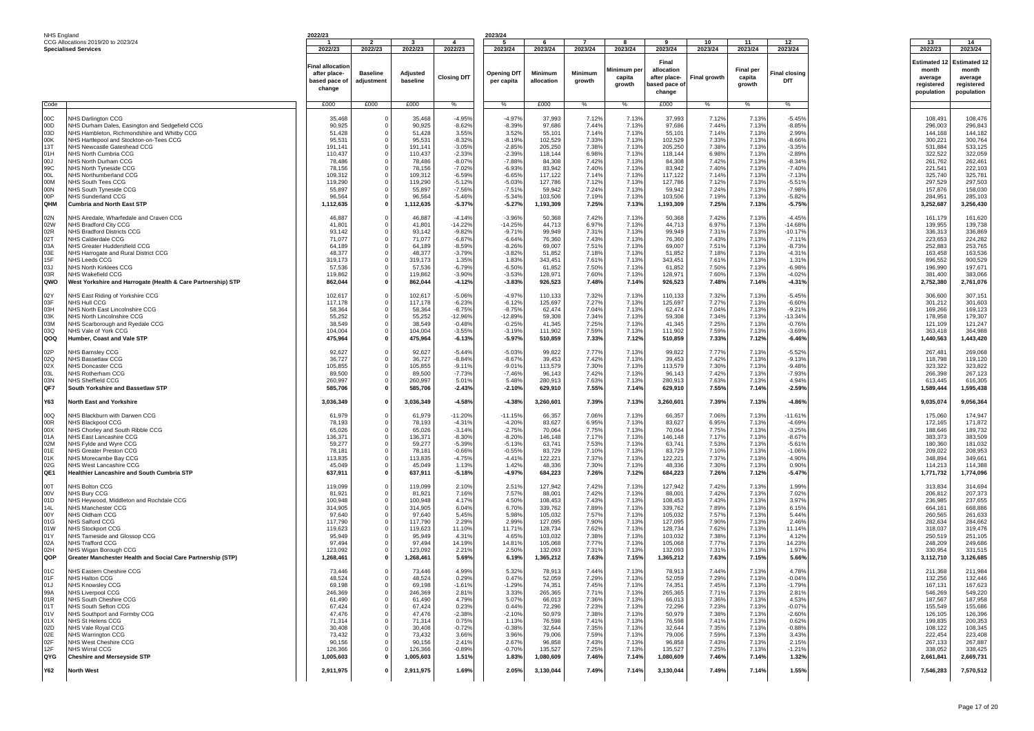| NHS England                                                                                    |                                                                                                                                                                                                                                                                                                                                                                                                                      | 2022/23                                                                                                                               |                                                                                                             |                                                                                                                                       |                                                                                                                                                       | 2023/24                                                                                                                                               |                                                                                                                                         |                                                                                                                   |                                                                                                                   |                                                                                                                                         |                                                                                                                   |                                                                                                                   |                                                                                                                                                       |                                                                                                                                               |                                                                                                                                               |
|------------------------------------------------------------------------------------------------|----------------------------------------------------------------------------------------------------------------------------------------------------------------------------------------------------------------------------------------------------------------------------------------------------------------------------------------------------------------------------------------------------------------------|---------------------------------------------------------------------------------------------------------------------------------------|-------------------------------------------------------------------------------------------------------------|---------------------------------------------------------------------------------------------------------------------------------------|-------------------------------------------------------------------------------------------------------------------------------------------------------|-------------------------------------------------------------------------------------------------------------------------------------------------------|-----------------------------------------------------------------------------------------------------------------------------------------|-------------------------------------------------------------------------------------------------------------------|-------------------------------------------------------------------------------------------------------------------|-----------------------------------------------------------------------------------------------------------------------------------------|-------------------------------------------------------------------------------------------------------------------|-------------------------------------------------------------------------------------------------------------------|-------------------------------------------------------------------------------------------------------------------------------------------------------|-----------------------------------------------------------------------------------------------------------------------------------------------|-----------------------------------------------------------------------------------------------------------------------------------------------|
|                                                                                                | CCG Allocations 2019/20 to 2023/24                                                                                                                                                                                                                                                                                                                                                                                   |                                                                                                                                       | $\overline{\phantom{a}}$                                                                                    | $\mathbf{R}$                                                                                                                          | $\mathbf{A}$                                                                                                                                          | - 5                                                                                                                                                   | - 6                                                                                                                                     | $\overline{7}$                                                                                                    | -8                                                                                                                | 9                                                                                                                                       | 10                                                                                                                | - 11                                                                                                              | 12 <sup>12</sup>                                                                                                                                      | 13                                                                                                                                            | 14                                                                                                                                            |
|                                                                                                | <b>Specialised Services</b>                                                                                                                                                                                                                                                                                                                                                                                          | 2022/23                                                                                                                               | 2022/23                                                                                                     | 2022/23                                                                                                                               | 2022/23                                                                                                                                               | 2023/24                                                                                                                                               | 2023/24                                                                                                                                 | 2023/24                                                                                                           | 2023/24                                                                                                           | 2023/24                                                                                                                                 | 2023/24                                                                                                           | 2023/24                                                                                                           | 2023/24                                                                                                                                               | 2022/23                                                                                                                                       | 2023/24                                                                                                                                       |
|                                                                                                |                                                                                                                                                                                                                                                                                                                                                                                                                      | 'inal allocatioı<br>after place-<br>based pace o<br>change                                                                            | <b>Baseline</b><br>adjustment                                                                               | Adjusted<br>baseline                                                                                                                  | <b>Closing DfT</b>                                                                                                                                    | <b>Opening DfT</b><br>per capita                                                                                                                      | Minimum<br>allocation                                                                                                                   | Minimum<br>growth                                                                                                 | Minimum pe<br>capita<br>growth                                                                                    | Final<br>allocation<br>after place-<br>pased pace of<br>change                                                                          | <b>Final growth</b>                                                                                               | <b>Final per</b><br>capita<br>growth                                                                              | Final closing<br>DfT                                                                                                                                  | Estimated 1<br>month<br>average<br>registered<br>population                                                                                   | Estimated 12<br>month<br>average<br>registered<br>population                                                                                  |
| Code                                                                                           |                                                                                                                                                                                                                                                                                                                                                                                                                      | £000                                                                                                                                  | £000                                                                                                        | £000                                                                                                                                  | %                                                                                                                                                     | %                                                                                                                                                     | £000                                                                                                                                    | %                                                                                                                 | %                                                                                                                 | £000                                                                                                                                    | %                                                                                                                 | %                                                                                                                 | %                                                                                                                                                     |                                                                                                                                               |                                                                                                                                               |
| 00C<br>00D<br>03D<br>00K<br>13T<br>01H<br>00J<br>99C<br><b>OOL</b><br>00M<br>00N<br>00P<br>QHM | <b>IHS Darlington CCG</b><br>NHS Durham Dales, Easington and Sedgefield CCG<br>NHS Hambleton, Richmondshire and Whitby CCG<br>NHS Hartlepool and Stockton-on-Tees CCG<br>NHS Newcastle Gateshead CCG<br>NHS North Cumbria CCG<br>NHS North Durham CCG<br>NHS North Tyneside CCG<br>NHS Northumberland CCG<br>NHS South Tees CCG<br>NHS South Tyneside CCG<br>NHS Sunderland CCG<br><b>Cumbria and North East STP</b> | 35,468<br>90,925<br>51,428<br>95,531<br>191,141<br>110,437<br>78,486<br>78,156<br>109,312<br>119,290<br>55,897<br>96,564<br>1,112,635 | 0<br>$\Omega$<br>$\Omega$<br>$\mathbf 0$<br>0<br>$\mathbf 0$<br>0<br>0<br>$\Omega$<br>$\mathbf 0$           | 35,468<br>90,925<br>51,428<br>95,531<br>191,141<br>110,437<br>78,486<br>78,156<br>109,312<br>119,290<br>55,897<br>96,564<br>1,112,635 | $-4.95%$<br>$-8.62%$<br>3.55%<br>$-8.32%$<br>$-3.05%$<br>$-2.33%$<br>$-8.07%$<br>$-7.02%$<br>$-6.59%$<br>$-5.12%$<br>$-7.56%$<br>$-5.46%$<br>$-5.37%$ | $-4.97%$<br>$-8.39%$<br>3.52%<br>$-8.19%$<br>$-2.85%$<br>$-2.39%$<br>$-7.88%$<br>$-6.93%$<br>$-6.65%$<br>$-5.03%$<br>$-7.51%$<br>$-5.34%$<br>$-5.27%$ | 37,993<br>97,686<br>55,101<br>102,529<br>205,250<br>118,144<br>84,308<br>83,942<br>117,122<br>127,786<br>59,942<br>103,506<br>1,193,309 | 7.12%<br>7.449<br>7.14%<br>7.33%<br>7.389<br>6.98%<br>7.42%<br>7.40%<br>7.14%<br>7.12%<br>7.24%<br>7.19%<br>7.25% | 7.13%<br>7.13%<br>7.13%<br>7.13%<br>7.13%<br>7.13%<br>7.13%<br>7.13%<br>7.13%<br>7.13%<br>7.13%<br>7.13%<br>7.13% | 37,993<br>97,686<br>55,101<br>102,529<br>205,250<br>118,144<br>84,308<br>83,942<br>117,122<br>127,786<br>59,942<br>103,506<br>1,193,309 | 7.12%<br>7.44%<br>7.14%<br>7.33%<br>7.38%<br>6.98%<br>7.42%<br>7.40%<br>7.14%<br>7.12%<br>7.24%<br>7.19%<br>7.25% | 7.13%<br>7.13%<br>7.13%<br>7.13%<br>7.13%<br>7.13%<br>7.13%<br>7.13%<br>7.13%<br>7.13%<br>7.13%<br>7.13%<br>7.13% | $-5.45%$<br>$-8.85%$<br>2.99%<br>$-8.66%$<br>$-3.35%$<br>$-2.89%$<br>$-8.34%$<br>$-7.40%$<br>$-7.13%$<br>$-5.51%$<br>$-7.98%$<br>$-5.82%$<br>$-5.75%$ | 108,491<br>296,003<br>144,168<br>300,221<br>531,884<br>322,522<br>261,762<br>221,541<br>325,740<br>297,529<br>157,876<br>284,951<br>3,252,687 | 108,476<br>296,843<br>144,182<br>300,764<br>533,125<br>322,059<br>262,461<br>222,103<br>325,781<br>297,503<br>158,030<br>285,103<br>3,256,430 |
| 02N<br>02W<br>02R<br>02T<br>03A<br>03E<br>15F<br>03J<br>03R<br><b>QWO</b>                      | VHS Airedale, Wharfedale and Craven CCG<br>NHS Bradford City CCG<br>NHS Bradford Districts CCG<br>NHS Calderdale CCG<br>NHS Greater Huddersfield CCG<br>NHS Harrogate and Rural District CCG<br>NHS Leeds CCG<br>NHS North Kirklees CCG<br>NHS Wakefield CCG<br>West Yorkshire and Harrogate (Health & Care Partnership) STP                                                                                         | 46,887<br>41,801<br>93,142<br>71,077<br>64,189<br>48,377<br>319,173<br>57,536<br>119,862<br>862,044                                   | 0<br>$\Omega$<br>$\Omega$<br>$\mathbf 0$<br>$\mathbf 0$<br>$\mathbf 0$<br>0<br>$\mathbf 0$                  | 46,887<br>41,801<br>93,142<br>71,077<br>64,189<br>48,377<br>319,173<br>57,536<br>119,862<br>862,044                                   | $-4.14%$<br>$-14.22%$<br>$-9.82%$<br>$-6.87%$<br>$-8.59%$<br>$-3.79%$<br>1.35%<br>$-6.79%$<br>$-3.90%$<br>$-4.12%$                                    | $-3.96%$<br>$-14.25%$<br>$-9.719$<br>$-6.64%$<br>$-8.26%$<br>$-3.82%$<br>1.83%<br>$-6.50%$<br>$-3.53%$<br>$-3.83%$                                    | 50,368<br>44,713<br>99,949<br>76,360<br>69,007<br>51,852<br>343,451<br>61,852<br>128,971<br>926,523                                     | 7.42%<br>6.97%<br>7.31%<br>7.43%<br>7.519<br>7.18%<br>7.61%<br>7.50%<br>7.60%<br>7.48%                            | 7.13%<br>7.13%<br>7.13%<br>7.13%<br>7.13%<br>7.13%<br>7.13%<br>7.13%<br>7.13%<br>7.14%                            | 50,368<br>44,713<br>99,949<br>76,360<br>69,007<br>51,852<br>343,451<br>61,852<br>128,971<br>926,523                                     | 7.42%<br>6.97%<br>7.31%<br>7.43%<br>7.51%<br>7.18%<br>7.61%<br>7.50%<br>7.60%<br>7.48%                            | 7.13%<br>7.13%<br>7.13%<br>7.13%<br>7.13%<br>7.13%<br>7.13%<br>7.13%<br>7.13%<br>7.14%                            | $-4.45%$<br>$-14.68%$<br>$-10.179$<br>$-7.119$<br>$-8.739$<br>$-4.319$<br>1.31%<br>$-6.98%$<br>$-4.02%$<br>$-4.31%$                                   | 161,179<br>139,955<br>336,313<br>223,653<br>252,883<br>163,458<br>896,552<br>196,990<br>381,400<br>2,752,380                                  | 161,620<br>139,738<br>336,869<br>224,282<br>253,765<br>163,536<br>900,529<br>197,671<br>383,066<br>2,761,076                                  |
| 02Y<br>03F<br>03H<br>03K<br>03M<br>03Q<br><b>QOQ</b>                                           | <b>VHS East Riding of Yorkshire CCG</b><br>NHS Hull CCG<br>NHS North East Lincolnshire CCG<br>NHS North Lincolnshire CCG<br>NHS Scarborough and Ryedale CCG<br>NHS Vale of York CCG<br>Humber, Coast and Vale STP                                                                                                                                                                                                    | 102,617<br>117,178<br>58,364<br>55,252<br>38,549<br>104,004<br>475,964                                                                | $\mathbf 0$<br>$\Omega$<br>$\bf{0}$                                                                         | 102,617<br>117,178<br>58,364<br>55,252<br>38,549<br>104,004<br>475,964                                                                | $-5.06%$<br>$-6.23%$<br>$-8.75%$<br>$-12.96%$<br>$-0.48%$<br>$-3.55%$<br>$-6.13%$                                                                     | $-4.97%$<br>$-6.129$<br>$-8.75%$<br>-12.89%<br>$-0.25%$<br>$-3.19%$<br>$-5.97%$                                                                       | 110,133<br>125,697<br>62,474<br>59,308<br>41,345<br>111,902<br>510,859                                                                  | 7.32%<br>7.27%<br>7.04%<br>7.34%<br>7.25%<br>7.59%<br>7.33%                                                       | 7.13%<br>7.13%<br>7.13%<br>7.13%<br>7.13%<br>7.13%<br>7.12%                                                       | 110,133<br>125,697<br>62,474<br>59,308<br>41,345<br>111,902<br>510,859                                                                  | 7.32%<br>7.27%<br>7.04%<br>7.34%<br>7.25%<br>7.59%<br>7.33%                                                       | 7.13%<br>7.13%<br>7.13%<br>7.13%<br>7.13%<br>7.13%<br>7.12%                                                       | $-5.45%$<br>$-6.60%$<br>$-9.219$<br>$-13.349$<br>$-0.76%$<br>$-3.69%$<br>$-6.46%$                                                                     | 306,600<br>301,212<br>169,266<br>178,958<br>121,109<br>363,418<br>1,440,563                                                                   | 307,151<br>301,603<br>169,123<br>179,307<br>121,247<br>364,988<br>1,443,420                                                                   |
| 02P<br>02Q<br>02X<br>03L<br>03N<br>QF7                                                         | NHS Barnsley CCG<br><b>NHS Bassetlaw CCG</b><br>NHS Doncaster CCG<br><b>NHS Rotherham CCG</b><br>NHS Sheffield CCG<br>South Yorkshire and Bassetlaw STP                                                                                                                                                                                                                                                              | 92,627<br>36,727<br>105,855<br>89,500<br>260,997<br>585,706                                                                           | 0<br>0<br>$^{\circ}$<br>$\Omega$<br>$\Omega$<br>$\Omega$                                                    | 92,627<br>36,727<br>105,855<br>89,500<br>260,997<br>585,706                                                                           | $-5.44%$<br>$-8.84%$<br>$-9.11%$<br>$-7.73%$<br>5.01%<br>$-2.43%$                                                                                     | $-5.03%$<br>$-8.67%$<br>$-9.01%$<br>$-7.46%$<br>5.48%<br>$-2.10%$                                                                                     | 99,822<br>39,453<br>113,579<br>96,143<br>280,913<br>629,910                                                                             | 7.77%<br>7.42%<br>7.30%<br>7.42%<br>7.63%<br>7.55%                                                                | 7.13%<br>7.13%<br>7.13%<br>7.13%<br>7.13%<br>7.14%                                                                | 99,822<br>39,453<br>113,579<br>96,143<br>280,913<br>629,910                                                                             | 7.77%<br>7.42%<br>7.30%<br>7.42%<br>7.63%<br>7.55%                                                                | 7.13%<br>7.13%<br>7.13%<br>7.13%<br>7.13%<br>7.14%                                                                | $-5.52%$<br>$-9.13%$<br>$-9.48%$<br>$-7.93%$<br>4.94%<br>$-2.59%$                                                                                     | 267,481<br>118,798<br>323,322<br>266,398<br>613,445<br>1,589,444                                                                              | 269,068<br>119,120<br>323,822<br>267,123<br>616,305<br>1,595,438                                                                              |
| Y63<br>00Q<br>00R<br>00X<br>01A<br>02M<br>01E<br>01K<br>02G<br>QE1                             | North East and Yorkshire<br>NHS Blackburn with Darwen CCG<br>NHS Blackpool CCG<br>NHS Chorley and South Ribble CCG<br>NHS East Lancashire CCG<br>NHS Fylde and Wyre CCG<br>NHS Greater Preston CCG<br>NHS Morecambe Bay CCG<br>NHS West Lancashire CCG<br>Healthier Lancashire and South Cumbria STP                                                                                                                 | 3,036,349<br>61,979<br>78,193<br>65,026<br>136,371<br>59,277<br>78,181<br>113,835<br>45,049<br>637,911                                | $\mathbf 0$<br>$\Omega$<br>$\Omega$<br>$\mathbf 0$<br>0<br>0<br>0<br>0<br>$\Omega$<br>$\mathbf{0}$          | 3,036,349<br>61,979<br>78,193<br>65,026<br>136,371<br>59,277<br>78,181<br>113,835<br>45,049<br>637,911                                | $-4.58%$<br>$-11.20%$<br>$-4.31%$<br>$-3.14%$<br>$-8.30%$<br>$-5.39%$<br>$-0.66%$<br>$-4.75%$<br>1.13%<br>$-5.18%$                                    | $-4.38%$<br>$-11.15%$<br>$-4.20%$<br>$-2.75%$<br>$-8.20%$<br>$-5.13%$<br>$-0.55%$<br>-4.41%<br>1.42%<br>$-4.97%$                                      | 3,260,601<br>66,357<br>83,627<br>70,064<br>146,148<br>63,741<br>83,729<br>122,221<br>48,336<br>684,223                                  | 7.39%<br>7.06%<br>6.95%<br>7.75%<br>7.17%<br>7.53%<br>7.10%<br>7.37%<br>7.30%<br>7.26%                            | 7.13%<br>7.13%<br>7.13%<br>7.13%<br>7.13%<br>7.13%<br>7.13%<br>7.13%<br>7.13%<br>7.12%                            | 3,260,601<br>66,357<br>83,627<br>70,064<br>146,148<br>63,741<br>83,729<br>122,221<br>48,336<br>684,223                                  | 7.39%<br>7.06%<br>6.95%<br>7.75%<br>7.17%<br>7.53%<br>7.10%<br>7.37%<br>7.30%<br>7.26%                            | 7.13%<br>7.13%<br>7.13%<br>7.13%<br>7.13%<br>7.13%<br>7.13%<br>7.13%<br>7.13%<br>7.12%                            | $-4.86%$<br>$-11.619$<br>$-4.69%$<br>$-3.25%$<br>$-8.67%$<br>$-5.619$<br>$-1.06%$<br>$-4.90%$<br>0.90%<br>$-5.47%$                                    | 9,035,074<br>175,060<br>172,165<br>188,646<br>383,373<br>180,360<br>209,022<br>348,894<br>114,213<br>1,771,732                                | 9,056,364<br>174,947<br>171,872<br>189,732<br>383,509<br>181,032<br>208,953<br>349,661<br>114,388<br>1,774,096                                |
| 00T<br>100V<br>01D<br>14L<br>00Y<br>01G<br><b>01W</b><br>01Y<br>02A<br>02H<br><b>QOP</b>       | <b>VHS Bolton CCG</b><br>NHS Bury CCG<br>NHS Heywood, Middleton and Rochdale CCG<br>NHS Manchester CCG<br>NHS Oldham CCG<br>NHS Salford CCG<br>NHS Stockport CCG<br>NHS Tameside and Glossop CCG<br>NHS Trafford CCG<br>NHS Wigan Borough CCG<br>Greater Manchester Health and Social Care Partnership (STP)                                                                                                         | 119,099<br>81,921<br>100,948<br>314.905<br>97,640<br>117,790<br>119,623<br>95,949<br>97,494<br>123,092<br>1,268,461                   | 0<br>0<br>$\Omega$<br>$\mathbf 0$<br>$\mathbf 0$<br>$\mathbf 0$<br>$\mathbf 0$<br>0<br>$\Omega$<br>0        | 119,099<br>81,921<br>100,948<br>314,905<br>97,640<br>117,790<br>119,623<br>95,949<br>97,494<br>123,092<br>1,268,461                   | 2.10%<br>7.16%<br>4.17%<br>6.04%<br>5.45%<br>2.29%<br>11.10%<br>4.31%<br>14.19%<br>2.21%<br>5.69%                                                     | 2.51%<br>7.57%<br>4.50%<br>6.70%<br>5.98%<br>2.99%<br>11.71%<br>4.65%<br>14.81%<br>2.50%<br>6.19%                                                     | 127,942<br>88,001<br>108,453<br>339,762<br>105,032<br>127,095<br>128,734<br>103,032<br>105,068<br>132,093<br>1,365,212                  | 7.42%<br>7.42%<br>7.43%<br>7.89%<br>7.57%<br>7.90%<br>7.62%<br>7.38%<br>7.77%<br>7.31%<br>7.63%                   | 7.13%<br>7.13%<br>7.13%<br>7.13%<br>7.13%<br>7.13%<br>7.13%<br>7.13%<br>7.13%<br>7.13%<br>7.15%                   | 127,942<br>88,001<br>108,453<br>339,762<br>105,032<br>127,095<br>128,734<br>103,032<br>105,068<br>132,093<br>1,365,212                  | 7.42%<br>7.42%<br>7.43%<br>7.89%<br>7.57%<br>7.90%<br>7.62%<br>7.38%<br>7.77%<br>7.31%<br>7.63%                   | 7.13%<br>7.13%<br>7.13%<br>7.13%<br>7.13%<br>7.13%<br>7.13%<br>7.13%<br>7.13%<br>7.13%<br>7.15%                   | 1.99%<br>7.02%<br>3.97%<br>6.15%<br>5.44%<br>2.46%<br>11.149<br>4.12%<br>14.23%<br>1.97%<br>5.66%                                                     | 313,834<br>206,812<br>236,985<br>664.161<br>260,565<br>282,634<br>318,037<br>250,519<br>248,209<br>330,954<br>3,112,710                       | 314,694<br>207,373<br>237,655<br>668,886<br>261,633<br>284,662<br>319,476<br>251,105<br>249,686<br>331,515<br>3,126,685                       |
| 01C<br>01F<br>01J<br>99A<br>01R<br>01T<br>01V<br>01X<br>02D<br>02E<br>02F<br>12F<br><b>QYG</b> | NHS Eastern Cheshire CCG<br>NHS Halton CCG<br><b>IHS Knowsley CCG</b><br><b>NHS Liverpool CCG</b><br>NHS South Cheshire CCG<br>NHS South Sefton CCG<br>NHS Southport and Formby CCG<br>NHS St Helens CCG<br>NHS Vale Royal CCG<br><b>NHS Warrington CCG</b><br>NHS West Cheshire CCG<br>NHS Wirral CCG<br><b>Cheshire and Mersevside STP</b>                                                                         | 73,446<br>48,524<br>69,198<br>246,369<br>61,490<br>67,424<br>47,476<br>71,314<br>30,408<br>73,432<br>90,156<br>126,366<br>1,005,603   | 0<br>0<br>0<br>$\Omega$<br>$\mathbf 0$<br>$\mathbf 0$<br>$\mathbf 0$<br>0<br>0<br>$\Omega$<br>$\Omega$<br>0 | 73,446<br>48,524<br>69,198<br>246,369<br>61,490<br>67,424<br>47,476<br>71,314<br>30,408<br>73,432<br>90,156<br>126,366<br>1,005,603   | 4.99%<br>0.29%<br>$-1.619$<br>2.81%<br>4.79%<br>0.23%<br>$-2.38%$<br>0.75%<br>$-0.72%$<br>3.66%<br>2.41%<br>$-0.89%$<br>1.51%                         | 5.329<br>0.47%<br>$-1.299$<br>3.33%<br>5.07%<br>0.44%<br>$-2.10%$<br>1.13%<br>$-0.38%$<br>3.96%<br>2.67%<br>$-0.70%$<br>1.83%                         | 78,913<br>52,059<br>74,351<br>265,365<br>66,013<br>72,296<br>50,979<br>76,598<br>32,644<br>79,006<br>96.858<br>135,527<br>1,080,609     | 7.44%<br>7.29%<br>7.45%<br>7.71%<br>7.36%<br>7.23%<br>7.38%<br>7.41%<br>7.35%<br>7.59%<br>7.43%<br>7.25%<br>7.46% | 7.13%<br>7.13%<br>7.13%<br>7.13%<br>7.13%<br>7.139<br>7.13%<br>7.13%<br>7.13%<br>7.13%<br>7.13%<br>7.13%<br>7.14% | 78,913<br>52,059<br>74,351<br>265,365<br>66,013<br>72,296<br>50,979<br>76,598<br>32,644<br>79,006<br>96,858<br>135,527<br>1,080,609     | 7.44%<br>7.29%<br>7.45%<br>7.71%<br>7.36%<br>7.23%<br>7.38%<br>7.41%<br>7.35%<br>7.59%<br>7.43%<br>7.25%<br>7.46% | 7.13%<br>7.13%<br>7.13%<br>7.13%<br>7.13%<br>7.13%<br>7.13%<br>7.13%<br>7.13%<br>7.13%<br>7.13%<br>7.13%<br>7.14% | 4.78%<br>$-0.04%$<br>$-1.799$<br>2.81%<br>4.53%<br>$-0.07%$<br>$-2.60%$<br>0.62%<br>$-0.88%$<br>3.43%<br>2.15%<br>$-1.21%$<br>1.32%                   | 211,368<br>132,256<br>167,131<br>546,269<br>187,567<br>155,549<br>126,105<br>199,835<br>108,122<br>222,454<br>267,133<br>338,052<br>2,661,841 | 211,984<br>132,446<br>167,623<br>549,220<br>187,958<br>155,686<br>126,396<br>200,353<br>108,345<br>223,408<br>267,887<br>338,425<br>2,669,731 |
| Y62                                                                                            | <b>North West</b>                                                                                                                                                                                                                                                                                                                                                                                                    | 2,911,975                                                                                                                             | $\bf{0}$                                                                                                    | 2,911,975                                                                                                                             | 1.69%                                                                                                                                                 | 2.05%                                                                                                                                                 | 3,130,044                                                                                                                               | 7.49%                                                                                                             | 7.14%                                                                                                             | 3,130,044                                                                                                                               | 7.49%                                                                                                             | 7.14%                                                                                                             | 1.55%                                                                                                                                                 | 7,546,283                                                                                                                                     | 7,570,512                                                                                                                                     |
|                                                                                                |                                                                                                                                                                                                                                                                                                                                                                                                                      |                                                                                                                                       |                                                                                                             |                                                                                                                                       |                                                                                                                                                       |                                                                                                                                                       |                                                                                                                                         |                                                                                                                   |                                                                                                                   |                                                                                                                                         |                                                                                                                   |                                                                                                                   |                                                                                                                                                       |                                                                                                                                               |                                                                                                                                               |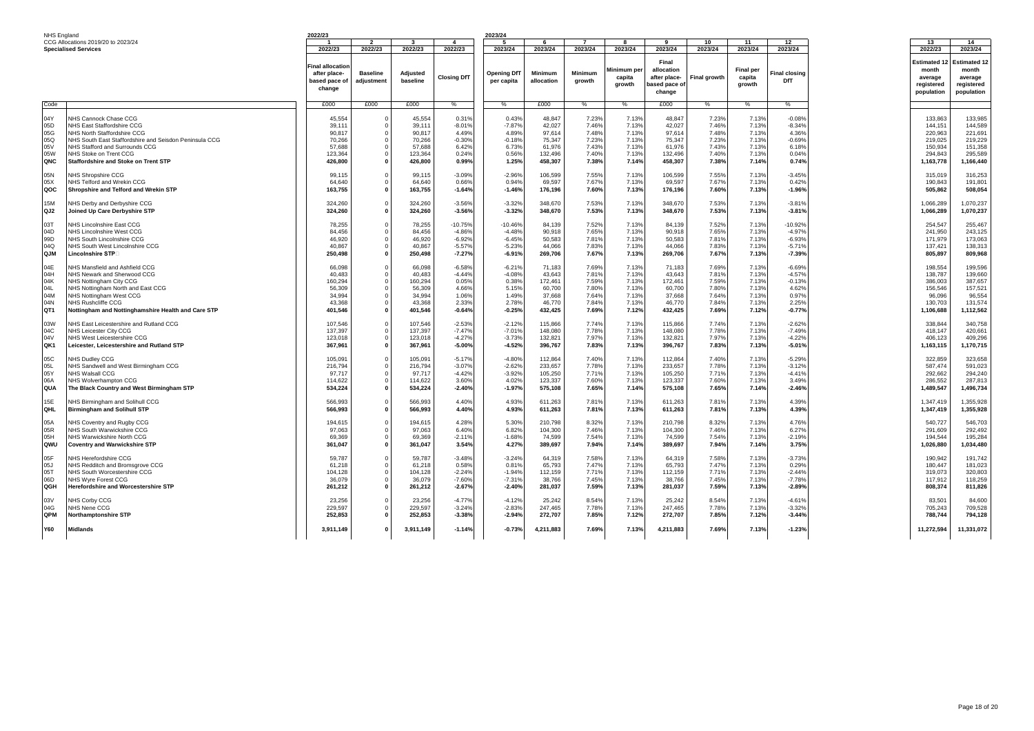| NHS England |                                                                 | 2022/23                 |                          |                   |                    | 2023/24            |                    |                |                |                    |                |                  |                      |                     |                     |
|-------------|-----------------------------------------------------------------|-------------------------|--------------------------|-------------------|--------------------|--------------------|--------------------|----------------|----------------|--------------------|----------------|------------------|----------------------|---------------------|---------------------|
|             | CCG Allocations 2019/20 to 2023/24                              |                         | $\overline{\phantom{a}}$ | - ર               | $\mathbf{A}$       | -5                 | -6                 | $\overline{z}$ | R              | $\mathbf{q}$       | 10             | 11               | 12                   | 13                  | 14                  |
|             | <b>Specialised Services</b>                                     | 2022/23                 | 2022/23                  | 2022/23           | 2022/23            | 2023/24            | 2023/24            | 2023/24        | 2023/24        | 2023/24            | 2023/24        | 2023/24          | 2023/24              | 2022/23             | 2023/24             |
|             |                                                                 |                         |                          |                   |                    |                    |                    |                |                |                    |                |                  |                      |                     |                     |
|             |                                                                 | <b>Final allocation</b> |                          |                   |                    |                    |                    |                |                | Final              |                |                  |                      | <b>Estimated 12</b> | <b>Estimated 12</b> |
|             |                                                                 | after place-            | <b>Baseline</b>          | Adjusted          |                    | <b>Opening DfT</b> | Minimum            | <b>Minimum</b> | Minimum pe     | allocation         |                | <b>Final per</b> | <b>Final closing</b> | month               | month               |
|             |                                                                 | based pace of           | adjustment               | baseline          | <b>Closing DfT</b> | per capita         | allocation         | growth         | capita         | after place-       | Final growth   | capita           | DfT                  | average             | average             |
|             |                                                                 | change                  |                          |                   |                    |                    |                    |                | growth         | pased pace of      |                | growth           |                      | registered          | registered          |
|             |                                                                 |                         |                          |                   |                    |                    |                    |                |                | change             |                |                  |                      | population          | population          |
| Code        |                                                                 | £000                    |                          | £000              | %                  |                    | £000               |                |                | £000               | %              |                  | %                    |                     |                     |
|             |                                                                 |                         | £000                     |                   |                    | %                  |                    | %              | %              |                    |                | %                |                      |                     |                     |
| 04Y         | <b>NHS Cannock Chase CCG</b>                                    | 45,554                  |                          | 45,554            | 0.31%              | 0.43%              | 48.847             | 7.23%          | 7.13%          | 48.847             | 7.23%          | 7.13%            | $-0.08%$             | 133.863             | 133.985             |
| 05D         | NHS East Staffordshire CCG                                      | 39,111                  |                          | 39,111            | $-8.01%$           | $-7.87%$           | 42,027             | 7.46%          | 7.13%          | 42,027             | 7.46%          | 7.13%            | $-8.34%$             | 144,151             | 144,589             |
| 05G         | NHS North Staffordshire CCG                                     | 90,817                  |                          | 90,817            | 4.49%              | 4.89%              | 97,614             | 7.48%          | 7.13%          | 97,614             | 7.48%          | 7.13%            | 4.36%                | 220,963             | 221,691             |
| 05Q         | NHS South East Staffordshire and Seisdon Peninsula CCG          | 70,266                  |                          | 70,266            | $-0.30%$           | $-0.18%$           | 75,347             | 7.23%          | 7.13%          | 75,347             | 7.23%          | 7.13%            | $-0.69%$             | 219,025             | 219,229             |
| 05V         | NHS Stafford and Surrounds CCG                                  | 57,688                  |                          | 57,688            | 6.42%              | 6.73%              | 61,976             | 7.43%          | 7.13%          | 61,976             | 7.43%          | 7.13%            | 6.18%                | 150,934             | 151,358             |
| 05W         | NHS Stoke on Trent CCG                                          | 123,364                 |                          | 123,364           | 0.24%              | 0.56%              | 132,496            | 7.40%          | 7.13%          | 132,496            | 7.40%          | 7.13%            | 0.04%                | 294,843             | 295,589             |
| QNC         | <b>Staffordshire and Stoke on Trent STP</b>                     | 426,800                 |                          | 426,800           | 0.99%              | 1.25%              | 458,307            | 7.38%          | 7.14%          | 458,307            | 7.38%          | 7.14%            | 0.74%                | 1,163,778           | 1,166,440           |
| 05N         | <b>VHS Shropshire CCG</b>                                       | 99,115                  | $\Omega$                 | 99,115            | $-3.09%$           | $-2.96%$           | 106,599            | 7.55%          | 7.13%          | 106,599            | 7.55%          | 7.13%            | $-3.45%$             | 315,019             | 316,253             |
| 05X         | <b>NHS Telford and Wrekin CCG</b>                               | 64,640                  |                          | 64,640            | 0.66%              | 0.94%              | 69,597             | 7.67%          | 7.13%          | 69,597             | 7.67%          | 7.13%            | 0.42%                | 190,843             | 191,801             |
| QOC         | Shropshire and Telford and Wrekin STP                           | 163,755                 | $\Omega$                 | 163,755           | $-1.64%$           | $-1.46%$           | 176,196            | 7.60%          | 7.13%          | 176,196            | 7.60%          | 7.13%            | $-1.96%$             | 505.862             | 508,054             |
|             |                                                                 |                         |                          |                   |                    |                    |                    |                |                |                    |                |                  |                      |                     |                     |
| 15M         | <b>IHS Derby and Derbyshire CCG</b>                             | 324,260                 | $\Omega$                 | 324,260           | $-3.56%$           | $-3.32%$           | 348,670            | 7.53%          | 7.13%          | 348,670            | 7.53%          | 7.13%            | $-3.81%$             | 1,066,289           | 1,070,237           |
| QJ2         | Joined Up Care Derbyshire STP                                   | 324,260                 |                          | 324,260           | $-3.56%$           | $-3.32%$           | 348,670            | 7.53%          | 7.13%          | 348,670            | 7.53%          | 7.13%            | $-3.81%$             | 1,066,289           | 1,070,237           |
|             |                                                                 |                         |                          |                   |                    |                    |                    |                |                |                    |                |                  |                      |                     |                     |
| 03T         | <b>NHS Lincolnshire East CCG</b>                                | 78,255                  |                          | 78,255            | $-10.75%$          | $-10.46%$          | 84,139             | 7.52%          | 7.13%          | 84,139             | 7.52%          | 7.13%            | $-10.92%$            | 254.547             | 255,467             |
| 04D         | <b>NHS Lincolnshire West CCG</b>                                | 84.456                  |                          | 84,456            | $-4.86%$           | $-4.48%$           | 90,918             | 7.65%          | 7.13%          | 90,918             | 7.65%          | 7.13%            | $-4.97%$             | 241,950             | 243,125             |
| 99D         | NHS South Lincolnshire CCG                                      | 46,920                  |                          | 46,920            | $-6.92%$           | $-6.45%$           | 50,583             | 7.81%          | 7.13%          | 50,583             | 7.81%          | 7.13%            | $-6.93%$             | 171,979             | 173,063             |
| 04Q         | <b>NHS South West Lincolnshire CCG</b>                          | 40,867                  |                          | 40,867            | $-5.57%$           | $-5.23%$           | 44,066             | 7.83%          | 7.13%          | 44,066             | 7.83%          | 7.13%            | $-5.71%$             | 137,421             | 138,313             |
| <b>QJM</b>  | Lincolnshire STP                                                | 250,498                 | $\Omega$                 | 250,498           | $-7.27%$           | $-6.91%$           | 269,706            | 7.67%          | 7.13%          | 269,706            | 7.67%          | 7.13%            | $-7.39%$             | 805,897             | 809,968             |
| 04E         | <b>NHS Mansfield and Ashfield CCG</b>                           | 66,098                  | - 0                      | 66,098            | $-6.58%$           | $-6.21%$           | 71.183             | 7.69%          | 7.13%          | 71,183             | 7.69%          | 7.13%            | $-6.69%$             | 198,554             | 199,596             |
| 04H         | NHS Newark and Sherwood CCG                                     | 40,483                  |                          | 40,483            | $-4.449$           | $-4.08%$           | 43,643             | 7.81%          | 7.13%          | 43,643             | 7.81%          | 7.13%            | $-4.57%$             | 138,787             | 139,660             |
| 04K         | NHS Nottingham City CCG                                         | 160,294                 |                          | 160,294           | 0.05%              | 0.38%              | 172,461            | 7.59%          | 7.13%          | 172,461            | 7.59%          | 7.13%            | $-0.13%$             | 386,003             | 387,657             |
| 04L         | NHS Nottingham North and East CCG                               | 56,309                  |                          | 56,309            | 4.669              | 5.15%              | 60,700             | 7.80%          | 7.13%          | 60,700             | 7.80%          | 7.13%            | 4.62%                | 156,546             | 157,521             |
| 04M         | NHS Nottingham West CCG                                         | 34,994                  |                          | 34.994            | 1.06%              | 1.49%              | 37,668             | 7.64%          | 7.13%          | 37,668             | 7.64%          | 7.13%            | 0.97%                | 96,096              | 96.554              |
| 04N         | <b>NHS Rushcliffe CCG</b>                                       | 43,368                  |                          | 43,368            | 2.33%              | 2.78%              | 46,770             | 7.84%          | 7.13%          | 46,770             | 7.84%          | 7.13%            | 2.25%                | 130,703             | 131,574             |
| QT1         | Nottingham and Nottinghamshire Health and Care STP              | 401,546                 |                          | 401,546           | $-0.64%$           | $-0.25%$           | 432,425            | 7.69%          | 7.12%          | 432,425            | 7.69%          | 7.12%            | $-0.77%$             | 1,106,688           | 1,112,562           |
| 03W         | <b>VHS East Leicestershire and Rutland CCG</b>                  | 107.546                 | $\Omega$                 | 107.546           | $-2.53%$           | $-2.12%$           | 115,866            | 7.74%          | 7.13%          | 115,866            | 7.74%          | 7.13%            | $-2.62%$             | 338,844             | 340.758             |
| 04C         | <b>NHS Leicester City CCG</b>                                   | 137.397                 |                          | 137,397           | $-7.47%$           | $-7.01%$           | 148.080            | 7.78%          | 7.13%          | 148,080            | 7.78%          | 7.13%            | $-7.49%$             | 418.147             | 420.661             |
| 04V         | <b>NHS West Leicestershire CCG</b>                              | 123,018                 |                          | 123,018           | $-4.279$           | $-3.73%$           | 132,821            | 7.97%          | 7.13%          | 132,821            | 7.97%          | 7.13%            | $-4.22%$             | 406,123             | 409,296             |
| QK1         | Leicester, Leicestershire and Rutland STP                       | 367,961                 |                          | 367,961           | $-5.00%$           | $-4.52%$           | 396,767            | 7.83%          | 7.13%          | 396,767            | 7.83%          | 7.13%            | $-5.01%$             | 1,163,115           | 1,170,715           |
|             |                                                                 |                         |                          |                   |                    |                    |                    |                |                |                    |                |                  |                      |                     |                     |
| 05C         | <b>VHS Dudley CCG</b>                                           | 105,091                 | $\Omega$                 | 105,091           | $-5.179$           | $-4.80%$           | 112,864            | 7.40%          | 7.13%          | 112,864            | 7.40%          | 7.13%            | $-5.29%$             | 322.859             | 323,658             |
| 05L         | NHS Sandwell and West Birmingham CCG                            | 216,794                 |                          | 216,794           | $-3.07%$           | $-2.62%$           | 233,657            | 7.78%          | 7.13%          | 233,657            | 7.78%          | 7.13%            | $-3.12%$             | 587.474             | 591,023             |
| 05Y         | NHS Walsall CCG                                                 | 97,717                  |                          | 97,717            | $-4.42%$           | $-3.92%$           | 105,250            | 7.71%          | 7.13%          | 105,250            | 7.71%          | 7.13%            | $-4.41%$             | 292,662             | 294,240             |
| 06A         | NHS Wolverhampton CCG                                           | 114,622                 |                          | 114,622           | 3.60%              | 4.02%              | 123,337            | 7.60%          | 7.13%          | 123,337            | 7.60%          | 7.13%            | 3.49%                | 286,552             | 287,813             |
| QUA         | The Black Country and West Birmingham STP                       | 534,224                 | $\Omega$                 | 534,224           | $-2.40%$           | $-1.97%$           | 575,108            | 7.65%          | 7.14%          | 575,108            | 7.65%          | 7.14%            | $-2.46%$             | 1,489,547           | 1,496,734           |
| 15E         | NHS Birmingham and Solihull CCG                                 | 566,993                 | $\Omega$                 | 566,993           | 4.40%              | 4.93%              | 611.263            | 7.81%          | 7.13%          | 611,263            | 7.81%          | 7.13%            | 4.39%                | 1.347.419           | 1,355,928           |
| QHL         | Birmingham and Solihull STP                                     | 566,993                 |                          | 566,993           | 4.40%              | 4.93%              | 611,263            | 7.81%          | 7.13%          | 611,263            | 7.81%          | 7.13%            | 4.39%                | 1,347,419           | 1,355,928           |
|             |                                                                 |                         |                          |                   |                    |                    |                    |                |                |                    |                |                  |                      |                     |                     |
| 05A<br>05R  | <b>VHS Coventry and Rugby CCG</b><br>NHS South Warwickshire CCG | 194,615<br>97.063       |                          | 194,615<br>97.063 | 4.28%<br>6.40%     | 5.30%<br>6.82%     | 210,798<br>104.300 | 8.32%<br>7.46% | 7.13%<br>7.13% | 210,798<br>104.300 | 8.32%<br>7.46% | 7.13%<br>7.13%   | 4.76%<br>6.27%       | 540,727<br>291.609  | 546,703<br>292.492  |
| 05H         | <b>NHS Warwickshire North CCG</b>                               | 69,369                  |                          | 69,369            | $-2.119$           | $-1.68%$           | 74,599             | 7.54%          | 7.13%          | 74,599             | 7.54%          | 7.13%            | $-2.19%$             | 194,544             |                     |
| QWU         |                                                                 |                         | $\Omega$                 |                   |                    | 4.27%              |                    |                |                |                    | 7.94%          |                  |                      |                     | 195,284             |
|             | <b>Coventry and Warwickshire STP</b>                            | 361,047                 |                          | 361,047           | 3.54%              |                    | 389,697            | 7.94%          | 7.14%          | 389,697            |                | 7.14%            | 3.75%                | 1,026,880           | 1,034,480           |
| 05F         | <b>NHS Herefordshire CCG</b>                                    | 59.787                  | $\Omega$                 | 59.787            | $-3.48%$           | $-3.24%$           | 64.319             | 7.58%          | 7.13%          | 64.319             | 7.58%          | 7.13%            | $-3.73%$             | 190.942             | 191.742             |
| 05J         | <b>NHS Redditch and Bromsgrove CCG</b>                          | 61.218                  |                          | 61,218            | 0.58%              | 0.81%              | 65,793             | 7.47%          | 7.13%          | 65,793             | 7.47%          | 7.13%            | 0.29%                | 180.447             | 181,023             |
| 05T         | NHS South Worcestershire CCG                                    | 104,128                 |                          | 104,128           | $-2.24%$           | $-1.94%$           | 112,159            | 7.71%          | 7.13%          | 112,159            | 7.71%          | 7.13%            | $-2.44%$             | 319,073             | 320,803             |
| 06D         | <b>NHS Wyre Forest CCG</b>                                      | 36,079                  |                          | 36,079            | $-7.60%$           | $-7.31%$           | 38,766             | 7.45%          | 7.13%          | 38,766             | 7.45%          | 7.13%            | $-7.78%$             | 117,912             | 118,259             |
| <b>QGH</b>  | Herefordshire and Worcestershire STP                            | 261,212                 |                          | 261,212           | $-2.67%$           | $-2.40%$           | 281,037            | 7.59%          | 7.13%          | 281,037            | 7.59%          | 7.13%            | $-2.89%$             | 808.374             | 811,826             |
| 03V         | <b>VHS Corby CCG</b>                                            | 23,256                  |                          | 23,256            | $-4.779$           | $-4.12%$           | 25,242             | 8.54%          | 7.13%          | 25,242             | 8.54%          | 7.13%            | $-4.61%$             | 83,501              | 84,600              |
| 04G         | <b>VHS Nene CCG</b>                                             | 229,597                 |                          | 229,597           | $-3.24%$           | $-2.83%$           | 247,465            | 7.78%          | 7.13%          | 247,465            | 7.78%          | 7.13%            | $-3.32%$             | 705,243             | 709,528             |
| QPM         | Northamptonshire STP                                            | 252,853                 |                          | 252,853           | $-3.38%$           | $-2.94%$           | 272,707            | 7.85%          | 7.12%          | 272,707            | 7.85%          | 7.12%            | $-3.44%$             | 788,744             | 794,128             |
|             |                                                                 |                         |                          |                   |                    |                    |                    |                |                |                    |                |                  |                      |                     |                     |
| <b>Y60</b>  | Midlands                                                        | 3,911,149               | $\Omega$                 | 3,911,149         | $-1.14%$           | $-0.73%$           | 4,211,883          | 7.69%          | 7.13%          | 4,211,883          | 7.69%          | 7.13%            | $-1.23%$             | 11,272,594          | 11,331,072          |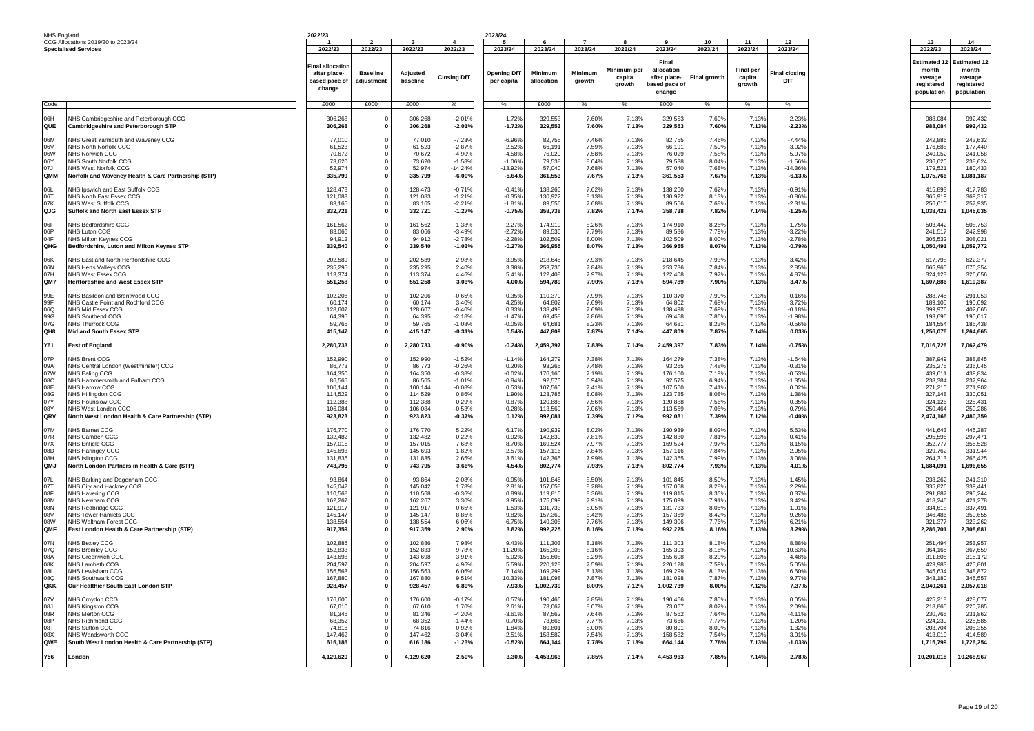| NHS England                                                 |                                                                                                                                                                                                                                                                 | 2022/23                                                                                       |                               |                                                                                               |                                                                                                    | 2023/24                                                                                   |                                                                                               |                                                                               |                                                                               |                                                                                               |                                                                               |                                                                               |                                                                                                 |                                                                                                   |                                                                                                  |
|-------------------------------------------------------------|-----------------------------------------------------------------------------------------------------------------------------------------------------------------------------------------------------------------------------------------------------------------|-----------------------------------------------------------------------------------------------|-------------------------------|-----------------------------------------------------------------------------------------------|----------------------------------------------------------------------------------------------------|-------------------------------------------------------------------------------------------|-----------------------------------------------------------------------------------------------|-------------------------------------------------------------------------------|-------------------------------------------------------------------------------|-----------------------------------------------------------------------------------------------|-------------------------------------------------------------------------------|-------------------------------------------------------------------------------|-------------------------------------------------------------------------------------------------|---------------------------------------------------------------------------------------------------|--------------------------------------------------------------------------------------------------|
|                                                             | CCG Allocations 2019/20 to 2023/24<br><b>Specialised Services</b>                                                                                                                                                                                               | 2022/23                                                                                       | 2022/23                       | 2022/23                                                                                       | 2022/23                                                                                            | 2023/24                                                                                   | 2023/24                                                                                       | 2023/24                                                                       | 8<br>2023/24                                                                  | 2023/24                                                                                       | 10<br>2023/24                                                                 | 11<br>2023/24                                                                 | 12<br>2023/24                                                                                   | 13<br>2022/23                                                                                     | 14<br>2023/24                                                                                    |
|                                                             |                                                                                                                                                                                                                                                                 | Final allocatioı<br>after place-<br>based pace of<br>change                                   | <b>Baseline</b><br>adiustment | <b>Adjusted</b><br>baseline                                                                   | <b>Closing DfT</b>                                                                                 | <b>Opening DfT</b><br>per capita                                                          | Minimum<br>allocation                                                                         | Minimum<br>growth                                                             | Minimum pe<br>capita<br>growth                                                | Final<br>allocation<br>after place-<br>pased pace of<br>change                                | Final growth                                                                  | <b>Final per</b><br>capita<br>growth                                          | inal closing<br>DfT                                                                             | <b>Estimated 1</b><br>month<br>average<br>reaistered<br>population                                | <b>Estimated 12</b><br>month<br>average<br>reaistered<br>population                              |
| Code                                                        |                                                                                                                                                                                                                                                                 | £000                                                                                          | £000                          | f000                                                                                          | $\%$                                                                                               | $\frac{0}{6}$                                                                             | £000                                                                                          | $\frac{0}{6}$                                                                 | $\%$                                                                          | f000                                                                                          | $\%$                                                                          | $\%$                                                                          | $\%$                                                                                            |                                                                                                   |                                                                                                  |
| H <sub>a0</sub><br>QUE                                      | NHS Cambridgeshire and Peterborough CCG<br><b>Cambridgeshire and Peterborough STP</b>                                                                                                                                                                           | 306.268<br>306,268                                                                            | - 0                           | 306.268<br>306,268                                                                            | $-2.019$<br>$-2.01%$                                                                               | $-1.72%$<br>$-1.72%$                                                                      | 329,553<br>329,553                                                                            | 7.60%<br>7.60%                                                                | 7.13%<br>7.13%                                                                | 329,553<br>329,553                                                                            | 7.60%<br>7.60%                                                                | 7.13%<br>7.13%                                                                | $-2.239$<br>$-2.23%$                                                                            | 988.084<br>988,084                                                                                | 992,432<br>992,432                                                                               |
| 06M<br>06V<br>06W<br>06Y<br>07.I<br>QMM                     | NHS Great Yarmouth and Waveney CCG<br><b>NHS North Norfolk CCG</b><br>NHS Norwich CCG<br>NHS South Norfolk CCG<br><b>NHS West Norfolk CCG</b><br>Norfolk and Waveney Health & Care Partnership (STP)                                                            | 77,010<br>61.523<br>70.672<br>73.620<br>52.974<br>335,799                                     | -0<br>$\mathfrak{a}$          | 77.010<br>61.523<br>70.672<br>73,620<br>52.974<br>335,799                                     | $-7.23%$<br>$-2.87%$<br>$-4.909$<br>$-1.58%$<br>$-14.249$<br>$-6.00%$                              | $-6.96%$<br>$-2.52%$<br>$-4.58%$<br>$-1.06%$<br>$-13.92%$<br>$-5.64%$                     | 82,755<br>66.19<br>76.029<br>79,538<br>57,040<br>361,553                                      | 7.46%<br>7.59%<br>7.58%<br>8.04%<br>7.68%<br>7.67%                            | 7.13%<br>7.13%<br>7.13%<br>7.13%<br>7.13%<br>7.13%                            | 82,755<br>66.191<br>76.029<br>79,538<br>57,040<br>361,553                                     | 7.46%<br>7.59%<br>7.58%<br>8.04%<br>7.68%<br>7.67%                            | 7.13%<br>7.13%<br>7.13%<br>7.13%<br>7.139<br>7.13%                            | $-7.449$<br>$-3.029$<br>$-5.07%$<br>$-1.56%$<br>$-14.369$<br>$-6.13%$                           | 242,886<br>176,688<br>240.052<br>236,620<br>179,521<br>1,075,766                                  | 243,632<br>177.440<br>241.058<br>238,624<br>180.433<br>1,081,187                                 |
| 06L<br>061<br>07K<br>QJG                                    | NHS Ipswich and East Suffolk CCG<br>NHS North East Essex CCG<br>NHS West Suffolk CCG<br>Suffolk and North East Essex STF                                                                                                                                        | 128,473<br>121,083<br>83.165<br>332,721                                                       | - 0<br>0                      | 128,473<br>121.083<br>83.165<br>332,721                                                       | $-0.719$<br>$-1.219$<br>$-2.219$<br>$-1.27%$                                                       | $-0.41%$<br>$-0.35%$<br>$-1.81%$<br>$-0.75%$                                              | 138,260<br>130.922<br>89,556<br>358,738                                                       | 7.62%<br>8.13%<br>7.68%<br>7.82%                                              | 7.13%<br>7.13%<br>7.13%<br>7.14%                                              | 138,260<br>130.922<br>89.556<br>358,738                                                       | 7.62%<br>8.13%<br>7.68%<br>7.82%                                              | 7.13%<br>7.13%<br>7.13%<br>7.14%                                              | $-0.91%$<br>$-0.86%$<br>$-2.319$<br>$-1.25%$                                                    | 415,893<br>365,919<br>256,610<br>1,038,423                                                        | 417.783<br>369.317<br>257,935<br>1,045,035                                                       |
| 06F<br>06P<br>04F<br>OHG                                    | NHS Bedfordshire CCG<br>NHS Luton CCG<br>NHS Milton Keynes CCG<br>Bedfordshire, Luton and Milton Keynes STP                                                                                                                                                     | 161.562<br>83,066<br>94,912<br>339,540                                                        | 0                             | 161,562<br>83,066<br>94,912<br>339,540                                                        | 1.38%<br>$-3.49%$<br>$-2.78%$<br>$-1.03%$                                                          | 2.27%<br>$-2.72%$<br>$-2.28%$<br>$-0.27%$                                                 | 174,910<br>89,536<br>102,509<br>366,955                                                       | 8.26%<br>7.79%<br>8.00%<br>8.07%                                              | 7.13%<br>7.13%<br>7.13%<br>7.13%                                              | 174,910<br>89,536<br>102,509<br>366,955                                                       | 8.26%<br>7.79%<br>8.00%<br>8.07%                                              | 7.13%<br>7.13%<br>7.13%<br>7.13%                                              | 1.75%<br>$-3.22%$<br>$-2.78%$<br>-0.79%                                                         | 503,442<br>241,517<br>305,532<br>1,050,491                                                        | 508,753<br>242,998<br>308.021<br>1,059,772                                                       |
| 06K<br>06N<br>07H<br>QM7                                    | NHS East and North Hertfordshire CCG<br><b>NHS Herts Vallevs CCG</b><br>NHS West Essex CCG<br><b>Hertfordshire and West Essex STF</b>                                                                                                                           | 202.589<br>235.295<br>113,374<br>551,258                                                      | - 0                           | 202.589<br>235.295<br>113,374<br>551,258                                                      | 2.98%<br>2.40%<br>4.46%<br>3.03%                                                                   | 3.95%<br>3.38%<br>5.41%<br>4.00%                                                          | 218.645<br>253.736<br>122,408<br>594,789                                                      | 7.93%<br>7.84%<br>7.97%<br>7.90%                                              | 7.13%<br>7.13%<br>7.13%<br>7.13%                                              | 218,645<br>253.736<br>122,408<br>594,789                                                      | 7.93%<br>7.84%<br>7.97%<br>7.90%                                              | 7.13%<br>7.13%<br>7.13%<br>7.13%                                              | 3.42%<br>2.85%<br>4.87%<br>3.47%                                                                | 617.798<br>665.965<br>324,123<br>1,607,886                                                        | 622.377<br>670.354<br>326,656<br>1,619,387                                                       |
| 99E<br>99F<br>റഡ<br>99G<br>07G<br>QH8                       | NHS Basildon and Brentwood CCG<br>NHS Castle Point and Rochford CCG<br>NHS Mid Essex CCG<br>NHS Southend CCG<br><b>NHS Thurrock CCG</b><br>Mid and South Essex STP                                                                                              | 102,206<br>60,174<br>128.607<br>64,395<br>59,765<br>415,147                                   | - 0<br>0                      | 102,206<br>60,174<br>128,607<br>64,395<br>59.765<br>415,147                                   | $-0.65%$<br>3.40%<br>$-0.40%$<br>$-2.18%$<br>$-1.08%$<br>$-0.31%$                                  | 0.35%<br>4.25%<br>0.33%<br>$-1.47%$<br>$-0.05%$<br>0.54%                                  | 110,370<br>64,802<br>138,498<br>69,458<br>64.68<br>447,809                                    | 7.99%<br>7.69%<br>7.69%<br>7.86%<br>8.23%<br>7.87%                            | 7.13%<br>7.13%<br>7.13%<br>7.13%<br>7.13%<br>7.14%                            | 110,370<br>64,802<br>138,498<br>69,458<br>64.681<br>447,809                                   | 7.99%<br>7.69%<br>7.69%<br>7.86%<br>8.23%<br>7.87%                            | 7.13%<br>7.13%<br>7.13%<br>7.13%<br>7.13%<br>7.14%                            | $-0.16%$<br>3.72%<br>$-0.18%$<br>$-1.98%$<br>$-0.569$<br>0.03%                                  | 288,745<br>189,105<br>399.976<br>193,696<br>184.554<br>1,256,076                                  | 291,053<br>190,092<br>402.065<br>195,017<br>186,438<br>1,264,665                                 |
| Y61                                                         | <b>East of England</b>                                                                                                                                                                                                                                          | 2,280,733                                                                                     | $\mathbf{0}$                  | 2,280,733                                                                                     | $-0.90%$                                                                                           | $-0.24%$                                                                                  | 2,459,397                                                                                     | 7.83%                                                                         | 7.14%                                                                         | 2,459,397                                                                                     | 7.83%                                                                         | 7.14%                                                                         | $-0.75%$                                                                                        | 7,016,726                                                                                         | 7,062,479                                                                                        |
| 07P<br>09A<br>07W<br>08C<br>08F<br>08G<br>07Y<br>08Y<br>QRV | <b>NHS Brent CCG</b><br>NHS Central London (Westminster) CCG<br>NHS Ealing CCG<br>NHS Hammersmith and Fulham CCG<br><b>NHS Harrow CCG</b><br>NHS Hillingdon CCG<br>NHS Hounslow CCG<br>NHS West London CCG<br>North West London Health & Care Partnership (STP) | 152,990<br>86.773<br>164.350<br>86,565<br>100.144<br>114,529<br>112,388<br>106.084<br>923,823 | $\mathfrak{a}$                | 152,990<br>86.773<br>164.350<br>86.565<br>100.144<br>114.529<br>112,388<br>106.084<br>923,823 | $-1.52%$<br>$-0.269$<br>$-0.389$<br>$-1.019$<br>$-0.089$<br>0.86%<br>0.29%<br>$-0.53%$<br>$-0.37%$ | $-1.14%$<br>0.20%<br>$-0.02%$<br>$-0.84%$<br>0.53%<br>1.90%<br>0.87%<br>$-0.28%$<br>0.12% | 164,279<br>93,265<br>176,160<br>92,575<br>107.560<br>123,785<br>120,888<br>113.569<br>992,081 | 7.38%<br>7.48%<br>7.19%<br>6.94%<br>7.41%<br>8.08%<br>7.56%<br>7.06%<br>7.39% | 7.13%<br>7.13%<br>7.13%<br>7.13%<br>7.13%<br>7.13%<br>7.13%<br>7.13%<br>7.12% | 164,279<br>93.265<br>176,160<br>92.575<br>107.560<br>123.785<br>120,888<br>113.569<br>992,081 | 7.38%<br>7.48%<br>7.19%<br>6.94%<br>7.41%<br>8.08%<br>7.56%<br>7.06%<br>7.39% | 7.13%<br>7.13%<br>7.13%<br>7.13%<br>7.13%<br>7.13%<br>7.13%<br>7.13%<br>7.12% | $-1.64%$<br>$-0.319$<br>$-0.53%$<br>$-1.35%$<br>0.02%<br>1.38%<br>0.35%<br>$-0.79%$<br>$-0.40%$ | 387,949<br>235.275<br>439.611<br>238.384<br>271.210<br>327.148<br>324,126<br>250.464<br>2,474,166 | 388,845<br>236,045<br>439.834<br>237,964<br>271.902<br>330.051<br>325.43<br>250.286<br>2,480,359 |
| 07M<br>07R<br>07X<br>08D<br>08H<br>QMJ                      | NHS Barnet CCG<br><b>NHS Camden CCG</b><br>NHS Enfield CCG<br><b>NHS Haringey CCG</b><br><b>NHS Islington CCG</b><br>North London Partners in Health & Care (STP)                                                                                               | 176.770<br>132,482<br>157,015<br>145.693<br>131.835<br>743.795                                | - 0                           | 176.770<br>132,482<br>157,015<br>145.693<br>131,835<br>743,795                                | 5.22%<br>0.22%<br>7.68%<br>1.82%<br>2.65%<br>3.66%                                                 | 6.17%<br>0.92%<br>8.70%<br>2.57%<br>3.61%<br>4.54%                                        | 190.939<br>142,830<br>169,524<br>157.116<br>142,365<br>802,774                                | 8.02%<br>7.81%<br>7.97%<br>7.84%<br>7.99%<br>7.93%                            | 7.13%<br>7.13%<br>7.13%<br>7.13%<br>7.13%<br>7.13%                            | 190.939<br>142.830<br>169,524<br>157.116<br>142,365<br>802,774                                | 8.02%<br>7.81%<br>7.97%<br>7.84%<br>7.99%<br>7.93%                            | 7.13%<br>7.13%<br>7.13%<br>7.13%<br>7.13%<br>7.13%                            | 5.63%<br>0.41%<br>8.15%<br>2.05%<br>3.08%<br>4.01 <sup>°</sup>                                  | 441.643<br>295,596<br>352,777<br>329.762<br>264.313<br>1,684,091                                  | 445.28<br>297.471<br>355,528<br>331.944<br>266,425<br>1,696,655                                  |
| 07L<br>07T<br>08F<br>08M<br>08N<br>08V<br>08W<br>OMF        | NHS Barking and Dagenham CCG<br>NHS City and Hackney CCG<br><b>NHS Havering CCG</b><br><b>NHS Newham CCG</b><br><b>NHS Redbridge CCG</b><br><b>NHS Tower Hamlets CCG</b><br>NHS Waltham Forest CCG<br>East London Health & Care Partnership (STP)               | 93,864<br>145,042<br>110.568<br>162.267<br>121,917<br>145.147<br>138,554<br>917,359           |                               | 93,864<br>145,042<br>110.568<br>162.267<br>121,917<br>145.147<br>138,554<br>917,359           | $-2.08%$<br>1.78%<br>$-0.369$<br>3.30%<br>0.65%<br>8.85%<br>6.06%<br>2.90%                         | $-0.95%$<br>2.81%<br>0.89%<br>3.95%<br>1.53%<br>9.82%<br>6.75%<br>3.82%                   | 101,845<br>157,058<br>119.81<br>175,099<br>131,733<br>157,369<br>149,306<br>992,225           | 8.50%<br>8.28%<br>8.36%<br>7.91%<br>8.05%<br>8.42%<br>7.76%<br>8.16%          | 7.13%<br>7.13%<br>7.13%<br>7.13%<br>7.13%<br>7.13%<br>7.13%<br>7.13%          | 101,845<br>157,058<br>119,815<br>175.099<br>131,733<br>157.369<br>149,306<br>992,225          | 8.50%<br>8.28%<br>8.36%<br>7.91%<br>8.05%<br>8.42%<br>7.76%<br>8.16%          | 7.13%<br>7.13%<br>7.13%<br>7.13%<br>7.13%<br>7.13%<br>7.13%<br>7.13%          | $-1.45%$<br>2.29%<br>0.37%<br>3.42%<br>1.01%<br>9.26%<br>6.21%<br>3.29%                         | 238,262<br>335,826<br>291.887<br>418.246<br>334,618<br>346.486<br>321.377<br>2,286,701            | 241,310<br>339,441<br>295.244<br>421,278<br>337,491<br>350,655<br>323.262<br>2,308,681           |
| 07N<br>07Q<br>08A<br>08K<br>08L<br>08Q<br>QKK               | <b>NHS Bexley CCG</b><br>NHS Bromley CCG<br>NHS Greenwich CCC<br>NHS Lambeth CCG<br>NHS Lewisham CCG<br><b>NHS Southwark CCG</b><br>Our Healthier South East London STP                                                                                         | 102.886<br>152,833<br>143.698<br>204.597<br>156,563<br>167,880<br>928,457                     |                               | 102.886<br>152,833<br>143.698<br>204.597<br>156,563<br>167,880<br>928,457                     | 7.98%<br>9.78%<br>3.91%<br>4.96%<br>6.06%<br>9.51%<br>6.89%                                        | 9.43%<br>11.20%<br>5.02%<br>5.59%<br>7.14%<br>10.33%<br>7.93%                             | 111.303<br>165,303<br>155,608<br>220.128<br>169,299<br>181,098<br>1,002,739                   | 8.18%<br>8.16%<br>8.29%<br>7.59%<br>8.13%<br>7.87%<br>8.00%                   | 7.13%<br>7.13%<br>7.13%<br>7.13%<br>7.13%<br>7.13%<br>7.12%                   | 111.303<br>165,303<br>155,608<br>220,128<br>169,299<br>181,098<br>1,002,739                   | 8.18%<br>8.16%<br>8.29%<br>7.59%<br>8.13%<br>7.87%<br>8.00%                   | 7.13%<br>7.13%<br>7.13%<br>7.13%<br>7.13%<br>7.13%<br>7.12%                   | 8.88%<br>10.63%<br>4.48%<br>5.05%<br>6.60%<br>9.77%<br>7.37%                                    | 251.494<br>364,165<br>311,805<br>423.983<br>345,634<br>343,180<br>2,040,261                       | 253,957<br>367,659<br>315,172<br>425.801<br>348,872<br>345,557<br>2,057,018                      |
| 07V<br>08J<br>08R<br>08P<br>087<br>08X<br>QWE               | NHS Croydon CCG<br><b>NHS Kingston CCG</b><br>NHS Merton CCG<br>NHS Richmond CCG<br><b>NHS Sutton CCG</b><br>NHS Wandsworth CCG<br>South West London Health & Care Partnership (STP)                                                                            | 176,600<br>67,610<br>81.346<br>68.352<br>74.816<br>147.462<br>616,186                         |                               | 176,600<br>67.610<br>81.346<br>68,352<br>74.816<br>147.462<br>616,186                         | $-0.179$<br>1.70%<br>$-4.20%$<br>$-1.449$<br>0.92%<br>$-3.049$<br>$-1.23%$                         | 0.57%<br>2.61%<br>$-3.61%$<br>$-0.70%$<br>1.84%<br>$-2.51%$<br>$-0.52%$                   | 190,466<br>73.067<br>87.562<br>73,666<br>80,801<br>158.582<br>664,144                         | 7.85%<br>8.07%<br>7.64%<br>7.77%<br>8.00%<br>7.54%<br>7.78%                   | 7.13%<br>7.13%<br>7.13%<br>7.13%<br>7.13%<br>7.13%<br>7.13%                   | 190,466<br>73.067<br>87.562<br>73,666<br>80,801<br>158,582<br>664,144                         | 7.85%<br>8.07%<br>7.64%<br>7.77%<br>8.00%<br>7.54%<br>7.78%                   | 7.13%<br>7.13%<br>7.13%<br>7.13%<br>7.13%<br>7.13%<br>7.13%                   | 0.05%<br>2.09%<br>$-4.11%$<br>$-1.20%$<br>1.32%<br>$-3.019$<br>$-1.03%$                         | 425,218<br>218,865<br>230.765<br>224,239<br>203,704<br>413.010<br>1,715,799                       | 428,077<br>220,785<br>231.862<br>225,585<br>205.355<br>414.589<br>1,726,254                      |
| Y56                                                         | London                                                                                                                                                                                                                                                          | 4,129,620                                                                                     |                               | 4,129,620                                                                                     | 2.50%                                                                                              | 3.30%                                                                                     | 4,453,963                                                                                     | 7.85%                                                                         | 7.14%                                                                         | 4,453,963                                                                                     | 7.85%                                                                         | 7.14%                                                                         | 2.78%                                                                                           | 10,201,018                                                                                        | 10,268,967                                                                                       |